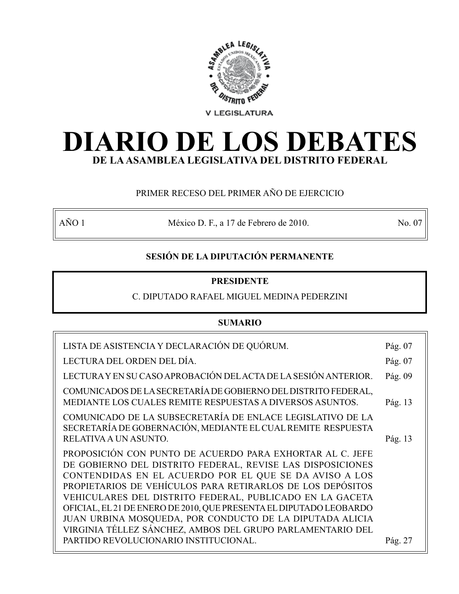

# **DIARIO DE LOS DEBATES DE LA ASAMBLEA LEGISLATIVA DEL DISTRITO FEDERAL**

# PRIMER RECESO DEL PRIMER AÑO DE EJERCICIO

AÑO 1 México D. F., a 17 de Febrero de 2010. No. 07

# **SESIÓN DE LA DIPUTACIÓN PERMANENTE**

# **PRESIDENTE**

# C. DIPUTADO RAFAEL MIGUEL MEDINA PEDERZINI

# **SUMARIO**

| LISTA DE ASISTENCIA Y DECLARACIÓN DE QUÓRUM.                                                                                                                                                                                                                                                                                                                                                                                                                                                                | Pág. 07 |
|-------------------------------------------------------------------------------------------------------------------------------------------------------------------------------------------------------------------------------------------------------------------------------------------------------------------------------------------------------------------------------------------------------------------------------------------------------------------------------------------------------------|---------|
| LECTURA DEL ORDEN DEL DÍA.                                                                                                                                                                                                                                                                                                                                                                                                                                                                                  | Pág. 07 |
| LECTURA Y EN SU CASO APROBACIÓN DEL ACTA DE LA SESIÓN ANTERIOR.                                                                                                                                                                                                                                                                                                                                                                                                                                             | Pág. 09 |
| COMUNICADOS DE LA SECRETARÍA DE GOBIERNO DEL DISTRITO FEDERAL,<br>MEDIANTE LOS CUALES REMITE RESPUESTAS A DIVERSOS ASUNTOS.                                                                                                                                                                                                                                                                                                                                                                                 | Pág. 13 |
| COMUNICADO DE LA SUBSECRETARÍA DE ENLACE LEGISLATIVO DE LA<br>SECRETARÍA DE GOBERNACIÓN, MEDIANTE EL CUAL REMITE RESPUESTA<br>RELATIVA A UN ASUNTO.                                                                                                                                                                                                                                                                                                                                                         | Pág. 13 |
| PROPOSICIÓN CON PUNTO DE ACUERDO PARA EXHORTAR AL C. JEFE<br>DE GOBIERNO DEL DISTRITO FEDERAL, REVISE LAS DISPOSICIONES<br>CONTENDIDAS EN EL ACUERDO POR EL QUE SE DA AVISO A LOS<br>PROPIETARIOS DE VEHÍCULOS PARA RETIRARLOS DE LOS DEPÓSITOS<br>VEHICULARES DEL DISTRITO FEDERAL, PUBLICADO EN LA GACETA<br>OFICIAL, EL 21 DE ENERO DE 2010, QUE PRESENTA EL DIPUTADO LEOBARDO<br>JUAN URBINA MOSQUEDA, POR CONDUCTO DE LA DIPUTADA ALICIA<br>VIRGINIA TÉLLEZ SÁNCHEZ, AMBOS DEL GRUPO PARLAMENTARIO DEL |         |
| PARTIDO REVOLUCIONARIO INSTITUCIONAL.                                                                                                                                                                                                                                                                                                                                                                                                                                                                       | Pág. 27 |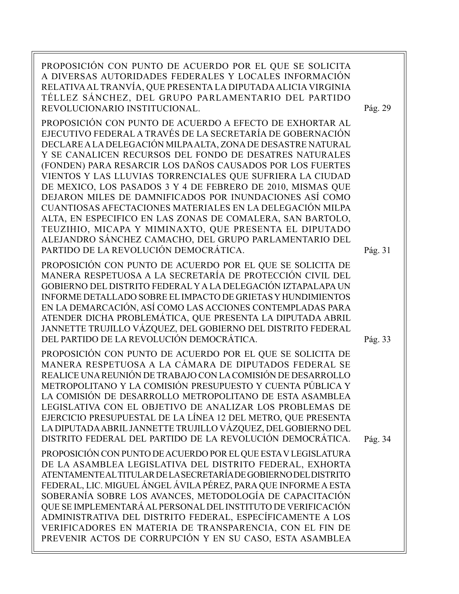PROPOSICIÓN CON PUNTO DE ACUERDO POR EL QUE SE SOLICITA A DIVERSAS AUTORIDADES FEDERALES Y LOCALES INFORMACIÓN RELATIVA AL TRANVÍA, QUE PRESENTA LA DIPUTADA ALICIA VIRGINIA TÉLLEZ SÁNCHEZ, DEL GRUPO PARLAMENTARIO DEL PARTIDO REVOLUCIONARIO INSTITUCIONAL.

PROPOSICIÓN CON PUNTO DE ACUERDO A EFECTO DE EXHORTAR AL EJECUTIVO FEDERAL A TRAVÉS DE LA SECRETARÍA DE GOBERNACIÓN DECLARE A LA DELEGACIÓN MILPA ALTA, ZONA DE DESASTRE NATURAL Y SE CANALICEN RECURSOS DEL FONDO DE DESATRES NATURALES (FONDEN) PARA RESARCIR LOS DAÑOS CAUSADOS POR LOS FUERTES VIENTOS Y LAS LLUVIAS TORRENCIALES QUE SUFRIERA LA CIUDAD DE MEXICO, LOS PASADOS 3 Y 4 DE FEBRERO DE 2010, MISMAS QUE DEJARON MILES DE DAMNIFICADOS POR INUNDACIONES ASÍ COMO CUANTIOSAS AFECTACIONES MATERIALES EN LA DELEGACIÓN MILPA ALTA, EN ESPECIFICO EN LAS ZONAS DE COMALERA, SAN BARTOLO, TEUZIHIO, MICAPA Y MIMINAXTO, QUE PRESENTA EL DIPUTADO ALEJANDRO SÁNCHEZ CAMACHO, DEL GRUPO PARLAMENTARIO DEL PARTIDO DE LA REVOLUCIÓN DEMOCRÁTICA.

PROPOSICIÓN CON PUNTO DE ACUERDO POR EL QUE SE SOLICITA DE MANERA RESPETUOSA A LA SECRETARÍA DE PROTECCIÓN CIVIL DEL GOBIERNO DEL DISTRITO FEDERAL Y A LA DELEGACIÓN IZTAPALAPA UN INFORME DETALLADO SOBRE EL IMPACTO DE GRIETAS Y HUNDIMIENTOS EN LA DEMARCACIÓN, ASÍ COMO LAS ACCIONES CONTEMPLADAS PARA ATENDER DICHA PROBLEMÁTICA, QUE PRESENTA LA DIPUTADA ABRIL JANNETTE TRUJILLO VÁZQUEZ, DEL GOBIERNO DEL DISTRITO FEDERAL DEL PARTIDO DE LA REVOLUCIÓN DEMOCRÁTICA.

PROPOSICIÓN CON PUNTO DE ACUERDO POR EL QUE SE SOLICITA DE MANERA RESPETUOSA A LA CÁMARA DE DIPUTADOS FEDERAL SE REALICE UNA REUNIÓN DE TRABAJO CON LA COMISIÓN DE DESARROLLO METROPOLITANO Y LA COMISIÓN PRESUPUESTO Y CUENTA PÚBLICA Y LA COMISIÓN DE DESARROLLO METROPOLITANO DE ESTA ASAMBLEA LEGISLATIVA CON EL OBJETIVO DE ANALIZAR LOS PROBLEMAS DE EJERCICIO PRESUPUESTAL DE LA LÍNEA 12 DEL METRO, QUE PRESENTA LA DIPUTADA ABRIL JANNETTE TRUJILLO VÁZQUEZ, DEL GOBIERNO DEL DISTRITO FEDERAL DEL PARTIDO DE LA REVOLUCIÓN DEMOCRÁTICA. PROPOSICIÓN CON PUNTO DE ACUERDO POR EL QUE ESTA V LEGISLATURA DE LA ASAMBLEA LEGISLATIVA DEL DISTRITO FEDERAL, EXHORTA ATENTAMENTE AL TITULAR DE LA SECRETARÍA DE GOBIERNO DEL DISTRITO FEDERAL, LIC. MIGUEL ÁNGEL ÁVILA PÉREZ, PARA QUE INFORME A ESTA SOBERANÍA SOBRE LOS AVANCES, METODOLOGÍA DE CAPACITACIÓN QUE SE IMPLEMENTARÁ AL PERSONAL DEL INSTITUTO DE VERIFICACIÓN ADMINISTRATIVA DEL DISTRITO FEDERAL, ESPECÍFICAMENTE A LOS VERIFICADORES EN MATERIA DE TRANSPARENCIA, CON EL FIN DE

PREVENIR ACTOS DE CORRUPCIÓN Y EN SU CASO, ESTA ASAMBLEA

Pág. 31

Pág. 33

Pág. 29

Pág. 34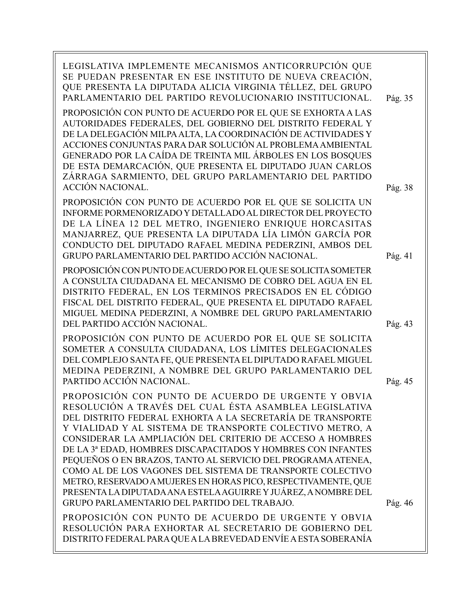| LEGISLATIVA IMPLEMENTE MECANISMOS ANTICORRUPCIÓN QUE<br>SE PUEDAN PRESENTAR EN ESE INSTITUTO DE NUEVA CREACIÓN,<br>QUE PRESENTA LA DIPUTADA ALICIA VIRGINIA TÉLLEZ, DEL GRUPO<br>PARLAMENTARIO DEL PARTIDO REVOLUCIONARIO INSTITUCIONAL.                                                                                                                                                                                                                                                                                                                                                                                                                                               | Pág. 35 |
|----------------------------------------------------------------------------------------------------------------------------------------------------------------------------------------------------------------------------------------------------------------------------------------------------------------------------------------------------------------------------------------------------------------------------------------------------------------------------------------------------------------------------------------------------------------------------------------------------------------------------------------------------------------------------------------|---------|
| PROPOSICIÓN CON PUNTO DE ACUERDO POR EL QUE SE EXHORTA A LAS<br>AUTORIDADES FEDERALES, DEL GOBIERNO DEL DISTRITO FEDERAL Y<br>DE LA DELEGACIÓN MILPA ALTA, LA COORDINACIÓN DE ACTIVIDADES Y<br>ACCIONES CONJUNTAS PARA DAR SOLUCIÓN AL PROBLEMA AMBIENTAL<br>GENERADO POR LA CAÍDA DE TREINTA MIL ÁRBOLES EN LOS BOSQUES<br>DE ESTA DEMARCACIÓN, QUE PRESENTA EL DIPUTADO JUAN CARLOS<br>ZÁRRAGA SARMIENTO, DEL GRUPO PARLAMENTARIO DEL PARTIDO<br><b>ACCIÓN NACIONAL.</b>                                                                                                                                                                                                             | Pág. 38 |
| PROPOSICIÓN CON PUNTO DE ACUERDO POR EL QUE SE SOLICITA UN<br>INFORME PORMENORIZADO Y DETALLADO AL DIRECTOR DEL PROYECTO<br>DE LA LÍNEA 12 DEL METRO, INGENIERO ENRIQUE HORCASITAS<br>MANJARREZ, QUE PRESENTA LA DIPUTADA LÍA LIMÓN GARCÍA POR<br>CONDUCTO DEL DIPUTADO RAFAEL MEDINA PEDERZINI, AMBOS DEL<br>GRUPO PARLAMENTARIO DEL PARTIDO ACCIÓN NACIONAL.                                                                                                                                                                                                                                                                                                                         | Pág. 41 |
| PROPOSICIÓN CON PUNTO DE ACUERDO POR EL QUE SE SOLICITA SOMETER<br>A CONSULTA CIUDADANA EL MECANISMO DE COBRO DEL AGUA EN EL<br>DISTRITO FEDERAL, EN LOS TERMINOS PRECISADOS EN EL CÓDIGO<br>FISCAL DEL DISTRITO FEDERAL, QUE PRESENTA EL DIPUTADO RAFAEL<br>MIGUEL MEDINA PEDERZINI, A NOMBRE DEL GRUPO PARLAMENTARIO<br>DEL PARTIDO ACCIÓN NACIONAL.                                                                                                                                                                                                                                                                                                                                 | Pág. 43 |
| PROPOSICIÓN CON PUNTO DE ACUERDO POR EL QUE SE SOLICITA<br>SOMETER A CONSULTA CIUDADANA, LOS LÍMITES DELEGACIONALES<br>DEL COMPLEJO SANTA FE, QUE PRESENTA EL DIPUTADO RAFAEL MIGUEL<br>MEDINA PEDERZINI, A NOMBRE DEL GRUPO PARLAMENTARIO DEL<br>PARTIDO ACCIÓN NACIONAL.                                                                                                                                                                                                                                                                                                                                                                                                             | Pág. 45 |
| PROPOSICIÓN CON PUNTO DE ACUERDO DE URGENTE Y OBVIA<br>RESOLUCIÓN A TRAVÉS DEL CUAL ÉSTA ASAMBLEA LEGISLATIVA<br>DEL DISTRITO FEDERAL EXHORTA A LA SECRETARÍA DE TRANSPORTE<br>Y VIALIDAD Y AL SISTEMA DE TRANSPORTE COLECTIVO METRO, A<br>CONSIDERAR LA AMPLIACIÓN DEL CRITERIO DE ACCESO A HOMBRES<br>DE LA 3ª EDAD, HOMBRES DISCAPACITADOS Y HOMBRES CON INFANTES<br>PEQUEÑOS O EN BRAZOS, TANTO AL SERVICIO DEL PROGRAMA ATENEA,<br>COMO AL DE LOS VAGONES DEL SISTEMA DE TRANSPORTE COLECTIVO<br>METRO, RESERVADO A MUJERES EN HORAS PICO, RESPECTIVAMENTE, QUE<br>PRESENTA LA DIPUTADA ANA ESTELA AGUIRRE Y JUÁREZ, A NOMBRE DEL<br>GRUPO PARLAMENTARIO DEL PARTIDO DEL TRABAJO. | Pág. 46 |
| PROPOSICIÓN CON PUNTO DE ACUERDO DE URGENTE Y OBVIA<br>RESOLUCIÓN PARA EXHORTAR AL SECRETARIO DE GOBIERNO DEL<br>DISTRITO FEDERAL PARA QUE A LA BREVEDAD ENVÍE A ESTA SOBERANÍA                                                                                                                                                                                                                                                                                                                                                                                                                                                                                                        |         |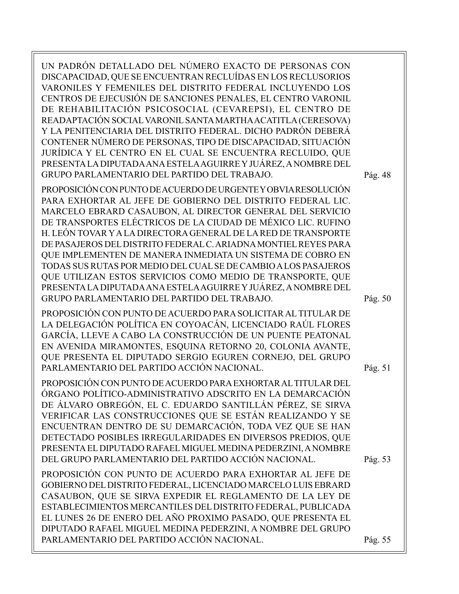UN PADRÓN DETALLADO DEL NÚMERO EXACTO DE PERSONAS CON DISCAPACIDAD, QUE SE ENCUENTRAN RECLUÍDAS EN LOS RECLUSORIOS VARONILES Y FEMENILES DEL DISTRITO FEDERAL INCLUYENDO LOS CENTROS DE EJECUSIÓN DE SANCIONES PENALES, EL CENTRO VARONIL DE REHABILITACIÓN PSICOSOCIAL (CEVAREPSI), EL CENTRO DE READAPTACIÓN SOCIAL VARONIL SANTA MARTHA ACATITLA (CERESOVA) Y LA PENITENCIARIA DEL DISTRITO FEDERAL. DICHO PADRÓN DEBERÁ CONTENER NÚMERO DE PERSONAS, TIPO DE DISCAPACIDAD, SITUACIÓN JURÍDICA Y EL CENTRO EN EL CUAL SE ENCUENTRA RECLUIDO, QUE PRESENTA LA DIPUTADA ANA ESTELA AGUIRRE Y JUÁREZ, A NOMBRE DEL GRUPO PARLAMENTARIO DEL PARTIDO DEL TRABAJO.

PROPOSICIÓN CON PUNTO DE ACUERDO DE URGENTE Y OBVIA RESOLUCIÓN PARA EXHORTAR AL JEFE DE GOBIERNO DEL DISTRITO FEDERAL LIC. MARCELO EBRARD CASAUBON, AL DIRECTOR GENERAL DEL SERVICIO DE TRANSPORTES ELÉCTRICOS DE LA CIUDAD DE MÉXICO LIC. RUFINO H. LEÓN TOVAR Y A LA DIRECTORA GENERAL DE LA RED DE TRANSPORTE DE PASAJEROS DEL DISTRITO FEDERAL C. ARIADNA MONTIEL REYES PARA QUE IMPLEMENTEN DE MANERA INMEDIATA UN SISTEMA DE COBRO EN TODAS SUS RUTAS POR MEDIO DEL CUAL SE DE CAMBIO A LOS PASAJEROS QUE UTILIZAN ESTOS SERVICIOS COMO MEDIO DE TRANSPORTE, QUE PRESENTA LA DIPUTADA ANA ESTELA AGUIRRE Y JUÁREZ, A NOMBRE DEL GRUPO PARLAMENTARIO DEL PARTIDO DEL TRABAJO.

PROPOSICIÓN CON PUNTO DE ACUERDO PARA SOLICITAR AL TITULAR DE LA DELEGACIÓN POLÍTICA EN COYOACÁN, LICENCIADO RAÚL FLORES GARCÍA, LLEVE A CABO LA CONSTRUCCIÓN DE UN PUENTE PEATONAL EN AVENIDA MIRAMONTES, ESQUINA RETORNO 20, COLONIA AVANTE, QUE PRESENTA EL DIPUTADO SERGIO EGUREN CORNEJO, DEL GRUPO PARLAMENTARIO DEL PARTIDO ACCIÓN NACIONAL.

PROPOSICIÓN CON PUNTO DE ACUERDO PARA EXHORTAR AL TITULAR DEL ÓRGANO POLÍTICO-ADMINISTRATIVO ADSCRITO EN LA DEMARCACIÓN DE ÁLVARO OBREGÓN, EL C. EDUARDO SANTILLÁN PÉREZ, SE SIRVA VERIFICAR LAS CONSTRUCCIONES QUE SE ESTÁN REALIZANDO Y SE ENCUENTRAN DENTRO DE SU DEMARCACIÓN, TODA VEZ QUE SE HAN DETECTADO POSIBLES IRREGULARIDADES EN DIVERSOS PREDIOS, QUE PRESENTA EL DIPUTADO RAFAEL MIGUEL MEDINA PEDERZINI, A NOMBRE DEL GRUPO PARLAMENTARIO DEL PARTIDO ACCIÓN NACIONAL.

PROPOSICIÓN CON PUNTO DE ACUERDO PARA EXHORTAR AL JEFE DE GOBIERNO DEL DISTRITO FEDERAL, LICENCIADO MARCELO LUIS EBRARD CASAUBON, QUE SE SIRVA EXPEDIR EL REGLAMENTO DE LA LEY DE ESTABLECIMIENTOS MERCANTILES DEL DISTRITO FEDERAL, PUBLICADA EL LUNES 26 DE ENERO DEL AÑO PROXIMO PASADO, QUE PRESENTA EL DIPUTADO RAFAEL MIGUEL MEDINA PEDERZINI, A NOMBRE DEL GRUPO PARLAMENTARIO DEL PARTIDO ACCIÓN NACIONAL.

Pág. 48

Pág. 50

Pág. 51

Pág. 53

Pág. 55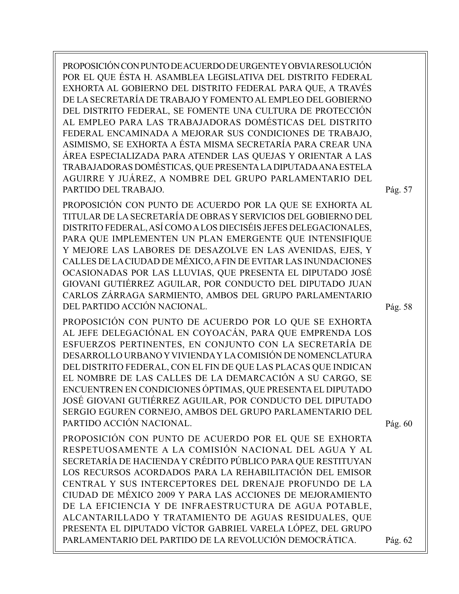PROPOSICIÓN CON PUNTO DE ACUERDO DE URGENTE Y OBVIA RESOLUCIÓN POR EL QUE ÉSTA H. ASAMBLEA LEGISLATIVA DEL DISTRITO FEDERAL EXHORTA AL GOBIERNO DEL DISTRITO FEDERAL PARA QUE, A TRAVÉS DE LA SECRETARÍA DE TRABAJO Y FOMENTO AL EMPLEO DEL GOBIERNO DEL DISTRITO FEDERAL, SE FOMENTE UNA CULTURA DE PROTECCIÓN AL EMPLEO PARA LAS TRABAJADORAS DOMÉSTICAS DEL DISTRITO FEDERAL ENCAMINADA A MEJORAR SUS CONDICIONES DE TRABAJO, ASIMISMO, SE EXHORTA A ÉSTA MISMA SECRETARÍA PARA CREAR UNA ÁREA ESPECIALIZADA PARA ATENDER LAS QUEJAS Y ORIENTAR A LAS TRABAJADORAS DOMÉSTICAS, QUE PRESENTA LA DIPUTADA ANA ESTELA AGUIRRE Y JUÁREZ, A NOMBRE DEL GRUPO PARLAMENTARIO DEL PARTIDO DEL TRABAJO.

PROPOSICIÓN CON PUNTO DE ACUERDO POR LA QUE SE EXHORTA AL TITULAR DE LA SECRETARÍA DE OBRAS Y SERVICIOS DEL GOBIERNO DEL DISTRITO FEDERAL, ASÍ COMO A LOS DIECISÉIS JEFES DELEGACIONALES, PARA QUE IMPLEMENTEN UN PLAN EMERGENTE QUE INTENSIFIQUE Y MEJORE LAS LABORES DE DESAZOLVE EN LAS AVENIDAS, EJES, Y CALLES DE LA CIUDAD DE MÉXICO, A FIN DE EVITAR LAS INUNDACIONES OCASIONADAS POR LAS LLUVIAS, QUE PRESENTA EL DIPUTADO JOSÉ GIOVANI GUTIÉRREZ AGUILAR, POR CONDUCTO DEL DIPUTADO JUAN CARLOS ZÁRRAGA SARMIENTO, AMBOS DEL GRUPO PARLAMENTARIO DEL PARTIDO ACCIÓN NACIONAL.

PROPOSICIÓN CON PUNTO DE ACUERDO POR LO QUE SE EXHORTA AL JEFE DELEGACIÓNAL EN COYOACÁN, PARA QUE EMPRENDA LOS ESFUERZOS PERTINENTES, EN CONJUNTO CON LA SECRETARÍA DE DESARROLLO URBANO Y VIVIENDA Y LA COMISIÓN DE NOMENCLATURA DEL DISTRITO FEDERAL, CON EL FIN DE QUE LAS PLACAS QUE INDICAN EL NOMBRE DE LAS CALLES DE LA DEMARCACIÓN A SU CARGO, SE ENCUENTREN EN CONDICIONES ÓPTIMAS, QUE PRESENTA EL DIPUTADO JOSÉ GIOVANI GUTIÉRREZ AGUILAR, POR CONDUCTO DEL DIPUTADO SERGIO EGUREN CORNEJO, AMBOS DEL GRUPO PARLAMENTARIO DEL PARTIDO ACCIÓN NACIONAL.

Pág. 60

Pág. 57

Pág. 58

PROPOSICIÓN CON PUNTO DE ACUERDO POR EL QUE SE EXHORTA RESPETUOSAMENTE A LA COMISIÓN NACIONAL DEL AGUA Y AL SECRETARÍA DE HACIENDA Y CRÉDITO PÚBLICO PARA QUE RESTITUYAN LOS RECURSOS ACORDADOS PARA LA REHABILITACIÓN DEL EMISOR CENTRAL Y SUS INTERCEPTORES DEL DRENAJE PROFUNDO DE LA CIUDAD DE MÉXICO 2009 Y PARA LAS ACCIONES DE MEJORAMIENTO DE LA EFICIENCIA Y DE INFRAESTRUCTURA DE AGUA POTABLE, ALCANTARILLADO Y TRATAMIENTO DE AGUAS RESIDUALES, QUE PRESENTA EL DIPUTADO VÍCTOR GABRIEL VARELA LÓPEZ, DEL GRUPO PARLAMENTARIO DEL PARTIDO DE LA REVOLUCIÓN DEMOCRÁTICA. Pág. 62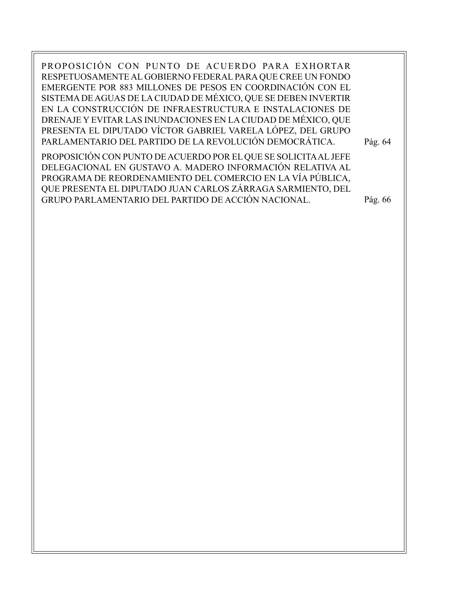PROPOSICIÓN CON PUNTO DE ACUERDO PARA EXHORTAR RESPETUOSAMENTE AL GOBIERNO FEDERAL PARA QUE CREE UN FONDO EMERGENTE POR 883 MILLONES DE PESOS EN COORDINACIÓN CON EL SISTEMA DE AGUAS DE LA CIUDAD DE MÉXICO, QUE SE DEBEN INVERTIR EN LA CONSTRUCCIÓN DE INFRAESTRUCTURA E INSTALACIONES DE DRENAJE Y EVITAR LAS INUNDACIONES EN LA CIUDAD DE MÉXICO, QUE PRESENTA EL DIPUTADO VÍCTOR GABRIEL VARELA LÓPEZ, DEL GRUPO PARLAMENTARIO DEL PARTIDO DE LA REVOLUCIÓN DEMOCRÁTICA.

PROPOSICIÓN CON PUNTO DE ACUERDO POR EL QUE SE SOLICITA AL JEFE DELEGACIONAL EN GUSTAVO A. MADERO INFORMACIÓN RELATIVA AL PROGRAMA DE REORDENAMIENTO DEL COMERCIO EN LA VÍA PÚBLICA, QUE PRESENTA EL DIPUTADO JUAN CARLOS ZÁRRAGA SARMIENTO, DEL GRUPO PARLAMENTARIO DEL PARTIDO DE ACCIÓN NACIONAL.

Pág. 66

Pág. 64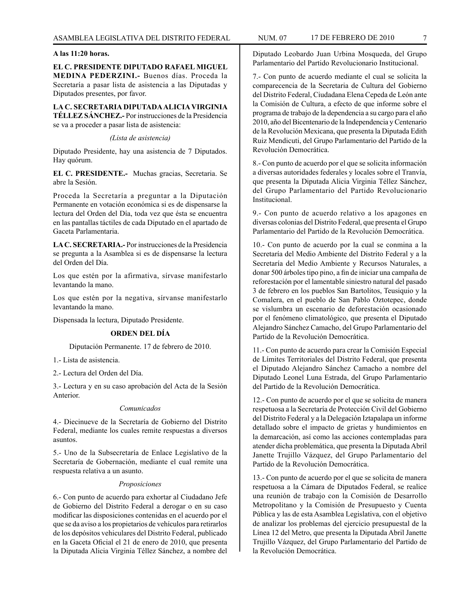#### **A las 11:20 horas.**

**EL C. PRESIDENTE DIPUTADO RAFAEL MIGUEL MEDINA PEDERZINI.-** Buenos días. Proceda la Secretaría a pasar lista de asistencia a las Diputadas y Diputados presentes, por favor.

**LA C. SECRETARIA DIPUTADA ALICIA VIRGINIA TÉLLEZ SÁNCHEZ.-** Por instrucciones de la Presidencia se va a proceder a pasar lista de asistencia:

*(Lista de asistencia)*

Diputado Presidente, hay una asistencia de 7 Diputados. Hay quórum.

**EL C. PRESIDENTE.-** Muchas gracias, Secretaria. Se abre la Sesión.

Proceda la Secretaría a preguntar a la Diputación Permanente en votación económica si es de dispensarse la lectura del Orden del Día, toda vez que ésta se encuentra en las pantallas táctiles de cada Diputado en el apartado de Gaceta Parlamentaria.

**LA C. SECRETARIA.-** Por instrucciones de la Presidencia se pregunta a la Asamblea si es de dispensarse la lectura del Orden del Día.

Los que estén por la afirmativa, sírvase manifestarlo levantando la mano.

Los que estén por la negativa, sírvanse manifestarlo levantando la mano.

Dispensada la lectura, Diputado Presidente.

#### **ORDEN DEL DÍA**

Diputación Permanente. 17 de febrero de 2010.

1.- Lista de asistencia.

2.- Lectura del Orden del Día.

3.- Lectura y en su caso aprobación del Acta de la Sesión Anterior.

#### *Comunicados*

4.- Diecinueve de la Secretaría de Gobierno del Distrito Federal, mediante los cuales remite respuestas a diversos asuntos.

5.- Uno de la Subsecretaría de Enlace Legislativo de la Secretaría de Gobernación, mediante el cual remite una respuesta relativa a un asunto.

#### *Proposiciones*

6.- Con punto de acuerdo para exhortar al Ciudadano Jefe de Gobierno del Distrito Federal a derogar o en su caso modificar las disposiciones contenidas en el acuerdo por el que se da aviso a los propietarios de vehículos para retirarlos de los depósitos vehiculares del Distrito Federal, publicado en la Gaceta Oficial el 21 de enero de 2010, que presenta la Diputada Alicia Virginia Téllez Sánchez, a nombre del

Diputado Leobardo Juan Urbina Mosqueda, del Grupo Parlamentario del Partido Revolucionario Institucional.

7.- Con punto de acuerdo mediante el cual se solicita la comparecencia de la Secretaria de Cultura del Gobierno del Distrito Federal, Ciudadana Elena Cepeda de León ante la Comisión de Cultura, a efecto de que informe sobre el programa de trabajo de la dependencia a su cargo para el año 2010, año del Bicentenario de la Independencia y Centenario de la Revolución Mexicana, que presenta la Diputada Edith Ruiz Mendicuti, del Grupo Parlamentario del Partido de la Revolución Democrática.

8.- Con punto de acuerdo por el que se solicita información a diversas autoridades federales y locales sobre el Tranvía, que presenta la Diputada Alicia Virginia Téllez Sánchez, del Grupo Parlamentario del Partido Revolucionario Institucional.

9.- Con punto de acuerdo relativo a los apagones en diversas colonias del Distrito Federal, que presenta el Grupo Parlamentario del Partido de la Revolución Democrática.

10.- Con punto de acuerdo por la cual se conmina a la Secretaría del Medio Ambiente del Distrito Federal y a la Secretaría del Medio Ambiente y Recursos Naturales, a donar 500 árboles tipo pino, a fin de iniciar una campaña de reforestación por el lamentable siniestro natural del pasado 3 de febrero en los pueblos San Bartolitos, Teusiquio y la Comalera, en el pueblo de San Pablo Oztotepec, donde se vislumbra un escenario de deforestación ocasionado por el fenómeno climatológico, que presenta el Diputado Alejandro Sánchez Camacho, del Grupo Parlamentario del Partido de la Revolución Democrática.

11.- Con punto de acuerdo para crear la Comisión Especial de Límites Territoriales del Distrito Federal, que presenta el Diputado Alejandro Sánchez Camacho a nombre del Diputado Leonel Luna Estrada, del Grupo Parlamentario del Partido de la Revolución Democrática.

12.- Con punto de acuerdo por el que se solicita de manera respetuosa a la Secretaría de Protección Civil del Gobierno del Distrito Federal y a la Delegación Iztapalapa un informe detallado sobre el impacto de grietas y hundimientos en la demarcación, así como las acciones contempladas para atender dicha problemática, que presenta la Diputada Abril Janette Trujillo Vázquez, del Grupo Parlamentario del Partido de la Revolución Democrática.

13.- Con punto de acuerdo por el que se solicita de manera respetuosa a la Cámara de Diputados Federal, se realice una reunión de trabajo con la Comisión de Desarrollo Metropolitano y la Comisión de Presupuesto y Cuenta Pública y las de esta Asamblea Legislativa, con el objetivo de analizar los problemas del ejercicio presupuestal de la Línea 12 del Metro, que presenta la Diputada Abril Janette Trujillo Vázquez, del Grupo Parlamentario del Partido de la Revolución Democrática.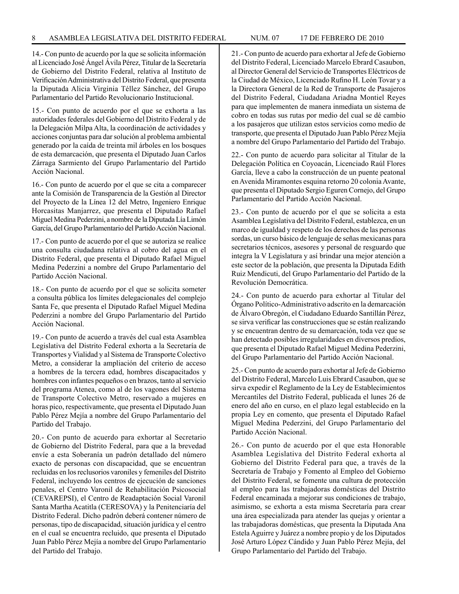14.- Con punto de acuerdo por la que se solicita información al Licenciado José Ángel Ávila Pérez, Titular de la Secretaría de Gobierno del Distrito Federal, relativa al Instituto de Verificación Administrativa del Distrito Federal, que presenta la Diputada Alicia Virginia Téllez Sánchez, del Grupo Parlamentario del Partido Revolucionario Institucional.

15.- Con punto de acuerdo por el que se exhorta a las autoridades federales del Gobierno del Distrito Federal y de la Delegación Milpa Alta, la coordinación de actividades y acciones conjuntas para dar solución al problema ambiental generado por la caída de treinta mil árboles en los bosques de esta demarcación, que presenta el Diputado Juan Carlos Zárraga Sarmiento del Grupo Parlamentario del Partido Acción Nacional.

16.- Con punto de acuerdo por el que se cita a comparecer ante la Comisión de Transparencia de la Gestión al Director del Proyecto de la Línea 12 del Metro, Ingeniero Enrique Horcasitas Manjarrez, que presenta el Diputado Rafael Miguel Medina Pederzini, a nombre de la Diputada Lía Limón García, del Grupo Parlamentario del Partido Acción Nacional.

17.- Con punto de acuerdo por el que se autoriza se realice una consulta ciudadana relativa al cobro del agua en el Distrito Federal, que presenta el Diputado Rafael Miguel Medina Pederzini a nombre del Grupo Parlamentario del Partido Acción Nacional.

18.- Con punto de acuerdo por el que se solicita someter a consulta pública los límites delegacionales del complejo Santa Fe, que presenta el Diputado Rafael Miguel Medina Pederzini a nombre del Grupo Parlamentario del Partido Acción Nacional.

19.- Con punto de acuerdo a través del cual esta Asamblea Legislativa del Distrito Federal exhorta a la Secretaría de Transportes y Vialidad y al Sistema de Transporte Colectivo Metro, a considerar la ampliación del criterio de acceso a hombres de la tercera edad, hombres discapacitados y hombres con infantes pequeños o en brazos, tanto al servicio del programa Atenea, como al de los vagones del Sistema de Transporte Colectivo Metro, reservado a mujeres en horas pico, respectivamente, que presenta el Diputado Juan Pablo Pérez Mejía a nombre del Grupo Parlamentario del Partido del Trabajo.

20.- Con punto de acuerdo para exhortar al Secretario de Gobierno del Distrito Federal, para que a la brevedad envíe a esta Soberanía un padrón detallado del número exacto de personas con discapacidad, que se encuentran recluidas en los reclusorios varoniles y femeniles del Distrito Federal, incluyendo los centros de ejecución de sanciones penales, el Centro Varonil de Rehabilitación Psicosocial (CEVAREPSI), el Centro de Readaptación Social Varonil Santa Martha Acatitla (CERESOVA) y la Penitenciaría del Distrito Federal. Dicho padrón deberá contener número de personas, tipo de discapacidad, situación jurídica y el centro en el cual se encuentra recluido, que presenta el Diputado Juan Pablo Pérez Mejía a nombre del Grupo Parlamentario del Partido del Trabajo.

21.- Con punto de acuerdo para exhortar al Jefe de Gobierno del Distrito Federal, Licenciado Marcelo Ebrard Casaubon, al Director General del Servicio de Transportes Eléctricos de la Ciudad de México, Licenciado Rufino H. León Tovar y a la Directora General de la Red de Transporte de Pasajeros del Distrito Federal, Ciudadana Ariadna Montiel Reyes para que implementen de manera inmediata un sistema de cobro en todas sus rutas por medio del cual se dé cambio a los pasajeros que utilizan estos servicios como medio de transporte, que presenta el Diputado Juan Pablo Pérez Mejía a nombre del Grupo Parlamentario del Partido del Trabajo.

22.- Con punto de acuerdo para solicitar al Titular de la Delegación Política en Coyoacán, Licenciado Raúl Flores García, lleve a cabo la construcción de un puente peatonal en Avenida Miramontes esquina retorno 20 colonia Avante, que presenta el Diputado Sergio Eguren Cornejo, del Grupo Parlamentario del Partido Acción Nacional.

23.- Con punto de acuerdo por el que se solicita a esta Asamblea Legislativa del Distrito Federal, establezca, en un marco de igualdad y respeto de los derechos de las personas sordas, un curso básico de lenguaje de señas mexicanas para secretarios técnicos, asesores y personal de resguardo que integra la V Legislatura y así brindar una mejor atención a este sector de la población, que presenta la Diputada Edith Ruiz Mendicuti, del Grupo Parlamentario del Partido de la Revolución Democrática.

24.- Con punto de acuerdo para exhortar al Titular del Órgano Político-Administrativo adscrito en la demarcación de Álvaro Obregón, el Ciudadano Eduardo Santillán Pérez, se sirva verificar las construcciones que se están realizando y se encuentran dentro de su demarcación, toda vez que se han detectado posibles irregularidades en diversos predios, que presenta el Diputado Rafael Miguel Medina Pederzini, del Grupo Parlamentario del Partido Acción Nacional.

25.- Con punto de acuerdo para exhortar al Jefe de Gobierno del Distrito Federal, Marcelo Luis Ebrard Casaubon, que se sirva expedir el Reglamento de la Ley de Establecimientos Mercantiles del Distrito Federal, publicada el lunes 26 de enero del año en curso, en el plazo legal establecido en la propia Ley en comento, que presenta el Diputado Rafael Miguel Medina Pederzini, del Grupo Parlamentario del Partido Acción Nacional.

26.- Con punto de acuerdo por el que esta Honorable Asamblea Legislativa del Distrito Federal exhorta al Gobierno del Distrito Federal para que, a través de la Secretaría de Trabajo y Fomento al Empleo del Gobierno del Distrito Federal, se fomente una cultura de protección al empleo para las trabajadoras domésticas del Distrito Federal encaminada a mejorar sus condiciones de trabajo, asimismo, se exhorta a esta misma Secretaría para crear una área especializada para atender las quejas y orientar a las trabajadoras domésticas, que presenta la Diputada Ana Estela Aguirre y Juárez a nombre propio y de los Diputados José Arturo López Cándido y Juan Pablo Pérez Mejía, del Grupo Parlamentario del Partido del Trabajo.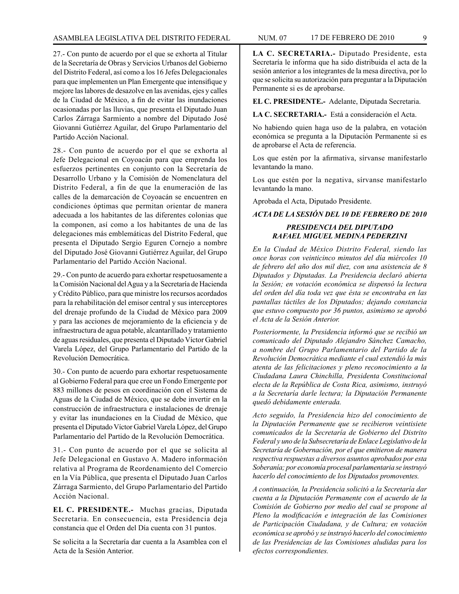27.- Con punto de acuerdo por el que se exhorta al Titular de la Secretaría de Obras y Servicios Urbanos del Gobierno del Distrito Federal, así como a los 16 Jefes Delegacionales para que implementen un Plan Emergente que intensifique y mejore las labores de desazolve en las avenidas, ejes y calles de la Ciudad de México, a fin de evitar las inundaciones ocasionadas por las lluvias, que presenta el Diputado Juan Carlos Zárraga Sarmiento a nombre del Diputado José Giovanni Gutiérrez Aguilar, del Grupo Parlamentario del Partido Acción Nacional.

28.- Con punto de acuerdo por el que se exhorta al Jefe Delegacional en Coyoacán para que emprenda los esfuerzos pertinentes en conjunto con la Secretaría de Desarrollo Urbano y la Comisión de Nomenclatura del Distrito Federal, a fin de que la enumeración de las calles de la demarcación de Coyoacán se encuentren en condiciones óptimas que permitan orientar de manera adecuada a los habitantes de las diferentes colonias que la componen, así como a los habitantes de una de las delegaciones más emblemáticas del Distrito Federal, que presenta el Diputado Sergio Eguren Cornejo a nombre del Diputado José Giovanni Gutiérrez Aguilar, del Grupo Parlamentario del Partido Acción Nacional.

29.- Con punto de acuerdo para exhortar respetuosamente a la Comisión Nacional del Agua y a la Secretaría de Hacienda y Crédito Público, para que ministre los recursos acordados para la rehabilitación del emisor central y sus interceptores del drenaje profundo de la Ciudad de México para 2009 y para las acciones de mejoramiento de la eficiencia y de infraestructura de agua potable, alcantarillado y tratamiento de aguas residuales, que presenta el Diputado Víctor Gabriel Varela López, del Grupo Parlamentario del Partido de la Revolución Democrática.

30.- Con punto de acuerdo para exhortar respetuosamente al Gobierno Federal para que cree un Fondo Emergente por 883 millones de pesos en coordinación con el Sistema de Aguas de la Ciudad de México, que se debe invertir en la construcción de infraestructura e instalaciones de drenaje y evitar las inundaciones en la Ciudad de México, que presenta el Diputado Víctor Gabriel Varela López, del Grupo Parlamentario del Partido de la Revolución Democrática.

31.- Con punto de acuerdo por el que se solicita al Jefe Delegacional en Gustavo A. Madero información relativa al Programa de Reordenamiento del Comercio en la Vía Pública, que presenta el Diputado Juan Carlos Zárraga Sarmiento, del Grupo Parlamentario del Partido Acción Nacional.

**EL C. PRESIDENTE.-** Muchas gracias, Diputada Secretaria. En consecuencia, esta Presidencia deja constancia que el Orden del Día cuenta con 31 puntos.

Se solicita a la Secretaría dar cuenta a la Asamblea con el Acta de la Sesión Anterior.

**LA C. SECRETARIA.-** Diputado Presidente, esta Secretaría le informa que ha sido distribuida el acta de la sesión anterior a los integrantes de la mesa directiva, por lo que se solicita su autorización para preguntar a la Diputación Permanente si es de aprobarse.

**EL C. PRESIDENTE.-** Adelante, Diputada Secretaria.

**LA C. SECRETARIA.-** Está a consideración el Acta.

No habiendo quien haga uso de la palabra, en votación económica se pregunta a la Diputación Permanente si es de aprobarse el Acta de referencia.

Los que estén por la afirmativa, sírvanse manifestarlo levantando la mano.

Los que estén por la negativa, sírvanse manifestarlo levantando la mano.

Aprobada el Acta, Diputado Presidente.

*ACTA DE LA SESIÓN DEL 10 DE FEBRERO DE 2010*

# *PRESIDENCIA DEL DIPUTADO RAFAEL MIGUEL MEDINA PEDERZINI*

*En la Ciudad de México Distrito Federal, siendo las once horas con veinticinco minutos del día miércoles 10 de febrero del año dos mil diez, con una asistencia de 8 Diputados y Diputadas. La Presidencia declaró abierta la Sesión; en votación económica se dispensó la lectura del orden del día toda vez que ésta se encontraba en las pantallas táctiles de los Diputados; dejando constancia que estuvo compuesto por 36 puntos, asimismo se aprobó el Acta de la Sesión Anterior.*

*Posteriormente, la Presidencia informó que se recibió un comunicado del Diputado Alejandro Sánchez Camacho, a nombre del Grupo Parlamentario del Partido de la Revolución Democrática mediante el cual extendió la más atenta de las felicitaciones y pleno reconocimiento a la Ciudadana Laura Chinchilla, Presidenta Constitucional electa de la República de Costa Rica, asimismo, instruyó a la Secretaría darle lectura; la Diputación Permanente quedó debidamente enterada.*

*Acto seguido, la Presidencia hizo del conocimiento de la Diputación Permanente que se recibieron veintisiete comunicados de la Secretaría de Gobierno del Distrito Federal y uno de la Subsecretaría de Enlace Legislativo de la Secretaría de Gobernación, por el que emitieron de manera respectiva respuestas a diversos asuntos aprobados por esta Soberanía; por economía procesal parlamentaria se instruyó hacerlo del conocimiento de los Diputados promoventes.*

*A continuación, la Presidencia solicitó a la Secretaría dar cuenta a la Diputación Permanente con el acuerdo de la Comisión de Gobierno por medio del cual se propone al Pleno la modificación e integración de las Comisiones de Participación Ciudadana, y de Cultura; en votación económica se aprobó y se instruyó hacerlo del conocimiento de las Presidencias de las Comisiones aludidas para los efectos correspondientes.*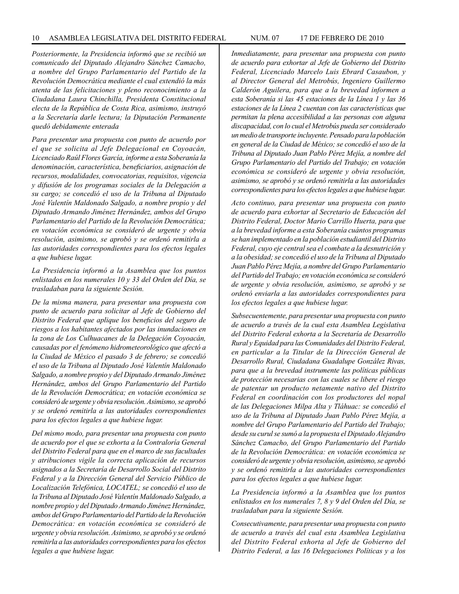*Posteriormente, la Presidencia informó que se recibió un comunicado del Diputado Alejandro Sánchez Camacho, a nombre del Grupo Parlamentario del Partido de la Revolución Democrática mediante el cual extendió la más atenta de las felicitaciones y pleno reconocimiento a la Ciudadana Laura Chinchilla, Presidenta Constitucional electa de la República de Costa Rica, asimismo, instruyó a la Secretaría darle lectura; la Diputación Permanente quedó debidamente enterada* 

*Para presentar una propuesta con punto de acuerdo por el que se solicita al Jefe Delegacional en Coyoacán, Licenciado Raúl Flores García, informe a esta Soberanía la denominación, característica, beneficiarios, asignación de recursos, modalidades, convocatorias, requisitos, vigencia y difusión de los programas sociales de la Delegación a su cargo; se concedió el uso de la Tribuna al Diputado José Valentín Maldonado Salgado, a nombre propio y del Diputado Armando Jiménez Hernández, ambos del Grupo Parlamentario del Partido de la Revolución Democrática; en votación económica se consideró de urgente y obvia resolución, asimismo, se aprobó y se ordenó remitirla a las autoridades correspondientes para los efectos legales a que hubiese lugar.*

*La Presidencia informó a la Asamblea que los puntos enlistados en los numerales 10 y 33 del Orden del Día, se trasladaban para la siguiente Sesión.*

*De la misma manera, para presentar una propuesta con punto de acuerdo para solicitar al Jefe de Gobierno del Distrito Federal que aplique los beneficios del seguro de riesgos a los habitantes afectados por las inundaciones en la zona de Los Culhuacanes de la Delegación Coyoacán, causadas por el fenómeno hidrometeorológico que afectó a la Ciudad de México el pasado 3 de febrero; se concedió el uso de la Tribuna al Diputado José Valentín Maldonado Salgado, a nombre propio y del Diputado Armando Jiménez Hernández, ambos del Grupo Parlamentario del Partido de la Revolución Democrática; en votación económica se consideró de urgente y obvia resolución. Asimismo, se aprobó y se ordenó remitirla a las autoridades correspondientes para los efectos legales a que hubiese lugar.*

*Del mismo modo, para presentar una propuesta con punto de acuerdo por el que se exhorta a la Contraloría General del Distrito Federal para que en el marco de sus facultades y atribuciones vigile la correcta aplicación de recursos asignados a la Secretaría de Desarrollo Social del Distrito Federal y a la Dirección General del Servicio Público de Localización Telefónica, LOCATEL; se concedió el uso de la Tribuna al Diputado José Valentín Maldonado Salgado, a nombre propio y del Diputado Armando Jiménez Hernández, ambos del Grupo Parlamentario del Partido de la Revolución Democrática: en votación económica se consideró de urgente y obvia resolución. Asimismo, se aprobó y se ordenó remitirla a las autoridades correspondientes para los efectos legales a que hubiese lugar.*

*Inmediatamente, para presentar una propuesta con punto de acuerdo para exhortar al Jefe de Gobierno del Distrito Federal, Licenciado Marcelo Luis Ebrard Casaubon, y al Director General del Metrobús, Ingeniero Guillermo Calderón Aguilera, para que a la brevedad informen a esta Soberanía si las 45 estaciones de la Línea 1 y las 36 estaciones de la Línea 2 cuentan con las características que permitan la plena accesibilidad a las personas con alguna discapacidad, con lo cual el Metrobús pueda ser considerado un medio de transporte incluyente. Pensado para la población en general de la Ciudad de México; se concedió el uso de la Tribuna al Diputado Juan Pablo Pérez Mejía, a nombre del Grupo Parlamentario del Partido del Trabajo; en votación económica se consideró de urgente y obvia resolución, asimismo, se aprobó y se ordenó remitirla a las autoridades correspondientes para los efectos legales a que hubiese lugar.*

*Acto continuo, para presentar una propuesta con punto de acuerdo para exhortar al Secretario de Educación del Distrito Federal, Doctor Mario Carrillo Huerta, para que a la brevedad informe a esta Soberanía cuántos programas se han implementado en la población estudiantil del Distrito Federal, cuyo eje central sea el combate a la desnutrición y a la obesidad; se concedió el uso de la Tribuna al Diputado Juan Pablo Pérez Mejía, a nombre del Grupo Parlamentario del Partido del Trabajo; en votación económica se consideró de urgente y obvia resolución, asimismo, se aprobó y se ordenó enviarla a las autoridades correspondientes para los efectos legales a que hubiese lugar.*

*Subsecuentemente, para presentar una propuesta con punto de acuerdo a través de la cual esta Asamblea Legislativa del Distrito Federal exhorta a la Secretaría de Desarrollo Rural y Equidad para las Comunidades del Distrito Federal, en particular a la Titular de la Dirección General de Desarrollo Rural, Ciudadana Guadalupe González Rivas, para que a la brevedad instrumente las políticas públicas de protección necesarias con las cuales se libere el riesgo de patentar un producto netamente nativo del Distrito Federal en coordinación con los productores del nopal de las Delegaciones Milpa Alta y Tláhuac: se concedió el uso de la Tribuna al Diputado Juan Pablo Pérez Mejía, a nombre del Grupo Parlamentario del Partido del Trabajo; desde su curul se sumó a la propuesta el Diputado Alejandro Sánchez Camacho, del Grupo Parlamentario del Partido de la Revolución Democrática: en votación económica se consideró de urgente y obvia resolución, asimismo, se aprobó y se ordenó remitirla a las autoridades correspondientes para los efectos legales a que hubiese lugar.*

*La Presidencia informó a la Asamblea que los puntos enlistados en los numerales 7, 8 y 9 del Orden del Día, se trasladaban para la siguiente Sesión.*

*Consecutivamente, para presentar una propuesta con punto de acuerdo a través del cual esta Asamblea Legislativa del Distrito Federal exhorta al Jefe de Gobierno del Distrito Federal, a las 16 Delegaciones Políticas y a los*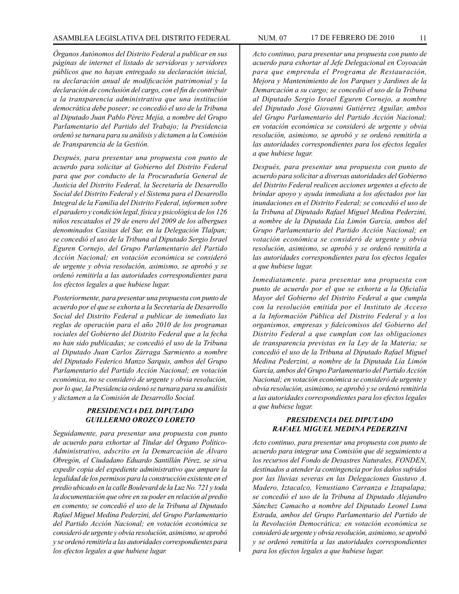*Órganos Autónomos del Distrito Federal a publicar en sus páginas de internet el listado de servidoras y servidores públicos que no hayan entregado su declaración inicial, su declaración anual de modificación patrimonial y la declaración de conclusión del cargo, con el fin de contribuir a la transparencia administrativa que una institución democrática debe poseer; se concedió el uso de la Tribuna al Diputado Juan Pablo Pérez Mejía, a nombre del Grupo Parlamentario del Partido del Trabajo; la Presidencia ordenó se turnara para su análisis y dictamen a la Comisión de Transparencia de la Gestión.*

*Después, para presentar una propuesta con punto de acuerdo para solicitar al Gobierno del Distrito Federal para que por conducto de la Procuraduría General de Justicia del Distrito Federal, la Secretaría de Desarrollo Social del Distrito Federal y el Sistema para el Desarrollo Integral de la Familia del Distrito Federal, informen sobre el paradero y condición legal, física y psicológica de los 126 niños rescatados el 29 de enero del 2009 de los albergues denominados Casitas del Sur, en la Delegación Tlalpan; se concedió el uso de la Tribuna al Diputado Sergio Israel Eguren Cornejo, del Grupo Parlamentario del Partido Acción Nacional; en votación económica se consideró de urgente y obvia resolución, asimismo, se aprobó y se ordenó remitirla a las autoridades correspondientes para los efectos legales a que hubiese lugar.*

*Posteriormente, para presentar una propuesta con punto de acuerdo por el que se exhorta a la Secretaría de Desarrollo Social del Distrito Federal a publicar de inmediato las reglas de operación para el año 2010 de los programas sociales del Gobierno del Distrito Federal que a la fecha no han sido publicadas; se concedió el uso de la Tribuna al Diputado Juan Carlos Zárraga Sarmiento a nombre del Diputado Federico Manzo Sarquis, ambos del Grupo Parlamentario del Partido Acción Nacional; en votación económica, no se consideró de urgente y obvia resolución, por lo que, la Presidencia ordenó se turnara para su análisis y dictamen a la Comisión de Desarrollo Social.*

# *PRESIDENCIA DEL DIPUTADO GUILLERMO OROZCO LORETO*

*Seguidamente, para presentar una propuesta con punto de acuerdo para exhortar al Titular del Órgano Político-Administrativo, adscrito en la Demarcación de Álvaro Obregón, el Ciudadano Eduardo Santillán Pérez, se sirva expedir copia del expediente administrativo que ampare la legalidad de los permisos para la construcción existente en el predio ubicado en la calle Boulevard de la Luz No. 721 y toda la documentación que obre en su poder en relación al predio en comento; se concedió el uso de la Tribuna al Diputado Rafael Miguel Medina Pederzini, del Grupo Parlamentario del Partido Acción Nacional; en votación económica se consideró de urgente y obvia resolución, asimismo, se aprobó y se ordenó remitirla a las autoridades correspondientes para los efectos legales a que hubiese lugar.*

*Acto continuo, para presentar una propuesta con punto de acuerdo para exhortar al Jefe Delegacional en Coyoacán para que emprenda el Programa de Restauración, Mejora y Mantenimiento de los Parques y Jardines de la Demarcación a su cargo; se concedió el uso de la Tribuna al Diputado Sergio Israel Eguren Cornejo, a nombre del Diputado José Giovanni Gutiérrez Aguilar, ambos del Grupo Parlamentario del Partido Acción Nacional; en votación económica se consideró de urgente y obvia resolución, asimismo, se aprobó y se ordenó remitirla a las autoridades correspondientes para los efectos legales a que hubiese lugar.*

*Después, para presentar una propuesta con punto de acuerdo para solicitar a diversas autoridades del Gobierno del Distrito Federal realicen acciones urgentes a efecto de brindar apoyo y ayuda inmediata a los afectados por las inundaciones en el Distrito Federal; se concedió el uso de la Tribuna al Diputado Rafael Miguel Medina Pederzini, a nombre de la Diputada Lía Limón García, ambos del Grupo Parlamentario del Partido Acción Nacional; en votación económica se consideró de urgente y obvia resolución, asimismo, se aprobó y se ordenó remitirla a las autoridades correspondientes para los efectos legales a que hubiese lugar.*

*Inmediatamente. para presentar una propuesta con punto de acuerdo por el que se exhorta a la Oficialía Mayor del Gobierno del Distrito Federal a que cumpla con la resolución emitida por el Instituto de Acceso a la Información Pública del Distrito Federal y a los organismos, empresas y fideicomisos del Gobierno del Distrito Federal a que cumplan con las obligaciones de transparencia previstas en la Ley de la Materia; se concedió el uso de la Tribuna al Diputado Rafael Miguel Medina Pederzini, a nombre de la Diputada Lía Limón García, ambos del Grupo Parlamentario del Partido Acción Nacional; en votación económica se consideró de urgente y obvia resolución, asimismo, se aprobó y se ordenó remitirla a las autoridades correspondientes para los efectos legales a que hubiese lugar.*

# *PRESIDENCIA DEL DIPUTADO RAFAEL MIGUEL MEDINA PEDERZINI*

*Acto continuo, para presentar una propuesta con punto de acuerdo para integrar una Comisión que dé seguimiento a los recursos del Fondo de Desastres Naturales, FONDEN, destinados a atender la contingencia por los daños sufridos por las lluvias severas en las Delegaciones Gustavo A. Madero, Iztacalco, Venustiano Carranza e Iztapalapa; se concedió el uso de la Tribuna al Diputado Alejandro Sánchez Camacho a nombre del Diputado Leonel Luna Estrada, ambos del Grupo Parlamentario del Partido de la Revolución Democrática; en votación económica se consideró de urgente y obvia resolución, asimismo, se aprobó y se ordenó remitirla a las autoridades correspondientes para los efectos legales a que hubiese lugar.*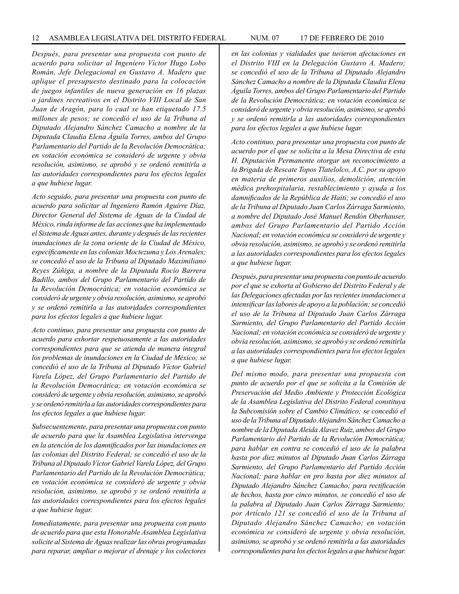*Después, para presentar una propuesta con punto de acuerdo para solicitar al Ingeniero Víctor Hugo Lobo Román, Jefe Delegacional en Gustavo A. Madero que aplique el presupuesto destinado para la colocación de juegos infantiles de nueva generación en 16 plazas o jardines recreativos en el Distrito VIII Local de San Juan de Aragón, para lo cual se han etiquetado 17.5 millones de pesos; se concedió el uso de la Tribuna al Diputado Alejandro Sánchez Camacho a nombre de la Diputada Claudia Elena Águila Torres, ambos del Grupo Parlamentario del Partido de la Revolución Democrática; en votación económica se consideró de urgente y obvia resolución, asimismo, se aprobó y se ordenó remitirla a las autoridades correspondientes para los efectos legales a que hubiese lugar.*

*Acto seguido, para presentar una propuesta con punto de acuerdo para solicitar al Ingeniero Ramón Aguirre Díaz, Director General del Sistema de Aguas de la Ciudad de México, rinda informe de las acciones que ha implementado el Sistema de Aguas antes, durante y después de las recientes inundaciones de la zona oriente de la Ciudad de México, específicamente en las colonias Moctezuma y Los Arenales; se concedió el uso de la Tribuna al Diputado Maximiliano Reyes Zúñiga, a nombre de la Diputada Rocío Barrera Badillo, ambos del Grupo Parlamentario del Partido de la Revolución Democrática; en votación económica se consideró de urgente y obvia resolución, asimismo, se aprobó y se ordenó remitirla a las autoridades correspondientes para los efectos legales a que hubiese lugar.*

*Acto continuo, para presentar una propuesta con punto de acuerdo para exhortar respetuosamente a las autoridades correspondientes para que se atienda de manera integral los problemas de inundaciones en la Ciudad de México; se concedió el uso de la Tribuna al Diputado Víctor Gabriel Varela López, del Grupo Parlamentario del Partido de la Revolución Democrática; en votación económica se consideró de urgente y obvia resolución, asimismo, se aprobó y se ordenó remitirla a las autoridades correspondientes para los efectos legales a que hubiese lugar.*

*Subsecuentemente, para presentar una propuesta con punto de acuerdo para que la Asamblea Legislativa intervenga en la atención de los damnificados por las inundaciones en las colonias del Distrito Federal; se concedió el uso de la Tribuna al Diputado Víctor Gabriel Varela López, del Grupo Parlamentario del Partido de la Revolución Democrática; en votación económica se consideró de urgente y obvia resolución, asimismo, se aprobó y se ordenó remitirla a las autoridades correspondientes para los efectos legales a que hubiese lugar.*

*Inmediatamente, para presentar una propuesta con punto de acuerdo para que esta Honorable Asamblea Legislativa solicite al Sistema de Aguas realizar las obras programadas para reparar, ampliar o mejorar el drenaje y los colectores* 

*en las colonias y vialidades que tuvieron afectaciones en el Distrito VIII en la Delegación Gustavo A. Madero; se concedió el uso de la Tribuna al Diputado Alejandro Sánchez Camacho a nombre de la Diputada Claudia Elena Águila Torres, ambos del Grupo Parlamentario del Partido de la Revolución Democrática; en votación económica se consideró de urgente y obvia resolución, asimismo, se aprobó y se ordenó remitirla a las autoridades correspondientes para los efectos legales a que hubiese lugar.* 

*Acto continuo, para presentar una propuesta con punto de acuerdo por el que se solicita a la Mesa Directiva de esta H. Diputación Permanente otorgar un reconocimiento a la Brigada de Rescate Topos Tlatelolco, A.C. por su apoyo en materia de primeros auxilios, demolición, atención médica prehospitalaria, restablecimiento y ayuda a los damnificados de la República de Haiti; se concedió el uso de la Tribuna al Diputado Juan Carlos Zárraga Sarmiento, a nombre del Diputado José Manuel Rendón Oberhauser, ambos del Grupo Parlamentario del Partido Acción Nacional; en votación económica se consideró de urgente y obvia resolución, asimismo, se aprobó y se ordenó remitirla a las autoridades correspondientes para los efectos legales a que hubiese lugar.*

*Después, para presentar una propuesta con punto de acuerdo por el que se exhorta al Gobierno del Distrito Federal y de las Delegaciones afectadas por las recientes inundaciones a intensificar las labores de apoyo a la población; se concedió el uso de la Tribuna al Diputado Juan Carlos Zárraga Sarmiento, del Grupo Parlamentario del Partido Acción Nacional; en votación económica se consideró de urgente y obvia resolución, asimismo, se aprobó y se ordenó remitirla a las autoridades correspondientes para los efectos legales a que hubiese lugar.*

*Del mismo modo, para presentar una propuesta con punto de acuerdo por el que se solicita a la Comisión de Preservación del Medio Ambiente y Protección Ecológica de la Asamblea Legislativa del Distrito Federal constituya la Subcomisión sobre el Cambio Climático; se concedió el uso de la Tribuna al Diputado Alejandro Sánchez Camacho a nombre de la Diputada Aleida Alavez Ruiz, ambos del Grupo Parlamentario del Partido de la Revolución Democrática; para hablar en contra se concedió el uso de la palabra hasta por diez minutos al Diputado Juan Carlos Zárraga Sarmiento, del Grupo Parlamentario del Partido Acción Nacional; para hablar en pro hasta por diez minutos al Diputado Alejandro Sánchez Camacho; para rectificación de hechos, hasta por cinco minutos, se concedió el uso de la palabra al Diputado Juan Carlos Zárraga Sarmiento; por Artículo 121 se concedió el uso de la Tribuna al Diputado Alejandro Sánchez Camacho; en votación económica se consideró de urgente y obvia resolución, asimismo, se aprobó y se ordenó remitirla a las autoridades correspondientes para los efectos legales a que hubiese lugar.*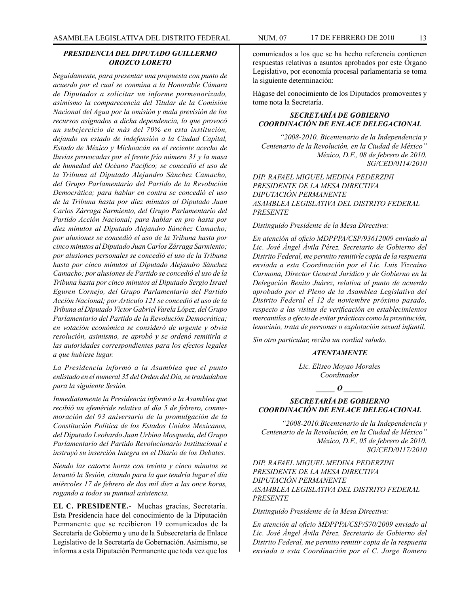# *PRESIDENCIA DEL DIPUTADO GUILLERMO OROZCO LORETO*

*Seguidamente, para presentar una propuesta con punto de acuerdo por el cual se conmina a la Honorable Cámara de Diputados a solicitar un informe pormenorizado, asimismo la comparecencia del Titular de la Comisión Nacional del Agua por la omisión y mala previsión de los recursos asignados a dicha dependencia, lo que provocó un subejercicio de más del 70% en esta institución, dejando en estado de indefensión a la Ciudad Capital, Estado de México y Michoacán en el reciente acecho de lluvias provocadas por el frente frío número 31 y la masa de humedad del Océano Pacífico; se concedió el uso de la Tribuna al Diputado Alejandro Sánchez Camacho, del Grupo Parlamentario del Partido de la Revolución Democrática; para hablar en contra se concedió el uso de la Tribuna hasta por diez minutos al Diputado Juan Carlos Zárraga Sarmiento, del Grupo Parlamentario del Partido Acción Nacional; para hablar en pro hasta por diez minutos al Diputado Alejandro Sánchez Camacho; por alusiones se concedió el uso de la Tribuna hasta por cinco minutos al Diputado Juan Carlos Zárraga Sarmiento; por alusiones personales se concedió el uso de la Tribuna hasta por cinco minutos al Diputado Alejandro Sánchez Camacho; por alusiones de Partido se concedió el uso de la Tribuna hasta por cinco minutos al Diputado Sergio Israel Eguren Cornejo, del Grupo Parlamentario del Partido Acción Nacional; por Artículo 121 se concedió el uso de la Tribuna al Diputado Víctor Gabriel Varela López, del Grupo Parlamentario del Partido de la Revolución Democrática; en votación económica se consideró de urgente y obvia resolución, asimismo, se aprobó y se ordenó remitirla a las autoridades correspondientes para los efectos legales a que hubiese lugar.*

*La Presidencia informó a la Asamblea que el punto enlistado en el numeral 35 del Orden del Día, se trasladaban para la siguiente Sesión.* 

*Inmediatamente la Presidencia informó a la Asamblea que recibió un efeméride relativa al día 5 de febrero, conmemoración del 93 aniversario de la promulgación de la Constitución Política de los Estados Unidos Mexicanos, del Diputado Leobardo Juan Urbina Mosqueda, del Grupo Parlamentario del Partido Revolucionario Institucional e instruyó su inserción Integra en el Diario de los Debates.*

*Siendo las catorce horas con treinta y cinco minutos se levantó la Sesión, citando para la que tendría lugar el día miércoles 17 de febrero de dos mil diez a las once horas, rogando a todos su puntual asistencia.*

**EL C. PRESIDENTE.-** Muchas gracias, Secretaria. Esta Presidencia hace del conocimiento de la Diputación Permanente que se recibieron 19 comunicados de la Secretaría de Gobierno y uno de la Subsecretaría de Enlace Legislativo de la Secretaría de Gobernación. Asimismo, se informa a esta Diputación Permanente que toda vez que los

comunicados a los que se ha hecho referencia contienen respuestas relativas a asuntos aprobados por este Órgano Legislativo, por economía procesal parlamentaria se toma la siguiente determinación:

Hágase del conocimiento de los Diputados promoventes y tome nota la Secretaría.

# *SECRETARÍA DE GOBIERNO COORDINACIÓN DE ENLACE DELEGACIONAL*

*"2008-2010, Bicentenario de la Independencia y Centenario de la Revolución, en la Ciudad de México" México, D.F., 08 de febrero de 2010. SG/CED/0114/2010*

*DIP. RAFAEL MIGUEL MEDINA PEDERZINI PRESIDENTE DE LA MESA DIRECTIVA DIPUTACIÓN PERMANENTE ASAMBLEA LEGISLATIVA DEL DISTRITO FEDERAL PRESENTE*

*Distinguido Presidente de la Mesa Directiva:*

*En atención al oficio MDPPPA/CSP/93612009 enviado al Lic. José Ángel Ávila Pérez, Secretario de Gobierno del Distrito Federal, me permito remitirle copia de la respuesta enviada a esta Coordinación por el Lic. Luis Vizcaíno Carmona, Director General Jurídico y de Gobierno en la Delegación Benito Juárez, relativa al punto de acuerdo aprobado por el Pleno de la Asamblea Legislativa del Distrito Federal el 12 de noviembre próximo pasado, respecto a las visitas de verificación en establecimientos mercantiles a efecto de evitar prácticas como la prostitución, lenocinio, trata de personas o explotación sexual infantil.*

*Sin otro particular, reciba un cordial saludo.*

#### *ATENTAMENTE*

*Lic. Eliseo Moyao Morales Coordinador*

*\_\_\_\_\_ O \_\_\_\_\_*

# *SECRETARÍA DE GOBIERNO COORDINACIÓN DE ENLACE DELEGACIONAL*

*"2008-2010.Bicentenario de la Independencia y Centenario de la Revolución, en la Ciudad de México" México, D.F., 05 de febrero de 2010. SG/CED/0117/2010*

*DIP. RAFAEL MIGUEL MEDINA PEDERZINI PRESIDENTE DE LA MESA DIRECTIVA DIPUTACIÓN PERMANENTE ASAMBLEA LEGISLATIVA DEL DISTRITO FEDERAL PRESENTE*

*Distinguido Presidente de la Mesa Directiva:*

*En atención al oficio MDPPPA/CSP/S70/2009 enviado al Lic. José Ángel Ávila Pérez, Secretario de Gobierno del Distrito Federal, me permito remitir copia de la respuesta enviada a esta Coordinación por el C. Jorge Romero*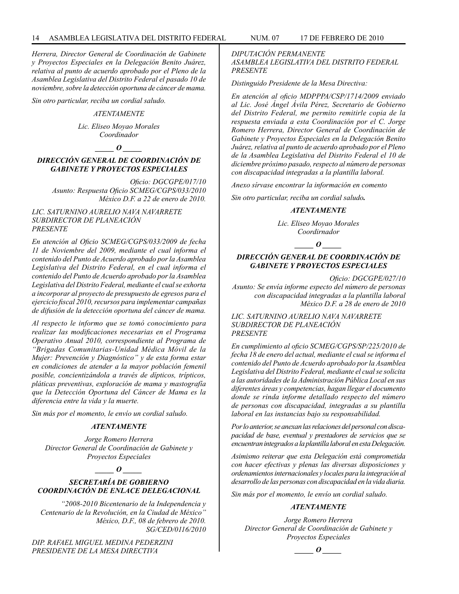*Herrera, Director General de Coordinación de Gabinete y Proyectos Especiales en la Delegación Benito Juárez, relativa al punto de acuerdo aprobado por el Pleno de la Asamblea Legislativa del Distrito Federal el pasado 10 de noviembre, sobre la detección oportuna de cáncer de mama.*

*Sin otro particular, reciba un cordial saludo.*

#### *ATENTAMENTE*

*Lic. Eliseo Moyao Morales Coordinador*

# *\_\_\_\_\_ O \_\_\_\_\_*

# *DIRECCIÓN GENERAL DE COORDINACIÓN DE GABINETE Y PROYECTOS ESPECIALES*

*Oficio: DGCGPE/017/10 Asunto: Respuesta Oficio SCMEG/CGPS/033/2010 México D.F. a 22 de enero de 2010.*

#### *LIC. SATURNINO AURELIO NAVA NAVARRETE SUBDIRECTOR DE PLANEACIÓN PRESENTE*

*En atención al Oficio SCMEG/CGPS/033/2009 de fecha 11 de Noviembre del 2009, mediante el cual informa el contenido del Punto de Acuerdo aprobado por la Asamblea Legislativa del Distrito Federal, en el cual informa el contenido del Punto de Acuerdo aprobado por la Asamblea Legislativa del Distrito Federal, mediante el cual se exhorta a incorporar al proyecto de presupuesto de egresos para el ejercicio fiscal 2010, recursos para implementar campañas de difusión de la detección oportuna del cáncer de mama.*

*Al respecto le informo que se tomó conocimiento para realizar las modificaciones necesarias en el Programa Operativo Anual 2010, correspondiente al Programa de "Brigadas Comunitarias-Unidad Médica Móvil de la Mujer: Prevención y Diagnóstico" y de esta forma estar en condiciones de atender a la mayor población femenil posible, concientizándola a través de dípticos, trípticos, pláticas preventivas, exploración de mama y mastografía que la Detección Oportuna del Cáncer de Mama es la diferencia entre la vida y la muerte.*

*Sin más por el momento, le envío un cordial saludo.*

# *ATENTAMENTE*

*Jorge Romero Herrera Director General de Coordinación de Gabinete y Proyectos Especiales*

# *\_\_\_\_\_ O \_\_\_\_\_*

# *SECRETARÍA DE GOBIERNO COORDINACIÓN DE ENLACE DELEGACIONAL*

*"2008-2010 Bicentenario de la Independencia y Centenario de la Revolución, en la Ciudad de México" México, D.F., 08 de febrero de 2010. SG/CED/0116/2010*

*DIP. RAFAEL MIGUEL MEDINA PEDERZINI PRESIDENTE DE LA MESA DIRECTIVA* 

*DIPUTACIÓN PERMANENTE ASAMBLEA LEGISLATIVA DEL DISTRITO FEDERAL PRESENTE*

*Distinguido Presidente de la Mesa Directiva:*

*En atención al oficio MDPPPA/CSP/1714/2009 enviado al Lic. José Ángel Ávila Pérez, Secretario de Gobierno del Distrito Federal, me permito remitirle copia de la respuesta enviada a esta Coordinación por el C. Jorge Romero Herrera, Director General de Coordinación de Gabinete y Proyectos Especiales en la Delegación Benito Juárez, relativa al punto de acuerdo aprobado por el Pleno de la Asamblea Legislativa del Distrito Federal el 10 de diciembre próximo pasado, respecto al número de personas con discapacidad integradas a la plantilla laboral.* 

*Anexo sírvase encontrar la información en comento*

*Sin otro particular, reciba un cordial saludo.* 

#### *ATENTAMENTE*

*Lic. Eliseo Moyao Morales Coordirnador*

# *\_\_\_\_\_ O \_\_\_\_\_*

# *DIRECCIÓN GENERAL DE COORDINACIÓN DE GABINETE Y PROYECTOS ESPECIALES*

*Oficio: DGCGPE/027/10* 

*Asunto: Se envía informe especto del número de personas con discapacidad integradas a la plantilla laboral México D.F. a 28 de enero de 2010*

*LIC. SATURNINO AURELIO NAVA NAVARRETE SUBDIRECTOR DE PLANEACIÓN PRESENTE*

*En cumplimiento al oficio SCMEG/CGPS/SP/225/2010 de fecha 18 de enero del actual, mediante el cual se informa el contenido del Punto de Acuerdo aprobado por la Asamblea Legislativa del Distrito Federal, mediante el cual se solicita a las autoridades de la Administración Pública Local en sus diferentes áreas y competencias, hagan llegar el documento donde se rinda informe detallado respecto del número de personas con discapacidad, integradas a su plantilla laboral en las instancias bajo su responsabilidad.*

*Por lo anterior, se anexan las relaciones del personal con discapacidad de base, eventual y prestadores de servicios que se encuentran integrados a la plantilla laboral en esta Delegación.* 

*Asimismo reiterar que esta Delegación está comprometida con hacer efectivas y plenas las diversas disposiciones y ordenamientos internacionales y locales para la integración al desarrollo de las personas con discapacidad en la vida diaria.*

*Sin más por el momento, le envío un cordial saludo.*

#### *ATENTAMENTE*

*Jorge Romero Herrera Director General de Coordinación de Gabinete y Proyectos Especiales*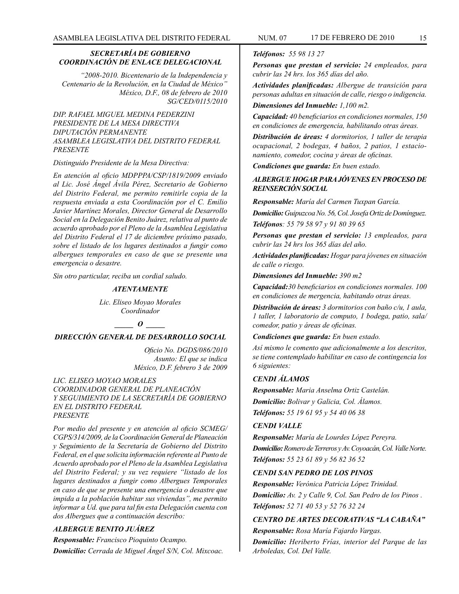#### *SECRETARÍA DE GOBIERNO COORDINACIÓN DE ENLACE DELEGACIONAL*

*"2008-2010. Bicentenario de la Independencia y Centenario de la Revolución, en la Ciudad de México" México, D.F., 08 de febrero de 2010 SG/CED/0115/2010*

*DIP. RAFAEL MIGUEL MEDINA PEDERZINI PRESIDENTE DE LA MESA DIRECTIVA DIPUTACIÓN PERMANENTE ASAMBLEA LEGISLATIVA DEL DISTRITO FEDERAL PRESENTE*

#### *Distinguido Presidente de la Mesa Directiva:*

*En atención al oficio MDPPPA/CSP/1819/2009 enviado al Lic. José Ángel Ávila Pérez, Secretario de Gobierno del Distrito Federal, me permito remitirle copia de la respuesta enviada a esta Coordinación por el C. Emilio Javier Martínez Morales, Director General de Desarrollo Social en la Delegación Benito Juárez, relativa al punto de acuerdo aprobado por el Pleno de la Asamblea Legislativa del Distrito Federal el 17 de diciembre próximo pasado, sobre el listado de los lugares destinados a fungir como albergues temporales en caso de que se presente una emergencia o desastre.*

*Sin otro particular, reciba un cordial saludo.*

#### *ATENTAMENTE*

*Lic. Eliseo Moyao Morales Coordinador*

# *\_\_\_\_\_ O \_\_\_\_\_*

# *DIRECCIÓN GENERAL DE DESARROLLO SOCIAL*

*Oficio No. DGDS/086/2010 Asunto: El que se indica México, D.F. febrero 3 de 2009*

*LIC. ELISEO MOYAO MORALES COORDINADOR GENERAL DE PLANEACIÓN Y SEGUIMIENTO DE LA SECRETARÍA DE GOBIERNO EN EL DISTRITO FEDERAL PRESENTE*

*Por medio del presente y en atención al oficio SCMEG/ CGPS/314/2009, de la Coordinación General de Planeación y Seguimiento de la Secretaría de Gobierno del Distrito Federal, en el que solicita información referente al Punto de Acuerdo aprobado por el Pleno de la Asamblea Legislativa del Distrito Federal; y su vez requiere "listado de los lugares destinados a fungir como Albergues Temporales en caso de que se presente una emergencia o desastre que impida a la población habitar sus viviendas", me permito informar a Ud. que para tal fin esta Delegación cuenta con dos Albergues que a continuación describo:*

# *ALBERGUE BENITO JUÁREZ*

*Responsable: Francisco Pioquinto Ocampo. Domicilio: Cerrada de Miguel Ángel S/N, Col. Mixcoac.*

# *Teléfonos: 55 98 13 27*

*Personas que prestan el servicio: 24 empleados, para cubrir las 24 hrs. los 365 días del año.*

*Actividades planificadas: Albergue de transición para personas adultas en situación de calle, riesgo o indigencia.*

# *Dimensiones del Inmueble: 1,100 m2.*

*Capacidad: 40 beneficiarios en condiciones normales, 150 en condiciones de emergencia, habilitando otras áreas.* 

*Distribución de áreas: 4 dormitorios, 1 taller de terapia ocupacional, 2 bodegas, 4 baños, 2 patios, 1 estacionamiento, comedor, cocina y áreas de oficinas.* 

*Condiciones que guarda: En buen estado.*

# *ALBERGUE HOGAR PARA JÓVENES EN PROCESO DE REINSERCIÓN SOCIAL*

*Responsable: María del Carmen Tuxpan García.* 

*Domicilio: Guipuzcoa No. 56, Col. Josefa Ortiz de Domínguez. Teléfonos: 55 79 58 97 y 91 80 39 65*

*Personas que prestan el servicio: 13 empleados, para cubrir las 24 hrs los 365 días del año.* 

*Actividades planificadas: Hogar para jóvenes en situación de calle o riesgo.* 

*Dimensiones del Inmueble: 390 m2* 

*Capacidad:30 beneficiarios en condiciones normales. 100 en condiciones de mergencia, habitando otras áreas.* 

*Distribución de áreas: 3 dormitorios con baño c/u, 1 aula, 1 taller, 1 laboratorio de computo, 1 bodega, patio, sala/ comedor, patio y áreas de oficinas.* 

*Condiciones que guarda: En buen estado.* 

*Así mismo le comento que adicionalmente a los descritos, se tiene contemplado habilitar en caso de contingencia los 6 siguientes:*

#### *CENDI ÁLAMOS*

*Responsable: Maria Anselma Ortiz Castelán. Domicilio: Bolivar y Galicia, Col. Álamos. Teléfonos: 55 19 61 95 y 54 40 06 38*

# *CENDI VALLE*

*Responsable: María de Lourdes López Pereyra. Domicilio: Romero de Terreros y Av. Coyoacán, Col. Valle Norte. Teléfonos: 55 23 61 89 y 56 82 36 52*

#### *CENDI SAN PEDRO DE LOS PINOS*

*Responsable: Verónica Patricia López Trinidad. Domicilio: Av. 2 y Calle 9, Col. San Pedro de los Pinos . Teléfonos: 52 71 40 53 y 52 76 32 24*

# *CENTRO DE ARTES DECORATIVAS "LA CABAÑA"*

*Responsable: Rosa María Fajardo Vargas. Domicilio: Heriberto Frías, interior del Parque de las Arboledas, Col. Del Valle.*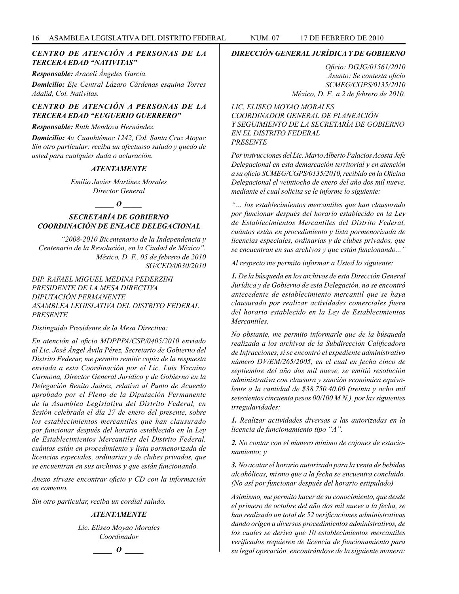# *CENTRO DE ATENCIÓN A PERSONAS DE LA TERCERA EDAD "NATIVITAS"*

*Responsable: Araceli Ángeles García.* 

*Domicilio: Eje Central Lázaro Cárdenas esquina Torres Adalid, Col. Nativitas.* 

# *CENTRO DE ATENCIÓN A PERSONAS DE LA TERCERA EDAD "EUGUERIO GUERRERO"*

*Responsable: Ruth Mendoza Hernández.* 

*Domicilio: Av. Cuauhtémoc 1242, Col. Santa Cruz Atoyac Sin otro particular; reciba un afectuoso saludo y quedo de usted para cualquier duda o aclaración.*

#### *ATENTAMENTE*

*Emilio Javier Martínez Morales Director General*

# *\_\_\_\_\_ O \_\_\_\_\_*

# *SECRETARÍA DE GOBIERNO COORDINACIÓN DE ENLACE DELEGACIONAL*

*"2008-2010 Bicentenario de la Independencia y Centenario de la Revolución, en la Ciudad de México". México, D. F., 05 de febrero de 2010 SG/CED/0030/2010*

*DIP. RAFAEL MIGUEL MEDINA PEDERZINI PRESIDENTE DE LA MESA DIRECTIVA DIPUTACIÓN PERMANENTE ASAMBLEA LEGISLATIVA DEL DISTRITO FEDERAL PRESENTE*

#### *Distinguido Presidente de la Mesa Directiva:*

*En atención al oficio MDPPPA/CSP/0405/2010 enviado al Lic. José Ángel Ávila Pérez, Secretario de Gobierno del Distrito Federar, me permito remitir copia de la respuesta enviada a esta Coordinación por el Lic. Luis Vizcaíno Carmona, Director General Jurídico y de Gobierno en la Delegación Benito Juárez, relativa al Punto de Acuerdo aprobado por el Pleno de la Diputación Permanente de la Asamblea Legislativa del Distrito Federal, en Sesión celebrada el día 27 de enero del presente, sobre los establecimientos mercantiles que han clausurado por funcionar después del horario establecido en la Ley de Establecimientos Mercantiles del Distrito Federal, cuántos están en procedimiento y lista pormenorizada de licencias especiales, ordinarias y de clubes privados, que se encuentran en sus archivos y que están funcionando.*

*Anexo sírvase encontrar oficio y CD con la información en comento.*

*Sin otro particular, reciba un cordial saludo.*

#### *ATENTAMENTE*

*Lic. Eliseo Moyao Morales Coordinador*

*\_\_\_\_\_ O \_\_\_\_\_*

#### *DIRECCIÓN GENERAL JURÍDICA Y DE GOBIERNO*

*Oficio: DGJG/01561/2010 Asunto: Se contesta oficio SCMEG/CGPS/0135/2010 México, D. F., a 2 de febrero de 2010.*

*LIC. ELISEO MOYAO MORALES COORDINADOR GENERAL DE PLANEACIÓN Y SEGUIMIENTO DE LA SECRETARÍA DE GOBIERNO EN EL DISTRITO FEDERAL PRESENTE*

*Por instrucciones del Lic. Mario Alberto Palacios Acosta Jefe Delegacional en esta demarcación territorial y en atención a su oficio SCMEG/CGPS/0135/2010, recibido en la Oficina Delegacional el veintiocho de enero del año dos mil nueve, mediante el cual solicita se le informe lo siguiente:*

*"… los establecimientos mercantiles que han clausurado por funcionar después del horario establecido en la Ley de Establecimientos Mercantiles del Distrito Federal, cuántos están en procedimiento y lista pormenorizada de licencias especiales, ordinarias y de clubes privados, que se encuentran en sus archivos y que están funcionando..."* 

*Al respecto me permito informar a Usted lo siguiente:*

*1. De la búsqueda en los archivos de esta Dirección General Jurídica y de Gobierno de esta Delegación, no se encontró antecedente de establecimiento mercantil que se haya clausurado por realizar actividades comerciales fuera del horario establecido en la Ley de Establecimientos Mercantiles.*

*No obstante, me permito informarle que de la búsqueda realizada a los archivos de la Subdirección Calificadora de Infracciones, sí se encontró el expediente administrativo número DV/EM/265/2005, en el cual en fecha cinco de septiembre del año dos mil nueve, se emitió resolución administrativa con clausura y sanción económica equivalente a la cantidad de \$38,750.40.00 (treinta y ocho mil setecientos cincuenta pesos 00/100 M.N.), por las siguientes irregularidades:*

*1. Realizar actividades diversas a las autorizadas en la licencia de funcionamiento tipo "A".*

*2. No contar con el número mínimo de cajones de estacionamiento; y*

*3. No acatar el horario autorizado para la venta de bebidas alcohólicas, mismo que a la fecha se encuentra concluido. (No así por funcionar después del horario estipulado)*

*Asimismo, me permito hacer de su conocimiento, que desde el primero de octubre del año dos mil nueve a la fecha, se han realizado un total de 52 verificaciones administrativas dando origen a diversos procedimientos administrativos, de los cuales se deriva que 10 establecimientos mercantiles verificados requieren de licencia de funcionamiento para su legal operación, encontrándose de la siguiente manera:*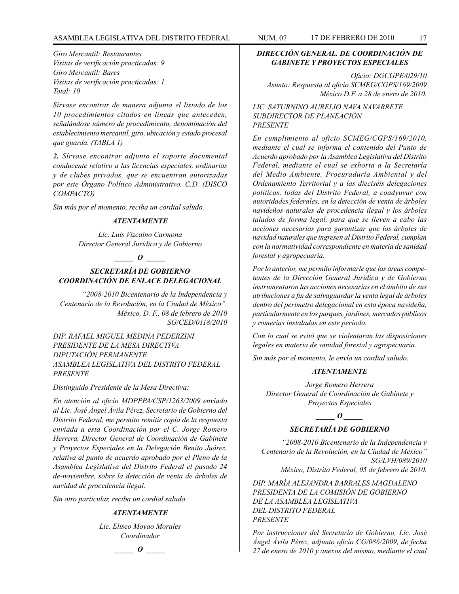# ASAMBLEA LEGISLATIVA DEL DISTRITO FEDERAL NUM. 07 17 de FEBRERO de 2010 17

*Giro Mercantil: Restaurantes Visitas de verificación practicadas: 9 Giro Mercantil: Bares Visitas de verificación practicadas: 1 Total: 10*

*Sírvase encontrar de manera adjunta el listado de los 10 procedimientos citados en líneas que anteceden, señalándose número de procedimiento, denominación del establecimiento mercantil, giro, ubicación y estado procesal que guarda. (TABLA 1)*

*2. Sírvase encontrar adjunto el soporte documental conducente relativo a las licencias especiales, ordinarias y de clubes privados, que se encuentran autorizadas por este Órgano Político Administrativo. C.D. (DISCO COMPACTO)*

*Sin más por el momento, reciba un cordial saludo.*

#### *ATENTAMENTE*

*Lic. Luis Vizcaino Carmona Director General Jurídico y de Gobierno*

### *\_\_\_\_\_ O \_\_\_\_\_*

# *SECRETARÍA DE GOBIERNO COORDINACIÓN DE ENLACE DELEGACIONAL*

*"2008-2010 Bicentenario de la Independencia y Centenario de la Revolución, en la Ciudad de México". México, D. F., 08 de febrero de 2010 SG/CED/0118/2010*

*DIP. RAFAEL MIGUEL MEDINA PEDERZINI PRESIDENTE DE LA MESA DIRECTIVA DIPUTACIÓN PERMANENTE ASAMBLEA LEGISLATIVA DEL DISTRITO FEDERAL PRESENTE*

#### *Distinguido Presidente de la Mesa Directiva:*

*En atención al oficio MDPPPA/CSP/1263/2009 enviado al Lic. José Ángel Ávila Pérez, Secretario de Gobierno del Distrito Federal, me permito remitir copia de la respuesta enviada a esta Coordinación por el C. Jorge Romero Herrera, Director General de Coordinación de Gabinete y Proyectos Especiales en la Delegación Benito Juárez, relativa al punto de acuerdo aprobado por el Pleno de la Asamblea Legislativa del Distrito Federal el pasado 24 de-noviembre, sobre la detección de venta de árboles de navidad de procedencia ilegal.* 

*Sin otro particular, reciba un cordial saludo.*

#### *ATENTAMENTE*

*Lic. Eliseo Moyao Morales Coordinador*

# *\_\_\_\_\_ O \_\_\_\_\_*

# *DIRECCIÓN GENERAL. DE COORDINACIÓN DE GABINETE Y PROYECTOS ESPECIALES*

*Oficio: DGCGPE/029/10 Asunto: Respuesta al oficio SCMEG/CGPS/169/2009 México D.F. a 28 de enero de 2010.*

*LIC. SATURNINO AURELIO NAVA NAVARRETE SUBDIRECTOR DE PLANEACIÓN PRESENTE*

*En cumplimiento al oficio SCMEG/CGPS/169/2010, mediante el cual se informa el contenido del Punto de Acuerdo aprobado por la Asamblea Legislativa del Distrito Federal, mediante el cual se exhorta a la Secretaría del Medio Ambiente, Procuraduría Ambiental y del Ordenamiento Territorial y a las dieciséis delegaciones políticas, todas del Distrito Federal, a coadyuvar con autoridades federales, en la detección de venta de árboles navideños naturales de procedencia ilegal y los árboles talados de forma legal, para que se lleven a cabo las acciones necesarias para garantizar que los árboles de navidad naturales que ingresen al Distrito Federal, cumplan con la normatividad correspondiente en materia de sanidad forestal y agropecuaria.*

*Por lo anterior, me permito informarle que las áreas competentes de la Dirección General Jurídica y de Gobierno instrumentaron las acciones necesarias en el ámbito de sus atribuciones a fin de salvaguardar la venta legal de árboles dentro del perímetro delegacional en esta época navideña, particularmente en los parques, jardines, mercados públicos y romerías instaladas en este periodo.* 

*Con lo cual se evitó que se violentaran las disposiciones legales en materia de sanidad forestal y agropecuaria.*

*Sin más por el momento, le envío un cordial saludo.*

#### *ATENTAMENTE*

*Jorge Romero Herrera Director General de Coordinación de Gabinete y Proyectos Especiales*

# *\_\_\_\_\_ O \_\_\_\_\_*

# *SECRETARÍA DE GOBIERNO*

*"2008-2010 Bicentenario de la Independencia y Centenario de la Revolución, en la Ciudad de México" SG/LVH/089/2010 México, Distrito Federal, 05 de febrero de 2010.*

*DIP. MARÍA ALEJANDRA BARRALES MAGDALENO PRESIDENTA DE LA COMISIÓN DE GOBIERNO DE LA ASAMBLEA LEGISLATIVA DEL DISTRITO FEDERAL PRESENTE*

*Por instrucciones del Secretario de Gobierno, Lic. José Ángel Ávila Pérez, adjunto oficio CG/086/2009, de fecha 27 de enero de 2010 y anexos del mismo, mediante el cual*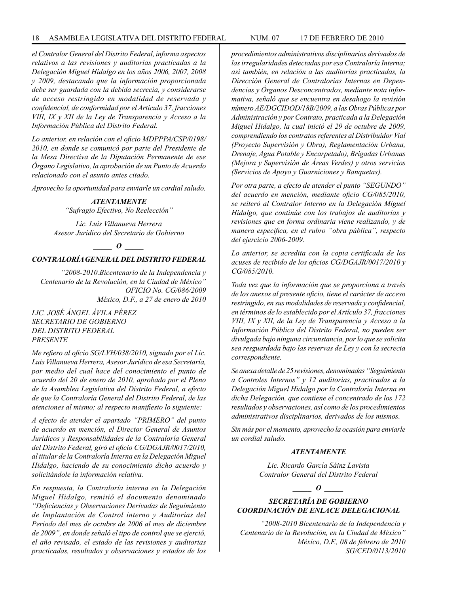#### 18 ASAMBLEA LEGISLATIVA DEL DISTRITO FEDERAL NUM. 07 17 DE FEBRERO de 2010

*el Contralor General del Distrito Federal, informa aspectos relativos a las revisiones y auditorias practicadas a la Delegación Miguel Hidalgo en los años 2006, 2007, 2008 y 2009, destacando que la información proporcionada debe ser guardada con la debida secrecía, y considerarse de acceso restringido en modalidad de reservada y confidencial, de conformidad por el Artículo 37, fracciones VIII, IX y XII de la Ley de Transparencia y Acceso a la Información Pública del Distrito Federal.*

*Lo anterior, en relación con el oficio MDPPPA/CSP/0198/ 2010, en donde se comunicó por parte del Presidente de la Mesa Directiva de la Diputación Permanente de ese Órgano Legislativo, la aprobación de un Punto de Acuerdo relacionado con el asunto antes citado.* 

*Aprovecho la oportunidad para enviarle un cordial saludo.*

#### *ATENTAMENTE*

*"Sufragio Efectivo, No Reelección"*

*Lic. Luis Villanueva Herrera Asesor Jurídico del Secretario de Gobierno* 

*\_\_\_\_\_ O \_\_\_\_\_*

### *CONTRALORÍA GENERAL DEL DISTRITO FEDERAL*

*"2008-2010.Bicentenario de la Independencia y Centenario de la Revolución, en la Ciudad de México" OFICIO No. CG/086/2009 México, D.F., a 27 de enero de 2010*

*LIC. JOSÉ ÁNGEL ÁVILA PÉREZ SECRETARIO DE GOBIERNO DEL DISTRITO FEDERAL PRESENTE*

*Me refiero al oficio SG/LVH/038/2010, signado por el Lic. Luis Villanueva Herrera, Asesor Jurídico de esa Secretaría, por medio del cual hace del conocimiento el punto de acuerdo del 20 de enero de 2010, aprobado por el Pleno de la Asamblea Legislativa del Distrito Federal, a efecto de que la Contraloría General del Distrito Federal, de las atenciones al mismo; al respecto manifiesto lo siguiente:*

*A efecto de atender el apartado "PRIMERO" del punto de acuerdo en mención, el Director General de Asuntos Jurídicos y Responsabilidades de la Contraloría General del Distrito Federal, giró el oficio CG/DGAJR/0017/2010, al titular de la Contraloría Interna en la Delegación Miguel Hidalgo, haciendo de su conocimiento dicho acuerdo y solicitándole la información relativa.*

*En respuesta, la Contraloría interna en la Delegación Miguel Hidalgo, remitió el documento denominado "Deficiencias y Observaciones Derivadas de Seguimiento de Implantación de Control interno y Auditorias del Periodo del mes de octubre de 2006 al mes de diciembre de 2009", en donde señaló el tipo de control que se ejerció, el año revisado, el estado de las revisiones y auditorias practicadas, resultados y observaciones y estados de los* 

*procedimientos administrativos disciplinarios derivados de las irregularidades detectadas por esa Contraloría Interna; así también, en relación a las auditorias practicadas, la Dirección General de Contralorías Internas en Dependencias y Órganos Desconcentrados, mediante nota informativa, señaló que se encuentra en desahogo la revisión número AE/DGCIDOD/18B/2009, a las Obras Públicas por Administración y por Contrato, practicada a la Delegación Miguel Hidalgo, la cual inició el 29 de octubre de 2009, comprendiendo los contratos referentes al Distribuidor Vial (Proyecto Supervisión y Obra), Reglamentación Urbana, Drenaje, Agua Potable y Encarpetado), Brigadas Urbanas (Mejora y Supervisión de Áreas Verdes) y otros servicios (Servicios de Apoyo y Guarniciones y Banquetas).*

*Por otra parte, a efecto de atender el punto "SEGUNDO" del acuerdo en mención, mediante oficio CG/085/2010, se reiteró al Contralor Interno en la Delegación Miguel Hidalgo, que continúe con los trabajos de auditorias y revisiones que en forma ordinaria viene realizando, y de manera específica, en el rubro "obra pública", respecto del ejercicio 2006-2009.*

*Lo anterior, se acredita con la copia certificada de los acuses de recibido de los oficios CG/DGAJR/0017/2010 y CG/085/2010.*

*Toda vez que la información que se proporciona a través de los anexos al presente oficio, tiene el carácter de acceso restringido, en sus modalidades de reservada y confidencial, en términos de lo establecido por el Artículo 37, fracciones VIII, IX y XII, de la Ley de Transparencia y Acceso a la Información Pública del Distrito Federal, no pueden ser divulgada bajo ninguna circunstancia, por lo que se solicita sea resguardada bajo las reservas de Ley y con la secrecia correspondiente.*

*Se anexa detalle de 25 revisiones, denominadas "Seguimiento a Controles Internos" y 12 auditorias, practicadas a la Delegación Miguel Hidalgo por la Contraloría Interna en dicha Delegación, que contiene el concentrado de los 172 resultados y observaciones, así como de los procedimientos administrativos disciplinarios, derivados de los mismos.*

*Sin más por el momento, aprovecho la ocasión para enviarle un cordial saludo.*

#### *ATENTAMENTE*

*Lic. Ricardo García Sáinz Lavista Contralor General del Distrito Federal*

*\_\_\_\_\_ O \_\_\_\_\_*

# *SECRETARÍA DE GOBIERNO COORDINACIÓN DE ENLACE DELEGACIONAL*

*"2008-2010 Bicentenario de la Independencia y Centenario de la Revolución, en la Ciudad de México" México, D.F., 08 de febrero de 2010 SG/CED/0113/2010*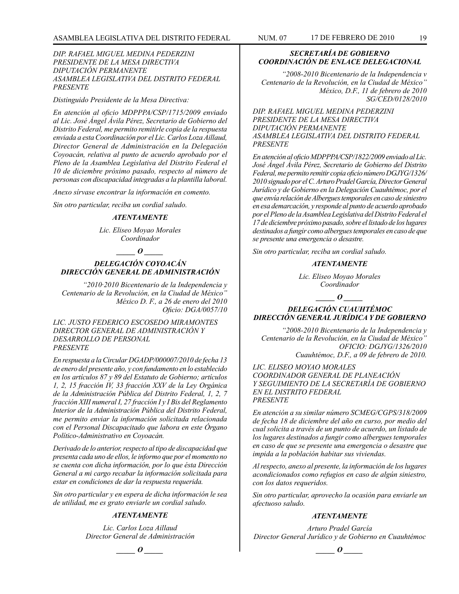#### *DIP. RAFAEL MIGUEL MEDINA PEDERZINI PRESIDENTE DE LA MESA DIRECTIVA DIPUTACIÓN PERMANENTE ASAMBLEA LEGISLATIVA DEL DISTRITO FEDERAL PRESENTE*

*Distinguido Presidente de la Mesa Directiva:*

*En atención al oficio MDPPPA/CSP/1715/2009 enviado al Lic. José Ángel Ávila Pérez, Secretario de Gobierno del Distrito Federal, me permito remitirle copia de la respuesta enviada a esta Coordinación por el Lic. Carlos Loza Aillaud, Director General de Administración en la Delegación Coyoacán, relativa al punto de acuerdo aprobado por el Pleno de la Asamblea Legislativa del Distrito Federal el 10 de diciembre próximo pasado, respecto al número de personas con discapacidad integradas a la plantilla laboral.*

*Anexo sírvase encontrar la información en comento.*

*Sin otro particular, reciba un cordial saludo.*

#### *ATENTAMENTE*

*Lic. Eliseo Moyao Morales Coordinador*

#### *\_\_\_\_\_ O \_\_\_\_\_*

# *DELEGACIÓN COYOACÁN DIRECCIÓN GENERAL DE ADMINISTRACIÓN*

*"2010·2010 Bicentenario de la Independencia y Centenario de la Revolución, en la Ciudad de México" México D. F., a 26 de enero del 2010 Oficio: DGA/0057/10*

*LIC. JUSTO FEDERICO ESCOSEDO MIRAMONTES DIRECTOR GENERAL DE ADMINISTRACIÓN Y DESARROLLO DE PERSONAL PRESENTE*

*En respuesta a la Circular DGADP/000007/2010 de fecha 13 de enero del presente año, y con fundamento en lo establecido en los artículos 87 y 89 del Estatuto de Gobierno; artículos 1, 2, 15 fracción IV, 33 fracción XXV de la Ley Orgánica de la Administración Pública del Distrito Federal, 1, 2, 7 fracción XIII numeral I, 27 fracción I y I Bis del Reglamento Interior de la Administración Pública del Distrito Federal, me permito enviar la información solicitada relacionada con el Personal Discapacitado que labora en este Órgano Político-Administrativo en Coyoacán.*

*Derivado de lo anterior, respecto al tipo de discapacidad que presenta cada uno de ellos, le informo que por el momento no se cuenta con dicha información, por lo que ésta Dirección General a mi cargo recabar la información solicitada para estar en condiciones de dar la respuesta requerida.*

*Sin otro particular y en espera de dicha información le sea de utilidad, me es grato enviarle un cordial saludo.*

# *ATENTAMENTE*

*Lic. Carlos Loza Aillaud Director General de Administración*

# *SECRETARÍA DE GOBIERNO COORDINACIÓN DE ENLACE DELEGACIONAL*

*"2008-2010 Bicentenario de la Independencia v Centenario de la Revolución, en la Ciudad de México" México, D.F., 11 de febrero de 2010 SG/CED/0128/2010*

*DIP. RAFAEL MIGUEL MEDINA PEDERZINI PRESIDENTE DE LA MESA DIRECTIVA DIPUTACIÓN PERMANENTE ASAMBLEA LEGISLATIVA DEL DISTRITO FEDERAL PRESENTE*

*En atención al oficio MDPPPA/CSP/1822/2009 enviado al Lic. José Ángel Ávila Pérez, Secretario de Gobierno del Distrito Federal, me permito remitir copia oficio número DGJYG/1326/ 2010 signado por el C. Arturo Pradel García, Director General Jurídico y de Gobierno en la Delegación Cuauhtémoc, por el que envía relación de Albergues temporales en caso de siniestro en esa demarcación, y responde al punto de acuerdo aprobado por el Pleno de la Asamblea Legislativa del Distrito Federal el 17 de diciembre próximo pasado, sobre el listado de los lugares destinados a fungir como albergues temporales en caso de que se presente una emergencia o desastre.*

*Sin otro particular, reciba un cordial saludo.*

#### *ATENTAMENTE*

*Lic. Eliseo Moyao Morales Coordinador*

# *DELEGACIÓN CUAUHTÉMOC DIRECCIÓN GENERAL JURÍDICA Y DE GOBIERNO*

*\_\_\_\_\_ O \_\_\_\_\_*

*"2008-2010 Bicentenario de la Independencia y Centenario de la Revolución, en la Ciudad de México" OFICIO: DGJYG/1326/2010 Cuauhtémoc, D.F., a 09 de febrero de 2010.*

*LIC. ELISEO MOYAO MORALES COORDINADOR GENERAL DE PLANEACIÓN Y SEGUIMIENTO DE LA SECRETARÍA DE GOBIERNO EN EL DISTRITO FEDERAL PRESENTE*

*En atención a su similar número SCMEG/CGPS/318/2009 de fecha 18 de diciembre del año en curso, por medio del cual solicita a través de un punto de acuerdo, un listado de los lugares destinados a fungir como albergues temporales en caso de que se presente una emergencia o desastre que impida a la población habitar sus viviendas.*

*Al respecto, anexo al presente, la información de los lugares acondicionados como refugios en caso de algún siniestro, con los datos requeridos.*

*Sin otro particular, aprovecho la ocasión para enviarle un afectuoso saludo.*

#### *ATENTAMENTE*

*Arturo Pradel García Director General Jurídico y de Gobierno en Cuauhtémoc*

 $\bm{o}$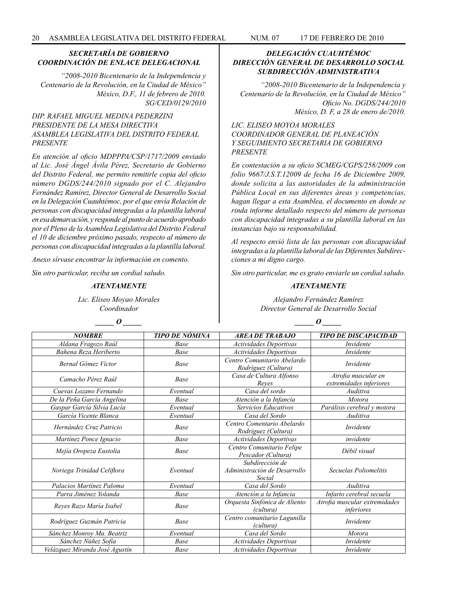# *SECRETARÍA DE GOBIERNO COORDINACIÓN DE ENLACE DELEGACIONAL*

*"2008-2010 Bicentenario de la Independencia y Centenario de la Revolución, en la Ciudad de México" México, D.F., 11 de febrero de 2010. SG/CED/0129/2010*

# *DIP. RAFAEL MIGUEL MEDINA PEDERZINI PRESIDENTE DE LA MESA DIRECTIVA ASAMBLEA LEGISLATIVA DEL DISTRITO FEDERAL PRESENTE*

*En atención al oficio MDPPPA/CSP/1717/2009 enviado al Lic. José Ángel Ávila Pérez, Secretario de Gobierno del Distrito Federal, me permito remitirle copia del oficio número DGDS/244/2010 signado por el C. Alejandro Fernández Ramírez, Director General de Desarrollo Social en la Delegación Cuauhtémoc, por el que envía Relación de personas con discapacidad integradas a la plantilla laboral en esa demarcación, y responde al punto de acuerdo aprobado por el Pleno de la Asamblea Legislativa del Distrito Federal el 10 de diciembre próximo pasado, respecto al número de personas con discapacidad integradas a la plantilla laboral.*

*Anexo sírvase encontrar la información en comento.*

*Sin otro particular, reciba un cordial saludo.*

#### *ATENTAMENTE*

*Lic. Eliseo Moyao Morales Coordinador*

*\_\_\_\_\_ O \_\_\_\_\_*

# *DELEGACIÓN CUAUHTÉMOC DIRECCIÓN GENERAL DE DESARROLLO SOCIAL SUBDIRECCIÓN ADMINISTRATIVA*

*"2008-2010 Bicentenario de la Independencia y Centenario de la Revolución, en la Ciudad de México" Oficio No. DGDS/244/2010 México, D. F, a 28 de enero de/2010.*

# *LIC. ELISEO MOYOA MORALES COORDINADOR GENERAL DE PLANEACIÓN Y SEGUIMIENTO SECRETARIA DE GOBIERNO PRESENTE*

*En contestación a su oficio SCMEG/CGPS/258/2009 con folio 9667/J.S.T.12009 de fecha 16 de Diciembre 2009, donde solicita a las autoridades de la administración Pública Local en sus diferentes áreas y competencias, hagan llegar a esta Asamblea, el documento en donde se rinda informe detallado respecto del número de personas con discapacidad integradas a su plantilla laboral en las instancias bajo su responsabilidad.*

*Al respecto envió lista de las personas con discapacidad integradas a la plantilla laboral de las Diferentes Subdirecciones a mi digno cargo.*

*Sin otro particular, me es grato enviarle un cordial saludo.*

#### *ATENTAMENTE*

*Alejandro Fernández Ramírez Director General de Desarrollo Social*

| <b>NOMBRE</b>                  | <b>TIPO DE NÓMINA</b> | <b>AREA DE TRABAJO</b>                                    | <b>TIPO DE DISCAPACIDAD</b>                    |
|--------------------------------|-----------------------|-----------------------------------------------------------|------------------------------------------------|
| Aldana Fragozo Raúl            | Base                  | Actividades Deportivas                                    | Invidente                                      |
| Bahena Reza Heriberto          | Base                  | Actividades Deportivas                                    | Invidente                                      |
| Bernal Gómez Victor            | Base                  | Centro Comunitario Abelardo<br>Rodríguez (Cultura)        | Invidente                                      |
| Camacho Pérez Raúl             | Base                  | Casa de Cultura Alfonso<br>Reves                          | Atrofia muscular en<br>extremidades inferiores |
| Cuevas Lozano Fernando         | Eventual              | Casa del sordo                                            | Auditiva                                       |
| De la Peña García Angelina     | Base                  | Atención a la Infancia                                    | <i>Motora</i>                                  |
| Gaspar García Silvia Lucía     | Eventual              | Servicios Educativos                                      | Parálisis cerebral y motora                    |
| García Vicente Blanca          | Eventual              | Casa del Sordo                                            | Auditiva                                       |
| Hernández Cruz Patricio        | Base                  | Centro Comentario Abelardo<br>Rodríguez (Cultura)         | Invidente                                      |
| Martínez Ponce Ignacio         | Base                  | Actividades Deportivas                                    | invidente                                      |
| Mejía Oropeza Eustolia         | Base                  | Centro Comunitario Felipe<br>Pescador (Cultura)           | Débil visual                                   |
| Noriega Trinidad Celiflora     | Eventual              | Subdirección de<br>Administración de Desarrollo<br>Social | Secuelas Poliomelitis                          |
| Palacios Martínez Paloma       | Eventual              | Casa del Sordo                                            | Auditiva                                       |
| Parra Jiménez Yolanda          | Base                  | Atención a la Infancia                                    | Infarto cerebral secuela                       |
| Reyes Razo María Isabel        | Base                  | Orquesta Sinfónica de Aliento<br>(cultura)                | Atrofia muscular extremidades<br>inferiores    |
| Rodríguez Guzmán Patricia      | Base                  | Centro comunitario Lagunilla<br>(cultura)                 | Invidente                                      |
| Sánchez Monroy Ma. Beatriz     | Eventual              | Casa del Sordo                                            | Motora                                         |
| Sánchez Núñez Sofía            | Base                  | Actividades Deportivas                                    | Invidente                                      |
| Velázquez Miranda José Agustín | Base                  | <b>Actividades Deportivas</b>                             | Invidente                                      |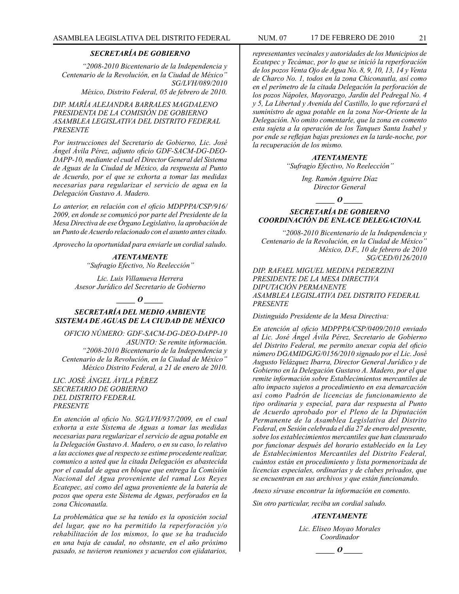# *SECRETARÍA DE GOBIERNO*

*"2008-2010 Bicentenario de la Independencia y Centenario de la Revolución, en la Ciudad de México" SG/LVH/089/2010 México, Distrito Federal, 05 de febrero de 2010.*

*DIP. MARÍA ALEJANDRA BARRALES MAGDALENO PRESIDENTA DE LA COMISIÓN DE GOBIERNO ASAMBLEA LEGISLATIVA DEL DISTRITO FEDERAL PRESENTE*

*Por instrucciones del Secretario de Gobierno, Lic. José Ángel Ávila Pérez, adjunto oficio GDF-SACM-DG-DEO-DAPP-10, mediante el cual el Director General del Sistema de Aguas de la Ciudad de México, da respuesta al Punto de Acuerdo, por el que se exhorta a tomar las medidas necesarias para regularizar el servicio de agua en la Delegación Gustavo A. Madero.*

*Lo anterior, en relación con el oficio MDPPPA/CSP/916/ 2009, en donde se comunicó por parte del Presidente de la Mesa Directiva de ese Órgano Legislativo, la aprobación de un Punto de Acuerdo relacionado con el asunto antes citado.*

*Aprovecho la oportunidad para enviarle un cordial saludo.*

*ATENTAMENTE "Sufragio Efectivo, No Reelección"*

*Lic. Luis Villanueva Herrera Asesor Jurídico del Secretario de Gobierno* 

*\_\_\_\_\_ O \_\_\_\_\_*

# *SECRETARÍA DEL MEDIO AMBIENTE SISTEMA DE AGUAS DE LA CIUDAD DE MÉXICO*

*OFICIO NÚMERO: GDF-SACM-DG-DEO-DAPP-10 ASUNTO: Se remite información. "2008-2010 Bicentenario de la Independencia y Centenario de la Revolución, en la Ciudad de México" México Distrito Federal, a 21 de enero de 2010.*

*LIC. JOSÉ ÁNGEL ÁVILA PÉREZ SECRETARIO DE GOBIERNO DEL DISTRITO FEDERAL PRESENTE*

*En atención al oficio No. SG/LVH/937/2009, en el cual exhorta a este Sistema de Aguas a tomar las medidas necesarias para regularizar el servicio de agua potable en la Delegación Gustavo A. Madero, o en su caso, lo relativo a las acciones que al respecto se estime procedente realizar, comunico a usted que la citada Delegación es abastecida por el caudal de agua en bloque que entrega la Comisión Nacional del Agua proveniente del ramal Los Reyes Ecatepec, así como del agua proveniente de la batería de pozos que opera este Sistema de Aguas, perforados en la zona Chiconautla.* 

*La problemática que se ha tenido es la oposición social del lugar, que no ha permitido la reperforación y/o rehabilitación de los mismos, lo que se ha traducido en una baja de caudal, no obstante, en el año próximo pasado, se tuvieron reuniones y acuerdos con ejidatarios,*

*representantes vecinales y autoridades de los Municipios de Ecatepec y Tecámac, por lo que se inició la reperforación de los pozos Venta Ojo de Agua No. 8, 9, 10, 13, 14 y Venta de Charco No. 1, todos en la zona Chiconautla, así como en el perímetro de la citada Delegación la perforación de los pozos Nápoles, Mayorazgo, Jardín del Pedregal No. 4 y 5, La Libertad y Avenida del Castillo, lo que reforzará el suministro de agua potable en la zona Nor-Oriente de la Delegación. No omito comentarle, que la zona en comento esta sujeta a la operación de los Tanques Santa Isabel y por ende se reflejan bajas presiones en la tarde-noche, por la recuperación de los mismo.*

> *ATENTAMENTE "Sufragio Efectivo, No Reelección"*

> > *Ing. Ramón Aguirre Díaz Director General*

> > > *\_\_\_\_\_ O \_\_\_\_\_*

# *SECRETARÍA DE GOBIERNO COORDINACIÓN DE ENLACE DELEGACIONAL*

*"2008-2010 Bicentenario de la Independencia y Centenario de la Revolución, en la Ciudad de México" México, D.F., 10 de febrero de 2010 SG/CED/0126/2010*

*DIP. RAFAEL MIGUEL MEDINA PEDERZINI PRESIDENTE DE LA MESA DIRECTIVA DIPUTACIÓN PERMANENTE ASAMBLEA LEGISLATIVA DEL DISTRITO FEDERAL PRESENTE*

*Distinguido Presidente de la Mesa Directiva:*

*En atención al oficio MDPPPA/CSP/0409/2010 enviado al Lic. José Ángel Ávila Pérez, Secretario de Gobierno del Distrito Federal, me permito anexar copia del oficio número DGAMIDGJG/0156/2010 signado por el Lic. José Augusto Velázquez Ibarra, Director General Jurídico y de Gobierno en la Delegación Gustavo A. Madero, por el que remite información sobre Establecimientos mercantiles de alto impacto sujetos a procedimiento en esa demarcación así como Padrón de licencias de funcionamiento de tipo ordinaria y especial, para dar respuesta al Punto de Acuerdo aprobado por el Pleno de la Diputación Permanente de la Asamblea Legislativa del Distrito Federal, en Sesión celebrada el día 27 de enero del presente, sobre los establecimientos mercantiles que han clausurado por funcionar después del horario establecido en la Ley de Establecimientos Mercantiles del Distrito Federal, cuántos están en procedimiento y lista pormenorizada de licencias especiales, ordinarias y de clubes privados, que se encuentran en sus archivos y que están funcionando.*

*Anexo sírvase encontrar la información en comento.*

*Sin otro particular, reciba un cordial saludo.* 

#### *ATENTAMENTE*

*Lic. Eliseo Moyao Morales Coordinador*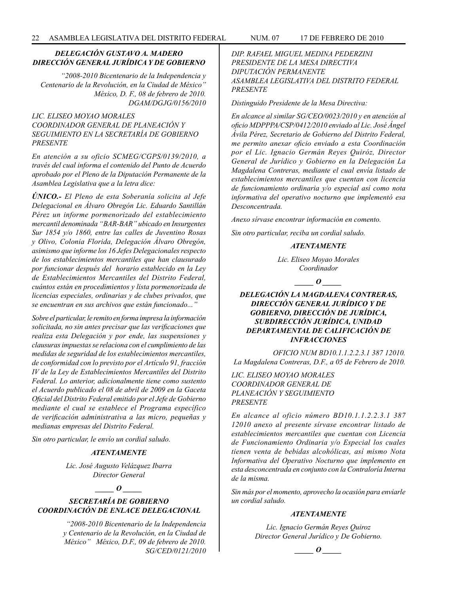# *DELEGACIÓN GUSTAVO A. MADERO DIRECCIÓN GENERAL JURÍDICA Y DE GOBIERNO*

*"2008-2010 Bicentenario de la Independencia y Centenario de la Revolución, en la Ciudad de México" México, D. F., 08 de febrero de 2010. DGAM/DGJG/0156/2010*

# *LIC. ELISEO MOYAO MORALES COORDINADOR GENERAL DE PLANEACIÓN Y SEGUIMIENTO EN LA SECRETARÍA DE GOBIERNO PRESENTE*

*En atención a su oficio SCMEG/CGPS/0139/2010, a través del cual informa el contenido del Punto de Acuerdo aprobado por el Pleno de la Diputación Permanente de la Asamblea Legislativa que a la letra dice:* 

*ÚNICO.- El Pleno de esta Soberanía solicita al Jefe Delegacional en Álvaro Obregón Lic. Eduardo Santillán Pérez un informe pormenorizado del establecimiento mercantil denominada "BAR-BAR" ubicado en Insurgentes Sur 1854 y/o 1860, entre las calles de Juventino Rosas y Olivo, Colonia Florida, Delegación Álvaro Obregón, asimismo que informe los 16 Jefes Delegacionales respecto de los establecimientos mercantiles que han clausurado por funcionar después del horario establecido en la Ley de Establecimientos Mercantiles del Distrito Federal, cuántos están en procedimientos y lista pormenorizada de licencias especiales, ordinarias y de clubes privados, que se encuentran en sus archivos que están funcionado..."*

*Sobre el particular, le remito en forma impresa la información solicitada, no sin antes precisar que las verificaciones que realiza esta Delegación y por ende, las suspensiones y clausuras impuestas se relaciona con el cumplimiento de las medidas de seguridad de los establecimientos mercantiles, de conformidad con lo previsto por el Artículo 91, fracción IV de la Ley de Establecimientos Mercantiles del Distrito Federal. Lo anterior, adicionalmente tiene como sustento el Acuerdo publicado el 08 de abril de 2009 en la Gaceta Oficial del Distrito Federal emitido por el Jefe de Gobierno mediante el cual se establece el Programa específico de verificación administrativa a las micro, pequeñas y medianas empresas del Distrito Federal.*

*Sin otro particular, le envío un cordial saludo.*

# *ATENTAMENTE*

*Lic. José Augusto Velázquez Ibarra Director General*

*\_\_\_\_\_ O \_\_\_\_\_*

# *SECRETARÍA DE GOBIERNO COORDINACIÓN DE ENLACE DELEGACIONAL*

*"2008-2010 Bicentenario de la Independencia y Centenario de la Revolución, en la Ciudad de México" México, D.F., 09 de febrero de 2010. SG/CED/0121/2010* *DIP. RAFAEL MIGUEL MEDINA PEDERZINI PRESIDENTE DE LA MESA DIRECTIVA DIPUTACIÓN PERMANENTE ASAMBLEA LEGISLATIVA DEL DISTRITO FEDERAL PRESENTE*

*Distinguido Presidente de la Mesa Directiva:*

*En alcance al similar SG/CEO/0023/2010 y en atención al oficio MDPPPA/CSP/0412/2010 enviado al Lic. José Ángel Ávila Pérez, Secretario de Gobierno del Distrito Federal, me permito anexar oficio enviado a esta Coordinación por el Lic. Ignacio Germán Reyes Quiróz, Director General de Jurídico y Gobierno en la Delegación La Magdalena Contreras, mediante el cual envía listado de establecimientos mercantiles que cuentan con licencia de funcionamiento ordinaria y/o especial así como nota informativa del operativo nocturno que implementó esa Desconcentrada.*

*Anexo sírvase encontrar información en comento.*

*Sin otro particular, reciba un cordial saludo.*

# *ATENTAMENTE*

*Lic. Eliseo Moyao Morales Coordinador*

 $\bm{o}$ 

# *DELEGACIÓN LA MAGDALENA CONTRERAS, DIRECCIÓN GENERAL JURÍDICO Y DE GOBIERNO, DIRECCIÓN DE JURÍDICA, SUBDIRECCIÓN JURÍDICA, UNIDAD DEPARTAMENTAL DE CALIFICACIÓN DE INFRACCIONES*

*OFICIO NUM BD10.1.1.2.2.3.1 387 12010. La Magdalena Contreras, D.F., a 05 de Febrero de 2010.*

# *LIC. ELISEO MOYAO MORALES COORDINADOR GENERAL DE PLANEACIÓN Y SEGUIMIENTO PRESENTE*

*En alcance al oficio número BD10.1.1.2.2.3.1 387 12010 anexo al presente sírvase encontrar listado de establecimientos mercantiles que cuentan con Licencia de Funcionamiento Ordinaria y/o Especial los cuales tienen venta de bebidas alcohólicas, así mismo Nota Informativa del Operativo Nocturno que implemento en esta desconcentrada en conjunto con la Contraloría Interna de la misma.* 

*Sin más por el momento, aprovecho la ocasión para enviarle un cordial saludo.*

### *ATENTAMENTE*

*Lic. Ignacio Germán Reyes Quiroz Director General Jurídico y De Gobierno.*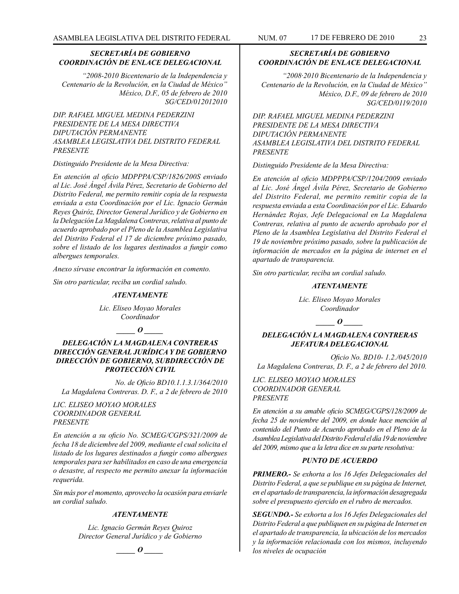# *SECRETARÍA DE GOBIERNO COORDINACIÓN DE ENLACE DELEGACIONAL*

*"2008-2010 Bicentenario de la Independencia y Centenario de la Revolución, en la Ciudad de México" México, D.F., 05 de febrero de 2010 SG/CED/012012010*

*DIP. RAFAEL MIGUEL MEDINA PEDERZINI PRESIDENTE DE LA MESA DIRECTIVA DIPUTACIÓN PERMANENTE ASAMBLEA LEGISLATIVA DEL DISTRITO FEDERAL PRESENTE*

*Distinguido Presidente de la Mesa Directiva:*

*En atención al oficio MDPPPA/CSP/1826/200S enviado al Lic. José Ángel Ávila Pérez, Secretario de Gobierno del Distrito Federal, me permito remitir copia de la respuesta enviada a esta Coordinación por el Lic. Ignacio Germán Reyes Quiróz, Director General Jurídico y de Gobierno en la Delegación La Magdalena Contreras, relativa al punto de acuerdo aprobado por el Pleno de la Asamblea Legislativa del Distrito Federal el 17 de diciembre próximo pasado, sobre el listado de los lugares destinados a fungir como albergues temporales.*

*Anexo sírvase encontrar la información en comento.*

*Sin otro particular, reciba un cordial saludo.*

#### *ATENTAMENTE*

*Lic. Eliseo Moyao Morales Coordinador*

*\_\_\_\_\_ O \_\_\_\_\_*

# *DELEGACIÓN LA MAGDALENA CONTRERAS DIRECCIÓN GENERAL JURÍDICA Y DE GOBIERNO DIRECCIÓN DE GOBIERNO, SUBDIRECCIÓN DE PROTECCIÓN CIVIL*

*No. de Oficio BD10.1.1.3.1/364/2010 La Magdalena Contreras. D. F., a 2 de febrero de 2010*

*LIC. ELISEO MOYAO MORALES COORDINADOR GENERAL PRESENTE*

*En atención a su oficio No. SCMEG/CGPS/321/2009 de fecha 18 de diciembre del 2009, mediante el cual solicita el listado de los lugares destinados a fungir como albergues temporales para ser habilitados en caso de una emergencia o desastre, al respecto me permito anexar la información requerida.*

*Sin más por el momento, aprovecho la ocasión para enviarle un cordial saludo.*

#### *ATENTAMENTE*

*Lic. Ignacio Germán Reyes Quiroz Director General Jurídico y de Gobierno*

*\_\_\_\_\_ O \_\_\_\_\_*

# *SECRETARÍA DE GOBIERNO COORDINACIÓN DE ENLACE DELEGACIONAL*

*"2008·2010 Bicentenario de la Independencia y Centenario de la Revolución, en la Ciudad de México" México, D.F., 09 de febrero de 2010 SG/CED/0119/2010*

*DIP. RAFAEL MIGUEL MEDINA PEDERZINI PRESIDENTE DE LA MESA DIRECTIVA DIPUTACIÓN PERMANENTE ASAMBLEA LEGISLATIVA DEL DISTRITO FEDERAL PRESENTE*

*Distinguido Presidente de la Mesa Directiva:*

*En atención al oficio MDPPPA/CSP/1204/2009 enviado al Lic. José Ángel Ávila Pérez, Secretario de Gobierno del Distrito Federal, me permito remitir copia de la respuesta enviada a esta Coordinación por el Lic. Eduardo Hernández Rojas, Jefe Delegacional en La Magdalena Contreras, relativa al punto de acuerdo aprobado por el Pleno de la Asamblea Legislativa del Distrito Federal el 19 de noviembre próximo pasado, sobre la publicación de información de mercados en la página de internet en el apartado de transparencia.*

*Sin otro particular, reciba un cordial saludo.*

#### *ATENTAMENTE*

*Lic. Eliseo Moyao Morales Coordinador*

*\_\_\_\_\_ O \_\_\_\_\_*

# *DELEGACIÓN LA MAGDALENA CONTRERAS JEFATURA DELEGACIONAL*

*Oficio No. BD10- 1.2./045/2010 La Magdalena Contreras, D. F., a 2 de febrero del 2010.*

*LIC. ELISEO MOYAO MORALES COORDINADOR GENERAL PRESENTE*

*En atención a su amable oficio SCMEG/CGPS/128/2009 de fecha 25 de noviembre del 2009, en donde hace mención al contenido del Punto de Acuerdo aprobado en el Pleno de la Asamblea Legislativa del Distrito Federal el día 19 de noviembre del 2009, mismo que a la letra dice en su parte resolutiva:*

#### *PUNTO DE ACUERDO*

*PRIMERO.- Se exhorta a los 16 Jefes Delegacionales del Distrito Federal, a que se publique en su página de Internet, en el apartado de transparencia, la información desagregada sobre el presupuesto ejercido en el rubro de mercados.*

*SEGUNDO.- Se exhorta a los 16 Jefes Delegacionales del Distrito Federal a que publiquen en su página de Internet en el apartado de transparencia, la ubicación de los mercados y la información relacionada con los mismos, incluyendo los niveles de ocupación*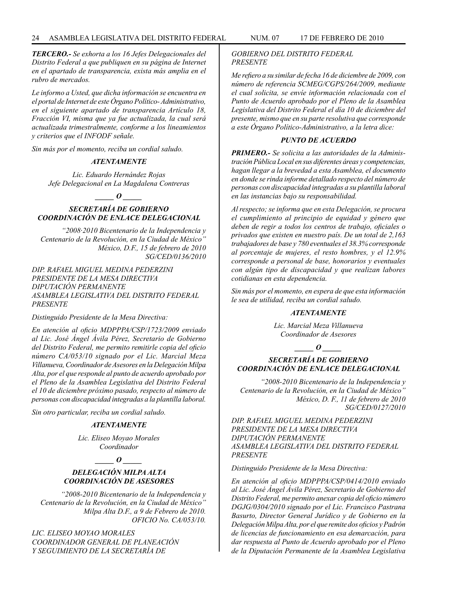*TERCERO.- Se exhorta a los 16 Jefes Delegacionales del Distrito Federal a que publiquen en su página de Internet en el apartado de transparencia, exista más amplia en el rubro de mercados.*

*Le informo a Usted, que dicha información se encuentra en el portal de Internet de este Órgano Político- Administrativo, en el siguiente apartado de transparencia Artículo 18, Fracción VI, misma que ya fue actualizada, la cual será actualizada trimestralmente, conforme a los lineamientos y criterios que el INFODF señale.*

*Sin más por el momento, reciba un cordial saludo.*

#### *ATENTAMENTE*

*Lic. Eduardo Hernández Rojas Jefe Delegacional en La Magdalena Contreras*

# *\_\_\_\_\_ O \_\_\_\_\_*

# *SECRETARÍA DE GOBIERNO COORDINACIÓN DE ENLACE DELEGACIONAL*

*"2008·2010 Bicentenario de la Independencia y Centenario de la Revolución, en la Ciudad de México" México, D.F., 15 de febrero de 2010 SG/CED/0136/2010*

*DIP. RAFAEL MIGUEL MEDINA PEDERZINI PRESIDENTE DE LA MESA DIRECTIVA DIPUTACIÓN PERMANENTE ASAMBLEA LEGISLATIVA DEL DISTRITO FEDERAL PRESENTE*

*Distinguido Presidente de la Mesa Directiva:*

*En atención al oficio MDPPPA/CSP/1723/2009 enviado al Lic. José Ángel Ávila Pérez, Secretario de Gobierno del Distrito Federal, me permito remitirle copia del oficio número CA/053/10 signado por el Lic. Marcial Meza Villanueva, Coordinador de Asesores en la Delegación Milpa Alta, por el que responde al punto de acuerdo aprobado por el Pleno de la Asamblea Legislativa del Distrito Federal el 10 de diciembre próximo pasado, respecto al número de personas con discapacidad integradas a la plantilla laboral.*

*Sin otro particular, reciba un cordial saludo.*

# *ATENTAMENTE*

*Lic. Eliseo Moyao Morales Coordinador*

*\_\_\_\_\_ O \_\_\_\_\_*

# *DELEGACIÓN MILPA ALTA COORDINACIÓN DE ASESORES*

*"2008-2010 Bicentenario de la Independencia y Centenario de la Revolución, en la Ciudad de México" Milpa Alta D.F., a 9 de Febrero de 2010. OFICIO No. CA/053/10.*

*LIC. ELISEO MOYAO MORALES COORDINADOR GENERAL DE PLANEACIÓN Y SEGUIMIENTO DE LA SECRETARÍA DE* 

# *GOBIERNO DEL DISTRITO FEDERAL PRESENTE*

*Me refiero a su similar de fecha 16 de diciembre de 2009, con número de referencia SCMEG/CGPS/264/2009, mediante el cual solicita, se envíe información relacionada con el Punto de Acuerdo aprobado por el Pleno de la Asamblea Legislativa del Distrito Federal el día 10 de diciembre del presente, mismo que en su parte resolutiva que corresponde a este Órgano Político-Administrativo, a la letra dice:*

### *PUNTO DE ACUERDO*

*PRIMERO.- Se solicita a las autoridades de la Administración Pública Local en sus diferentes áreas y competencias, hagan llegar a la brevedad a esta Asamblea, el documento en donde se rinda informe detallado respecto del número de personas con discapacidad integradas a su plantilla laboral en las instancias bajo su responsabilidad.*

*Al respecto; se informa que en esta Delegación, se procura el cumplimiento al principio de equidad y género que deben de regir a todos los centros de trabajo, oficiales o privados que existen en nuestro país. De un total de 2,163 trabajadores de base y 780 eventuales el 38.3% corresponde al porcentaje de mujeres, el resto hombres, y el 12.9% corresponde a personal de base, honorarios y eventuales con algún tipo de discapacidad y que realizan labores cotidianas en esta dependencia.*

*Sin más por el momento, en espera de que esta información le sea de utilidad, reciba un cordial saludo.*

#### *ATENTAMENTE*

*Lic. Marcial Meza Villanueva Coordinador de Asesores*

*\_\_\_\_\_ O \_\_\_\_\_*

# *SECRETARÍA DE GOBIERNO COORDINACIÓN DE ENLACE DELEGACIONAL*

*"2008-2010 Bicentenario de la Independencia y Centenario de la Revolución, en la Ciudad de México" México, D. F., 11 de febrero de 2010 SG/CED/0127/2010*

*DIP. RAFAEL MIGUEL MEDINA PEDERZINI PRESIDENTE DE LA MESA DIRECTIVA DIPUTACIÓN PERMANENTE ASAMBLEA LEGISLATIVA DEL DISTRITO FEDERAL PRESENTE*

*Distinguido Presidente de la Mesa Directiva:*

*En atención al oficio MDPPPA/CSP/0414/2010 enviado al Lic. José Ángel Ávila Pérez, Secretario de Gobierno del Distrito Federal, me permito anexar copia del oficio número DGJG/0304/2010 signado por el Lic. Francisco Pastrana Basurto, Director General Jurídico y de Gobierno en la Delegación Milpa Alta, por el que remite dos oficios y Padrón de licencias de funcionamiento en esa demarcación, para dar respuesta al Punto de Acuerdo aprobado por el Pleno de la Diputación Permanente de la Asamblea Legislativa*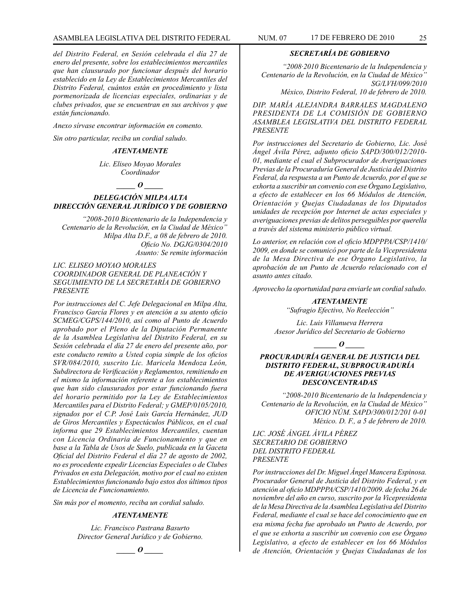# ASAMBLEA LEGISLATIVA DEL DISTRITO FEDERAL NUM. 07 17 de FEBRERO de 2010 25

*del Distrito Federal, en Sesión celebrada el día 27 de enero del presente, sobre los establecimientos mercantiles que han clausurado por funcionar después del horario establecido en la Ley de Establecimientos Mercantiles del Distrito Federal, cuántos están en procedimiento y lista pormenorizada de licencias especiales, ordinarias y de clubes privados, que se encuentran en sus archivos y que están funcionando.*

*Anexo sírvase encontrar información en comento.*

*Sin otro particular, reciba un cordial saludo.*

#### *ATENTAMENTE*

*Lic. Eliseo Moyao Morales Coordinador*

*\_\_\_\_\_ O \_\_\_\_\_*

# *DELEGACIÓN MILPA ALTA DIRECCIÓN GENERAL JURÍDICO Y DE GOBIERNO*

*"2008-2010 Bicentenario de la Independencia y Centenario de la Revolución, en la Ciudad de México" Milpa Alta D.F., a 08 de febrero de 2010. Oficio No. DGJG/0304/2010 Asunto: Se remite información*

# *LIC. ELISEO MOYAO MORALES COORDINADOR GENERAL DE PLANEACIÓN Y SEGUIMIENTO DE LA SECRETARÍA DE GOBIERNO PRESENTE*

*Por instrucciones del C. Jefe Delegacional en Milpa Alta, Francisco García Flores y en atención a su atento oficio SCMEG/CGPS/144/2010, así como al Punto de Acuerdo aprobado por el Pleno de la Diputación Permanente de la Asamblea Legislativa del Distrito Federal, en su Sesión celebrada el día 27 de enero del presente año, por este conducto remito a Usted copia simple de los oficios SVR/084/2010, suscrito Lic. Maricela Mendoza León, Subdirectora de Verificación y Reglamentos, remitiendo en el mismo la información referente a los establecimientos que han sido clausurados por estar funcionando fuera del horario permitido por la Ley de Establecimientos Mercantiles para el Distrito Federal; y GMEP/0105/2010, signados por el C.P. José Luis García Hernández, JUD de Giros Mercantiles y Espectáculos Públicos, en el cual informa que 29 Establecimientos Mercantiles, cuentan con Licencia Ordinaria de Funcionamiento y que en base a la Tabla de Usos de Suelo, publicada en la Gaceta Oficial del Distrito Federal el día 27 de agosto de 2002, no es procedente expedir Licencias Especiales o de Clubes Privados en esta Delegación, motivo por el cual no existen Establecimientos funcionando bajo estos dos últimos tipos de Licencia de Funcionamiento.*

*Sin más por el momento, reciba un cordial saludo.*

#### *ATENTAMENTE*

*Lic. Francisco Pastrana Basurto Director General Jurídico y de Gobierno.*

*\_\_\_\_\_ O \_\_\_\_\_*

#### *SECRETARÍA DE GOBIERNO*

*"2008·2010 Bicentenario de la Independencia y Centenario de la Revolución, en la Ciudad de México" SG/LVH/099/2010* 

 *México, Distrito Federal, 10 de febrero de 2010.*

*DIP. MARÍA ALEJANDRA BARRALES MAGDALENO PRESIDENTA DE LA COMISIÓN DE GOBIERNO ASAMBLEA LEGISLATIVA DEL DISTRITO FEDERAL PRESENTE*

*Por instrucciones del Secretario de Gobierno, Lic. José Ángel Ávila Pérez, adjunto oficio SAPD/300/012/2010- 01, mediante el cual el Subprocurador de Averiguaciones Previas de la Procuraduría General de Justicia del Distrito Federal, da respuesta a un Punto de Acuerdo, por el que se exhorta a suscribir un convenio con ese Órgano Legislativo, a efecto de establecer en los 66 Módulos de Atención, Orientación y Quejas Ciudadanas de los Diputados unidades de recepción por Internet de actas especiales y averiguaciones previas de delitos perseguibles por querella a través del sistema ministerio público virtual.*

*Lo anterior, en relación con el oficio MDPPPA/CSP/1410/ 2009, en donde se comunicó por parte de la Vicepresidenta de la Mesa Directiva de ese Órgano Legislativo, la aprobación de un Punto de Acuerdo relacionado con el asunto antes citado.*

*Aprovecho la oportunidad para enviarle un cordial saludo.*

### *ATENTAMENTE*

*"Sufragio Efectivo, No Reelección"*

*Lic. Luis Villanueva Herrera Asesor Jurídico del Secretario de Gobierno* 

*\_\_\_\_\_\_ O \_\_\_\_\_*

#### *PROCURADURÍA GENERAL DE JUSTICIA DEL DISTRITO FEDERAL, SUBPROCURADURÍA DE AVERIGUACIONES PREVIAS DESCONCENTRADAS*

*"2008-2010 Bicentenario de la Independencia y Centenario de la Revolución, en la Ciudad de México" OFICIO NÚM. SAPD/300/012/201 0-01 México. D. F., a 5 de febrero de 2010.*

*LIC. JOSÉ ÁNGEL ÁVILA PÉREZ SECRETARIO DE GOBIERNO DEL DISTRITO FEDERAL PRESENTE*

*Por instrucciones del Dr. Miguel Ángel Mancera Espinosa. Procurador General de Justicia del Distrito Federal, y en atención al oficio MDPPPA/CSP/1410/2009. de fecha 26 de noviembre del año en curso, suscrito por la Vicepresidenta de la Mesa Directiva de la Asamblea Legislativa del Distrito Federal, mediante el cual se hace del conocimiento que en esa misma fecha fue aprobado un Punto de Acuerdo, por el que se exhorta a suscribir un convenio con ese Órgano Legislativo, a efecto de establecer en los 66 Módulos de Atención, Orientación y Quejas Ciudadanas de los*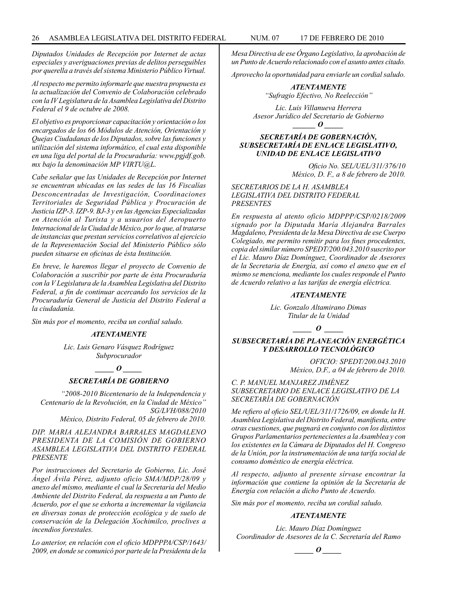*Diputados Unidades de Recepción por Internet de actas especiales y averiguaciones previas de delitos perseguibles por querella a través del sistema Ministerio Público Virtual.*

*Al respecto me permito informarle que nuestra propuesta es la actualización del Convenio de Colaboración celebrado con la IV Legislatura de la Asamblea Legislativa del Distrito Federal el 9 de octubre de 2008.*

*El objetivo es proporcionar capacitación y orientación o los encargados de los 66 Módulos de Atención, Orientación y Quejas Ciudadanas de los Diputados, sobre las funciones y utilización del sistema informático, el cual esta disponible en una liga del portal de la Procuraduría: www.pgjdf.gob. mx bajo la denominación MP VIRTU@L.* 

*Cabe señalar que las Unidades de Recepción por Internet se encuentran ubicadas en las sedes de las 16 Fiscalías Desconcentradas de Investigación, Coordinaciones Territoriales de Seguridad Pública y Procuración de Justicia IZP-3. IZP-9. BJ-3 y en las Agencias Especializadas en Atención al Turista y a usuarios del Aeropuerto Internacional de la Ciudad de México, por lo que, al tratarse de instancias que prestan servicios correlativos al ejercicio de la Representación Social del Ministerio Público sólo pueden situarse en oficinas de ésta Institución.*

*En breve, le haremos llegar el proyecto de Convenio de Colaboración a suscribir por parte de ésta Procuraduría con la V Legislatura de la Asamblea Legislativa del Distrito Federal, a fin de continuar acercando los servicios de la Procuraduría General de Justicia del Distrito Federal a la ciudadanía.*

*Sin más por el momento, reciba un cordial saludo.*

#### *ATENTAMENTE*

*Lic. Luis Genaro Vásquez Rodríguez Subprocurador*

*\_\_\_\_\_ O \_\_\_\_\_*

# *SECRETARÍA DE GOBIERNO*

*"2008-2010 Bicentenario de la Independencia y Centenario de la Revolución, en la Ciudad de México" SG/LVH/088/2010 México, Distrito Federal, 05 de febrero de 2010.*

*DIP. MARIA ALEJANDRA BARRALES MAGDALENO PRESIDENTA DE LA COMISIÓN DE GOBIERNO ASAMBLEA LEGISLATIVA DEL DISTRITO FEDERAL PRESENTE*

*Por instrucciones del Secretario de Gobierno, Lic. José Ángel Ávila Pérez, adjunto oficio SMA/MDP/28/09 y anexo del mismo, mediante el cual la Secretaria del Medio Ambiente del Distrito Federal, da respuesta a un Punto de Acuerdo, por el que se exhorta a incrementar la vigilancia en diversas zonas de protección ecológica y de suelo de conservación de la Delegación Xochimilco, proclives a incendios forestales.* 

*Lo anterior, en relación con el oficio MDPPPA/CSP/1643/ 2009, en donde se comunicó por parte de la Presidenta de la* 

*Mesa Directiva de ese Órgano Legislativo, la aprobación de un Punto de Acuerdo relacionado con el asunto antes citado.*

*Aprovecho la oportunidad para enviarle un cordial saludo.*

*ATENTAMENTE "Sufragio Efectivo, No Reelección"*

*Lic. Luis Villanueva Herrera Asesor Jurídico del Secretario de Gobierno \_\_\_\_\_\_ O \_\_\_\_\_*

# *SECRETARÍA DE GOBERNACIÓN, SUBSECRETARÍA DE ENLACE LEGISLATIVO, UNIDAD DE ENLACE LEGISLATIVO*

*Oficio No. SEL/UEL/311/376/10 México, D. F., a 8 de febrero de 2010.*

*SECRETARIOS DE LA H. ASAMBLEA LEGISLATIVA DEL DISTRITO FEDERAL PRESENTES*

*En respuesta al atento oficio MDPPP/CSP/0218/2009 signado por la Diputada María Alejandra Barrales Magdaleno, Presidenta de la Mesa Directiva de ese Cuerpo Colegiado, me permito remitir para los fines procedentes, copia del similar número SPEDT/200.043.2010 suscrito por el Lic. Mauro Díaz Domínguez, Coordinador de Asesores de la Secretaria de Energía, así como el anexo que en el mismo se menciona, mediante los cuales responde el Punto de Acuerdo relativo a las tarifas de energía eléctrica.*

#### *ATENTAMENTE*

*Lic. Gonzalo Altamirano Dimas Titular de la Unidad*

 $\bm{o}$ 

*SUBSECRETARÍA DE PLANEACIÓN ENERGÉTICA Y DESARROLLO TECNOLÓGICO*

> *OFICIO: SPEDT/200.043.2010 México, D.F., a 04 de febrero de 2010.*

*C. P. MANUEL MANJAREZ JIMÉNEZ SUBSECRETARIO DE ENLACE LEGISLATIVO DE LA SECRETARÍA DE GOBERNACIÓN*

*Me refiero al oficio SEL/UEL/311/1726/09, en donde la H. Asamblea Legislativa del Distrito Federal, manifiesta, entre otras cuestiones, que pugnará en conjunto con los distintos Grupos Parlamentarios pertenecientes a la Asamblea y con los existentes en la Cámara de Diputados del H. Congreso de la Unión, por la instrumentación de una tarifa social de consumo doméstico de energía eléctrica.* 

*Al respecto, adjunto al presente sírvase encontrar la información que contiene la opinión de la Secretaría de Energía con relación a dicho Punto de Acuerdo.*

*Sin más por el momento, reciba un cordial saludo.*

# *ATENTAMENTE*

*Lic. Mauro Díaz Domínguez Coordinador de Asesores de la C. Secretaría del Ramo*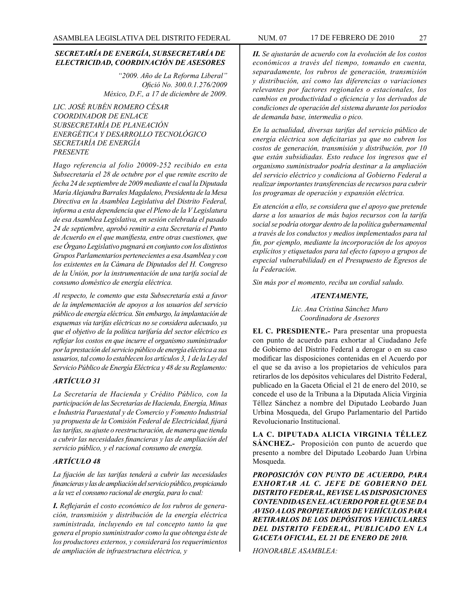# *SECRETARÍA DE ENERGÍA, SUBSECRETARÍA DE ELECTRICIDAD, COORDINACIÓN DE ASESORES*

*"2009. Año de La Reforma Liberal" Ofició No. 300.0.1.276/2009 México, D.F., a 17 de diciembre de 2009.*

*LIC. JOSÉ RUBÉN ROMERO CÉSAR COORDINADOR DE ENLACE SUBSECRETARÍA DE PLANEACIÓN ENERGÉTICA Y DESARROLLO TECNOLÓGICO SECRETARÍA DE ENERGÍA PRESENTE*

*Hago referencia al folio 20009-252 recibido en esta Subsecretaría el 28 de octubre por el que remite escrito de fecha 24 de septiembre de 2009 mediante el cual la Diputada María Alejandra Barrales Magdaleno, Presidenta de la Mesa Directiva en la Asamblea Legislativa del Distrito Federal, informa a esta dependencia que el Pleno de la V Legislatura de esa Asamblea Legislativa, en sesión celebrada el pasado 24 de septiembre, aprobó remitir a esta Secretaría el Punto de Acuerdo en el que manifiesta, entre otras cuestiones, que ese Órgano Legislativo pugnará en conjunto con los distintos Grupos Parlamentarios pertenecientes a esa Asamblea y con los existentes en la Cámara de Diputados del H. Congreso de la Unión, por la instrumentación de una tarifa social de consumo doméstico de energía eléctrica.*

*Al respecto, le comento que esta Subsecretaría está a favor de la implementación de apoyos a los usuarios del servicio público de energía eléctrica. Sin embargo, la implantación de esquemas vía tarifas eléctricas no se considera adecuado, ya que el objetivo de la política tarifaría del sector eléctrico es reflejar los costos en que incurre el organismo suministrador por la prestación del servicio público de energía eléctrica a sus usuarios, tal como lo establecen los artículos 3, 1 de la Ley del Servicio Público de Energía Eléctrica y 48 de su Reglamento:*

# *ARTÍCULO 31*

*La Secretaría de Hacienda y Crédito Público, con la participación de las Secretarías de Hacienda, Energía, Minas e Industria Paraestatal y de Comercio y Fomento Industrial ya propuesta de la Comisión Federal de Electricidad, fijará las tarifas, su ajuste o reestructuración, de manera que tienda a cubrir las necesidades financieras y las de ampliación del servicio público, y el racional consumo de energía.*

# *ARTÍCULO 48*

*La fijación de las tarifas tenderá a cubrir las necesidades financieras y las de ampliación del servicio público, propiciando a la vez el consumo racional de energía, para lo cual:*

*I. Reflejarán el costo económico de los rubros de generación, transmisión y distribución de la energía eléctrica suministrada, incluyendo en tal concepto tanto la que genera el propio suministrador como la que obtenga éste de los productores externos, y considerará los requerimientos de ampliación de infraestructura eléctrica, y* 

*II. Se ajustarán de acuerdo con la evolución de los costos económicos a través del tiempo, tomando en cuenta, separadamente, los rubros de generación, transmisión y distribución, así como las diferencias o variaciones relevantes por factores regionales o estacionales, los cambios en productividad o eficiencia y los derivados de condiciones de operación del sistema durante los periodos de demanda base, intermedia o pico.* 

*En la actualidad, diversas tarifas del servicio público de energía eléctrica son deficitarias ya que no cubren los costos de generación, transmisión y distribución, por 10 que están subsidiadas. Esto reduce los ingresos que el organismo suministrador podría destinar a la ampliación del servicio eléctrico y condiciona al Gobierno Federal a realizar importantes transferencias de recursos para cubrir los programas de operación y expansión eléctrica.*

*En atención a ello, se considera que el apoyo que pretende darse a los usuarios de más bajos recursos con la tarifa social se podría otorgar dentro de la política gubernamental a través de los conductos y medios implementados para tal fin, por ejemplo, mediante la incorporación de los apoyos explícitos y etiquetados para tal efecto (apoyo a grupos de especial vulnerabilidad) en el Presupuesto de Egresos de la Federación.*

*Sin más por el momento, reciba un cordial saludo.*

# *ATENTAMENTE,*

*Lic. Ana Cristina Sánchez Muro Coordinadora de Asesores*

**EL C. PRESDIENTE.-** Para presentar una propuesta con punto de acuerdo para exhortar al Ciudadano Jefe de Gobierno del Distrito Federal a derogar o en su caso modificar las disposiciones contenidas en el Acuerdo por el que se da aviso a los propietarios de vehículos para retirarlos de los depósitos vehiculares del Distrito Federal, publicado en la Gaceta Oficial el 21 de enero del 2010, se concede el uso de la Tribuna a la Diputada Alicia Virginia Téllez Sánchez a nombre del Diputado Leobardo Juan Urbina Mosqueda, del Grupo Parlamentario del Partido Revolucionario Institucional.

**LA C. DIPUTADA ALICIA VIRGINIA TÉLLEZ SÁNCHEZ.-** Proposición con punto de acuerdo que presento a nombre del Diputado Leobardo Juan Urbina Mosqueda.

*PROPOSICIÓN CON PUNTO DE ACUERDO, PARA EXHORTAR AL C. JEFE DE GOBIERNO DEL DISTRITO FEDERAL, REVISE LAS DISPOSICIONES CONTENDIDAS EN EL ACUERDO POR EL QUE SE DA AVISO A LOS PROPIETARIOS DE VEHÍCULOS PARA RETIRARLOS DE LOS DEPÓSITOS VEHICULARES DEL DISTRITO FEDERAL, PUBLICADO EN LA GACETA OFICIAL, EL 21 DE ENERO DE 2010.*

*HONORABLE ASAMBLEA:*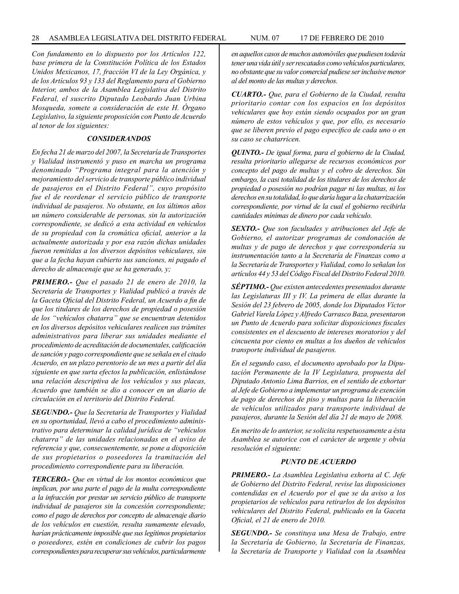*Con fundamento en lo dispuesto por los Artículos 122, base primera de la Constitución Política de los Estados Unidos Mexicanos, 17, fracción VI de la Ley Orgánica, y de los Artículos 93 y 133 del Reglamento para el Gobierno Interior, ambos de la Asamblea Legislativa del Distrito Federal, el suscrito Diputado Leobardo Juan Urbina Mosqueda, somete a consideración de este H. Órgano Legislativo, la siguiente proposición con Punto de Acuerdo al tenor de los siguientes:*

#### *CONSIDERANDOS*

*En fecha 21 de marzo del 2007, la Secretaría de Transportes y Vialidad instrumentó y puso en marcha un programa denominado "Programa integral para la atención y mejoramiento del servicio de transporte público individual de pasajeros en el Distrito Federal", cuyo propósito fue el de reordenar el servicio público de transporte individual de pasajeros. No obstante, en los últimos años un número considerable de personas, sin la autorización correspondiente, se dedicó a esta actividad en vehículos de su propiedad con la cromática oficial, anterior a la actualmente autorizada y por esa razón dichas unidades fueron remitidas a los diversos depósitos vehiculares, sin que a la fecha hayan cubierto sus sanciones, ni pagado el derecho de almacenaje que se ha generado, y;*

*PRIMERO.- Que el pasado 21 de enero de 2010, la Secretaría de Transportes y Vialidad publicó a través de la Gaceta Oficial del Distrito Federal, un Acuerdo a fin de que los titulares de los derechos de propiedad o posesión de los "vehículos chatarra" que se encuentran detenidos en los diversos depósitos vehiculares realicen sus trámites administrativos para liberar sus unidades mediante el procedimiento de acreditación de documentales, calificación de sanción y pago correspondiente que se señala en el citado Acuerdo, en un plazo perentorio de un mes a partir del día siguiente en que surta efectos la publicación, enlistándose una relación descriptiva de los vehículos y sus placas, Acuerdo que también se dio a conocer en un diario de circulación en el territorio del Distrito Federal.*

*SEGUNDO.- Que la Secretaría de Transportes y Vialidad en su oportunidad, llevó a cabo el procedimiento administrativo para determinar la calidad jurídica de "vehículos chatarra" de las unidades relacionadas en el aviso de referencia y que, consecuentemente, se pone a disposición de sus propietarios o poseedores la tramitación del procedimiento correspondiente para su liberación.*

*TERCERO.- Que en virtud de los montos económicos que implican, por una parte el pago de la multa correspondiente a la infracción por prestar un servicio público de transporte individual de pasajeros sin la concesión correspondiente; como el pago de derechos por concepto de almacenaje diario de los vehículos en cuestión, resulta sumamente elevado, harían prácticamente imposible que sus legítimos propietarios o poseedores, estén en condiciones de cubrir los pagos correspondientes para recuperar sus vehículos, particularmente* 

*en aquellos casos de muchos automóviles que pudiesen todavía tener una vida útil y ser rescatados como vehículos particulares, no obstante que su valor comercial pudiese ser inclusive menor al del monto de las multas y derechos.*

*CUARTO.- Que, para el Gobierno de la Ciudad, resulta prioritario contar con los espacios en los depósitos vehiculares que hoy están siendo ocupados por un gran número de estos vehículos y que, por ello, es necesario que se liberen previo el pago especifico de cada uno o en su caso se chatarricen.*

*QUINTO.- De igual forma, para el gobierno de la Ciudad, resulta prioritario allegarse de recursos económicos por concepto del pago de multas y el cobro de derechos. Sin embargo, la casi totalidad de los titulares de los derechos de propiedad o posesión no podrían pagar ni las multas, ni los derechos en su totalidad, lo que daría lugar a la chatarrización correspondiente, por virtud de la cual el gobierno recibirla cantidades mínimas de dinero por cada vehículo.*

*SEXTO.- Que son facultades y atribuciones del Jefe de Gobierno, el autorizar programas de condonación de multas y de pago de derechos y que correspondería su instrumentación tanto a la Secretaría de Finanzas como a la Secretaría de Transportes y Vialidad, como lo señalan los artículos 44 y 53 del Código Fiscal del Distrito Federal 2010.*

*SÉPTIMO.- Que existen antecedentes presentados durante las Legislaturas III y IV. La primera de ellas durante la Sesión del 23 febrero de 2005, donde los Diputados Víctor Gabriel Varela López y Alfredo Carrasco Baza, presentaron un Punto de Acuerdo para solicitar disposiciones fiscales consistentes en el descuento de intereses moratorios y del cincuenta por ciento en multas a los dueños de vehículos transporte individual de pasajeros.*

*En el segundo caso, el documento aprobado por la Diputación Permanente de la IV Legislatura, propuesta del Diputado Antonio Lima Barrios, en el sentido de exhortar al Jefe de Gobierno a implementar un programa de exención de pago de derechos de piso y multas para la liberación de vehículos utilizados para transporte individual de pasajeros, durante la Sesión del día 21 de mayo de 2008.*

*En merito de lo anterior, se solicita respetuosamente a ésta Asamblea se autorice con el carácter de urgente y obvia resolución el siguiente:*

#### *PUNTO DE ACUERDO*

*PRIMERO.- La Asamblea Legislativa exhorta al C. Jefe de Gobierno del Distrito Federal, revise las disposiciones contendidas en el Acuerdo por el que se da aviso a los propietarios de vehículos para retirarlos de los depósitos vehiculares del Distrito Federal, publicado en la Gaceta Oficial, el 21 de enero de 2010.*

*SEGUNDO.- Se constituya una Mesa de Trabajo, entre la Secretaría de Gobierno, la Secretaría de Finanzas, la Secretaría de Transporte y Vialidad con la Asamblea*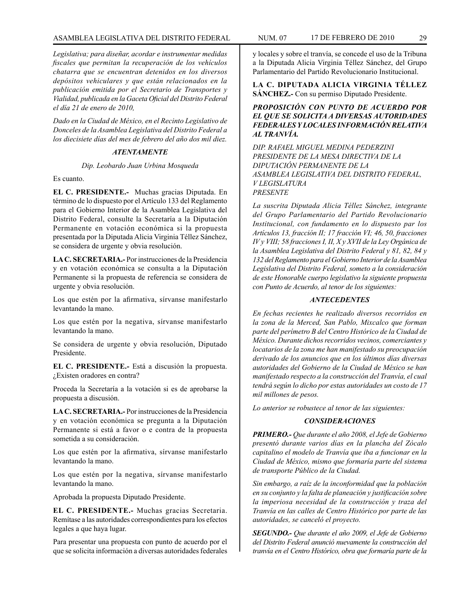# ASAMBLEA LEGISLATIVA DEL DISTRITO FEDERAL NUM. 07 17 de FEBRERO de 2010 29

*Legislativa; para diseñar, acordar e instrumentar medidas fiscales que permitan la recuperación de los vehículos chatarra que se encuentran detenidos en los diversos depósitos vehiculares y que están relacionados en la publicación emitida por el Secretario de Transportes y Vialidad, publicada en la Gaceta Oficial del Distrito Federal el día 21 de enero de 2010,*

*Dado en la Ciudad de México, en el Recinto Legislativo de Donceles de la Asamblea Legislativa del Distrito Federal a los diecisiete días del mes de febrero del año dos mil diez.*

# *ATENTAMENTE*

*Dip. Leobardo Juan Urbina Mosqueda*

Es cuanto.

**EL C. PRESIDENTE.-** Muchas gracias Diputada. En término de lo dispuesto por el Artículo 133 del Reglamento para el Gobierno Interior de la Asamblea Legislativa del Distrito Federal, consulte la Secretaría a la Diputación Permanente en votación económica si la propuesta presentada por la Diputada Alicia Virginia Téllez Sánchez, se considera de urgente y obvia resolución.

**LA C. SECRETARIA.-** Por instrucciones de la Presidencia y en votación económica se consulta a la Diputación Permanente si la propuesta de referencia se considera de urgente y obvia resolución.

Los que estén por la afirmativa, sírvanse manifestarlo levantando la mano.

Los que estén por la negativa, sírvanse manifestarlo levantando la mano.

Se considera de urgente y obvia resolución, Diputado Presidente.

**EL C. PRESIDENTE.-** Está a discusión la propuesta. ¿Existen oradores en contra?

Proceda la Secretaría a la votación si es de aprobarse la propuesta a discusión.

**LA C. SECRETARIA.-** Por instrucciones de la Presidencia y en votación económica se pregunta a la Diputación Permanente si está a favor o e contra de la propuesta sometida a su consideración.

Los que estén por la afirmativa, sírvanse manifestarlo levantando la mano.

Los que estén por la negativa, sírvanse manifestarlo levantando la mano.

Aprobada la propuesta Diputado Presidente.

**EL C. PRESIDENTE.-** Muchas gracias Secretaria. Remítase a las autoridades correspondientes para los efectos legales a que haya lugar.

Para presentar una propuesta con punto de acuerdo por el que se solicita información a diversas autoridades federales y locales y sobre el tranvía, se concede el uso de la Tribuna a la Diputada Alicia Virginia Téllez Sánchez, del Grupo Parlamentario del Partido Revolucionario Institucional.

**LA C. DIPUTADA ALICIA VIRGINIA TÉLLEZ SÁNCHEZ.-** Con su permiso Diputado Presidente.

*PROPOSICIÓN CON PUNTO DE ACUERDO POR EL QUE SE SOLICITA A DIVERSAS AUTORIDADES FEDERALES Y LOCALES INFORMACIÓN RELATIVA AL TRANVÍA.*

*DIP. RAFAEL MIGUEL MEDINA PEDERZINI PRESIDENTE DE LA MESA DIRECTIVA DE LA DIPUTACIÓN PERMANENTE DE LA ASAMBLEA LEGISLATIVA DEL DISTRITO FEDERAL, V LEGISLATURA PRESENTE*

*La suscrita Diputada Alicia Téllez Sánchez, integrante del Grupo Parlamentario del Partido Revolucionario Institucional, con fundamento en lo dispuesto par los Artículos 13, fracción II; 17 fracción VI; 46, 50, fracciones IV y VIII; 58 fracciones I, II, X y XVII de la Ley Orgánica de la Asamblea Legislativa del Distrito Federal y 81, 82, 84 y 132 del Reglamento para el Gobierno Interior de la Asamblea Legislativa del Distrito Federal, someto a la consideración de este Honorable cuerpo legislativo la siguiente propuesta con Punto de Acuerdo, al tenor de los siguientes:*

# *ANTECEDENTES*

*En fechas recientes he realizado diversos recorridos en la zona de la Merced, San Pablo, Mixcalco que forman parte del perímetro B del Centro Histórico de la Ciudad de México. Durante dichos recorridos vecinos, comerciantes y locatarios de la zona me han manifestado su preocupación derivado de los anuncios que en los últimos días diversas autoridades del Gobierno de la Ciudad de México se han manifestado respecto a la construcción del Tranvía, el cual tendrá según lo dicho por estas autoridades un costo de 17 mil millones de pesos.*

*Lo anterior se robustece al tenor de las siguientes:*

#### *CONSIDERACIONES*

*PRIMERO.- Que durante el año 2008, el Jefe de Gobierno presentó durante varios días en la plancha del Zócalo capitalino el modelo de Tranvía que iba a funcionar en la Ciudad de México, mismo que formaría parte del sistema de transporte Público de la Ciudad.*

*Sin embargo, a raíz de la inconformidad que la población en su conjunto y la falta de planeación y justificación sobre la imperiosa necesidad de la construcción y traza del Tranvía en las calles de Centro Histórico por parte de las autoridades, se canceló el proyecto.*

*SEGUNDO.- Que durante el año 2009, el Jefe de Gobierno del Distrito Federal anunció nuevamente la construcción del tranvía en el Centro Histórico, obra que formaría parte de la*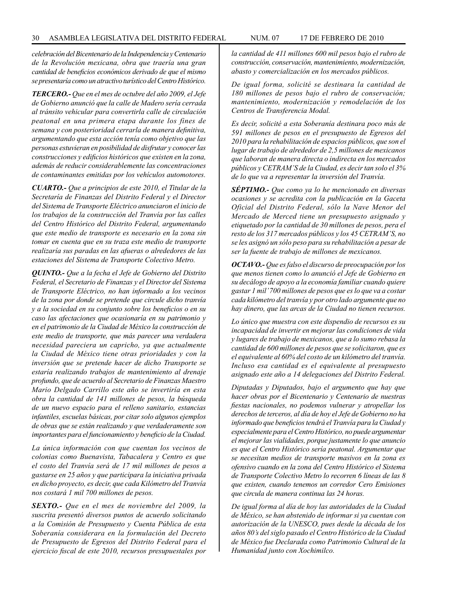*celebración del Bicentenario de la Independencia y Centenario de la Revolución mexicana, obra que traería una gran cantidad de beneficios económicos derivado de que el mismo se presentaría como un atractivo turístico del Centro Histórico.*

*TERCERO.- Que en el mes de octubre del año 2009, el Jefe de Gobierno anunció que la calle de Madero sería cerrada al tránsito vehicular para convertirla calle de circulación peatonal en una primera etapa durante los fines de semana y con posterioridad cerrarla de manera definitiva, argumentando que esta acción tenía como objetivo que las personas estuvieran en posibilidad de disfrutar y conocer las construcciones y edificios históricos que existen en la zona, además de reducir considerablemente las concentraciones de contaminantes emitidas por los vehículos automotores.*

*CUARTO.- Que a principios de este 2010, el Titular de la Secretaría de Finanzas del Distrito Federal y el Director del Sistema de Transporte Eléctrico anunciaron el inicio de los trabajos de la construcción del Tranvía por las calles del Centro Histórico del Distrito Federal, argumentando que este medio de transporte es necesario en la zona sin tomar en cuenta que en su traza este medio de transporte realizaría sus paradas en las afueras o alrededores de las estaciones del Sistema de Transporte Colectivo Metro.*

*QUINTO.- Que a la fecha el Jefe de Gobierno del Distrito Federal, el Secretario de Finanzas y el Director del Sistema de Transporte Eléctrico, no han informado a los vecinos de la zona por donde se pretende que circule dicho tranvía y a la sociedad en su conjunto sobre los beneficios o en su caso las afectaciones que ocasionaría en su patrimonio y en el patrimonio de la Ciudad de México la construcción de este medio de transporte, que más parecer una verdadera necesidad pareciera un capricho, ya que actualmente la Ciudad de México tiene otras prioridades y con la inversión que se pretende hacer de dicho Transporte se estaría realizando trabajos de mantenimiento al drenaje profundo, que de acuerdo al Secretario de Finanzas Maestro Mario Delgado Carrillo este año se invertiría en esta obra la cantidad de 141 millones de pesos, la búsqueda de un nuevo espacio para el relleno sanitario, estancias infantiles, escuelas básicas, por citar solo algunos ejemplos de obras que se están realizando y que verdaderamente son importantes para el funcionamiento y beneficio de la Ciudad.*

*La única información con que cuentan los vecinos de colonias como Buenavista, Tabacalera y Centro es que el costo del Tranvía será de 17 mil millones de pesos a gastarse en 25 años y que participara la iniciativa privada en dicho proyecto, es decir, que cada Kilómetro del Tranvía nos costará 1 mil 700 millones de pesos.*

*SEXTO.- Que en el mes de noviembre del 2009, la suscrita presentó diversos puntos de acuerdo solicitando a la Comisión de Presupuesto y Cuenta Pública de esta Soberanía considerara en la formulación del Decreto de Presupuesto de Egresos del Distrito Federal para el ejercicio fiscal de este 2010, recursos presupuestales por* 

*la cantidad de 411 millones 600 mil pesos bajo el rubro de construcción, conservación, mantenimiento, modernización, abasto y comercialización en los mercados públicos.* 

*De igual forma, solicité se destinara la cantidad de 180 millones de pesos bajo el rubro de conservación; mantenimiento, modernización y remodelación de los Centros de Transferencia Modal.*

*Es decir, solicité a esta Soberanía destinara poco más de 591 millones de pesos en el presupuesto de Egresos del 2010 para la rehabilitación de espacios públicos, que son el lugar de trabajo de alrededor de 2,5 millones de mexicanos que laboran de manera directa o indirecta en los mercados públicos y CETRAM'S de la Ciudad, es decir tan solo el 3% de lo que va a representar la inversión del Tranvía.*

*SÉPTIMO.- Que como ya lo he mencionado en diversas ocasiones y se acredita con la publicación en la Gaceta Oficial del Distrito Federal, sólo la Nave Menor del Mercado de Merced tiene un presupuesto asignado y etiquetado por la cantidad de 30 millones de pesos, pera el resto de los 317 mercados públicos y los 45 CETRAM'S, no se les asignó un sólo peso para su rehabilitación a pesar de ser la fuente de trabajo de millones de mexicanos.*

*OCTAVO.- Que es falso el discurso de preocupación por los que menos tienen como lo anunció el Jefe de Gobierno en su decálogo de apoyo a la economía familiar cuando quiere gastar 1 mil' 700 millones de pesos que es lo que va a costar cada kilómetro del tranvía y por otro lado argumente que no hay dinero, que las arcas de la Ciudad no tienen recursos.*

*Lo único que muestra con este dispendio de recursos es su incapacidad de invertir en mejorar las condiciones de vida y lugares de trabajo de mexicanos, que a lo sumo rebasa la cantidad de 600 millones de pesos que se solicitaron, que es el equivalente al 60% del costo de un kilómetro del tranvía. Incluso esa cantidad es el equivalente al presupuesto asignado este año a 14 delegaciones del Distrito Federal.*

*Diputadas y Diputados, bajo el argumento que hay que hacer obras por el Bicentenario y Centenario de nuestras fiestas nacionales, no podemos vulnerar y atropellar los derechos de terceros, al día de hoy el Jefe de Gobierno no ha informado que beneficios tendrá el Tranvía para la Ciudad y especialmente para el Centro Histórico, no puede argumentar el mejorar las vialidades, porque justamente lo que anuncio es que el Centro Histórico sería peatonal. Argumentar que se necesitan medios de transporte masivos en la zona es ofensivo cuando en la zona del Centro Histórico el Sistema de Transporte Colectivo Metro lo recorren 6 líneas de las 8 que existen, cuando tenemos un corredor Cero Emisiones que circula de manera continua las 24 horas.*

*De igual forma al día de hoy las autoridades de la Ciudad de México, se han abstenido de informar si ya cuentan con autorización de la UNESCO, pues desde la década de los años 80's del siglo pasado el Centro Histórico de la Ciudad de México fue Declarada como Patrimonio Cultural de la Humanidad junto con Xochimilco.*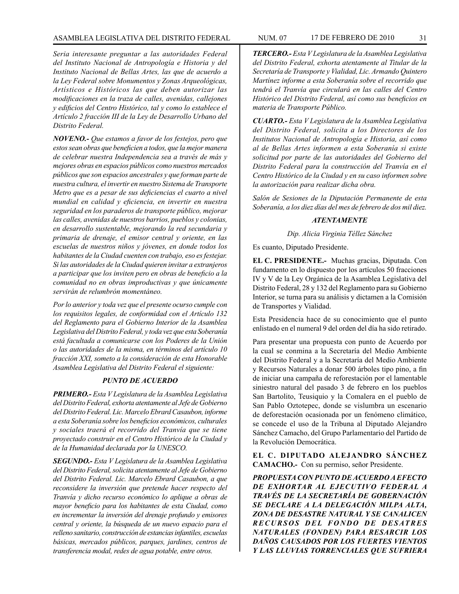#### ASAMBLEA LEGISLATIVA DEL DISTRITO FEDERAL NUM. 07 17 DE FEBRERO DE 2010 31

*Seria interesante preguntar a las autoridades Federal del Instituto Nacional de Antropología e Historia y del Instituto Nacional de Bellas Artes, las que de acuerdo a la Ley Federal sobre Monumentos y Zonas Arqueológicas, Artísticos e Históricos las que deben autorizar las modificaciones en la traza de calles, avenidas, callejones y edificios del Centro Histórico, tal y como lo establece el Artículo 2 fracción III de la Ley de Desarrollo Urbano del Distrito Federal.*

*NOVENO.- Que estamos a favor de los festejos, pero que estos sean obras que beneficien a todos, que la mejor manera de celebrar nuestra Independencia sea a través de más y mejores obras en espacios públicos como nuestros mercados públicos que son espacios ancestrales y que forman parte de nuestra cultura, el invertir en nuestro Sistema de Transporte Metro que es a pesar de sus deficiencias el cuarto a nivel mundial en calidad y eficiencia, en invertir en nuestra seguridad en los paraderos de transporte público, mejorar las calles, avenidas de nuestros barrios, pueblos y colonias, en desarrollo sustentable, mejorando la red secundaria y primaria de drenaje, el emisor central y oriente, en las escuelas de nuestros niños y jóvenes, en donde todos los habitantes de la Ciudad cuenten con trabajo, eso es festejar. Si las autoridades de la Ciudad quieren invitar a extranjeros a participar que los inviten pero en obras de beneficio a la comunidad no en obras improductivas y que únicamente servirán de relumbrón momentáneo.*

*Por lo anterior y toda vez que el presente ocurso cumple con los requisitos legales, de conformidad con el Artículo 132 del Reglamento para el Gobierno Interior de la Asamblea Legislativa del Distrito Federal, y toda vez que esta Soberanía está facultada a comunicarse con los Poderes de la Unión o las autoridades de la misma, en términos del artículo 10 fracción XXI, someto a la consideración de esta Honorable Asamblea Legislativa del Distrito Federal el siguiente:*

# *PUNTO DE ACUERDO*

*PRIMERO.- Esta V Legislatura de la Asamblea Legislativa del Distrito Federal, exhorta atentamente al Jefe de Gobierno del Distrito Federal. Lic. Marcelo Ebrard Casaubon, informe a esta Soberanía sobre los beneficios económicos, culturales y sociales traerá el recorrido del Tranvía que se tiene proyectado construir en el Centro Histórico de la Ciudad y de la Humanidad declarada por la UNESCO.*

*SEGUNDO.- Esta V Legislatura de la Asamblea Legislativa del Distrito Federal, solicita atentamente al Jefe de Gobierno del Distrito Federal. Lic. Marcelo Ebrard Casaubon, a que reconsidere la inversión que pretende hacer respecto del Tranvía y dicho recurso económico lo aplique a obras de mayor beneficio para los habitantes de esta Ciudad, como en incrementar la inversión del drenaje profundo y emisores central y oriente, la búsqueda de un nuevo espacio para el relleno sanitario, construcción de estancias infantiles, escuelas básicas, mercados públicos, parques, jardines, centros de transferencia modal, redes de agua potable, entre otros.*

*TERCERO.- Esta V Legislatura de la Asamblea Legislativa del Distrito Federal, exhorta atentamente al Titular de la Secretaría de Transporte y Vialidad, Lic. Armando Quintero Martínez informe a esta Soberanía sobre el recorrido que tendrá el Tranvía que circulará en las calles del Centro Histórico del Distrito Federal, así como sus beneficios en materia de Transporte Público.*

*CUARTO.- Esta V Legislatura de la Asamblea Legislativa del Distrito Federal, solicita a los Directores de los Institutos Nacional de Antropología e Historia, así como al de Bellas Artes informen a esta Soberanía si existe solicitud por parte de las autoridades del Gobierno del Distrito Federal para la construcción del Tranvía en el Centro Histórico de la Ciudad y en su caso informen sobre la autorización para realizar dicha obra.*

*Salón de Sesiones de la Diputación Permanente de esta Soberanía, a los diez días del mes de febrero de dos mil diez.*

# *ATENTAMENTE*

*Dip. Alicia Virginia Téllez Sánchez*

Es cuanto, Diputado Presidente.

**EL C. PRESIDENTE.-** Muchas gracias, Diputada. Con fundamento en lo dispuesto por los artículos 50 fracciones IV y V de la Ley Orgánica de la Asamblea Legislativa del Distrito Federal, 28 y 132 del Reglamento para su Gobierno Interior, se turna para su análisis y dictamen a la Comisión de Transportes y Vialidad.

Esta Presidencia hace de su conocimiento que el punto enlistado en el numeral 9 del orden del día ha sido retirado.

Para presentar una propuesta con punto de Acuerdo por la cual se conmina a la Secretaría del Medio Ambiente del Distrito Federal y a la Secretaría del Medio Ambiente y Recursos Naturales a donar 500 árboles tipo pino, a fin de iniciar una campaña de reforestación por el lamentable siniestro natural del pasado 3 de febrero en los pueblos San Bartolito, Teusiquio y la Comalera en el pueblo de San Pablo Oztotepec, donde se vislumbra un escenario de deforestación ocasionada por un fenómeno climático, se concede el uso de la Tribuna al Diputado Alejandro Sánchez Camacho, del Grupo Parlamentario del Partido de la Revolución Democrática.

# **EL C. DIPUTADO ALEJANDRO SÁNCHEZ CAMACHO.-** Con su permiso, señor Presidente.

*PROPUESTA CON PUNTO DE ACUERDO A EFECTO DE EXHORTAR AL EJECUTIVO FEDERAL A TRAVÉS DE LA SECRETARÍA DE GOBERNACIÓN SE DECLARE A LA DELEGACIÓN MILPA ALTA, ZONA DE DESASTRE NATURAL Y SE CANALICEN R E C U R S O S D E L F O N D O D E D E S AT R E S NATURALES (FONDEN) PARA RESARCIR LOS DAÑOS CAUSADOS POR LOS FUERTES VIENTOS Y LAS LLUVIAS TORRENCIALES QUE SUFRIERA*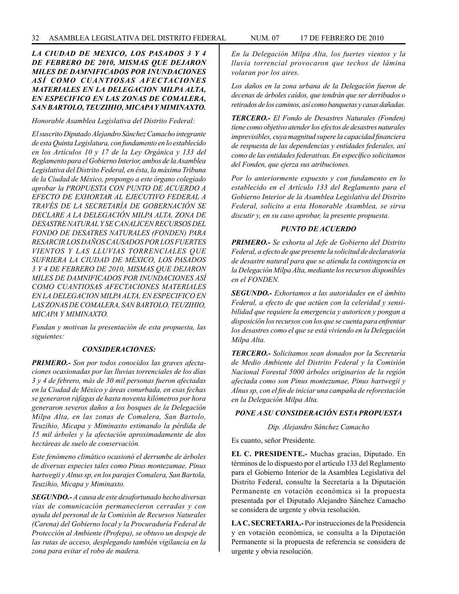# *LA CIUDAD DE MEXICO, LOS PASADOS 3 Y 4 DE FEBRERO DE 2010, MISMAS QUE DEJARON MILES DE DAMNIFICADOS POR INUNDACIONES ASÍ COMO CUANTIOSAS AFECTACIONES MATERIALES EN LA DELEGACION MILPA ALTA, EN ESPECIFICO EN LAS ZONAS DE COMALERA, SAN BARTOLO, TEUZIHIO, MICAPA Y MIMINAXTO.*

*Honorable Asamblea Legislativa del Distrito Federal:*

*El suscrito Diputado Alejandro Sánchez Camacho integrante de esta Quinta Legislatura, con fundamento en lo establecido en los Artículos 10 y 17 de la Ley Orgánica y 133 del Reglamento para el Gobierno Interior, ambos de la Asamblea Legislativa del Distrito Federal, en ésta, la máxima Tribuna de la Ciudad de México, propongo a este órgano colegiado aprobar la PROPUESTA CON PUNTO DE ACUERDO A EFECTO DE EXHORTAR AL EJECUTIVO FEDERAL A TRAVÉS DE LA SECRETARÍA DE GOBERNACIÓN SE DECLARE A LA DELEGACIÓN MILPA ALTA, ZONA DE DESASTRE NATURAL Y SE CANALICEN RECURSOS DEL FONDO DE DESATRES NATURALES (FONDEN) PARA RESARCIR LOS DAÑOS CAUSADOS POR LOS FUERTES VIENTOS Y LAS LLUVIAS TORRENCIALES QUE SUFRIERA LA CIUDAD DE MÉXICO, LOS PASADOS 3 Y 4 DE FEBRERO DE 2010, MISMAS QUE DEJARON MILES DE DAMNIFICADOS POR INUNDACIONES ASÍ COMO CUANTIOSAS AFECTACIONES MATERIALES EN LA DELEGACION MILPA ALTA, EN ESPECIFICO EN LAS ZONAS DE COMALERA, SAN BARTOLO, TEUZIHIO, MICAPA Y MIMINAXTO.*

*Fundan y motivan la presentación de esta propuesta, las siguientes:*

#### *CONSIDERACIONES:*

*PRIMERO.- Son por todos conocidos las graves afectaciones ocasionadas por las lluvias torrenciales de los días 3 y 4 de febrero, más de 30 mil personas fueron afectadas en la Ciudad de México y áreas conurbada, en esas fechas se generaron ráfagas de hasta noventa kilómetros por hora generaron severos daños a los bosques de la Delegación Milpa Alta, en las zonas de Comalera, San Bartolo, Teuzihio, Micapa y Miminaxto estimando la pérdida de 15 mil árboles y la afectación aproximadamente de dos hectáreas de suelo de conservación.*

*Este fenómeno climático ocasionó el derrumbe de árboles de diversas especies tales como Pinus montezumae, Pinus hartwegii y Alnus sp, en los parajes Comalera, San Bartola, Teuzihio, Micapa y Miminaxto.*

*SEGUNDO.- A causa de este desafortunado hecho diversas vías de comunicación permanecieron cerradas y con ayuda del personal de la Comisión de Recursos Naturales (Carena) del Gobierno local y la Procuraduría Federal de Protección al Ambiente (Profepa), se obtuvo un despeje de las rutas de acceso, desplegando también vigilancia en la zona para evitar el robo de madera.*

*En la Delegación Milpa Alta, los fuertes vientos y la lluvia torrencial provocaron que techos de lámina volaran por los aires.* 

*Los daños en la zona urbana de la Delegación fueron de decenas de árboles caídos, que tendrán que ser derribados o retirados de los caminos, así como banquetas y casas dañadas.*

*TERCERO.- El Fondo de Desastres Naturales (Fonden) tiene como objetivo atender los efectos de desastres naturales imprevisibles, cuya magnitud supere la capacidad financiera de respuesta de las dependencias y entidades federales, así como de las entidades federativas. En específico solicitamos del Fonden, que ejerza sus atribuciones.*

*Por lo anteriormente expuesto y con fundamento en lo establecido en el Artículo 133 del Reglamento para el Gobierno Interior de la Asamblea Legislativa del Distrito Federal, solicito a esta Honorable Asamblea, se sirva discutir y, en su caso aprobar, la presente propuesta.*

### *PUNTO DE ACUERDO*

*PRIMERO.- Se exhorta al Jefe de Gobierno del Distrito Federal, a efecto de que presente la solicitud de declaratoria de desastre natural para que se atienda la contingencia en la Delegación Milpa Alta, mediante los recursos disponibles en el FONDEN.*

*SEGUNDO.- Exhortamos a las autoridades en el ámbito Federal, a efecto de que actúen con la celeridad y sensibilidad que requiere la emergencia y autoricen y pongan a disposición los recursos con los que se cuenta para enfrentar los desastres como el que se está viviendo en la Delegación Milpa Alta.*

*TERCERO.- Solicitamos sean donados por la Secretaría de Medio Ambiente del Distrito Federal y la Comisión Nacional Forestal 5000 árboles originarios de la región afectada como son Pinus montezumae, Pinus hartwegii y Alnus sp, con el fin de iniciar una campaña de reforestación en la Delegación Milpa Alta.*

# *PONE A SU CONSIDERACIÓN ESTA PROPUESTA*

*Dip. Alejandro Sánchez Camacho*

Es cuanto, señor Presidente.

**EL C. PRESIDENTE.-** Muchas gracias, Diputado. En términos de lo dispuesto por el artículo 133 del Reglamento para el Gobierno Interior de la Asamblea Legislativa del Distrito Federal, consulte la Secretaría a la Diputación Permanente en votación económica si la propuesta presentada por el Diputado Alejandro Sánchez Camacho se considera de urgente y obvia resolución.

**LA C. SECRETARIA.-** Por instrucciones de la Presidencia y en votación económica, se consulta a la Diputación Permanente si la propuesta de referencia se considera de urgente y obvia resolución.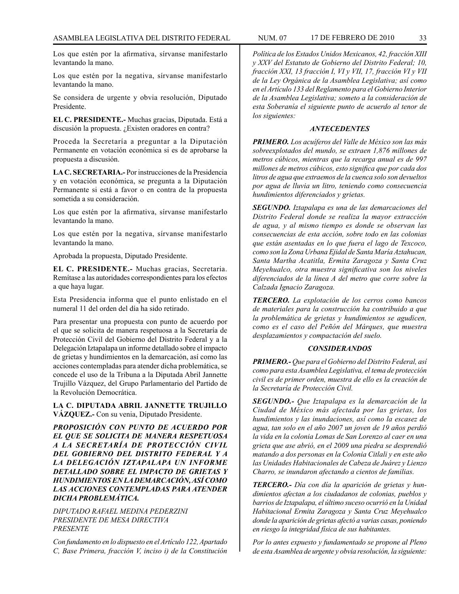Los que estén por la afirmativa, sírvanse manifestarlo levantando la mano.

Los que estén por la negativa, sírvanse manifestarlo levantando la mano.

Se considera de urgente y obvia resolución, Diputado Presidente.

**EL C. PRESIDENTE.-** Muchas gracias, Diputada. Está a discusión la propuesta. ¿Existen oradores en contra?

Proceda la Secretaría a preguntar a la Diputación Permanente en votación económica si es de aprobarse la propuesta a discusión.

**LA C. SECRETARIA.-** Por instrucciones de la Presidencia y en votación económica, se pregunta a la Diputación Permanente si está a favor o en contra de la propuesta sometida a su consideración.

Los que estén por la afirmativa, sírvanse manifestarlo levantando la mano.

Los que estén por la negativa, sírvanse manifestarlo levantando la mano.

Aprobada la propuesta, Diputado Presidente.

**EL C. PRESIDENTE.-** Muchas gracias, Secretaria. Remítase a las autoridades correspondientes para los efectos a que haya lugar.

Esta Presidencia informa que el punto enlistado en el numeral 11 del orden del día ha sido retirado.

Para presentar una propuesta con punto de acuerdo por el que se solicita de manera respetuosa a la Secretaría de Protección Civil del Gobierno del Distrito Federal y a la Delegación Iztapalapa un informe detallado sobre el impacto de grietas y hundimientos en la demarcación, así como las acciones contempladas para atender dicha problemática, se concede el uso de la Tribuna a la Diputada Abril Jannette Trujillo Vázquez, del Grupo Parlamentario del Partido de la Revolución Democrática.

**LA C. DIPUTADA ABRIL JANNETTE TRUJILLO VÁZQUEZ.-** Con su venia, Diputado Presidente.

*PROPOSICIÓN CON PUNTO DE ACUERDO POR EL QUE SE SOLICITA DE MANERA RESPETUOSA A LA SECRETARÍA DE PROTECCIÓN CIVIL DEL GOBIERNO DEL DISTRITO FEDERAL Y A LA DELEGACIÓN IZTAPALAPA UN INFORME DETALLADO SOBRE EL IMPACTO DE GRIETAS Y HUNDIMIENTOS EN LA DEMARCACIÓN, ASÍ COMO LAS ACCIONES CONTEMPLADAS PARA ATENDER DICHA PROBLEMÁTICA.*

*DIPUTADO RAFAEL MEDINA PEDERZINI PRESIDENTE DE MESA DIRECTIVA PRESENTE*

*Con fundamento en lo dispuesto en el Artículo 122, Apartado C, Base Primera, fracción V, inciso i) de la Constitución* 

*Política de los Estados Unidos Mexicanos, 42, fracción XIII y XXV del Estatuto de Gobierno del Distrito Federal; 10, fracción XXI, 13 fracción I, VI y VII, 17, fracción VI y VII de la Ley Orgánica de la Asamblea Legislativa; así como en el Artículo 133 del Reglamento para el Gobierno Interior de la Asamblea Legislativa; someto a la consideración de esta Soberanía el siguiente punto de acuerdo al tenor de los siguientes:*

#### *ANTECEDENTES*

*PRIMERO. Los acuíferos del Valle de México son las más sobreexplotados del mundo, se extraen 1,876 millones de metros cúbicos, mientras que la recarga anual es de 997 millones de metros cúbicos, esto significa que por cada dos litros de agua que extraemos de la cuenca solo son devueltos por agua de lluvia un litro, teniendo como consecuencia hundimientos diferenciados y grietas.* 

*SEGUNDO. Iztapalapa es una de las demarcaciones del Distrito Federal donde se realiza la mayor extracción de agua, y al mismo tiempo es donde se observan las consecuencias de esta acción, sobre todo en las colonias que están asentadas en lo que fuera el lago de Texcoco, como son la Zona Urbana Ejidal de Santa María Aztahucan, Santa Martha Acatitla, Ermita Zaragoza y Santa Cruz Meyehualco, otra muestra significativa son los niveles diferenciados de la línea A del metro que corre sobre la Calzada Ignacio Zaragoza.*

*TERCERO. La explotación de los cerros como bancos de materiales para la construcción ha contribuido a que la problemática de grietas y hundimientos se agudicen, como es el caso del Peñón del Márques, que muestra desplazamientos y compactación del suelo.*

#### *CONSIDERANDOS*

*PRIMERO.- Que para el Gobierno del Distrito Federal, así como para esta Asamblea Legislativa, el tema de protección civil es de primer orden, muestra de ello es la creación de la Secretaría de Protección Civil.*

*SEGUNDO.- Que Iztapalapa es la demarcación de la Ciudad de México más afectada por las grietas, los hundimientos y las inundaciones, así como la escasez de agua, tan solo en el año 2007 un joven de 19 años perdió la vida en la colonia Lomas de San Lorenzo al caer en una grieta que ase abrió, en el 2009 una piedra se desprendió matando a dos personas en la Colonia Citlali y en este año las Unidades Habitacionales de Cabeza de Juárez y Lienzo Charro, se inundaron afectando a cientos de familias.*

*TERCERO.- Día con día la aparición de grietas y hundimientos afectan a los ciudadanos de colonias, pueblos y barrios de Iztapalapa, el último suceso ocurrió en la Unidad Habitacional Ermita Zaragoza y Santa Cruz Meyehualco donde la aparición de grietas afectó a varias casas, poniendo en riesgo la integridad física de sus habitantes.*

*Por lo antes expuesto y fundamentado se propone al Pleno de esta Asamblea de urgente y obvia resolución, la siguiente:*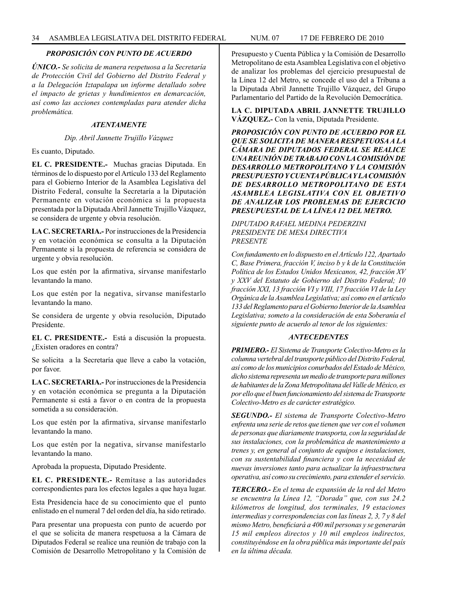# *PROPOSICIÓN CON PUNTO DE ACUERDO*

*ÚNICO.- Se solicita de manera respetuosa a la Secretaría de Protección Civil del Gobierno del Distrito Federal y a la Delegación Iztapalapa un informe detallado sobre el impacto de grietas y hundimientos en demarcación, así como las acciones contempladas para atender dicha problemática.*

### *ATENTAMENTE*

# *Dip. Abril Jannette Trujillo Vázquez*

Es cuanto, Diputado.

**EL C. PRESIDENTE.-** Muchas gracias Diputada. En términos de lo dispuesto por el Artículo 133 del Reglamento para el Gobierno Interior de la Asamblea Legislativa del Distrito Federal, consulte la Secretaría a la Diputación Permanente en votación económica si la propuesta presentada por la Diputada Abril Jannette Trujillo Vázquez, se considera de urgente y obvia resolución.

**LA C. SECRETARIA.-** Por instrucciones de la Presidencia y en votación económica se consulta a la Diputación Permanente si la propuesta de referencia se considera de urgente y obvia resolución.

Los que estén por la afirmativa, sírvanse manifestarlo levantando la mano.

Los que estén por la negativa, sírvanse manifestarlo levantando la mano.

Se considera de urgente y obvia resolución, Diputado Presidente.

**EL C. PRESIDENTE.-** Está a discusión la propuesta. ¿Existen oradores en contra?

Se solicita a la Secretaría que lleve a cabo la votación, por favor.

**LA C. SECRETARIA.-** Por instrucciones de la Presidencia y en votación económica se pregunta a la Diputación Permanente si está a favor o en contra de la propuesta sometida a su consideración.

Los que estén por la afirmativa, sírvanse manifestarlo levantando la mano.

Los que estén por la negativa, sírvanse manifestarlo levantando la mano.

Aprobada la propuesta, Diputado Presidente.

**EL C. PRESIDENTE.-** Remítase a las autoridades correspondientes para los efectos legales a que haya lugar.

Esta Presidencia hace de su conocimiento que el punto enlistado en el numeral 7 del orden del día, ha sido retirado.

Para presentar una propuesta con punto de acuerdo por el que se solicita de manera respetuosa a la Cámara de Diputados Federal se realice una reunión de trabajo con la Comisión de Desarrollo Metropolitano y la Comisión de Presupuesto y Cuenta Pública y la Comisión de Desarrollo Metropolitano de esta Asamblea Legislativa con el objetivo de analizar los problemas del ejercicio presupuestal de la Línea 12 del Metro, se concede el uso del a Tribuna a la Diputada Abril Jannette Trujillo Vázquez, del Grupo Parlamentario del Partido de la Revolución Democrática.

**LA C. DIPUTADA ABRIL JANNETTE TRUJILLO VÁZQUEZ.-** Con la venia, Diputada Presidente.

*PROPOSICIÓN CON PUNTO DE ACUERDO POR EL QUE SE SOLICITA DE MANERA RESPETUOSA A LA CÁMARA DE DIPUTADOS FEDERAL SE REALICE UNA REUNIÓN DE TRABAJO CON LA COMISIÓN DE DESARROLLO METROPOLITANO Y LA COMISIÓN PRESUPUESTO Y CUENTA PÚBLICA Y LA COMISIÓN DE DESARROLLO METROPOLITANO DE ESTA ASAMBLEA LEGISLATIVA CON EL OBJETIVO DE ANALIZAR LOS PROBLEMAS DE EJERCICIO PRESUPUESTAL DE LA LÍNEA 12 DEL METRO.*

*DIPUTADO RAFAEL MEDINA PEDERZINI PRESIDENTE DE MESA DIRECTIVA PRESENTE*

*Con fundamento en lo dispuesto en el Artículo 122, Apartado C, Base Primera, fracción V, inciso b y k de la Constitución Política de los Estados Unidos Mexicanos, 42, fracción XV y XXV del Estatuto de Gobierno del Distrito Federal; 10 fracción XXI, 13 fracción VI y VIII, 17 fracción VI de la Ley Orgánica de la Asamblea Legislativa; así como en el artículo 133 del Reglamento para el Gobierno Interior de la Asamblea Legislativa; someto a la consideración de esta Soberanía el siguiente punto de acuerdo al tenor de los siguientes:*

#### *ANTECEDENTES*

*PRIMERO.- El Sistema de Transporte Colectivo-Metro es la columna vertebral del transporte público del Distrito Federal, así como de los municipios conurbados del Estado de México, dicho sistema representa un medio de transporte para millones de habitantes de la Zona Metropolitana del Valle de México, es por ello que el buen funcionamiento del sistema de Transporte Colectivo-Metro es de carácter estratégico.*

*SEGUNDO.- El sistema de Transporte Colectivo-Metro enfrenta una serie de retos que tienen que ver con el volumen de personas que diariamente transporta, con la seguridad de sus instalaciones, con la problemática de mantenimiento a trenes y, en general al conjunto de equipos e instalaciones, con su sustentabilidad financiera y con la necesidad de nuevas inversiones tanto para actualizar la infraestructura operativa, así como su crecimiento, para extender el servicio.*

*TERCERO.- En el tema de expansión de la red del Metro se encuentra la Línea 12, "Dorada" que, con sus 24.2 kilómetros de longitud, dos terminales, 19 estaciones intermedias y correspondencias con las líneas 2, 3, 7 y 8 del mismo Metro, beneficiará a 400 mil personas y se generarán 15 mil empleos directos y 10 mil empleos indirectos, constituyéndose en la obra pública más importante del país en la última década.*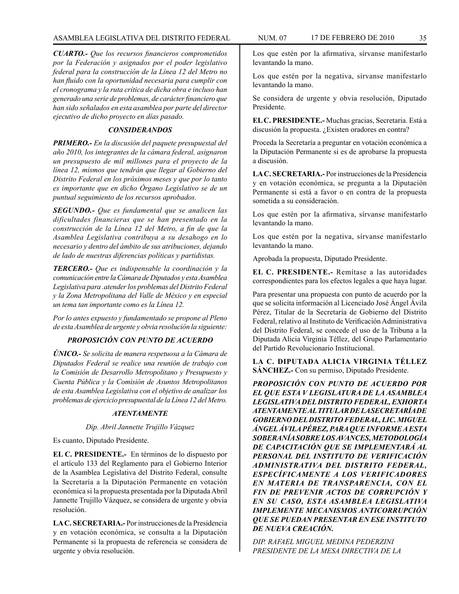*CUARTO.- Que los recursos financieros comprometidos por la Federación y asignados por el poder legislativo federal para la construcción de la Línea 12 del Metro no han fluido con la oportunidad necesaria para cumplir con el cronograma y la ruta crítica de dicha obra e incluso han generado una serie de problemas, de carácter financiero que han sido señalados en esta asamblea por parte del director ejecutivo de dicho proyecto en días pasado.*

#### *CONSIDERANDOS*

*PRIMERO.- En la discusión del paquete presupuestal del año 2010, los integrantes de la cámara federal, asignaron un presupuesto de mil millones para el proyecto de la línea 12, mismos que tendrán que llegar al Gobierno del Distrito Federal en los próximos meses y que por lo tanto es importante que en dicho Órgano Legislativo se de un puntual seguimiento de los recursos aprobados.*

*SEGUNDO.- Que es fundamental que se analicen las dificultades financieras que se han presentado en la construcción de la Línea 12 del Metro, a fin de que la Asamblea Legislativa contribuya a su desahogo en lo necesario y dentro del ámbito de sus atribuciones, dejando de lado de nuestras diferencias políticas y partidistas.* 

*TERCERO.- Que es indispensable la coordinación y la comunicación entre la Cámara de Diputados y esta Asamblea Legislativa para .atender los problemas del Distrito Federal y la Zona Metropolitana del Valle de México y en especial un tema tan importante como es la Línea 12.*

*Por lo antes expuesto y fundamentado se propone al Pleno de esta Asamblea de urgente y obvia resolución la siguiente:*

# *PROPOSICIÓN CON PUNTO DE ACUERDO*

*ÚNICO.- Se solicita de manera respetuosa a la Cámara de Diputados Federal se realice una reunión de trabajo con la Comisión de Desarrollo Metropolitano y Presupuesto y Cuenta Pública y la Comisión de Asuntos Metropolitanos de esta Asamblea Legislativa con el objetivo de analizar los problemas de ejercicio presupuestal de la Línea 12 del Metro.*

#### *ATENTAMENTE*

#### *Dip. Abril Jannette Trujillo Vázquez*

Es cuanto, Diputado Presidente.

**EL C. PRESIDENTE.-** En términos de lo dispuesto por el artículo 133 del Reglamento para el Gobierno Interior de la Asamblea Legislativa del Distrito Federal, consulte la Secretaría a la Diputación Permanente en votación económica si la propuesta presentada por la Diputada Abril Jannette Trujillo Vázquez, se considera de urgente y obvia resolución.

**LA C. SECRETARIA.-** Por instrucciones de la Presidencia y en votación económica, se consulta a la Diputación Permanente si la propuesta de referencia se considera de urgente y obvia resolución.

Los que estén por la afirmativa, sírvanse manifestarlo levantando la mano.

Los que estén por la negativa, sírvanse manifestarlo levantando la mano.

Se considera de urgente y obvia resolución, Diputado Presidente.

**EL C. PRESIDENTE.-** Muchas gracias, Secretaria. Está a discusión la propuesta. ¿Existen oradores en contra?

Proceda la Secretaría a preguntar en votación económica a la Diputación Permanente si es de aprobarse la propuesta a discusión.

**LA C. SECRETARIA.-** Por instrucciones de la Presidencia y en votación económica, se pregunta a la Diputación Permanente si está a favor o en contra de la propuesta sometida a su consideración.

Los que estén por la afirmativa, sírvanse manifestarlo levantando la mano.

Los que estén por la negativa, sírvanse manifestarlo levantando la mano.

Aprobada la propuesta, Diputado Presidente.

**EL C. PRESIDENTE.-** Remítase a las autoridades correspondientes para los efectos legales a que haya lugar.

Para presentar una propuesta con punto de acuerdo por la que se solicita información al Licenciado José Ángel Ávila Pérez, Titular de la Secretaría de Gobierno del Distrito Federal, relativo al Instituto de Verificación Administrativa del Distrito Federal, se concede el uso de la Tribuna a la Diputada Alicia Virginia Téllez, del Grupo Parlamentario del Partido Revolucionario Institucional.

**LA C. DIPUTADA ALICIA VIRGINIA TÉLLEZ SÁNCHEZ.-** Con su permiso, Diputado Presidente.

*PROPOSICIÓN CON PUNTO DE ACUERDO POR EL QUE ESTA V LEGISLATURA DE LA ASAMBLEA LEGISLATIVA DEL DISTRITO FEDERAL, EXHORTA ATENTAMENTE AL TITULAR DE LA SECRETARÍA DE GOBIERNO DEL DISTRITO FEDERAL, LIC. MIGUEL ÁNGEL ÁVILA PÉREZ, PARA QUE INFORME A ESTA SOBERANÍA SOBRE LOS AVANCES, METODOLOGÍA DE CAPACITACIÓN QUE SE IMPLEMENTARÁ AL PERSONAL DEL INSTITUTO DE VERIFICACIÓN ADMINISTRATIVA DEL DISTRITO FEDERAL, ESPECÍFICAMENTE A LOS VERIFICADORES EN MATERIA DE TRANSPARENCIA, CON EL FIN DE PREVENIR ACTOS DE CORRUPCIÓN Y EN SU CASO, ESTA ASAMBLEA LEGISLATIVA IMPLEMENTE MECANISMOS ANTICORRUPCIÓN QUE SE PUEDAN PRESENTAR EN ESE INSTITUTO DE NUEVA CREACIÓN.* 

*DIP. RAFAEL MIGUEL MEDINA PEDERZINI PRESIDENTE DE LA MESA DIRECTIVA DE LA*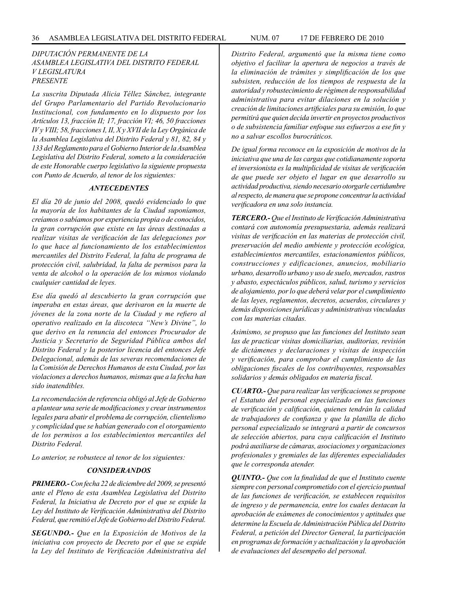# *DIPUTACIÓN PERMANENTE DE LA ASAMBLEA LEGISLATIVA DEL DISTRITO FEDERAL V LEGISLATURA PRESENTE*

*La suscrita Diputada Alicia Téllez Sánchez, integrante del Grupo Parlamentario del Partido Revolucionario Institucional, con fundamento en lo dispuesto por los Artículos 13, fracción II; 17, fracción VI; 46, 50 fracciones IV y VIII; 58, fracciones I, II, X y XVII de la Ley Orgánica de la Asamblea Legislativa del Distrito Federal y 81, 82, 84 y 133 del Reglamento para el Gobierno Interior de la Asamblea Legislativa del Distrito Federal, someto a la consideración de este Honorable cuerpo legislativo la siguiente propuesta con Punto de Acuerdo, al tenor de los siguientes:* 

# *ANTECEDENTES*

*El día 20 de junio del 2008, quedó evidenciado lo que la mayoría de los habitantes de la Ciudad suponíamos, creíamos o sabíamos por experiencia propia o de conocidos, la gran corrupción que existe en las áreas destinadas a realizar visitas de verificación de las delegaciones por lo que hace al funcionamiento de los establecimientos mercantiles del Distrito Federal, la falta de programa de protección civil, salubridad, la falta de permisos para la venta de alcohol o la operación de los mismos violando cualquier cantidad de leyes.* 

*Ese día quedó al descubierto la gran corrupción que imperaba en estas áreas, que derivaron en la muerte de jóvenes de la zona norte de la Ciudad y me refiero al operativo realizado en la discoteca "New's Divine", lo que derivo en la renuncia del entonces Procurador de Justicia y Secretario de Seguridad Pública ambos del Distrito Federal y la posterior licencia del entonces Jefe Delegacional, además de las severas recomendaciones de la Comisión de Derechos Humanos de esta Ciudad, por las violaciones a derechos humanos, mismas que a la fecha han sido inatendibles.* 

*La recomendación de referencia obligó al Jefe de Gobierno a plantear una serie de modificaciones y crear instrumentos legales para abatir el problema de corrupción, clientelismo y complicidad que se habían generado con el otorgamiento de los permisos a los establecimientos mercantiles del Distrito Federal.* 

*Lo anterior, se robustece al tenor de los siguientes:* 

# *CONSIDERANDOS*

*PRIMERO.- Con fecha 22 de diciembre del 2009, se presentó ante el Pleno de esta Asamblea Legislativa del Distrito Federal, la Iniciativa de Decreto por el que se expide la Ley del Instituto de Verificación Administrativa del Distrito Federal, que remitió el Jefe de Gobierno del Distrito Federal.* 

*SEGUNDO.- Que en la Exposición de Motivos de la iniciativa con proyecto de Decreto por el que se expide la Ley del Instituto de Verificación Administrativa del*  *Distrito Federal, argumentó que la misma tiene como objetivo el facilitar la apertura de negocios a través de la eliminación de trámites y simplificación de los que subsisten, reducción de los tiempos de respuesta de la autoridad y robustecimiento de régimen de responsabilidad administrativa para evitar dilaciones en la solución y creación de limitaciones artificiales para su emisión, lo que permitirá que quien decida invertir en proyectos productivos o de subsistencia familiar enfoque sus esfuerzos a ese fin y no a salvar escollos burocráticos.* 

*De igual forma reconoce en la exposición de motivos de la iniciativa que una de las cargas que cotidianamente soporta el inversionista es la multiplicidad de visitas de verificación de que puede ser objeto el lugar en que desarrollo su actividad productiva, siendo necesario otorgarle certidumbre al respecto, de manera que se propone concentrar la actividad verificadora en una solo instancia.* 

*TERCERO.- Que el Instituto de Verificación Administrativa contará con autonomía presupuestaria, además realizará visitas de verificación en las materias de protección civil, preservación del medio ambiente y protección ecológica, establecimientos mercantiles, estacionamientos públicos, construcciones y edificaciones, anuncios, mobiliario urbano, desarrollo urbano y uso de suelo, mercados, rastros y abasto, espectáculos públicos, salud, turismo y servicios de alojamiento, por lo que deberá velar por el cumplimiento de las leyes, reglamentos, decretos, acuerdos, circulares y demás disposiciones jurídicas y administrativas vinculadas con las materias citadas.* 

*Asimismo, se propuso que las funciones del Instituto sean las de practicar visitas domiciliarias, auditorias, revisión de dictámenes y declaraciones y visitas de inspección y verificación, para comprobar el cumplimiento de las obligaciones fiscales de los contribuyentes, responsables solidarios y demás obligados en materia fiscal.* 

*CUARTO.- Que para realizar las verificaciones se propone el Estatuto del personal especializado en las funciones de verificación y calificación, quienes tendrán la calidad de trabajadores de confianza y que la planilla de dicho personal especializado se integrará a partir de concursos de selección abiertos, para cuya calificación el Instituto podrá auxiliarse de cámaras, asociaciones y organizaciones profesionales y gremiales de las diferentes especialidades que le corresponda atender.* 

*QUINTO.- Que con la finalidad de que el Instituto cuente siempre con personal comprometido con el ejercicio puntual de las funciones de verificación, se establecen requisitos de ingreso y de permanencia, entre los cuales destacan la aprobación de exámenes de conocimientos y aptitudes que determine la Escuela de Administración Pública del Distrito Federal, a petición del Director General, la participación en programas de formación y actualización y la aprobación de evaluaciones del desempeño del personal.*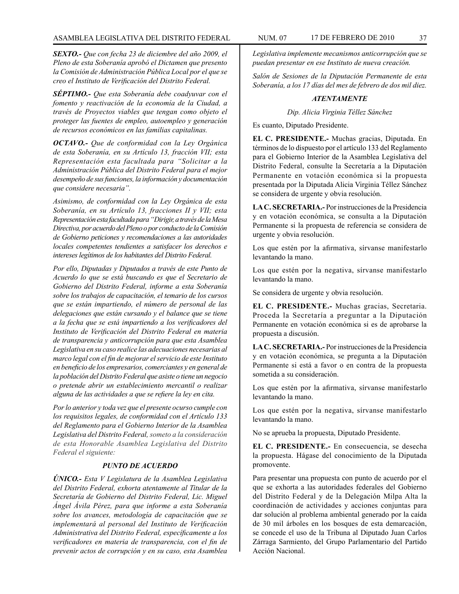*SEXTO.- Que con fecha 23 de diciembre del año 2009, el Pleno de esta Soberanía aprobó el Dictamen que presento la Comisión de Administración Pública Local por el que se creo el Instituto de Verificación del Distrito Federal.* 

*SÉPTIMO.- Que esta Soberanía debe coadyuvar con el fomento y reactivación de la economía de la Ciudad, a través de Proyectos viables que tengan como objeto el proteger las fuentes de empleo, autoempleo y generación de recursos económicos en las familias capitalinas.* 

*OCTAVO.- Que de conformidad con la Ley Orgánica de esta Soberanía, en su Artículo 13, fracción VII; esta Representación esta facultada para "Solicitar a la Administración Pública del Distrito Federal para el mejor desempeño de sus funciones, la información y documentación que considere necesaria".* 

*Asimismo, de conformidad con la Ley Orgánica de esta Soberanía, en su Artículo 13, fracciones II y VII; esta Representación esta facultada para "Dirigir, a través de la Mesa Directiva, por acuerdo del Pleno o por conducto de la Comisión de Gobierno peticiones y recomendaciones a las autoridades locales competentes tendientes a satisfacer los derechos e intereses legítimos de los habitantes del Distrito Federal.* 

*Por ello, Diputadas y Diputados a través de este Punto de Acuerdo lo que se está buscando es que el Secretario de Gobierno del Distrito Federal, informe a esta Soberanía sobre los trabajos de capacitación, el temario de los cursos que se están impartiendo, el número de personal de las delegaciones que están cursando y el balance que se tiene a la fecha que se está impartiendo a los verificadores del Instituto de Verificación del Distrito Federal en materia de transparencia y anticorrupción para que esta Asamblea Legislativa en su caso realice las adecuaciones necesarias al marco legal con el fin de mejorar el servicio de este Instituto en beneficio de los empresarios, comerciantes y en general de la población del Distrito Federal que asiste o tiene un negocio o pretende abrir un establecimiento mercantil o realizar alguna de las actividades a que se refiere la ley en cita.* 

*Por lo anterior y toda vez que el presente ocurso cumple con los requisitos legales, de conformidad con el Artículo 133 del Reglamento para el Gobierno Interior de la Asamblea Legislativa del Distrito Federal, someto a la consideración de esta Honorable Asamblea Legislativa del Distrito Federal el siguiente:* 

#### *PUNTO DE ACUERDO*

*ÚNICO.- Esta V Legislatura de la Asamblea Legislativa del Distrito Federal, exhorta atentamente al Titular de la Secretaría de Gobierno del Distrito Federal, Lic. Miguel Ángel Ávila Pérez, para que informe a esta Soberanía sobre los avances, metodología de capacitación que se implementará al personal del Instituto de Verificación Administrativa del Distrito Federal, específicamente a los verificadores en materia de transparencia, con el fin de prevenir actos de corrupción y en su caso, esta Asamblea* 

*Legislativa implemente mecanismos anticorrupción que se puedan presentar en ese Instituto de nueva creación.* 

*Salón de Sesiones de la Diputación Permanente de esta Soberanía, a los 17 días del mes de febrero de dos mil diez.* 

# *ATENTAMENTE*

*Dip. Alicia Virginia Téllez Sánchez*

Es cuanto, Diputado Presidente.

**EL C. PRESIDENTE.-** Muchas gracias, Diputada. En términos de lo dispuesto por el artículo 133 del Reglamento para el Gobierno Interior de la Asamblea Legislativa del Distrito Federal, consulte la Secretaría a la Diputación Permanente en votación económica si la propuesta presentada por la Diputada Alicia Virginia Téllez Sánchez se considera de urgente y obvia resolución.

**LA C. SECRETARIA.-** Por instrucciones de la Presidencia y en votación económica, se consulta a la Diputación Permanente si la propuesta de referencia se considera de urgente y obvia resolución.

Los que estén por la afirmativa, sírvanse manifestarlo levantando la mano.

Los que estén por la negativa, sírvanse manifestarlo levantando la mano.

Se considera de urgente y obvia resolución.

**EL C. PRESIDENTE.-** Muchas gracias, Secretaria. Proceda la Secretaría a preguntar a la Diputación Permanente en votación económica si es de aprobarse la propuesta a discusión.

**LA C. SECRETARIA.-** Por instrucciones de la Presidencia y en votación económica, se pregunta a la Diputación Permanente si está a favor o en contra de la propuesta sometida a su consideración.

Los que estén por la afirmativa, sírvanse manifestarlo levantando la mano.

Los que estén por la negativa, sírvanse manifestarlo levantando la mano.

No se aprueba la propuesta, Diputado Presidente.

**EL C. PRESIDENTE.-** En consecuencia, se desecha la propuesta. Hágase del conocimiento de la Diputada promovente.

Para presentar una propuesta con punto de acuerdo por el que se exhorta a las autoridades federales del Gobierno del Distrito Federal y de la Delegación Milpa Alta la coordinación de actividades y acciones conjuntas para dar solución al problema ambiental generado por la caída de 30 mil árboles en los bosques de esta demarcación, se concede el uso de la Tribuna al Diputado Juan Carlos Zárraga Sarmiento, del Grupo Parlamentario del Partido Acción Nacional.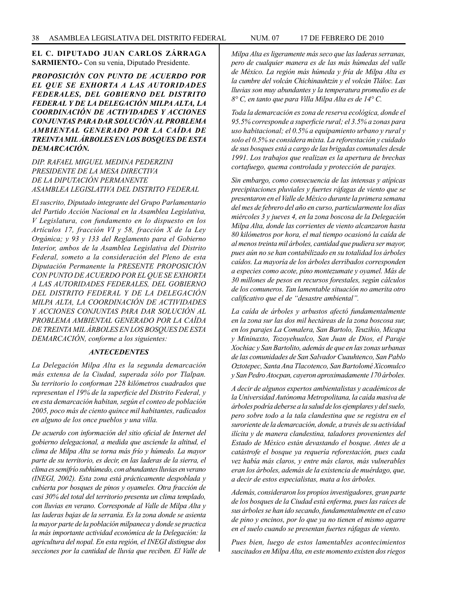# **EL C. DIPUTADO JUAN CARLOS ZÁRRAGA SARMIENTO.-** Con su venia, Diputado Presidente.

*PROPOSICIÓN CON PUNTO DE ACUERDO POR EL QUE SE EXHORTA A LAS AUTORIDADES FEDERALES, DEL GOBIERNO DEL DISTRITO FEDERAL Y DE LA DELEGACIÓN MILPA ALTA, LA COORDINACIÓN DE ACTIVIDADES Y ACCIONES CONJUNTAS PARA DAR SOLUCIÓN AL PROBLEMA AMBIENTAL GENERADO POR LA CAÍDA DE TREINTA MIL ÁRBOLES EN LOS BOSQUES DE ESTA DEMARCACIÓN.*

*DIP. RAFAEL MIGUEL MEDINA PEDERZINI PRESIDENTE DE LA MESA DIRECTIVA DE LA DIPUTACIÓN PERMANENTE ASAMBLEA LEGISLATIVA DEL DISTRITO FEDERAL*

*El suscrito, Diputado integrante del Grupo Parlamentario del Partido Acción Nacional en la Asamblea Legislativa, V Legislatura, con fundamento en lo dispuesto en los Artículos 17, fracción VI y 58, fracción X de la Ley Orgánica; y 93 y 133 del Reglamento para el Gobierno Interior, ambos de la Asamblea Legislativa del Distrito Federal, someto a la consideración del Pleno de esta Diputación Permanente la PRESENTE PROPOSICIÓN CON PUNTO DE ACUERDO POR EL QUE SE EXHORTA A LAS AUTORIDADES FEDERALES, DEL GOBIERNO DEL DISTRITO FEDERAL Y DE LA DELEGACIÓN MILPA ALTA, LA COORDINACIÓN DE ACTIVIDADES Y ACCIONES CONJUNTAS PARA DAR SOLUCIÓN AL PROBLEMA AMBIENTAL GENERADO POR LA CAÍDA DE TREINTA MIL ÁRBOLES EN LOS BOSQUES DE ESTA DEMARCACIÓN, conforme a los siguientes:*

#### *ANTECEDENTES*

*La Delegación Milpa Alta es la segunda demarcación más extensa de la Ciudad, superada sólo por Tlalpan. Su territorio lo conforman 228 kilómetros cuadrados que representan el 19% de la superficie del Distrito Federal, y en esta demarcación habitan, según el conteo de población 2005, poco más de ciento quince mil habitantes, radicados en alguno de los once pueblos y una villa.*

*De acuerdo con información del sitio oficial de Internet del gobierno delegacional, a medida que asciende la altitud, el clima de Milpa Alta se torna más frío y húmedo. La mayor parte de su territorio, es decir, en las laderas de la sierra, el clima es semifrío subhúmedo, con abundantes lluvias en verano (INEGI, 2002). Esta zona está prácticamente despoblada y cubierta por bosques de pinos y oyameles. Otra fracción de casi 30% del total del territorio presenta un clima templado, con lluvias en verano. Corresponde al Valle de Milpa Alta y las laderas bajas de la serrania. Es la zona donde se asienta la mayor parte de la población milpaneca y donde se practica la más importante actividad económica de la Delegación: la agricultura del nopal. En esta región, el INEGI distingue dos secciones por la cantidad de lluvia que reciben. El Valle de* 

*Milpa Alta es ligeramente más seco que las laderas serranas, pero de cualquier manera es de las más húmedas del valle de México. La región más húmeda y fría de Milpa Alta es la cumbre del volcán Chichinauhtzin y el volcán Tláloc. Las lluvias son muy abundantes y la temperatura promedio es de 8° C, en tanto que para Villa Milpa Alta es de 14° C.* 

*Toda la demarcación es zona de reserva ecológica, donde el 95.5% corresponde a superficie rural; el 3.5% a zonas para uso habitacional; el 0.5% a equipamiento urbano y rural y solo el 0.5% se considera mixta. La reforestación y cuidado de sus bosques está a cargo de las brigadas comunales desde 1991. Los trabajos que realizan es la apertura de brechas cortafuego, quema controlada y protección de parajes.* 

*Sin embargo, como consecuencia de las intensas y atípicas precipitaciones pluviales y fuertes ráfagas de viento que se presentaron en el Valle de México durante la primera semana del mes de febrero del año en curso, particularmente los días miércoles 3 y jueves 4, en la zona boscosa de la Delegación Milpa Alta, donde las corrientes de viento alcanzaron hasta 80 kilómetros por hora, el mal tiempo ocasionó la caída de al menos treinta mil árboles, cantidad que pudiera ser mayor, pues aún no se han contabilizado en su totalidad los árboles caídos. La mayoría de los árboles derribados corresponden a especies como acote, píno montezumate y oyamel. Más de 30 millones de pesos en recursos forestales, según cálculos de los comuneros. Tan lamentable situación no amerita otro calificativo que el de "desastre ambiental".*

*La caída de árboles y arbustos afectó fundamentalmente en la zona sur las dos mil hectáreas de la zona boscosa sur, en los parajes La Comalera, San Bartolo, Teuzihio, Micapa y Mininaxto, Tozoyehualco, San Juan de Dios, el Paraje Xochiac y San Bartolito, además de que en las zonas urbanas de las comunidades de San Salvador Cuauhtenco, San Pablo Oztotepec, Santa Ana Tlacotenco, San Bartolomé Xicomulco y San Pedro Atocpan, cayeron aproximadamente 170 árboles.* 

*A decir de algunos expertos ambientalistas y académicos de la Universidad Autónoma Metropolitana, la caída masiva de árboles podría deberse a la salud de los ejemplares y del suelo, pero sobre todo a la tala clandestina que se registra en el suroriente de la demarcación, donde, a través de su actividad ilícita y de manera clandestina, taladores provenientes del Estado de México están devastando el bosque. Antes de a catástrofe el bosque ya requería reforestación, pues cada vez había más claros, y entre más claros, más vulnerables eran los árboles, además de la existencia de muérdago, que, a decir de estos especialistas, mata a los árboles.*

*Además, consideraron los propios investigadores, gran parte de los bosques de la Ciudad está enferma, pues las raíces de sus árboles se han ido secando, fundamentalmente en el caso de pino y encinos, por lo que ya no tienen el mismo agarre en el suelo cuando se presentan fuertes ráfagas de viento.* 

*Pues bien, luego de estos lamentables acontecimientos suscitados en Milpa Alta, en este momento existen dos riegos*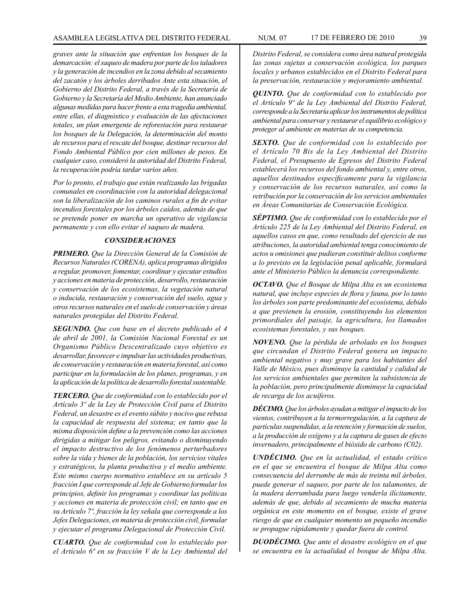*graves ante la situación que enfrentan los bosques de la demarcación: el saqueo de madera por parte de los taladores y la generación de incendios en la zona debido al secamiento del zacatón y los árboles derribados Ante esta situación, el Gobierno del Distrito Federal, a través de la Secretaría de Gobierno y la Secretaría del Medio Ambiente, han anunciado algunas medidas para hacer frente a esta tragedia ambiental, entre ellas, el diagnóstico y evaluación de las afectaciones totales, un plan emergente de reforestación para restaurar los bosques de la Delegación, la determinación del monto de recursos para el rescate del bosque, destinar recursos del Fondo Ambiental Público por cien millones de pesos. En cualquier caso, consideró la autoridad del Distrito Federal, la recuperación podría tardar varios años.*

*Por lo pronto, el trabajo que están realizando las brigadas comunales en coordinación con la autoridad delegacional son la liberalización de los caminos rurales a fin de evitar incendios forestales por los árboles caídos, además de que se pretende poner en marcha un operativo de vigilancia permanente y con ello evitar el saqueo de madera.* 

#### *CONSIDERACIONES*

*PRIMERO. Que la Dirección General de la Comisión de Recursos Naturales (CORENA), aplica programas dirigidos a regular, promover, fomentar, coordinar y ejecutar estudios y acciones en materia de protección, desarrollo, restauración y conservación de los ecosistemas, la vegetación natural o inducida, restauración y conservación del suelo, agua y otros recursos naturales en el suelo de conservación y áreas naturales protegidas del Distrito Federal.*

*SEGUNDO. Que con base en el decreto publicado el 4 de abril de 2001, la Comisión Nacional Forestal es un Organismo Público Descentralizado cuyo objetivo es desarrollar, favorecer e impulsar las actividades productivas, de conservación y restauración en materia forestal, así como participar en la formulación de los planes, programas, y en la aplicación de la política de desarrollo forestal sustentable.*

*TERCERO. Que de conformidad con lo establecido por el Artículo 3º de la Ley de Protección Civil para el Distrito Federal, un desastre es el evento súbito y nocivo que rebasa la capacidad de respuesta del sistema; en tanto que la misma disposición define a la prevención como las acciones dirigidas a mitigar los peligros, evitando o disminuyendo el impacto destructivo de los fenómenos perturbadores sobre la vida y bienes de la población, los servicios vitales y estratégicos, la planta productiva y el medio ambiente. Este mismo cuerpo normativo establece en su artículo 5 fracción I que corresponde al Jefe de Gobierno formular los principios, definir los programas y coordinar las políticas y acciones en materia de protección civil; en tanto que en su Artículo 7º, fracción la ley señala que corresponde a los Jefes Delegaciones, en materia de protección civil, formular y ejecutar el programa Delegacional de Protección Civil.*

*CUARTO. Que de conformidad con lo establecido por el Artículo 6ª en su fracción V de la Ley Ambiental del*  *Distrito Federal, se considera como área natural protegida las zonas sujetas a conservación ecológica, los parques locales y urbanos establecidos en el Distrito Federal para la preservación, restauración y mejoramiento ambiental.*

*QUINTO. Que de conformidad con lo establecido por el Artículo 9º de la Ley Ambiental del Distrito Federal, corresponde a la Secretaría aplicar los instrumentos de política ambiental para conservar y restaurar el equilibrio ecológico y proteger al ambiente en materias de su competencia.*

*SEXTO. Que de conformidad con lo establecido por el Artículo 70 Bis de la Ley Ambiental del Distrito Federal, el Presupuesto de Egresos del Distrito Federal establecerá los recursos del fondo ambiental y, entre otros, aquellos destinados específicamente para la vigilancia y conservación de los recursos naturales, así como la retribución por la conservación de los servicios ambientales en Áreas Comunitarias de Conservación Ecológica.*

*SÉPTIMO. Que de conformidad con lo establecido por el Artículo 225 de la Ley Ambiental del Distrito Federal, en aquellos casos en que, como resultado del ejercicio de sus atribuciones, la autoridad ambiental tenga conocimiento de actos u omisiones que pudieran constituir delitos conforme a lo previsto en la legislación penal aplicable, formulará ante el Ministerio Público la denuncia correspondiente.* 

*OCTAVO. Que el Bosque de Milpa Alta es un ecosistema natural, que incluye especies de flora y fauna, por lo tanto los árboles son parte predominante del ecosistema, debido a que previenen la erosión, constituyendo los elementos primordiales del paisaje, la agricultura, los llamados ecosistemas forestales, y sus bosques.*

*NOVENO. Que la pérdida de arbolado en los bosques que circundan el Distrito Federal genera un impacto ambiental negativo y muy grave para los habitantes del Valle de México, pues disminuye la cantidad y calidad de los servicios ambientales que permiten la subsistencia de la población, pero principalmente disminuye la capacidad de recarga de los acuíferos.*

*DÉCIMO. Que los árboles ayudan a mitigar el impacto de los vientos, contribuyen a la termorregulación, a la captura de partículas suspendidas, a la retención y formación de suelos, a la producción de oxígeno y a la captura de gases de efecto invernadero, principalmente el bióxido de carbono (C02).*

*UNDÉCIMO. Que en la actualidad, el estado crítico en el que se encuentra el bosque de Milpa Alta como consecuencia del derrumbe de más de treinta mil árboles, puede generar el saqueo, por parte de los talamontes, de la madera derrumbada para luego venderla ilícitamente, además de que, debido al secamiento de mucha materia orgánica en este momento en el bosque, existe el grave riesgo de que en cualquier momento un pequeño incendio se propague rápidamente y quedar fuera de control.* 

*DUODÉCIMO. Que ante el desastre ecológico en el que se encuentra en la actualidad el bosque de Milpa Alta,*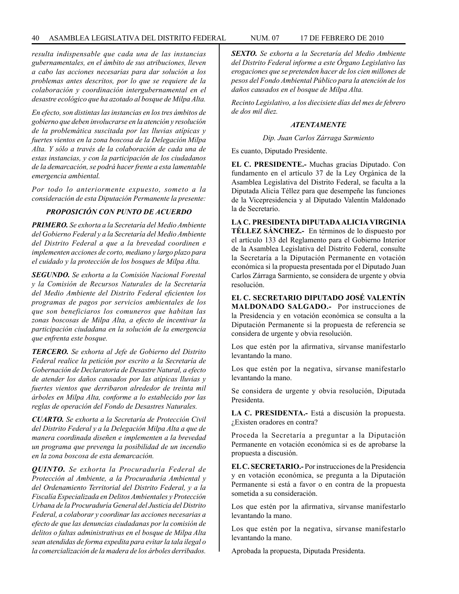*resulta indispensable que cada una de las instancias gubernamentales, en el ámbito de sus atribuciones, lleven a cabo las acciones necesarias para dar solución a los problemas antes descritos, por lo que se requiere de la colaboración y coordinación intergubernamental en el desastre ecológico que ha azotado al bosque de Milpa Alta.*

*En efecto, son distintas las instancias en los tres ámbitos de gobierno que deben involucrarse en la atención y resolución de la problemática suscitada por las lluvias atípicas y fuertes vientos en la zona boscosa de la Delegación Milpa Alta. Y sólo a través de la colaboración de cada una de estas instancias, y con la participación de los ciudadanos de la demarcación, se podrá hacer frente a esta lamentable emergencia ambiental.*

*Por todo lo anteriormente expuesto, someto a la consideración de esta Diputación Permanente la presente:*

# *PROPOSICIÓN CON PUNTO DE ACUERDO*

*PRIMERO. Se exhorta a la Secretaría del Medio Ambiente del Gobierno Federal y a la Secretaría del Medio Ambiente del Distrito Federal a que a la brevedad coordinen e implementen acciones de corto, mediano y largo plazo para el cuidado y la protección de los bosques de Milpa Alta.*

*SEGUNDO. Se exhorta a la Comisión Nacional Forestal y la Comisión de Recursos Naturales de la Secretaría del Medio Ambiente del Distrito Federal eficienten los programas de pagos por servicios ambientales de los que son beneficiaros los comuneros que habitan las zonas boscosas de Milpa Alta, a efecto de incentivar la participación ciudadana en la solución de la emergencia que enfrenta este bosque.* 

*TERCERO. Se exhorta al Jefe de Gobierno del Distrito Federal realice la petición por escrito a la Secretaría de Gobernación de Declaratoria de Desastre Natural, a efecto de atender los daños causados por las atípicas lluvias y fuertes vientos que derribaron alrededor de treinta mil árboles en Milpa Alta, conforme a lo establecido por las reglas de operación del Fondo de Desastres Naturales.*

*CUARTO. Se exhorta a la Secretaría de Protección Civil del Distrito Federal y a la Delegación Milpa Alta a que de manera coordinada diseñen e implementen a la brevedad un programa que prevenga la posibilidad de un incendio en la zona boscosa de esta demarcación.*

*QUINTO. Se exhorta la Procuraduría Federal de Protección al Ambiente, a la Procuraduría Ambiental y del Ordenamiento Territorial del Distrito Federal, y a la Fiscalía Especializada en Delitos Ambientales y Protección Urbana de la Procuraduría General del Justicia del Distrito Federal, a colaborar y coordinar las acciones necesarias a efecto de que las denuncias ciudadanas por la comisión de delitos o faltas administrativas en el bosque de Milpa Alta sean atendidas de forma expedita para evitar la tala ilegal o la comercialización de la madera de los árboles derribados.*

*SEXTO. Se exhorta a la Secretaría del Medio Ambiente del Distrito Federal informe a este Órgano Legislativo las erogaciones que se pretenden hacer de los cien millones de pesos del Fondo Ambiental Público para la atención de los daños causados en el bosque de Milpa Alta.*

*Recinto Legislativo, a los diecisiete días del mes de febrero de dos mil diez.*

#### *ATENTAMENTE*

*Dip. Juan Carlos Zárraga Sarmiento*

Es cuanto, Diputado Presidente.

**EL C. PRESIDENTE.-** Muchas gracias Diputado. Con fundamento en el artículo 37 de la Ley Orgánica de la Asamblea Legislativa del Distrito Federal, se faculta a la Diputada Alicia Téllez para que desempeñe las funciones de la Vicepresidencia y al Diputado Valentín Maldonado la de Secretario.

**LA C. PRESIDENTA DIPUTADA ALICIA VIRGINIA TÉLLEZ SÁNCHEZ.-** En términos de lo dispuesto por el artículo 133 del Reglamento para el Gobierno Interior de la Asamblea Legislativa del Distrito Federal, consulte la Secretaría a la Diputación Permanente en votación económica si la propuesta presentada por el Diputado Juan Carlos Zárraga Sarmiento, se considera de urgente y obvia resolución.

**EL C. SECRETARIO DIPUTADO JOSÉ VALENTÍN MALDONADO SALGADO.-** Por instrucciones de la Presidencia y en votación económica se consulta a la Diputación Permanente si la propuesta de referencia se considera de urgente y obvia resolución.

Los que estén por la afirmativa, sírvanse manifestarlo levantando la mano.

Los que estén por la negativa, sírvanse manifestarlo levantando la mano.

Se considera de urgente y obvia resolución, Diputada Presidenta.

**LA C. PRESIDENTA.-** Está a discusión la propuesta. ¿Existen oradores en contra?

Proceda la Secretaría a preguntar a la Diputación Permanente en votación económica si es de aprobarse la propuesta a discusión.

**EL C. SECRETARIO.-** Por instrucciones de la Presidencia y en votación económica, se pregunta a la Diputación Permanente si está a favor o en contra de la propuesta sometida a su consideración.

Los que estén por la afirmativa, sírvanse manifestarlo levantando la mano.

Los que estén por la negativa, sírvanse manifestarlo levantando la mano.

Aprobada la propuesta, Diputada Presidenta.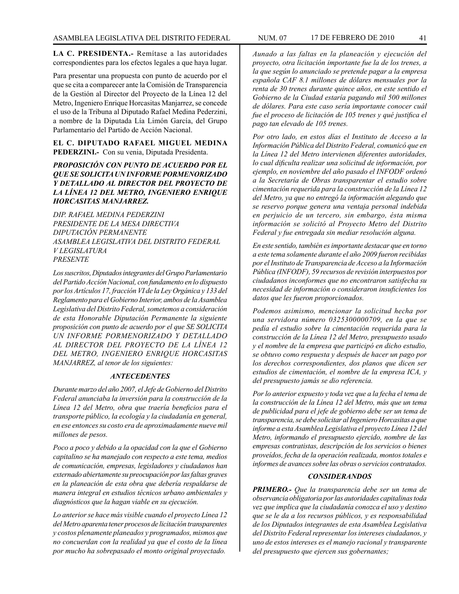**LA C. PRESIDENTA.-** Remítase a las autoridades correspondientes para los efectos legales a que haya lugar.

Para presentar una propuesta con punto de acuerdo por el que se cita a comparecer ante la Comisión de Transparencia de la Gestión al Director del Proyecto de la Línea 12 del Metro, Ingeniero Enrique Horcasitas Manjarrez, se concede el uso de la Tribuna al Diputado Rafael Medina Pederzini, a nombre de la Diputada Lía Limón García, del Grupo Parlamentario del Partido de Acción Nacional.

**EL C. DIPUTADO RAFAEL MIGUEL MEDINA PEDERZINI.-** Con su venia, Diputada Presidenta.

# *PROPOSICIÓN CON PUNTO DE ACUERDO POR EL QUE SE SOLICITA UN INFORME PORMENORIZADO Y DETALLADO AL DIRECTOR DEL PROYECTO DE LA LÍNEA 12 DEL METRO, INGENIERO ENRIQUE HORCASITAS MANJARREZ.*

*DIP. RAFAEL MEDINA PEDERZINI PRESIDENTE DE LA MESA DIRECTIVA DIPUTACIÓN PERMANENTE ASAMBLEA LEGISLATIVA DEL DISTRITO FEDERAL V LEGISLATURA PRESENTE*

*Los suscritos, Diputados integrantes del Grupo Parlamentario del Partido Acción Nacional, con fundamento en lo dispuesto por los Artículos 17, fracción VI de la Ley Orgánica y 133 del Reglamento para el Gobierno Interior, ambos de la Asamblea Legislativa del Distrito Federal, sometemos a consideración de esta Honorable Diputación Permanente la siguiente proposición con punto de acuerdo por el que SE SOLICITA UN INFORME PORMENORIZADO Y DETALLADO AL DIRECTOR DEL PROYECTO DE LA LÍNEA 12 DEL METRO, INGENIERO ENRIQUE HORCASITAS MANJARREZ, al tenor de los siguientes:*

# *ANTECEDENTES*

*Durante marzo del año 2007, el Jefe de Gobierno del Distrito Federal anunciaba la inversión para la construcción de la Línea 12 del Metro, obra que traería beneficios para el transporte público, la ecología y la ciudadanía en general, en ese entonces su costo era de aproximadamente nueve mil millones de pesos.* 

*Poco a poco y debido a la opacidad con la que el Gobierno capitalino se ha manejado con respecto a este tema, medios de comunicación, empresas, legisladores y ciudadanos han externado abiertamente su preocupación por las faltas graves en la planeación de esta obra que debería respaldarse de manera integral en estudios técnicos urbano ambientales y diagnósticos que la hagan viable en su ejecución.*

*Lo anterior se hace más visible cuando el proyecto Línea 12 del Metro aparenta tener procesos de licitación transparentes y costos plenamente planeados y programados, mismos que no concuerdan con la realidad ya que el costo de la línea por mucho ha sobrepasado el monto original proyectado.*

*Aunado a las faltas en la planeación y ejecución del proyecto, otra licitación importante fue la de los trenes, a la que según lo anunciado se pretende pagar a la empresa española CAF 8.1 millones de dólares mensuales por la renta de 30 trenes durante quince años, en este sentido el Gobierno de la Ciudad estaría pagando mil 500 millones de dólares. Para este caso sería importante conocer cuál fue el proceso de licitación de 105 trenes y qué justifica el pago tan elevado de 105 trenes.*

*Por otro lado, en estos días el Instituto de Acceso a la Información Pública del Distrito Federal, comunicó que en la Línea 12 del Metro intervienen diferentes autoridades, lo cual dificulta realizar una solicitud de información, por ejemplo, en noviembre del año pasado el INFODF ordenó a la Secretaría de Obras transparentar el estudio sobre cimentación requerida para la construcción de la Línea 12 del Metro, ya que no entregó la información alegando que se reservo porque genera una ventaja personal indebida en perjuicio de un tercero, sin embargo, ésta misma información se solicitó al Proyecto Metro del Distrito Federal y fue entregada sin mediar resolución alguna.*

*En este sentido, también es importante destacar que en torno a este tema solamente durante el año 2009 fueron recibidas por el Instituto de Transparencia de Acceso a la Información Pública (INFODF), 59 recursos de revisión interpuestos por ciudadanos inconformes que no encontraron satisfecha su necesidad de información o consideraron insuficientes los datos que les fueron proporcionados.*

*Podemos asimismo, mencionar la solicitud hecha por una servidora número 0325300000709, en la que se pedía el estudio sobre la cimentación requerida para la construcción de la Línea 12 del Metro, presupuesto usado y el nombre de la empresa que participó en dicho estudio, se obtuvo como respuesta y después de hacer un pago por los derechos correspondientes, dos planos que dicen ser estudios de cimentación, el nombre de la empresa ICA, y del presupuesto jamás se dio referencia.*

*Por lo anterior expuesto y toda vez que a la fecha el tema de la construcción de la Línea 12 del Metro, más que un tema de publicidad para el jefe de gobierno debe ser un tema de transparencia, se debe solicitar al Ingeniero Horcasitas a que informe a esta Asamblea Legislativa el proyecto Línea 12 del Metro, informando el presupuesto ejercido, nombre de las empresas contratistas, descripción de los servicios o bienes proveídos, fecha de la operación realizada, montos totales e informes de avances sobre las obras o servicios contratados.*

#### *CONSIDERANDOS*

*PRIMERO.- Que la transparencia debe ser un tema de observancia obligatoria por las autoridades capitalinas toda vez que implica que la ciudadanía conozca el uso y destino que se le da a los recursos públicos, y es responsabilidad de los Diputados integrantes de esta Asamblea Legislativa del Distrito Federal representar los intereses ciudadanos, y uno de estos intereses es el manejo racional y transparente del presupuesto que ejercen sus gobernantes;*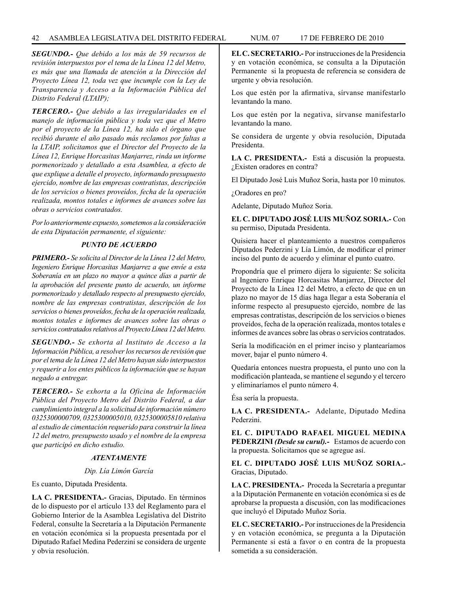*SEGUNDO.- Que debido a los más de 59 recursos de revisión interpuestos por el tema de la Línea 12 del Metro, es más que una llamada de atención a la Dirección del Proyecto Línea 12, toda vez que incumple con la Ley de Transparencia y Acceso a la Información Pública del Distrito Federal (LTAIP);*

*TERCERO.- Que debido a las irregularidades en el manejo de información pública y toda vez que el Metro por el proyecto de la Línea 12, ha sido el órgano que recibió durante el año pasado más reclamos por faltas a la LTAIP, solicitamos que el Director del Proyecto de la Línea 12, Enrique Horcasitas Manjarrez, rinda un informe pormenorizado y detallado a esta Asamblea, a efecto de que explique a detalle el proyecto, informando presupuesto ejercido, nombre de las empresas contratistas, descripción de los servicios o bienes proveídos, fecha de la operación realizada, montos totales e informes de avances sobre las obras o servicios contratados.*

*Por lo anteriormente expuesto, sometemos a la consideración de esta Diputación permanente, el siguiente:*

# *PUNTO DE ACUERDO*

*PRIMERO.- Se solicita al Director de la Línea 12 del Metro, Ingeniero Enrique Horcasitas Manjarrez a que envíe a esta Soberanía en un plazo no mayor a quince días a partir de la aprobación del presente punto de acuerdo, un informe pormenorizado y detallado respecto al presupuesto ejercido, nombre de las empresas contratistas, descripción de los servicios o bienes proveídos, fecha de la operación realizada, montos totales e informes de avances sobre las obras o servicios contratados relativos al Proyecto Línea 12 del Metro.*

*SEGUNDO.- Se exhorta al Instituto de Acceso a la Información Pública, a resolver los recursos de revisión que por el tema de la Línea 12 del Metro hayan sido interpuestos y requerir a los entes públicos la información que se hayan negado a entregar.* 

*TERCERO.- Se exhorta a la Oficina de Información Pública del Proyecto Metro del Distrito Federal, a dar cumplimiento integral a la solicitud de información número 0325300000709, 0325300005010, 0325300005810 relativa al estudio de cimentación requerido para construir la línea 12 del metro, presupuesto usado y el nombre de la empresa que participó en dicho estudio.*

# *ATENTAMENTE*

# *Dip. Lía Limón García*

Es cuanto, Diputada Presidenta.

**LA C. PRESIDENTA.-** Gracias, Diputado. En términos de lo dispuesto por el artículo 133 del Reglamento para el Gobierno Interior de la Asamblea Legislativa del Distrito Federal, consulte la Secretaría a la Diputación Permanente en votación económica si la propuesta presentada por el Diputado Rafael Medina Pederzini se considera de urgente y obvia resolución.

**EL C. SECRETARIO.-** Por instrucciones de la Presidencia y en votación económica, se consulta a la Diputación Permanente si la propuesta de referencia se considera de urgente y obvia resolución.

Los que estén por la afirmativa, sírvanse manifestarlo levantando la mano.

Los que estén por la negativa, sírvanse manifestarlo levantando la mano.

Se considera de urgente y obvia resolución, Diputada Presidenta.

**LA C. PRESIDENTA.-** Está a discusión la propuesta. ¿Existen oradores en contra?

El Diputado José Luis Muñoz Soria, hasta por 10 minutos.

¿Oradores en pro?

Adelante, Diputado Muñoz Soria.

**EL C. DIPUTADO JOSÉ LUIS MUÑOZ SORIA.-** Con su permiso, Diputada Presidenta.

Quisiera hacer el planteamiento a nuestros compañeros Diputados Pederzini y Lía Limón, de modificar el primer inciso del punto de acuerdo y eliminar el punto cuatro.

Propondría que el primero dijera lo siguiente: Se solicita al Ingeniero Enrique Horcasitas Manjarrez, Director del Proyecto de la Línea 12 del Metro, a efecto de que en un plazo no mayor de 15 días haga llegar a esta Soberanía el informe respecto al presupuesto ejercido, nombre de las empresas contratistas, descripción de los servicios o bienes proveídos, fecha de la operación realizada, montos totales e informes de avances sobre las obras o servicios contratados.

Sería la modificación en el primer inciso y plantearíamos mover, bajar el punto número 4.

Quedaría entonces nuestra propuesta, el punto uno con la modificación planteada, se mantiene el segundo y el tercero y eliminaríamos el punto número 4.

Ésa sería la propuesta.

**LA C. PRESIDENTA.-** Adelante, Diputado Medina Pederzini.

**EL C. DIPUTADO RAFAEL MIGUEL MEDINA PEDERZINI** *(Desde su curul).-* Estamos de acuerdo con la propuesta. Solicitamos que se agregue así.

**EL C. DIPUTADO JOSÉ LUIS MUÑOZ SORIA.-** Gracias, Diputado.

**LA C. PRESIDENTA.-** Proceda la Secretaría a preguntar a la Diputación Permanente en votación económica si es de aprobarse la propuesta a discusión, con las modificaciones que incluyó el Diputado Muñoz Soria.

**EL C. SECRETARIO.-** Por instrucciones de la Presidencia y en votación económica, se pregunta a la Diputación Permanente si está a favor o en contra de la propuesta sometida a su consideración.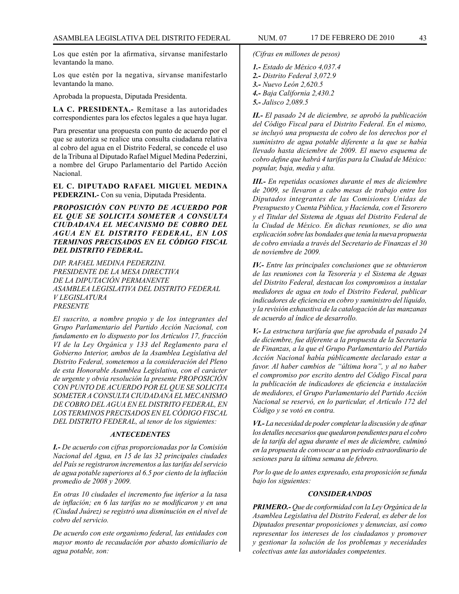Los que estén por la afirmativa, sírvanse manifestarlo levantando la mano.

Los que estén por la negativa, sírvanse manifestarlo levantando la mano.

Aprobada la propuesta, Diputada Presidenta.

**LA C. PRESIDENTA.-** Remítase a las autoridades correspondientes para los efectos legales a que haya lugar.

Para presentar una propuesta con punto de acuerdo por el que se autoriza se realice una consulta ciudadana relativa al cobro del agua en el Distrito Federal, se concede el uso de la Tribuna al Diputado Rafael Miguel Medina Pederzini, a nombre del Grupo Parlamentario del Partido Acción Nacional.

**EL C. DIPUTADO RAFAEL MIGUEL MEDINA PEDERZINI.-** Con su venia, Diputada Presidenta.

*PROPOSICIÓN CON PUNTO DE ACUERDO POR EL QUE SE SOLICITA SOMETER A CONSULTA CIUDADANA EL MECANISMO DE COBRO DEL AGUA EN EL DISTRITO FEDERAL, EN LOS TERMINOS PRECISADOS EN EL CÓDIGO FISCAL DEL DISTRITO FEDERAL.*

*DIP. RAFAEL MEDINA PEDERZINI. PRESIDENTE DE LA MESA DIRECTIVA DE LA DIPUTACIÓN PERMANENTE ASAMBLEA LEGISLATIVA DEL DISTRITO FEDERAL V LEGISLATURA PRESENTE*

*El suscrito, a nombre propio y de los integrantes del Grupo Parlamentario del Partido Acción Nacional, con fundamento en lo dispuesto por los Artículos 17, fracción VI de la Ley Orgánica y 133 del Reglamento para el Gobierno Interior, ambos de la Asamblea Legislativa del Distrito Federal, sometemos a la consideración del Pleno de esta Honorable Asamblea Legislativa, con el carácter de urgente y obvia resolución la presente PROPOSICIÓN CON PUNTO DE ACUERDO POR EL QUE SE SOLICITA SOMETER A CONSULTA CIUDADANA EL MECANISMO DE COBRO DEL AGUA EN EL DISTRITO FEDERAL, EN LOS TERMINOS PRECISADOS EN EL CÓDIGO FISCAL DEL DISTRITO FEDERAL, al tenor de los siguientes:*

#### *ANTECEDENTES*

*I.- De acuerdo con cifras proporcionadas por la Comisión Nacional del Agua, en 15 de las 32 principales ciudades del País se registraron incrementos a las tarifas del servicio de agua potable superiores al 6.5 por ciento de la inflación promedio de 2008 y 2009.*

*En otras 10 ciudades el incremento fue inferior a la tasa de inflación; en 6 las tarifas no se modificaron y en una (Ciudad Juárez) se registró una disminución en el nivel de cobro del servicio.*

*De acuerdo con este organismo federal, las entidades con mayor monto de recaudación por abasto domiciliario de agua potable, son:* 

*(Cifras en millones de pesos)*

- *1.- Estado de México 4,037.4*
- *2.- Distrito Federal 3,072.9*
- *3.- Nuevo León 2,620.5*
- *4.- Baja California 2,430.2*
- *5.- Jalisco 2,089.5*

*II.- El pasado 24 de diciembre, se aprobó la publicación del Código Fiscal para el Distrito Federal. En el mismo, se incluyó una propuesta de cobro de los derechos por el suministro de agua potable diferente a la que se había llevado hasta diciembre de 2009. El nuevo esquema de cobro define que habrá 4 tarifas para la Ciudad de México: popular, baja, media y alta.*

*III.- En repetidas ocasiones durante el mes de diciembre de 2009, se llevaron a cabo mesas de trabajo entre los Diputados integrantes de las Comisiones Unidas de Presupuesto y Cuenta Pública, y Hacienda, con el Tesorero y el Titular del Sistema de Aguas del Distrito Federal de la Ciudad de México. En dichas reuniones, se dio una explicación sobre las bondades que tenía la nueva propuesta de cobro enviada a través del Secretario de Finanzas el 30 de noviembre de 2009.*

*IV.- Entre las principales conclusiones que se obtuvieron de las reuniones con la Tesorería y el Sistema de Aguas del Distrito Federal, destacan los compromisos a instalar medidores de agua en todo el Distrito Federal, publicar indicadores de eficiencia en cobro y suministro del líquido, y la revisión exhaustiva de la catalogación de las manzanas de acuerdo al índice de desarrollo.*

*V.- La estructura tarifaría que fue aprobada el pasado 24 de diciembre, fue diferente a la propuesta de la Secretaría de Finanzas, a la que el Grupo Parlamentario del Partido Acción Nacional había públicamente declarado estar a favor. Al haber cambios de "última hora", y al no haber el compromiso por escrito dentro del Código Fiscal para la publicación de indicadores de eficiencia e instalación de medidores, el Grupo Parlamentario del Partido Acción Nacional se reservó, en lo particular, el Artículo 172 del Código y se votó en contra.*

*VI.- La necesidad de poder completar la discusión y de afinar los detalles necesarios que quedaron pendientes para el cobro de la tarifa del agua durante el mes de diciembre, culminó en la propuesta de convocar a un periodo extraordinario de sesiones para la última semana de febrero.*

*Por lo que de lo antes expresado, esta proposición se funda bajo los siguientes:*

#### *CONSIDERANDOS*

*PRIMERO.- Que de conformidad con la Ley Orgánica de la Asamblea Legislativa del Distrito Federal, es deber de los Diputados presentar proposiciones y denuncias, así como representar los intereses de los ciudadanos y promover y gestionar la solución de los problemas y necesidades colectivas ante las autoridades competentes.*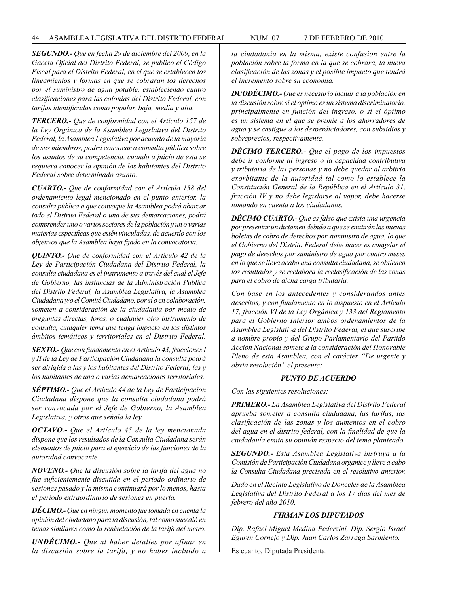*SEGUNDO.- Que en fecha 29 de diciembre del 2009, en la Gaceta Oficial del Distrito Federal, se publicó el Código Fiscal para el Distrito Federal, en el que se establecen los lineamientos y formas en que se cobrarán los derechos por el suministro de agua potable, estableciendo cuatro clasificaciones para las colonias del Distrito Federal, con tarifas identificadas como popular, baja, media y alta.* 

*TERCERO.- Que de conformidad con el Artículo 157 de la Ley Orgánica de la Asamblea Legislativa del Distrito Federal, la Asamblea Legislativa por acuerdo de la mayoría de sus miembros, podrá convocar a consulta pública sobre los asuntos de su competencia, cuando a juicio de ésta se requiera conocer la opinión de los habitantes del Distrito Federal sobre determinado asunto.*

*CUARTO.- Que de conformidad con el Artículo 158 del ordenamiento legal mencionado en el punto anterior, la consulta pública a que convoque la Asamblea podrá abarcar todo el Distrito Federal o una de sus demarcaciones, podrá comprender uno o varios sectores de la población y un o varias materias especificas que estén vinculadas, de acuerdo con los objetivos que la Asamblea haya fijado en la convocatoria.*

*QUINTO.- Que de conformidad con el Artículo 42 de la Ley de Participación Ciudadana del Distrito Federal, la consulta ciudadana es el instrumento a través del cual el Jefe de Gobierno, las instancias de la Administración Pública del Distrito Federal, la Asamblea Legislativa, la Asamblea Ciudadana y/o el Comité Ciudadano, por sí o en colaboración, someten a consideración de la ciudadanía por medio de preguntas directas, foros, o cualquier otro instrumento de consulta, cualquier tema que tenga impacto en los distintos ámbitos temáticos y territoriales en el Distrito Federal.*

*SEXTO.- Que con fundamento en el Artículo 43, fracciones I y II de la Ley de Participación Ciudadana la consulta podrá ser dirigida a las y los habitantes del Distrito Federal; las y los habitantes de una o varias demarcaciones territoriales.* 

*SÉPTIMO.- Que el Artículo 44 de la Ley de Participación Ciudadana dispone que la consulta ciudadana podrá ser convocada por el Jefe de Gobierno, la Asamblea Legislativa, y otros que señala la ley.* 

*OCTAVO.- Que el Artículo 45 de la ley mencionada dispone que los resultados de la Consulta Ciudadana serán elementos de juicio para el ejercicio de las funciones de la autoridad convocante.* 

*NOVENO.- Que la discusión sobre la tarifa del agua no fue suficientemente discutida en el periodo ordinario de sesiones pasado y la misma continuará por lo menos, hasta el periodo extraordinario de sesiones en puerta.*

*DÉCIMO.- Que en ningún momento fue tomada en cuenta la opinión del ciudadano para la discusión, tal como sucedió en temas similares como la renivelación de la tarifa del metro.*

*UNDÉCIMO.- Que al haber detalles por afinar en la discusión sobre la tarifa, y no haber incluido a* 

*la ciudadanía en la misma, existe confusión entre la población sobre la forma en la que se cobrará, la nueva clasificación de las zonas y el posible impactó que tendrá el incremento sobre su economía.*

*DUODÉCIMO.- Que es necesario incluir a la población en la discusión sobre si el óptimo es un sistema discriminatorio, principalmente en función del ingreso, o si el óptimo es un sistema en el que se premie a los ahorradores de agua y se castigue a los desperdiciadores, con subsidios y sobreprecios, respectivamente.*

*DÉCIMO TERCERO.- Que el pago de los impuestos debe ir conforme al ingreso o la capacidad contributiva y tributaria de las personas y no debe quedar al arbitrio exorbitante de la autoridad tal como lo establece la Constitución General de la República en el Artículo 31, fracción IV y no debe legislarse al vapor, debe hacerse tomando en cuenta a los ciudadanos.*

*DÉCIMO CUARTO.- Que es falso que exista una urgencia por presentar un dictamen debido a que se emitirán las nuevas boletas de cobro de derechos por suministro de agua, lo que el Gobierno del Distrito Federal debe hacer es congelar el pago de derechos por suministro de agua por cuatro meses en lo que se lleva acabo una consulta ciudadana, se obtienen los resultados y se reelabora la reclasificación de las zonas para el cobro de dicha carga tributaria.*

*Con base en los antecedentes y considerandos antes descritos, y con fundamento en lo dispuesto en el Artículo 17, fracción VI de la Ley Orgánica y 133 del Reglamento para el Gobierno Interior ambos ordenamientos de la Asamblea Legislativa del Distrito Federal, el que suscribe a nombre propio y del Grupo Parlamentario del Partido Acción Nacional somete a la consideración del Honorable Pleno de esta Asamblea, con el carácter "De urgente y obvia resolución" el presente:*

#### *PUNTO DE ACUERDO*

*Con las siguientes resoluciones:*

*PRIMERO.- La Asamblea Legislativa del Distrito Federal aprueba someter a consulta ciudadana, las tarifas, las clasificación de las zonas y los aumentos en el cobro del agua en el distrito federal, con la finalidad de que la ciudadanía emita su opinión respecto del tema planteado.* 

*SEGUNDO.- Esta Asamblea Legislativa instruya a la Comisión de Participación Ciudadana organice y lleve a cabo la Consulta Ciudadana precisada en el resolutivo anterior.*

*Dado en el Recinto Legislativo de Donceles de la Asamblea Legislativa del Distrito Federal a los 17 días del mes de febrero del año 2010.*

# *FIRMAN LOS DIPUTADOS*

*Dip. Rafael Miguel Medina Pederzini, Dip. Sergio Israel Eguren Cornejo y Dip. Juan Carlos Zárraga Sarmiento.*

Es cuanto, Diputada Presidenta.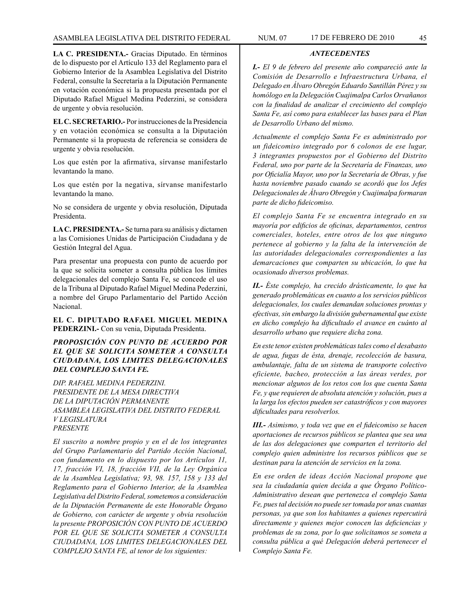*ANTECEDENTES*

**LA C. PRESIDENTA.-** Gracias Diputado. En términos de lo dispuesto por el Artículo 133 del Reglamento para el Gobierno Interior de la Asamblea Legislativa del Distrito Federal, consulte la Secretaría a la Diputación Permanente en votación económica si la propuesta presentada por el Diputado Rafael Miguel Medina Pederzini, se considera de urgente y obvia resolución.

**EL C. SECRETARIO.-** Por instrucciones de la Presidencia y en votación económica se consulta a la Diputación Permanente si la propuesta de referencia se considera de urgente y obvia resolución.

Los que estén por la afirmativa, sírvanse manifestarlo levantando la mano.

Los que estén por la negativa, sírvanse manifestarlo levantando la mano.

No se considera de urgente y obvia resolución, Diputada Presidenta.

**LA C. PRESIDENTA.-** Se turna para su análisis y dictamen a las Comisiones Unidas de Participación Ciudadana y de Gestión Integral del Agua.

Para presentar una propuesta con punto de acuerdo por la que se solicita someter a consulta pública los límites delegacionales del complejo Santa Fe, se concede el uso de la Tribuna al Diputado Rafael Miguel Medina Pederzini, a nombre del Grupo Parlamentario del Partido Acción Nacional.

**EL C. DIPUTADO RAFAEL MIGUEL MEDINA PEDERZINI.-** Con su venia, Diputada Presidenta.

# *PROPOSICIÓN CON PUNTO DE ACUERDO POR EL QUE SE SOLICITA SOMETER A CONSULTA CIUDADANA, LOS LIMITES DELEGACIONALES DEL COMPLEJO SANTA FE.*

*DIP. RAFAEL MEDINA PEDERZINI. PRESIDENTE DE LA MESA DIRECTIVA DE LA DIPUTACIÓN PERMANENTE ASAMBLEA LEGISLATIVA DEL DISTRITO FEDERAL V LEGISLATURA PRESENTE*

*El suscrito a nombre propio y en el de los integrantes del Grupo Parlamentario del Partido Acción Nacional, con fundamento en lo dispuesto por los Artículos 11, 17, fracción VI, 18, fracción VII, de la Ley Orgánica de la Asamblea Legislativa; 93, 98. 157, 158 y 133 del Reglamento para el Gobierno Interior, de la Asamblea Legislativa del Distrito Federal, sometemos a consideración de la Diputación Permanente de este Honorable Órgano de Gobierno, con carácter de urgente y obvia resolución la presente PROPOSICIÓN CON PUNTO DE ACUERDO POR EL QUE SE SOLICITA SOMETER A CONSULTA CIUDADANA, LOS LIMITES DELEGACIONALES DEL COMPLEJO SANTA FE, al tenor de los siguientes:*

*I.- El 9 de febrero del presente año compareció ante la Comisión de Desarrollo e Infraestructura Urbana, el Delegado en Álvaro Obregón Eduardo Santillán Pérez y su homólogo en la Delegación Cuajimalpa Carlos Orvañanos con la finalidad de analizar el crecimiento del complejo Santa Fe, así como para establecer las bases para el Plan de Desarrollo Urbano del mismo.* 

*Actualmente el complejo Santa Fe es administrado por un fideicomiso integrado por 6 colonos de ese lugar, 3 integrantes propuestos por el Gobierno del Distrito Federal, uno por parte de la Secretaría de Finanzas, uno por Oficialía Mayor, uno por la Secretaría de Obras, y fue hasta noviembre pasado cuando se acordó que los Jefes Delegacionales de Álvaro Obregón y Cuajimalpa formaran parte de dicho fideicomiso.*

*El complejo Santa Fe se encuentra integrado en su mayoría por edificios de oficinas, departamentos, centros comerciales, hoteles, entre otros de los que ninguno pertenece al gobierno y la falta de la intervención de las autoridades delegacionales correspondientes a las demarcaciones que comparten su ubicación, lo que ha ocasionado diversos problemas.*

*II.- Éste complejo, ha crecido drásticamente, lo que ha generado problemáticas en cuanto a los servicios públicos delegacionales, los cuales demandan soluciones prontas y efectivas, sin embargo la división gubernamental que existe en dicho complejo ha dificultado el avance en cuánto al desarrollo urbano que requiere dicha zona.*

*En este tenor existen problemáticas tales como el desabasto de agua, fugas de ésta, drenaje, recolección de basura, ambulantaje, falta de un sistema de transporte colectivo eficiente, bacheo, protección a las áreas verdes, por mencionar algunos de los retos con los que cuenta Santa Fe, y que requieren de absoluta atención y solución, pues a la larga los efectos pueden ser catastróficos y con mayores dificultades para resolverlos.*

*III.- Asimismo, y toda vez que en el fideicomiso se hacen aportaciones de recursos públicos se plantea que sea una de las dos delegaciones que comparten el territorio del complejo quien administre los recursos públicos que se destinan para la atención de servicios en la zona.*

*En ese orden de ideas Acción Nacional propone que sea la ciudadanía quien decida a que Órgano Político-Administrativo desean que pertenezca el complejo Santa Fe, pues tal decisión no puede ser tomada por unas cuantas personas, ya que son los habitantes a quienes repercutirá directamente y quienes mejor conocen las deficiencias y problemas de su zona, por lo que solicitamos se someta a consulta pública a qué Delegación deberá pertenecer el Complejo Santa Fe.*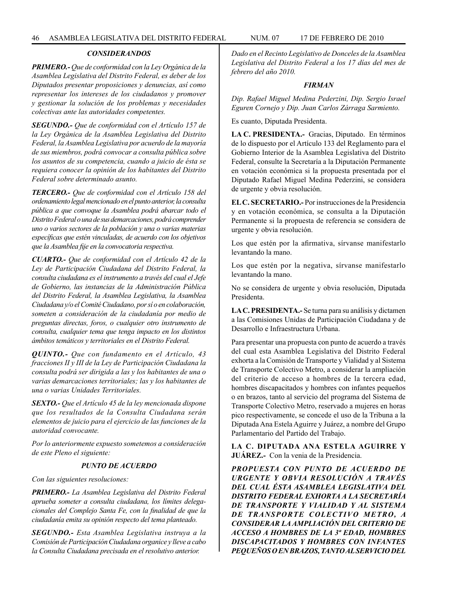#### *CONSIDERANDOS*

*PRIMERO.- Que de conformidad con la Ley Orgánica de la Asamblea Legislativa del Distrito Federal, es deber de los Diputados presentar proposiciones y denuncias, así como representar los intereses de los ciudadanos y promover y gestionar la solución de los problemas y necesidades colectivas ante las autoridades competentes.*

*SEGUNDO.- Que de conformidad con el Artículo 157 de la Ley Orgánica de la Asamblea Legislativa del Distrito Federal, la Asamblea Legislativa por acuerdo de la mayoría de sus miembros, podrá convocar a consulta pública sobre los asuntos de su competencia, cuando a juicio de ésta se requiera conocer la opinión de los habitantes del Distrito Federal sobre determinado asunto.*

*TERCERO.- Que de conformidad con el Artículo 158 del ordenamiento legal mencionado en el punto anterior, la consulta pública a que convoque la Asamblea podrá abarcar todo el Distrito Federal o una de sus demarcaciones, podrá comprender uno o varios sectores de la población y una o varias materias específicas que estén vinculadas, de acuerdo con los objetivos que la Asamblea fije en la convocatoria respectiva.*

*CUARTO.- Que de conformidad con el Artículo 42 de la Ley de Participación Ciudadana del Distrito Federal, la consulta ciudadana es el instrumento a través del cual el Jefe de Gobierno, las instancias de la Administración Pública del Distrito Federal, la Asamblea Legislativa, la Asamblea Ciudadana y/o el Comité Ciudadano, por sí o en colaboración, someten a consideración de la ciudadanía por medio de preguntas directas, foros, o cualquier otro instrumento de consulta, cualquier tema que tenga impacto en los distintos ámbitos temáticos y territoriales en el Distrito Federal.*

*QUINTO.- Que con fundamento en el Artículo, 43 fracciones II y III de la Ley de Participación Ciudadana la consulta podrá ser dirigida a las y los habitantes de una o varias demarcaciones territoriales; las y los habitantes de una o varias Unidades Territoriales.*

*SEXTO.- Que el Artículo 45 de la ley mencionada dispone que los resultados de la Consulta Ciudadana serán elementos de juicio para el ejercicio de las funciones de la autoridad convocante.* 

*Por lo anteriormente expuesto sometemos a consideración de este Pleno el siguiente:*

#### *PUNTO DE ACUERDO*

*Con las siguientes resoluciones:*

*PRIMERO.- La Asamblea Legislativa del Distrito Federal aprueba someter a consulta ciudadana, los límites delegacionales del Complejo Santa Fe, con la finalidad de que la ciudadanía emita su opinión respecto del tema planteado.*

*SEGUNDO.- Esta Asamblea Legislativa instruya a la Comisión de Participación Ciudadana organice y lleve a cabo la Consulta Ciudadana precisada en el resolutivo anterior.*

*Dado en el Recinto Legislativo de Donceles de la Asamblea Legislativa del Distrito Federal a los 17 días del mes de febrero del año 2010.*

#### *FIRMAN*

*Dip. Rafael Miguel Medina Pederzini, Dip. Sergio Israel Eguren Cornejo y Dip. Juan Carlos Zárraga Sarmiento.*

Es cuanto, Diputada Presidenta.

**LA C. PRESIDENTA.-** Gracias, Diputado. En términos de lo dispuesto por el Artículo 133 del Reglamento para el Gobierno Interior de la Asamblea Legislativa del Distrito Federal, consulte la Secretaría a la Diputación Permanente en votación económica si la propuesta presentada por el Diputado Rafael Miguel Medina Pederzini, se considera de urgente y obvia resolución.

**EL C. SECRETARIO.-** Por instrucciones de la Presidencia y en votación económica, se consulta a la Diputación Permanente si la propuesta de referencia se considera de urgente y obvia resolución.

Los que estén por la afirmativa, sírvanse manifestarlo levantando la mano.

Los que estén por la negativa, sírvanse manifestarlo levantando la mano.

No se considera de urgente y obvia resolución, Diputada Presidenta.

**LA C. PRESIDENTA.-** Se turna para su análisis y dictamen a las Comisiones Unidas de Participación Ciudadana y de Desarrollo e Infraestructura Urbana.

Para presentar una propuesta con punto de acuerdo a través del cual esta Asamblea Legislativa del Distrito Federal exhorta a la Comisión de Transporte y Vialidad y al Sistema de Transporte Colectivo Metro, a considerar la ampliación del criterio de acceso a hombres de la tercera edad, hombres discapacitados y hombres con infantes pequeños o en brazos, tanto al servicio del programa del Sistema de Transporte Colectivo Metro, reservado a mujeres en horas pico respectivamente, se concede el uso de la Tribuna a la Diputada Ana Estela Aguirre y Juárez, a nombre del Grupo Parlamentario del Partido del Trabajo.

**LA C. DIPUTADA ANA ESTELA AGUIRRE Y JUÁREZ.-** Con la venia de la Presidencia.

*PROPUESTA CON PUNTO DE ACUERDO DE URGENTE Y OBVIA RESOLUCIÓN A TRAVÉS DEL CUAL ÉSTA ASAMBLEA LEGISLATIVA DEL DISTRITO FEDERAL EXHORTA A LA SECRETARÍA DE TRANSPORTE Y VIALIDAD Y AL SISTEMA DE TRANSPORTE COLECTIVO METRO, A CONSIDERAR LA AMPLIACIÓN DEL CRITERIO DE ACCESO A HOMBRES DE LA 3ª EDAD, HOMBRES DISCAPACITADOS Y HOMBRES CON INFANTES PEQUEÑOS O EN BRAZOS, TANTO AL SERVICIO DEL*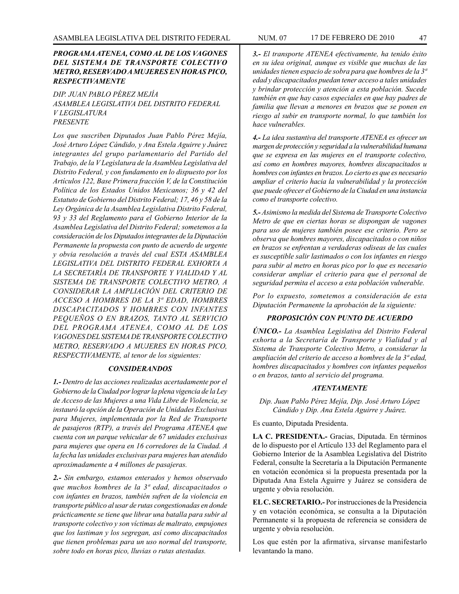# *PROGRAMA ATENEA, COMO AL DE LOS VAGONES DEL SISTEMA DE TRANSPORTE COLECTIVO METRO, RESERVADO A MUJERES EN HORAS PICO, RESPECTIVAMENTE*

*DIP. JUAN PABLO PÉREZ MEJÍA ASAMBLEA LEGISLATIVA DEL DISTRITO FEDERAL V LEGISLATURA PRESENTE*

*Los que suscriben Diputados Juan Pablo Pérez Mejía, José Arturo López Cándido, y Ana Estela Aguirre y Juárez integrantes del grupo parlamentario del Partido del Trabajo, de la V Legislatura de la Asamblea Legislativa del Distrito Federal, y con fundamento en lo dispuesto por los Artículos 122, Base Primera fracción V, de la Constitución Política de los Estados Unidos Mexicanos; 36 y 42 del Estatuto de Gobierno del Distrito Federal; 17, 46 y 58 de la Ley Orgánica de la Asamblea Legislativa Distrito Federal, 93 y 33 del Reglamento para el Gobierno Interior de la Asamblea Legislativa del Distrito Federal; sometemos a la consideración de los Diputados integrantes de la Diputación Permanente la propuesta con punto de acuerdo de urgente y obvia resolución a través del cual ESTA ASAMBLEA LEGISLATIVA DEL DISTRITO FEDERAL EXHORTA A LA SECRETARÍA DE TRANSPORTE Y VIALIDAD Y AL SISTEMA DE TRANSPORTE COLECTIVO METRO, A CONSIDERAR LA AMPLIACIÓN DEL CRITERIO DE ACCESO A HOMBRES DE LA 3ª EDAD, HOMBRES DISCAPACITADOS Y HOMBRES CON INFANTES PEQUEÑOS O EN BRAZOS, TANTO AL SERVICIO DEL PROGRAMA ATENEA, COMO AL DE LOS VAGONES DEL SISTEMA DE TRANSPORTE COLECTIVO METRO, RESERVADO A MUJERES EN HORAS PICO, RESPECTIVAMENTE, al tenor de los siguientes:* 

#### *CONSIDERANDOS*

*1.- Dentro de las acciones realizadas acertadamente por el Gobierno de la Ciudad por lograr la plena vigencia de la Ley de Acceso de las Mujeres a una Vida Libre de Violencia, se instauró la opción de la Operación de Unidades Exclusivas para Mujeres, implementada por la Red de Transporte de pasajeros (RTP), a través del Programa ATENEA que cuenta con un parque vehicular de 67 unidades exclusivas para mujeres que opera en 16 corredores de la Ciudad. A la fecha las unidades exclusivas para mujeres han atendido aproximadamente a 4 millones de pasajeras.*

*2.- Sin embargo, estamos enterados y hemos observado que muchos hombres de la 3ª edad, discapacitados o con infantes en brazos, también sufren de la violencia en transporte público al usar de rutas congestionadas en donde prácticamente se tiene que librar una batalla para subir al transporte colectivo y son víctimas de maltrato, empujones que los lastiman y los segregan, así como discapacitados que tienen problemas para un uso normal del transporte, sobre todo en horas pico, lluvias o rutas atestadas.*

*3.- El transporte ATENEA efectivamente, ha tenido éxito en su idea original, aunque es visible que muchas de las unidades tienen espacio de sobra para que hombres de la 3ª edad y discapacitados puedan tener acceso a tales unidades y brindar protección y atención a esta población. Sucede también en que hay casos especiales en que hay padres de familia que llevan a menores en brazos que se ponen en riesgo al subir en transporte normal, lo que también los hace vulnerables.*

*4.- La idea sustantiva del transporte ATENEA es ofrecer un margen de protección y seguridad a la vulnerabilidad humana que se expresa en las mujeres en el transporte colectivo, así como en hombres mayores, hombres discapacitados u hombres con infantes en brazos. Lo cierto es que es necesario ampliar el criterio hacia la vulnerabilidad y la protección que puede ofrecer el Gobierno de la Ciudad en una instancia como el transporte colectivo.*

*5.- Asimismo la medida del Sistema de Transporte Colectivo Metro de que en ciertas horas se dispongan de vagones para uso de mujeres también posee ese criterio. Pero se observa que hombres mayores, discapacitados o con niños en brazos se enfrentan a verdaderas odiseas de las cuales es susceptible salir lastimados o con los infantes en riesgo para subir al metro en horas pico por lo que es necesario considerar ampliar el criterio para que el personal de seguridad permita el acceso a esta población vulnerable.* 

*Por lo expuesto, sometemos a consideración de esta Diputación Permanente la aprobación de la siguiente:*

# *PROPOSICIÓN CON PUNTO DE ACUERDO*

*ÚNICO.- La Asamblea Legislativa del Distrito Federal exhorta a la Secretaría de Transporte y Vialidad y al Sistema de Transporte Colectivo Metro, a considerar la ampliación del criterio de acceso a hombres de la 3ª edad, hombres discapacitados y hombres con infantes pequeños o en brazos, tanto al servicio del programa.*

#### *ATENTAMENTE*

*Dip. Juan Pablo Pérez Mejía, Dip. José Arturo López Cándido y Dip. Ana Estela Aguirre y Juárez.*

Es cuanto, Diputada Presidenta.

**LA C. PRESIDENTA.-** Gracias, Diputada. En términos de lo dispuesto por el Artículo 133 del Reglamento para el Gobierno Interior de la Asamblea Legislativa del Distrito Federal, consulte la Secretaría a la Diputación Permanente en votación económica si la propuesta presentada por la Diputada Ana Estela Aguirre y Juárez se considera de urgente y obvia resolución.

**EL C. SECRETARIO.-** Por instrucciones de la Presidencia y en votación económica, se consulta a la Diputación Permanente si la propuesta de referencia se considera de urgente y obvia resolución.

Los que estén por la afirmativa, sírvanse manifestarlo levantando la mano.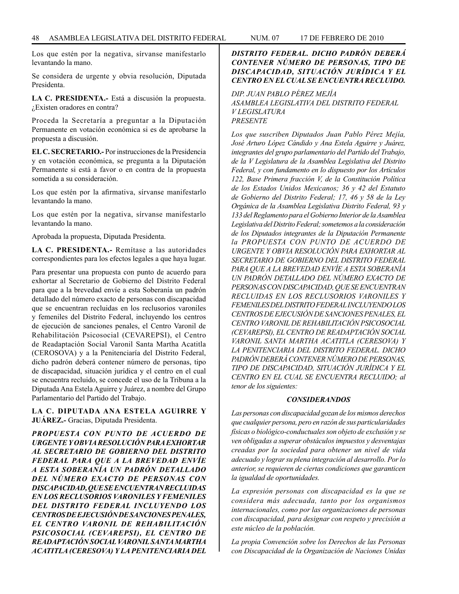Los que estén por la negativa, sírvanse manifestarlo levantando la mano.

Se considera de urgente y obvia resolución, Diputada Presidenta.

**LA C. PRESIDENTA.-** Está a discusión la propuesta. ¿Existen oradores en contra?

Proceda la Secretaría a preguntar a la Diputación Permanente en votación económica si es de aprobarse la propuesta a discusión.

**EL C. SECRETARIO.-** Por instrucciones de la Presidencia y en votación económica, se pregunta a la Diputación Permanente si está a favor o en contra de la propuesta sometida a su consideración.

Los que estén por la afirmativa, sírvanse manifestarlo levantando la mano.

Los que estén por la negativa, sírvanse manifestarlo levantando la mano.

Aprobada la propuesta, Diputada Presidenta.

**LA C. PRESIDENTA.-** Remítase a las autoridades correspondientes para los efectos legales a que haya lugar.

Para presentar una propuesta con punto de acuerdo para exhortar al Secretario de Gobierno del Distrito Federal para que a la brevedad envíe a esta Soberanía un padrón detallado del número exacto de personas con discapacidad que se encuentran recluidas en los reclusorios varoniles y femeniles del Distrito Federal, incluyendo los centros de ejecución de sanciones penales, el Centro Varonil de Rehabilitación Psicosocial (CEVAREPSI), el Centro de Readaptación Social Varonil Santa Martha Acatitla (CEROSOVA) y a la Penitenciaría del Distrito Federal, dicho padrón deberá contener número de personas, tipo de discapacidad, situación jurídica y el centro en el cual se encuentra recluido, se concede el uso de la Tribuna a la Diputada Ana Estela Aguirre y Juárez, a nombre del Grupo Parlamentario del Partido del Trabajo.

**LA C. DIPUTADA ANA ESTELA AGUIRRE Y JUÁREZ.-** Gracias, Diputada Presidenta.

*PROPUESTA CON PUNTO DE ACUERDO DE URGENTE Y OBVIA RESOLUCIÓN PARA EXHORTAR AL SECRETARIO DE GOBIERNO DEL DISTRITO FEDERAL PARA QUE A LA BREVEDAD ENVÍE A ESTA SOBERANÍA UN PADRÓN DETALLADO DEL NÚMERO EXACTO DE PERSONAS CON DISCAPACIDAD, QUE SE ENCUENTRAN RECLUIDAS EN LOS RECLUSORIOS VARONILES Y FEMENILES DEL DISTRITO FEDERAL INCLUYENDO LOS CENTROS DE EJECUSIÓN DE SANCIONES PENALES, EL CENTRO VARONIL DE REHABILITACIÓN PSICOSOCIAL (CEVAREPSI), EL CENTRO DE READAPTACIÓN SOCIAL VARONIL SANTA MARTHA ACATITLA (CERESOVA) Y LA PENITENCIARIA DEL*

# *DISTRITO FEDERAL. DICHO PADRÓN DEBERÁ CONTENER NÚMERO DE PERSONAS, TIPO DE DISCAPACIDAD, SITUACIÓN JURÍDICA Y EL CENTRO EN EL CUAL SE ENCUENTRA RECLUIDO.*

# *DIP. JUAN PABLO PÉREZ MEJÍA*

*ASAMBLEA LEGISLATIVA DEL DISTRITO FEDERAL V LEGISLATURA PRESENTE*

*Los que suscriben Diputados Juan Pablo Pérez Mejía, José Arturo López Cándido y Ana Estela Aguirre y Juárez, integrantes del grupo parlamentario del Partido del Trabajo, de la V Legislatura de la Asamblea Legislativa del Distrito Federal, y con fundamento en lo dispuesto por los Artículos 122, Base Primera fracción V, de la Constitución Política de los Estados Unidos Mexicanos; 36 y 42 del Estatuto de Gobierno del Distrito Federal; 17, 46 y 58 de la Ley Orgánica de la Asamblea Legislativa Distrito Federal, 93 y 133 del Reglamento para el Gobierno Interior de la Asamblea Legislativa del Distrito Federal; sometemos a la consideración de los Diputados integrantes de la Diputación Permanente la PROPUESTA CON PUNTO DE ACUERDO DE URGENTE Y OBVIA RESOLUCIÓN PARA EXHORTAR AL SECRETARIO DE GOBIERNO DEL DISTRITO FEDERAL PARA QUE A LA BREVEDAD ENVÍE A ESTA SOBERANÍA UN PADRÓN DETALLADO DEL NÚMERO EXACTO DE PERSONAS CON DISCAPACIDAD, QUE SE ENCUENTRAN RECLUIDAS EN LOS RECLUSORIOS VARONILES Y FEMENILES DEL DISTRITO FEDERAL INCLUYENDO LOS CENTROS DE EJECUSIÓN DE SANCIONES PENALES, EL CENTRO VARONIL DE REHABILITACIÓN PSICOSOCIAL (CEVAREPSI), EL CENTRO DE READAPTACIÓN SOCIAL VARONIL SANTA MARTHA ACATITLA (CERESOVA) Y LA PENITENCIARIA DEL DISTRITO FEDERAL. DICHO PADRÓN DEBERÁ CONTENER NÚMERO DE PERSONAS, TIPO DE DISCAPACIDAD, SITUACIÓN JURÍDICA Y EL CENTRO EN EL CUAL SE ENCUENTRA RECLUIDO; al tenor de los siguientes:*

#### *CONSIDERANDOS*

*Las personas con discapacidad gozan de los mismos derechos que cualquier persona, pero en razón de sus particularidades físicas o biológico-conductuales son objeto de exclusión y se ven obligadas a superar obstáculos impuestos y desventajas creadas por la sociedad para obtener un nivel de vida adecuado y lograr su plena integración al desarrollo. Por lo anterior, se requieren de ciertas condiciones que garanticen la igualdad de oportunidades.*

*La expresión personas con discapacidad es la que se considera más adecuada, tanto por los organismos internacionales, como por las organizaciones de personas con discapacidad, para designar con respeto y precisión a este núcleo de la población.*

*La propia Convención sobre los Derechos de las Personas con Discapacidad de la Organización de Naciones Unidas*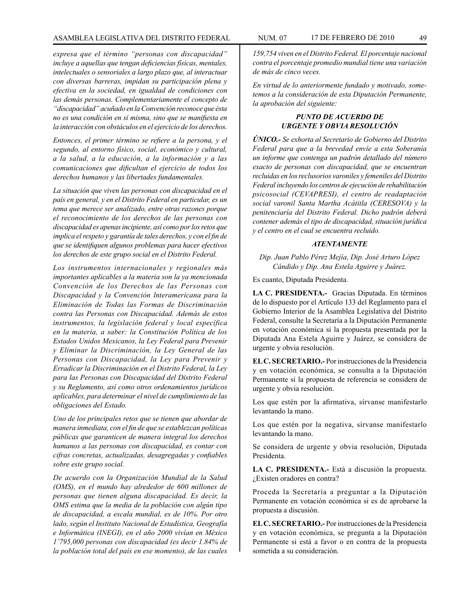*expresa que el término "personas con discapacidad" incluye a aquellas que tengan deficiencias físicas, mentales, intelectuales o sensoriales a largo plazo que, al interactuar con diversas barreras, impidan su participación plena y efectiva en la sociedad, en igualdad de condiciones con las demás personas. Complementariamente el concepto de "discapacidad" acuñado en la Convención reconoce que ésta no es una condición en sí misma, sino que se manifiesta en la interacción con obstáculos en el ejercicio de los derechos.* 

*Entonces, el primer término se refiere a la persona, y el segundo, al entorno físico, social, económico y cultural, a la salud, a la educación, a la información y a las comunicaciones que dificultan el ejercicio de todos los derechos humanos y las libertades fundamentales.*

*La situación que viven las personas con discapacidad en el país en general, y en el Distrito Federal en particular, es un tema que merece ser analizado, entre otras razones porque el reconocimiento de los derechos de las personas con discapacidad es apenas incipiente, así como por los retos que implica el respeto y garantía de tales derechos, y con el fin de que se identifiquen algunos problemas para hacer efectivos los derechos de este grupo social en el Distrito Federal.* 

*Los instrumentos internacionales y regionales más importantes aplicables a la materia son la ya mencionada Convención de los Derechos de las Personas con Discapacidad y la Convención lnteramericana para la Eliminación de Todas las Formas de Discriminación contra las Personas con Discapacidad. Además de estos instrumentos, la legislación federal y local específica en la materia, a saber: la Constitución Política de los Estados Unidos Mexicanos, la Ley Federal para Prevenir y Eliminar la Discriminación, la Ley General de las Personas con Discapacidad, la Ley para Prevenir y Erradicar la Discriminación en el Distrito Federal, la Ley para las Personas con Discapacidad del Distrito Federal y su Reglamento, así como otros ordenamientos jurídicos aplicables, para determinar el nivel de cumplimiento de las obligaciones del Estado.*

*Uno de los principales retos que se tienen que abordar de manera inmediata, con el fin de que se establezcan políticas públicas que garanticen de manera integral los derechos humanos a las personas con discapacidad, es contar con cifras concretas, actualizadas, desagregadas y confiables sobre este grupo social.* 

*De acuerdo con la Organización Mundial de la Salud (OMS), en el mundo hay alrededor de 600 millones de personas que tienen alguna discapacidad. Es decir, la OMS estima que la media de la población con algún tipo de discapacidad, a escala mundial, es de 10%. Por otro lado, según el Instituto Nacional de Estadística, Geografía e Informática (INEGI), en el año 2000 vivían en México 1'795,000 personas con discapacidad (es decir 1.84% de la población total del país en ese momento), de las cuales*

*159,754 viven en el Distrito Federal. El porcentaje nacional contra el porcentaje promedio mundial tiene una variación de más de cinco veces.*

*En virtud de lo anteriormente fundado y motivado, sometemos a la consideración de esta Diputación Permanente, la aprobación del siguiente:*

# *PUNTO DE ACUERDO DE URGENTE Y OBVIA RESOLUCIÓN*

*ÚNICO.- Se exhorta al Secretario de Gobierno del Distrito Federal para que a la brevedad envíe a esta Soberanía un informe que contenga un padrón detallado del número exacto de personas con discapacidad, que se encuentran recluidas en los reclusorios varoniles y femeniles del Distrito Federal incluyendo los centros de ejecución de rehabilitación psicosocial (CEVAPRESI), el centro de readaptación social varonil Santa Martha Acátitla (CERESOVA) y la penitenciaría del Distrito Federal. Dicho padrón deberá contener además el tipo de discapacidad, situación jurídica y el centro en el cual se encuentra recluido.*

#### *ATENTAMENTE*

*Dip. Juan Pablo Pérez Mejía, Dip. José Arturo López Cándido y Dip. Ana Estela Aguirre y Juárez.*

Es cuanto, Diputada Presidenta.

**LA C. PRESIDENTA.-** Gracias Diputada. En términos de lo dispuesto por el Artículo 133 del Reglamento para el Gobierno Interior de la Asamblea Legislativa del Distrito Federal, consulte la Secretaría a la Diputación Permanente en votación económica si la propuesta presentada por la Diputada Ana Estela Aguirre y Juárez, se considera de urgente y obvia resolución.

**EL C. SECRETARIO.-** Por instrucciones de la Presidencia y en votación económica, se consulta a la Diputación Permanente si la propuesta de referencia se considera de urgente y obvia resolución.

Los que estén por la afirmativa, sírvanse manifestarlo levantando la mano.

Los que estén por la negativa, sírvanse manifestarlo levantando la mano.

Se considera de urgente y obvia resolución, Diputada Presidenta.

**LA C. PRESIDENTA.-** Está a discusión la propuesta. ¿Existen oradores en contra?

Proceda la Secretaría a preguntar a la Diputación Permanente en votación económica si es de aprobarse la propuesta a discusión.

**EL C. SECRETARIO.-** Por instrucciones de la Presidencia y en votación económica, se pregunta a la Diputación Permanente si está a favor o en contra de la propuesta sometida a su consideración.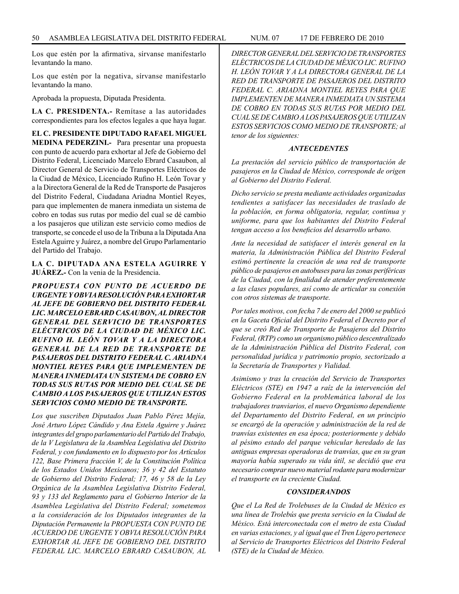Los que estén por la afirmativa, sírvanse manifestarlo levantando la mano.

Los que estén por la negativa, sírvanse manifestarlo levantando la mano.

Aprobada la propuesta, Diputada Presidenta.

**LA C. PRESIDENTA.-** Remítase a las autoridades correspondientes para los efectos legales a que haya lugar.

**EL C. PRESIDENTE DIPUTADO RAFAEL MIGUEL MEDINA PEDERZINI.-** Para presentar una propuesta con punto de acuerdo para exhortar al Jefe de Gobierno del Distrito Federal, Licenciado Marcelo Ebrard Casaubon, al Director General de Servicio de Transportes Eléctricos de la Ciudad de México, Licenciado Rufino H. León Tovar y a la Directora General de la Red de Transporte de Pasajeros del Distrito Federal, Ciudadana Ariadna Montiel Reyes, para que implementen de manera inmediata un sistema de cobro en todas sus rutas por medio del cual se dé cambio a los pasajeros que utilizan este servicio como medios de transporte, se concede el uso de la Tribuna a la Diputada Ana Estela Aguirre y Juárez, a nombre del Grupo Parlamentario del Partido del Trabajo.

**LA C. DIPUTADA ANA ESTELA AGUIRRE Y JUÁREZ.-** Con la venia de la Presidencia.

*PROPUESTA CON PUNTO DE ACUERDO DE URGENTE Y OBVIA RESOLUCIÓN PARA EXHORTAR AL JEFE DE GOBIERNO DEL DISTRITO FEDERAL LIC. MARCELO EBRARD CASAUBON, AL DIRECTOR GENERAL DEL SERVICIO DE TRANSPORTES ELÉCTRICOS DE LA CIUDAD DE MÉXICO LIC. RUFINO H. LEÓN TOVAR Y A LA DIRECTORA GENERAL DE LA RED DE TRANSPORTE DE PASAJEROS DEL DISTRITO FEDERAL C. ARIADNA MONTIEL REYES PARA QUE IMPLEMENTEN DE MANERA INMEDIATA UN SISTEMA DE COBRO EN TODAS SUS RUTAS POR MEDIO DEL CUAL SE DE CAMBIO A LOS PASAJEROS QUE UTILIZAN ESTOS SERVICIOS COMO MEDIO DE TRANSPORTE.*

*Los que suscriben Diputados Juan Pablo Pérez Mejía, José Arturo López Cándido y Ana Estela Aguirre y Juárez integrantes del grupo parlamentario del Partido del Trabajo, de la V Legislatura de la Asamblea Legislativa del Distrito Federal, y con fundamento en lo dispuesto por los Artículos 122, Base Primera fracción V, de la Constitución Política de los Estados Unidos Mexicanos; 36 y 42 del Estatuto de Gobierno del Distrito Federal; 17, 46 y 58 de la Ley Orgánica de la Asamblea Legislativa Distrito Federal, 93 y 133 del Reglamento para el Gobierno Interior de la Asamblea Legislativa del Distrito Federal; sometemos a la consideración de los Diputados integrantes de la Diputación Permanente la PROPUESTA CON PUNTO DE ACUERDO DE URGENTE Y OBVIA RESOLUCIÓN PARA EXHORTAR AL JEFE DE GOBIERNO DEL DISTRITO FEDERAL LIC. MARCELO EBRARD CASAUBON, AL*  *ELÉCTRICOS DE LA CIUDAD DE MÉXICO LIC. RUFINO H. LEÓN TOVAR Y A LA DIRECTORA GENERAL DE LA RED DE TRANSPORTE DE PASAJEROS DEL DISTRITO FEDERAL C. ARIADNA MONTIEL REYES PARA QUE IMPLEMENTEN DE MANERA INMEDIATA UN SISTEMA DE COBRO EN TODAS SUS RUTAS POR MEDIO DEL CUAL SE DE CAMBIO A LOS PASAJEROS QUE UTILIZAN ESTOS SERVICIOS COMO MEDIO DE TRANSPORTE; al tenor de los siguientes:*

#### *ANTECEDENTES*

*La prestación del servicio público de transportación de pasajeros en la Ciudad de México, corresponde de origen al Gobierno del Distrito Federal.*

*Dicho servicio se presta mediante actividades organizadas tendientes a satisfacer las necesidades de traslado de la población, en forma obligatoria, regular, continua y uniforme, para que los habitantes del Distrito Federal tengan acceso a los beneficios del desarrollo urbano.*

*Ante la necesidad de satisfacer el interés general en la materia, la Administración Pública del Distrito Federal estimó pertinente la creación de una red de transporte público de pasajeros en autobuses para las zonas periféricas de la Ciudad, con la finalidad de atender preferentemente a las clases populares, así como de articular su conexión con otros sistemas de transporte.* 

*Por tales motivos, con fecha 7 de enero del 2000 se publicó en la Gaceta Oficial del Distrito Federal el Decreto por el que se creó Red de Transporte de Pasajeros del Distrito Federal, (RTP) como un organismo público descentralizado de la Administración Pública del Distrito Federal, con personalidad jurídica y patrimonio propio, sectorizado a la Secretaría de Transportes y Vialidad.* 

*Asimismo y tras la creación del Servicio de Transportes Eléctricos (STE) en 1947 a raíz de la intervención del Gobierno Federal en la problemática laboral de los trabajadores tranviarios, el nuevo Organismo dependiente del Departamento del Distrito Federal, en un principio se encargó de la operación y administración de la red de tranvías existentes en esa época; posteriormente y debido al pésimo estado del parque vehicular heredado de las antiguas empresas operadoras de tranvías, que en su gran mayoría había superado su vida útil, se decidió que era necesario comprar nuevo material rodante para modernizar el transporte en la creciente Ciudad.*

#### *CONSIDERANDOS*

*Que el La Red de Trolebuses de la Ciudad de México es una línea de Trolebús que presta servicio en la Ciudad de México. Está interconectada con el metro de esta Ciudad en varias estaciones, y al igual que el Tren Ligero pertenece al Servicio de Transportes Eléctricos del Distrito Federal (STE) de la Ciudad de México.*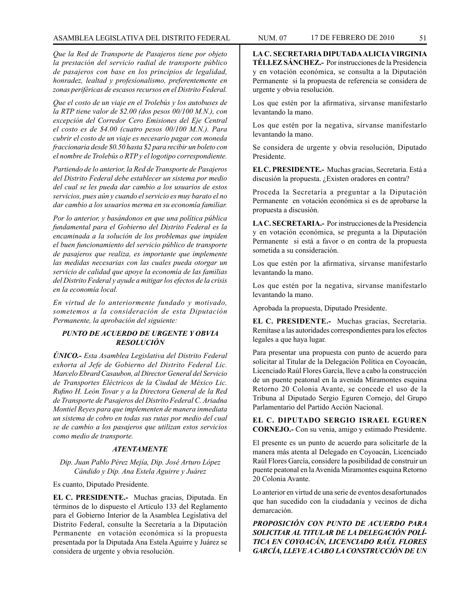*Que la Red de Transporte de Pasajeros tiene por objeto la prestación del servicio radial de transporte público de pasajeros con base en los principios de legalidad, honradez, lealtad y profesionalismo, preferentemente en zonas periféricas de escasos recursos en el Distrito Federal.*

*Que el costo de un viaje en el Trolebús y los autobuses de la RTP tiene valor de \$2.00 (dos pesos 00/100 M.N.), con excepción del Corredor Cero Emisiones del Eje Central el costo es de \$4.00 (cuatro pesos 00/100 M.N.). Para cubrir el costo de un viaje es necesario pagar con moneda fraccionaria desde \$0.50 hasta \$2 para recibir un boleto con el nombre de Trolebús o RTP y el logotipo correspondiente.* 

*Partiendo de lo anterior, la Red de Transporte de Pasajeros del Distrito Federal debe establecer un sistema por medio del cual se les pueda dar cambio a los usuarios de estos servicios, pues aún y cuando el servicio es muy barato el no dar cambio a los usuarios merma en su economía familiar.*

*Por lo anterior, y basándonos en que una política pública fundamental para el Gobierno del Distrito Federal es la encaminada a la solución de los problemas que impiden el buen funcionamiento del servicio público de transporte de pasajeros que realiza, es importante que implemente las medidas necesarias con las cuales pueda otorgar un servicio de calidad que apoye la economía de las familias del Distrito Federal y ayude a mitigar los efectos de la crisis en la economía local.* 

*En virtud de lo anteriormente fundado y motivado, sometemos a la consideración de esta Diputación Permanente, la aprobación del siguiente:*

# *PUNTO DE ACUERDO DE URGENTE Y OBVIA RESOLUCIÓN*

*ÚNICO.- Esta Asamblea Legislativa del Distrito Federal exhorta al Jefe de Gobierno del Distrito Federal Lic. Marcelo Ebrard Casaubon, al Director General del Servicio de Transportes Eléctricos de la Ciudad de México Lic. Rufino H. León Tovar y a la Directora General de la Red de Transporte de Pasajeros del Distrito Federal C. Ariadna Montiel Reyes para que implementen de manera inmediata un sistema de cobro en todas sus rutas por medio del cual se de cambio a los pasajeros que utilizan estos servicios como medio de transporte.*

### *ATENTAMENTE*

*Dip. Juan Pablo Pérez Mejía, Dip. José Arturo López Cándido y Dip. Ana Estela Aguirre y Juárez*

Es cuanto, Diputado Presidente.

**EL C. PRESIDENTE.-** Muchas gracias, Diputada. En términos de lo dispuesto el Artículo 133 del Reglamento para el Gobierno Interior de la Asamblea Legislativa del Distrito Federal, consulte la Secretaría a la Diputación Permanente en votación económica si la propuesta presentada por la Diputada Ana Estela Aguirre y Juárez se considera de urgente y obvia resolución.

**LA C. SECRETARIA DIPUTADA ALICIA VIRGINIA TÉLLEZ SÁNCHEZ.-** Por instrucciones de la Presidencia y en votación económica, se consulta a la Diputación Permanente si la propuesta de referencia se considera de urgente y obvia resolución.

Los que estén por la afirmativa, sírvanse manifestarlo levantando la mano.

Los que estén por la negativa, sírvanse manifestarlo levantando la mano.

Se considera de urgente y obvia resolución, Diputado Presidente.

**EL C. PRESIDENTE.-** Muchas gracias, Secretaria. Está a discusión la propuesta. ¿Existen oradores en contra?

Proceda la Secretaría a preguntar a la Diputación Permanente en votación económica si es de aprobarse la propuesta a discusión.

**LA C. SECRETARIA.-** Por instrucciones de la Presidencia y en votación económica, se pregunta a la Diputación Permanente si está a favor o en contra de la propuesta sometida a su consideración.

Los que estén por la afirmativa, sírvanse manifestarlo levantando la mano.

Los que estén por la negativa, sírvanse manifestarlo levantando la mano.

Aprobada la propuesta, Diputado Presidente.

**EL C. PRESIDENTE.-** Muchas gracias, Secretaria. Remítase a las autoridades correspondientes para los efectos legales a que haya lugar.

Para presentar una propuesta con punto de acuerdo para solicitar al Titular de la Delegación Política en Coyoacán, Licenciado Raúl Flores García, lleve a cabo la construcción de un puente peatonal en la avenida Miramontes esquina Retorno 20 Colonia Avante, se concede el uso de la Tribuna al Diputado Sergio Eguren Cornejo, del Grupo Parlamentario del Partido Acción Nacional.

**EL C. DIPUTADO SERGIO ISRAEL EGUREN CORNEJO.-** Con su venia, amigo y estimado Presidente.

El presente es un punto de acuerdo para solicitarle de la manera más atenta al Delegado en Coyoacán, Licenciado Raúl Flores García, considere la posibilidad de construir un puente peatonal en la Avenida Miramontes esquina Retorno 20 Colonia Avante.

Lo anterior en virtud de una serie de eventos desafortunados que han sucedido con la ciudadanía y vecinos de dicha demarcación.

*PROPOSICIÓN CON PUNTO DE ACUERDO PARA SOLICITAR AL TITULAR DE LA DELEGACIÓN POLÍ-TICA EN COYOACÁN, LICENCIADO RAÚL FLORES GARCÍA, LLEVE A CABO LA CONSTRUCCIÓN DE UN*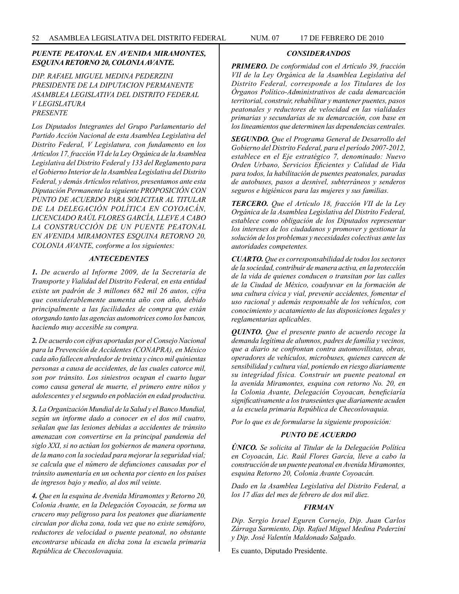# *PUENTE PEATONAL EN AVENIDA MIRAMONTES, ESQUINA RETORNO 20, COLONIA AVANTE.*

*DIP. RAFAEL MIGUEL MEDINA PEDERZINI PRESIDENTE DE LA DIPUTACION PERMANENTE ASAMBLEA LEGISLATIVA DEL DISTRITO FEDERAL V LEGISLATURA PRESENTE*

*Los Diputados Integrantes del Grupo Parlamentario del Partido Acción Nacional de esta Asamblea Legislativa del Distrito Federal, V Legislatura, con fundamento en los Artículos 17, fracción VI de la Ley Orgánica de la Asamblea Legislativa del Distrito Federal y 133 del Reglamento para el Gobierno Interior de la Asamblea Legislativa del Distrito Federal, y demás Artículos relativos, presentamos ante esta Diputación Permanente la siguiente PROPOSICIÓN CON PUNTO DE ACUERDO PARA SOLICITAR AL TITULAR DE LA DELEGACIÓN POLÍTICA EN COYOACÁN, LICENCIADO RAÚL FLORES GARCÍA, LLEVE A CABO LA CONSTRUCCIÓN DE UN PUENTE PEATONAL EN AVENIDA MIRAMONTES ESQUINA RETORNO 20, COLONIA AVANTE, conforme a los siguientes:*

# *ANTECEDENTES*

*1. De acuerdo al Informe 2009, de la Secretaría de Transporte y Vialidad del Distrito Federal, en esta entidad existe un padrón de 3 millones 682 mil 26 autos, cifra que considerablemente aumenta año con año, debido principalmente a las facilidades de compra que están otorgando tanto las agencias automotrices como los bancos, haciendo muy accesible su compra.*

*2. De acuerdo con cifras aportadas por el Consejo Nacional para la Prevención de Accidentes (CONAPRA), en México cada año fallecen alrededor de treinta y cinco mil quinientas personas a causa de accidentes, de las cuales catorce mil, son por tránsito. Los siniestros ocupan el cuarto lugar como causa general de muerte, el primero entre niños y adolescentes y el segundo en población en edad productiva.*

*3. La Organización Mundial de la Salud y el Banco Mundial, según un informe dado a conocer en el dos mil cuatro, señalan que las lesiones debidas a accidentes de tránsito amenazan con convertirse en la principal pandemia del siglo XXI, si no actúan los gobiernos de manera oportuna, de la mano con la sociedad para mejorar la seguridad vial; se calcula que el número de defunciones causadas por el tránsito aumentaría en un ochenta por ciento en los países de ingresos bajo y medio, al dos mil veinte.*

*4. Que en la esquina de Avenida Miramontes y Retorno 20, Colonia Avante, en la Delegación Coyoacán, se forma un crucero muy peligroso para los peatones que diariamente circulan por dicha zona, toda vez que no existe semáforo, reductores de velocidad o puente peatonal, no obstante encontrarse ubicada en dicha zona la escuela primaria República de Checoslovaquia.*

#### *CONSIDERANDOS*

*PRIMERO. De conformidad con el Artículo 39, fracción VII de la Ley Orgánica de la Asamblea Legislativa del Distrito Federal, corresponde a los Titulares de los Órganos Político-Administrativos de cada demarcación territorial, construir, rehabilitar y mantener puentes, pasos peatonales y reductores de velocidad en las vialidades primarias y secundarias de su demarcación, con base en los lineamientos que determinen las dependencias centrales.* 

*SEGUNDO. Que el Programa General de Desarrollo del Gobierno del Distrito Federal, para el período 2007-2012, establece en el Eje estratégico 7, denominado: Nuevo Orden Urbano, Servicios Eficientes y Calidad de Vida para todos, la habilitación de puentes peatonales, paradas de autobuses, pasos a desnivel, subterráneos y senderos seguros e higiénicos para las mujeres y sus familias.*

*TERCERO. Que el Artículo 18, fracción VII de la Ley Orgánica de la Asamblea Legislativa del Distrito Federal, establece como obligación de los Diputados representar los intereses de los ciudadanos y promover y gestionar la solución de los problemas y necesidades colectivas ante las autoridades competentes.*

*CUARTO. Que es corresponsabilidad de todos los sectores de la sociedad, contribuir de manera activa, en la protección de la vida de quienes conducen o transitan por las calles de la Ciudad de México, coadyuvar en la formación de una cultura cívica y vial, prevenir accidentes, fomentar el uso racional y además responsable de los vehículos, con conocimiento y acatamiento de las disposiciones legales y reglamentarias aplicables.*

*QUINTO. Que el presente punto de acuerdo recoge la demanda legítima de alumnos, padres de familia y vecinos, que a diario se confrontan contra automovilistas, obras, operadores de vehículos, microbuses, quienes carecen de sensibilidad y cultura vial, poniendo en riesgo diariamente su integridad física. Construir un puente peatonal en la avenida Miramontes, esquina con retorno No. 20, en la Colonia Avante, Delegación Coyoacan, beneficiaría significativamente a los transeúntes que diariamente acuden a la escuela primaria República de Checoslovaquia.*

*Por lo que es de formularse la siguiente proposición:*

#### *PUNTO DE ACUERDO*

*ÚNICO. Se solicita al Titular de la Delegación Política en Coyoacán, Lic. Raúl Flores García, lleve a cabo la construcción de un puente peatonal en Avenida Miramontes, esquina Retorno 20, Colonia Avante Coyoacán.*

*Dado en la Asamblea Legislativa del Distrito Federal, a los 17 días del mes de febrero de dos mil diez.*

# *FIRMAN*

*Dip. Sergio Israel Eguren Cornejo, Dip. Juan Carlos Zárraga Sarmiento, Dip. Rafael Miguel Medina Pederzini y Dip. José Valentín Maldonado Salgado.*

Es cuanto, Diputado Presidente.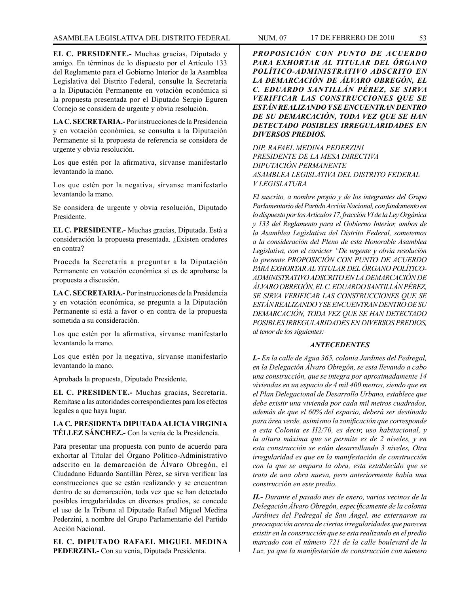**EL C. PRESIDENTE.-** Muchas gracias, Diputado y amigo. En términos de lo dispuesto por el Artículo 133 del Reglamento para el Gobierno Interior de la Asamblea Legislativa del Distrito Federal, consulte la Secretaría a la Diputación Permanente en votación económica si la propuesta presentada por el Diputado Sergio Eguren Cornejo se considera de urgente y obvia resolución.

**LA C. SECRETARIA.-** Por instrucciones de la Presidencia y en votación económica, se consulta a la Diputación Permanente si la propuesta de referencia se considera de urgente y obvia resolución.

Los que estén por la afirmativa, sírvanse manifestarlo levantando la mano.

Los que estén por la negativa, sírvanse manifestarlo levantando la mano.

Se considera de urgente y obvia resolución, Diputado Presidente.

**EL C. PRESIDENTE.-** Muchas gracias, Diputada. Está a consideración la propuesta presentada. ¿Existen oradores en contra?

Proceda la Secretaría a preguntar a la Diputación Permanente en votación económica si es de aprobarse la propuesta a discusión.

**LA C. SECRETARIA.-** Por instrucciones de la Presidencia y en votación económica, se pregunta a la Diputación Permanente si está a favor o en contra de la propuesta sometida a su consideración.

Los que estén por la afirmativa, sírvanse manifestarlo levantando la mano.

Los que estén por la negativa, sírvanse manifestarlo levantando la mano.

Aprobada la propuesta, Diputado Presidente.

**EL C. PRESIDENTE.-** Muchas gracias, Secretaria. Remítase a las autoridades correspondientes para los efectos legales a que haya lugar.

**LA C. PRESIDENTA DIPUTADA ALICIA VIRGINIA TÉLLEZ SÁNCHEZ.-** Con la venia de la Presidencia.

Para presentar una propuesta con punto de acuerdo para exhortar al Titular del Órgano Político-Administrativo adscrito en la demarcación de Álvaro Obregón, el Ciudadano Eduardo Santillán Pérez, se sirva verificar las construcciones que se están realizando y se encuentran dentro de su demarcación, toda vez que se han detectado posibles irregularidades en diversos predios, se concede el uso de la Tribuna al Diputado Rafael Miguel Medina Pederzini, a nombre del Grupo Parlamentario del Partido Acción Nacional.

**EL C. DIPUTADO RAFAEL MIGUEL MEDINA PEDERZINI.-** Con su venia, Diputada Presidenta.

*PROPOSICIÓN CON PUNTO DE ACUERDO PARA EXHORTAR AL TITULAR DEL ÓRGANO POLÍTICO-ADMINISTRATIVO ADSCRITO EN LA DEMARCACIÓN DE ÁLVARO OBREGÓN, EL C. EDUARDO SANTILLÁN PÉREZ, SE SIRVA VERIFICAR LAS CONSTRUCCIONES QUE SE ESTÁN REALIZANDO Y SE ENCUENTRAN DENTRO DE SU DEMARCACIÓN, TODA VEZ QUE SE HAN DETECTADO POSIBLES IRREGULARIDADES EN DIVERSOS PREDIOS.*

*DIP. RAFAEL MEDINA PEDERZINI PRESIDENTE DE LA MESA DIRECTIVA DIPUTACIÓN PERMANENTE ASAMBLEA LEGISLATIVA DEL DISTRITO FEDERAL V LEGISLATURA*

*El suscrito, a nombre propio y de los integrantes del Grupo Parlamentario del Partido Acción Nacional, con fundamento en lo dispuesto por los Artículos 17, fracción VI de la Ley Orgánica y 133 del Reglamento para el Gobierno Interior, ambos de la Asamblea Legislativa del Distrito Federal, sometemos a la consideración del Pleno de esta Honorable Asamblea Legislativa, con el carácter "De urgente y obvia resolución la presente PROPOSICIÓN CON PUNTO DE ACUERDO PARA EXHORTAR AL TITULAR DEL ÓRGANO POLÍTICO-ADMINISTRATIVO ADSCRITO EN LA DEMARCACIÓN DE ÁLVARO OBREGÓN, EL C. EDUARDO SANTILLÁN PÉREZ, SE SIRVA VERIFICAR LAS CONSTRUCCIONES QUE SE ESTÁN REALIZANDO Y SE ENCUENTRAN DENTRO DE SU DEMARCACIÓN, TODA VEZ QUE SE HAN DETECTADO POSIBLES IRREGULARIDADES EN DIVERSOS PREDIOS, al tenor de los siguientes:*

#### *ANTECEDENTES*

*I.- En la calle de Agua 365, colonia Jardines del Pedregal, en la Delegación Álvaro Obregón, se esta llevando a cabo una construcción, que se integra por aproximadamente 14 viviendas en un espacio de 4 mil 400 metros, siendo que en el Plan Delegacional de Desarrollo Urbano, establece que debe existir una vivienda por cada mil metros cuadrados, además de que el 60% del espacio, deberá ser destinado para área verde, asimismo la zonificación que corresponde a esta Colonia es H2/70, es decir, uso habitacional, y la altura máxima que se permite es de 2 niveles, y en esta construcción se están desarrollando 3 niveles, Otra irregularidad es que en la manifestación de construcción con la que se ampara la obra, esta establecido que se trata de una obra nueva, pero anteriormente había una construcción en este predio.*

*II.- Durante el pasado mes de enero, varios vecinos de la Delegación Álvaro Obregón, específicamente de la colonia Jardines del Pedregal de San Ángel, me externaron su preocupación acerca de ciertas irregularidades que parecen existir en la construcción que se esta realizando en el predio marcado con el número 721 de la calle boulevard de la Luz, ya que la manifestación de construcción con número*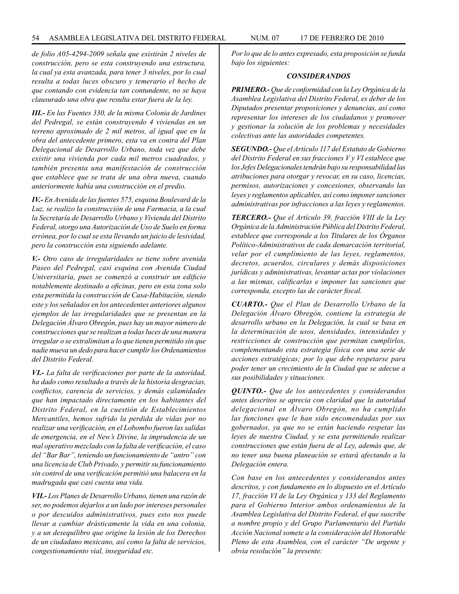*de folio A05-4294-2009 señala que existirán 2 niveles de construcción, pero se esta construyendo una estructura, la cual ya esta avanzada, para tener 3 niveles, por lo cual resulta a todas luces obscuro y temerario el hecho de que contando con evidencia tan contundente, no se haya clausurado una obra que resulta estar fuera de la ley.*

*III.- En las Fuentes 330, de la misma Colonia de Jardines del Pedregal, se están construyendo 4 viviendas en un terreno aproximado de 2 mil metros, al igual que en la obra del antecedente primero, esta va en contra del Plan Delegacional de Desarrollo Urbano, toda vez que debe existir una vivienda por cada mil metros cuadrados, y también presenta una manifestación de construcción que establece que se trata de una obra nueva, cuando anteriormente había una construcción en el predio.*

*IV.- En Avenida de las fuentes 575, esquina Boulevard de la Luz, se realizo la construcción de una Farmacia, a la cual la Secretaría de Desarrollo Urbano y Vivienda del Distrito Federal, otorgo una Autorización de Uso de Suelo en forma errónea, por lo cual se esta llevando un juicio de lesividad, pero la construcción esta siguiendo adelante.*

*V.- Otro caso de irregularidades se tiene sobre avenida Paseo del Pedregal, casi esquina con Avenida Ciudad Universitaria, pues se comenzó a construir un edificio notablemente destinado a oficinas, pero en esta zona solo esta permitida la construcción de Casa-Habitación, siendo este y los señalados en los antecedentes anteriores algunos ejemplos de las irregularidades que se presentan en la Delegación Álvaro Obregón, pues hay un mayor número de construcciones que se realizan a todas luces de una manera irregular o se extralimitan a lo que tienen permitido sin que nadie mueva un dedo para hacer cumplir los Ordenamientos del Distrito Federal.*

*VI.- La falta de verificaciones por parte de la autoridad, ha dado como resultado a través de la historia desgracias, conflictos, carencia de servicios, y demás calamidades que han impactado directamente en los habitantes del Distrito Federal, en la cuestión de Establecimientos Mercantiles, hemos sufrido la perdida de vidas por no realizar una verificación, en el Lobombo fueron las salidas de emergencia, en el New's Divine, la imprudencia de un mal operativo mezclado con la falta de verificación, el caso del "Bar Bar", teniendo un funcionamiento de "antro" con una licencia de Club Privado, y permitir su funcionamiento sin control de una verificación permitió una balacera en la madrugada que casi cuesta una vida.*

*VII.- Los Planes de Desarrollo Urbano, tienen una razón de ser, no podemos dejarlos a un lado por intereses personales o por descuidos administrativos, pues esto nos puede llevar a cambiar drásticamente la vida en una colonia, y a un desequilibro que origine la lesión de los Derechos de un ciudadano mexicano, así como la falta de servicios, congestionamiento vial, inseguridad etc.*

*Por lo que de lo antes expresado, esta proposición se funda bajo los siguientes:*

#### *CONSIDERANDOS*

*PRIMERO.- Que de conformidad con la Ley Orgánica de la Asamblea Legislativa del Distrito Federal, es deber de los Diputados presentar proposiciones y denuncias, así como representar los intereses de los ciudadanos y promover y gestionar la solución de los problemas y necesidades colectivas ante las autoridades competentes.*

*SEGUNDO.- Que el Artículo 117 del Estatuto de Gobierno del Distrito Federal en sus fracciones V y VI establece que los Jefes Delegacionales tendrán bajo su responsabilidad las atribuciones para otorgar y revocar, en su caso, licencias, permisos, autorizaciones y concesiones, observando las leyes y reglamentos aplicables, así como imponer sanciones administrativas por infracciones a las leyes y reglamentos.*

*TERCERO.- Que el Artículo 39, fracción VIII de la Ley Orgánica de la Administración Pública del Distrito Federal, establece que corresponde a los Titulares de los Órganos Político-Administrativos de cada demarcación territorial, velar por el cumplimiento de las leyes, reglamentos, decretos, acuerdos, circulares y demás disposiciones jurídicas y administrativas, levantar actas por violaciones a las mismas, calificarlas e imponer las sanciones que corresponda, excepto las de carácter fiscal.*

*CUARTO.- Que el Plan de Desarrollo Urbano de la Delegación Álvaro Obregón, contiene la estrategia de desarrollo urbano en la Delegación, la cual se basa en la determinación de usos, densidades, intensidades y restricciones de construcción que permitan cumplirlos, complementando esta estrategia física con una serie de acciones estratégicas; por lo que debe respetarse para poder tener un crecimiento de la Ciudad que se adecue a sus posibilidades y situaciones.*

*QUINTO.- Que de los antecedentes y considerandos antes descritos se aprecia con claridad que la autoridad delegacional en Álvaro Obregón, no ha cumplido las funciones que le han sido encomendadas por sus gobernados, ya que no se están haciendo respetar las leyes de nuestra Ciudad, y se esta permitiendo realizar construcciones que están fuera de al Ley, además que, de no tener una buena planeación se estará afectando a la Delegación entera.*

*Con base en los antecedentes y considerandos antes descritos, y con fundamento en lo dispuesto en el Artículo 17, fracción VI de la Ley Orgánica y 133 del Reglamento para el Gobierno Interior ambos ordenamientos de la Asamblea Legislativa del Distrito Federal, el que suscribe a nombre propio y del Grupo Parlamentario del Partido Acción Nacional somete a la consideración del Honorable Pleno de esta Asamblea, con el carácter "De urgente y obvia resolución" la presente:*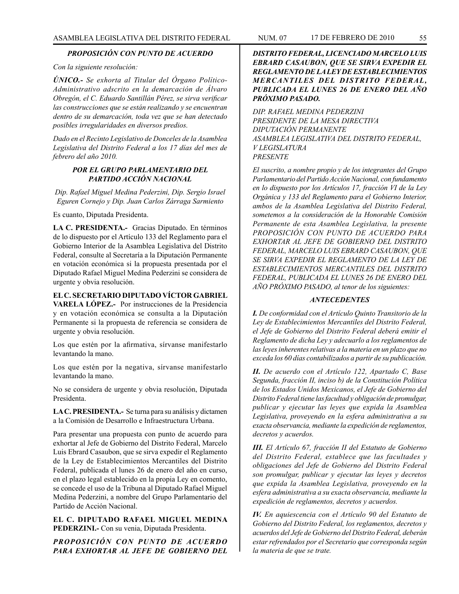#### *PROPOSICIÓN CON PUNTO DE ACUERDO*

*Con la siguiente resolución:*

*ÚNICO.- Se exhorta al Titular del Órgano Político-Administrativo adscrito en la demarcación de Álvaro Obregón, el C. Eduardo Santillán Pérez, se sirva verificar las construcciones que se están realizando y se encuentran dentro de su demarcación, toda vez que se han detectado posibles irregularidades en diversos predios.* 

*Dado en el Recinto Legislativo de Donceles de la Asamblea Legislativa del Distrito Federal a los 17 días del mes de febrero del año 2010.*

# *POR EL GRUPO PARLAMENTARIO DEL PARTIDO ACCIÓN NACIONAL*

*Dip. Rafael Miguel Medina Pederzini, Dip. Sergio Israel Eguren Cornejo y Dip. Juan Carlos Zárraga Sarmiento*

Es cuanto, Diputada Presidenta.

**LA C. PRESIDENTA.-** Gracias Diputado. En términos de lo dispuesto por el Artículo 133 del Reglamento para el Gobierno Interior de la Asamblea Legislativa del Distrito Federal, consulte al Secretaría a la Diputación Permanente en votación económica si la propuesta presentada por el Diputado Rafael Miguel Medina Pederzini se considera de urgente y obvia resolución.

**EL C. SECRETARIO DIPUTADO VÍCTOR GABRIEL VARELA LÓPEZ.-** Por instrucciones de la Presidencia y en votación económica se consulta a la Diputación Permanente si la propuesta de referencia se considera de urgente y obvia resolución.

Los que estén por la afirmativa, sírvanse manifestarlo levantando la mano.

Los que estén por la negativa, sírvanse manifestarlo levantando la mano.

No se considera de urgente y obvia resolución, Diputada Presidenta.

**LA C. PRESIDENTA.-** Se turna para su análisis y dictamen a la Comisión de Desarrollo e Infraestructura Urbana.

Para presentar una propuesta con punto de acuerdo para exhortar al Jefe de Gobierno del Distrito Federal, Marcelo Luis Ebrard Casaubon, que se sirva expedir el Reglamento de la Ley de Establecimientos Mercantiles del Distrito Federal, publicada el lunes 26 de enero del año en curso, en el plazo legal establecido en la propia Ley en comento, se concede el uso de la Tribuna al Diputado Rafael Miguel Medina Pederzini, a nombre del Grupo Parlamentario del Partido de Acción Nacional.

**EL C. DIPUTADO RAFAEL MIGUEL MEDINA PEDERZINI.-** Con su venia, Diputada Presidenta.

*PROPOSICIÓN CON PUNTO DE ACUERDO PARA EXHORTAR AL JEFE DE GOBIERNO DEL* 

*DISTRITO FEDERAL, LICENCIADO MARCELO LUIS EBRARD CASAUBON, QUE SE SIRVA EXPEDIR EL REGLAMENTO DE LA LEY DE ESTABLECIMIENTOS MERCANTILES DEL DISTRITO FEDERAL, PUBLICADA EL LUNES 26 DE ENERO DEL AÑO PRÓXIMO PASADO.*

*DIP. RAFAEL MEDINA PEDERZINI PRESIDENTE DE LA MESA DIRECTIVA DIPUTACIÓN PERMANENTE ASAMBLEA LEGISLATIVA DEL DISTRITO FEDERAL, V LEGISLATURA PRESENTE*

*El suscrito, a nombre propio y de los integrantes del Grupo Parlamentario del Partido Acción Nacional, con fundamento en lo dispuesto por los Artículos 17, fracción VI de la Ley Orgánica y 133 del Reglamento para el Gobierno Interior, ambos de la Asamblea Legislativa del Distrito Federal, sometemos a la consideración de la Honorable Comisión Permanente de esta Asamblea Legislativa, la presente PROPOSICIÓN CON PUNTO DE ACUERDO PARA EXHORTAR AL JEFE DE GOBIERNO DEL DISTRITO FEDERAL, MARCELO LUIS EBRARD CASAUBON, QUE SE SIRVA EXPEDIR EL REGLAMENTO DE LA LEY DE ESTABLECIMIENTOS MERCANTILES DEL DISTRITO FEDERAL, PUBLICADA EL LUNES 26 DE ENERO DEL AÑO PRÓXIMO PASADO, al tenor de los siguientes:*

#### *ANTECEDENTES*

*I. De conformidad con el Artículo Quinto Transitorio de la Ley de Establecimientos Mercantiles del Distrito Federal, el Jefe de Gobierno del Distrito Federal deberá emitir el Reglamento de dicha Ley y adecuarlo a los reglamentos de las leyes inherentes relativas a la materia en un plazo que no exceda los 60 días contabilizados a partir de su publicación.* 

*II. De acuerdo con el Artículo 122, Apartado C, Base Segunda, fracción II, inciso b) de la Constitución Política de los Estados Unidos Mexicanos, el Jefe de Gobierno del Distrito Federal tiene las facultad y obligación de promulgar, publicar y ejecutar las leyes que expida la Asamblea Legislativa, proveyendo en la esfera administrativa a su exacta observancia, mediante la expedición de reglamentos, decretos y acuerdos.*

*III. El Artículo 67, fracción II del Estatuto de Gobierno del Distrito Federal, establece que las facultades y obligaciones del Jefe de Gobierno del Distrito Federal son promulgar, publicar y ejecutar las leyes y decretos que expida la Asamblea Legislativa, proveyendo en la esfera administrativa a su exacta observancia, mediante la expedición de reglamentos, decretos y acuerdos.* 

*IV. En aquiescencia con el Artículo 90 del Estatuto de Gobierno del Distrito Federal, los reglamentos, decretos y acuerdos del Jefe de Gobierno del Distrito Federal, deberán estar refrendados por el Secretario que corresponda según la materia de que se trate.*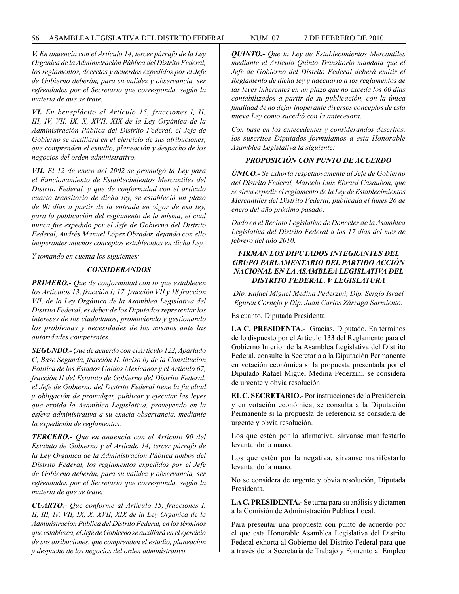#### 56 ASAMBLEA LEGISLATIVA DEL DISTRITO FEDERAL NUM. 07 17 DE FEBRERO de 2010

*V. En anuencia con el Artículo 14, tercer párrafo de la Ley Orgánica de la Administración Pública del Distrito Federal, los reglamentos, decretos y acuerdos expedidos por el Jefe de Gobierno deberán, para su validez y observancia, ser refrendados por el Secretario que corresponda, según la materia de que se trate.*

*VI. En beneplácito al Artículo 15, fracciones I, II, III, IV, VII, IX, X, XVII, XIX de la Ley Orgánica de la Administración Pública del Distrito Federal, el Jefe de Gobierno se auxiliará en el ejercicio de sus atribuciones, que comprenden el estudio, planeación y despacho de los negocios del orden administrativo.* 

*VII. El 12 de enero del 2002 se promulgó la Ley para el Funcionamiento de Establecimientos Mercantiles del Distrito Federal, y que de conformidad con el artículo cuarto transitorio de dicha ley, se estableció un plazo de 90 días a partir de la entrada en vigor de esa ley, para la publicación del reglamento de la misma, el cual nunca fue expedido por el Jefe de Gobierno del Distrito Federal, Andrés Manuel López Obrador, dejando con ello inoperantes muchos conceptos establecidos en dicha Ley.*

*Y tomando en cuenta los siguientes:*

# *CONSIDERANDOS*

*PRIMERO.- Que de conformidad con lo que establecen los Artículos 13, fracción I; 17, fracción VII y 18 fracción VII, de la Ley Orgánica de la Asamblea Legislativa del Distrito Federal, es deber de los Diputados representar los intereses de los ciudadanos, promoviendo y gestionando los problemas y necesidades de los mismos ante las autoridades competentes.*

*SEGUNDO.- Que de acuerdo con el Artículo 122, Apartado C, Base Segunda, fracción II, inciso b) de la Constitución Política de los Estados Unidos Mexicanos y el Artículo 67, fracción II del Estatuto de Gobierno del Distrito Federal, el Jefe de Gobierno del Distrito Federal tiene la facultad y obligación de promulgar, publicar y ejecutar las leyes que expida la Asamblea Legislativa, proveyendo en la esfera administrativa a su exacta observancia, mediante la expedición de reglamentos.*

*TERCERO.- Que en anuencia con el Artículo 90 del Estatuto de Gobierno y el Artículo 14, tercer párrafo de la Ley Orgánica de la Administración Pública ambos del Distrito Federal, los reglamentos expedidos por el Jefe de Gobierno deberán, para su validez y observancia, ser refrendados por el Secretario que corresponda, según la materia de que se trate.*

*CUARTO.- Que conforme al Artículo 15, fracciones I, II, III, IV, VII, IX, X, XVII, XIX de la Ley Orgánica de la Administración Pública del Distrito Federal, en los términos que establezca, el Jefe de Gobierno se auxiliará en el ejercicio de sus atribuciones, que comprenden el estudio, planeación y despacho de los negocios del orden administrativo.*

*QUINTO.- Que la Ley de Establecimientos Mercantiles mediante el Artículo Quinto Transitorio mandata que el Jefe de Gobierno del Distrito Federal deberá emitir el Reglamento de dicha ley y adecuarlo a los reglamentos de las leyes inherentes en un plazo que no exceda los 60 días contabilizados a partir de su publicación, con la única finalidad de no dejar inoperante diversos conceptos de esta nueva Ley como sucedió con la antecesora.*

*Con base en los antecedentes y considerandos descritos, los suscritos Diputados formulamos a esta Honorable Asamblea Legislativa la siguiente:*

# *PROPOSICIÓN CON PUNTO DE ACUERDO*

*ÚNICO.- Se exhorta respetuosamente al Jefe de Gobierno del Distrito Federal, Marcelo Luis Ebrard Casaubon, que se sirva expedir el reglamento de la Ley de Establecimientos Mercantiles del Distrito Federal, publicada el lunes 26 de enero del año próximo pasado.*

*Dado en el Recinto Legislativo de Donceles de la Asamblea Legislativa del Distrito Federal a los 17 días del mes de febrero del año 2010.*

# *FIRMAN LOS DIPUTADOS INTEGRANTES DEL GRUPO PARLAMENTARIO DEL PARTIDO ACCIÓN NACIONAL EN LA ASAMBLEA LEGISLATIVA DEL DISTRITO FEDERAL, V LEGISLATURA*

*Dip. Rafael Miguel Medina Pederzini, Dip. Sergio Israel Eguren Cornejo y Dip. Juan Carlos Zárraga Sarmiento.*

Es cuanto, Diputada Presidenta.

**LA C. PRESIDENTA.-** Gracias, Diputado. En términos de lo dispuesto por el Artículo 133 del Reglamento para el Gobierno Interior de la Asamblea Legislativa del Distrito Federal, consulte la Secretaría a la Diputación Permanente en votación económica si la propuesta presentada por el Diputado Rafael Miguel Medina Pederzini, se considera de urgente y obvia resolución.

**EL C. SECRETARIO.-** Por instrucciones de la Presidencia y en votación económica, se consulta a la Diputación Permanente si la propuesta de referencia se considera de urgente y obvia resolución.

Los que estén por la afirmativa, sírvanse manifestarlo levantando la mano.

Los que estén por la negativa, sírvanse manifestarlo levantando la mano.

No se considera de urgente y obvia resolución, Diputada Presidenta.

**LA C. PRESIDENTA.-** Se turna para su análisis y dictamen a la Comisión de Administración Pública Local.

Para presentar una propuesta con punto de acuerdo por el que esta Honorable Asamblea Legislativa del Distrito Federal exhorta al Gobierno del Distrito Federal para que a través de la Secretaría de Trabajo y Fomento al Empleo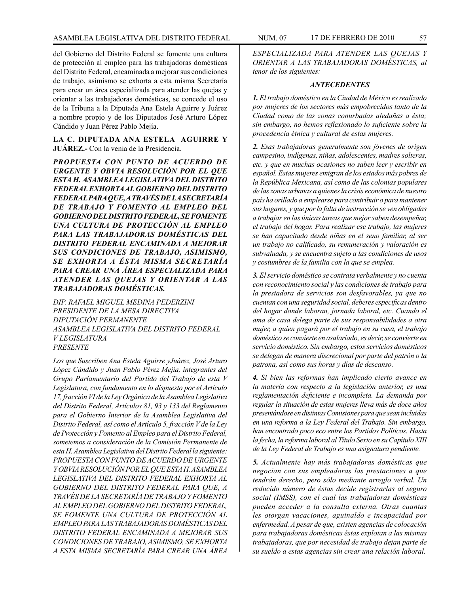del Gobierno del Distrito Federal se fomente una cultura de protección al empleo para las trabajadoras domésticas del Distrito Federal, encaminada a mejorar sus condiciones de trabajo, asimismo se exhorta a esta misma Secretaría para crear un área especializada para atender las quejas y

orientar a las trabajadoras domésticas, se concede el uso de la Tribuna a la Diputada Ana Estela Aguirre y Juárez a nombre propio y de los Diputados José Arturo López Cándido y Juan Pérez Pablo Mejía.

# **LA C. DIPUTADA ANA ESTELA AGUIRRE Y JUÁREZ.-** Con la venia de la Presidencia.

*PROPUESTA CON PUNTO DE ACUERDO DE URGENTE Y OBVIA RESOLUCIÓN POR EL QUE ESTA H. ASAMBLEA LEGISLATIVA DEL DISTRITO FEDERAL EXHORTA AL GOBIERNO DEL DISTRITO FEDERAL PARA QUE, A TRAVÉS DE LA SECRETARÍA DE TRABAJO Y FOMENTO AL EMPLEO DEL GOBIERNO DEL DISTRITO FEDERAL, SE FOMENTE UNA CULTURA DE PROTECCIÓN AL EMPLEO PARA LAS TRABAJADORAS DOMÉSTICAS DEL DISTRITO FEDERAL ENCAMINADA A MEJORAR SUS CONDICIONES DE TRABAJO, ASIMISMO, SE EXHORTA A ÉSTA MISMA SECRETARÍA PARA CREAR UNA ÁREA ESPECIALIZADA PARA ATENDER LAS QUEJAS Y ORIENTAR A LAS TRABAJADORAS DOMÉSTICAS.*

*DIP. RAFAEL MIGUEL MEDINA PEDERZINI PRESIDENTE DE LA MESA DIRECTIVA DIPUTACIÓN PERMANENTE ASAMBLEA LEGISLATIVA DEL DISTRITO FEDERAL V LEGISLATURA PRESENTE*

*Los que Suscriben Ana Estela Aguirre yJuárez, José Arturo López Cándido y Juan Pablo Pérez Mejía, integrantes del Grupo Parlamentario del Partido del Trabajo de esta V Legislatura, con fundamento en lo dispuesto por el Artículo 17, fracción VI de la Ley Orgánica de la Asamblea Legislativa del Distrito Federal, Artículos 81, 93 y 133 del Reglamento para el Gobierno Interior de la Asamblea Legislativa del Distrito Federal, así como el Artículo 5, fracción V de la Ley de Protección y Fomento al Empleo para el Distrito Federal, sometemos a consideración de la Comisión Permanente de esta H. Asamblea Legislativa del Distrito Federal la siguiente: PROPUESTA CON PUNTO DE ACUERDO DE URGENTE Y OBVIA RESOLUCIÓN POR EL QUE ESTA H. ASAMBLEA LEGISLATIVA DEL DISTRITO FEDERAL EXHORTA AL GOBIERNO DEL DISTRITO FEDERAL PARA QUE, A TRAVÉS DE LA SECRETARÍA DE TRABAJO Y FOMENTO AL EMPLEO DEL GOBIERNO DEL DISTRITO FEDERAL, SE FOMENTE UNA CULTURA DE PROTECCIÓN AL EMPLEO PARA LAS TRABAJADORAS DOMÉSTICAS DEL DISTRITO FEDERAL ENCAMINADA A MEJORAR SUS CONDICIONES DE TRABAJO, ASIMISMO, SE EXHORTA A ESTA MISMA SECRETARÍA PARA CREAR UNA ÁREA* 

*ESPECIALIZADA PARA ATENDER LAS QUEJAS Y ORIENTAR A LAS TRABAJADORAS DOMÉSTICAS, al tenor de los siguientes:*

### *ANTECEDENTES*

*1. El trabajo doméstico en la Ciudad de México es realizado por mujeres de los sectores más empobrecidos tanto de la Ciudad como de las zonas conurbadas aledañas a ésta; sin embargo, no hemos reflexionado lo suficiente sobre la procedencia étnica y cultural de estas mujeres.*

*2. Esas trabajadoras generalmente son jóvenes de origen campesino, indígenas, niñas, adolescentes, madres solteras, etc. y que en muchas ocasiones no saben leer y escribir en español. Estas mujeres emigran de los estados más pobres de la República Mexicana, así como de las colonias populares de las zonas urbanas a quienes la crisis económica de nuestro país ha orillado a emplearse para contribuir o para mantener sus hogares, y que por la falta de instrucción se ven obligadas a trabajar en las únicas tareas que mejor saben desempeñar, el trabajo del hogar. Para realizar ese trabajo, las mujeres se han capacitado desde niñas en el seno familiar, al ser un trabajo no calificado, su remuneración y valoración es subvaluada, y se encuentra sujeto a las condiciones de usos y costumbres de la familia con la que se emplea.*

*3. El servicio doméstico se contrata verbalmente y no cuenta con reconocimiento social y las condiciones de trabajo para la prestadora de servicios son desfavorables, ya que no cuentan con una seguridad social, deberes especificas dentro del hogar donde laboran, jornada laboral, etc. Cuando el ama de casa delega parte de sus responsabilidades a otra mujer, a quien pagará por el trabajo en su casa, el trabajo doméstico se convierte en asalariado, es decir, se convierte en servicio doméstico. Sin embargo, estos servicios domésticos se delegan de manera discrecional por parte del patrón o la patrona, así como sus horas y días de descanso.*

*4. Si bien las reformas han implicado cierto avance en la materia con respecto a la legislación anterior, es una reglamentación deficiente e incompleta. La demanda por regular la situación de estas mujeres lleva más de doce años presentándose en distintas Comisiones para que sean incluidas en una reforma a la Ley Federal del Trabajo. Sin embargo, han encontrado poco eco entre los Partidos Políticos. Hasta la fecha, la reforma laboral al Título Sexto en su Capítulo XIII de la Ley Federal de Trabajo es una asignatura pendiente.* 

*5. Actualmente hay más trabajadoras domésticas que negocian con sus empleadoras las prestaciones a que tendrán derecho, pero sólo mediante arreglo verbal. Un reducido número de éstas decide registrarlas al seguro social (IMSS), con el cual las trabajadoras domésticas pueden acceder a la consulta externa. Otras cuantas les otorgan vacaciones, aguinaldo e incapacidad por enfermedad. A pesar de que, existen agencias de colocación para trabajadoras domésticas éstas explotan a las mismas trabajadoras, que por necesidad de trabajo dejan parte de su sueldo a estas agencias sin crear una relación laboral.*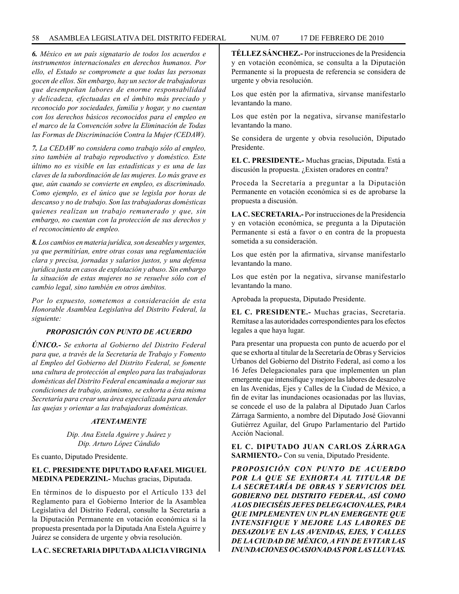*6. México en un país signatario de todos los acuerdos e instrumentos internacionales en derechos humanos. Por ello, el Estado se compromete a que todas las personas gocen de ellos. Sin embargo, hay un sector de trabajadoras que desempeñan labores de enorme responsabilidad y delicadeza, efectuadas en el ámbito más preciado y reconocido por sociedades, familia y hogar, y no cuentan con los derechos básicos reconocidos para el empleo en el marco de la Convención sobre la Eliminación de Todas las Formas de Discriminación Contra la Mujer (CEDAW).*

*7. La CEDAW no considera como trabajo sólo al empleo, sino también al trabajo reproductivo y doméstico. Este último no es visible en las estadísticas y es una de las claves de la subordinación de las mujeres. Lo más grave es que, aún cuando se convierte en empleo, es discriminado. Como ejemplo, es el único que se legisla por horas de descanso y no de trabajo. Son las trabajadoras domésticas quienes realizan un trabajo remunerado y que, sin embargo, no cuentan con la protección de sus derechos y el reconocimiento de empleo.*

*8. Los cambios en materia jurídica, son deseables y urgentes, ya que permitirían, entre otras cosas una reglamentación clara y precisa, jornadas y salarios justos, y una defensa jurídica justa en casos de explotación y abuso. Sin embargo la situación de estas mujeres no se resuelve sólo con el cambio legal, sino también en otros ámbitos.*

*Por lo expuesto, sometemos a consideración de esta Honorable Asamblea Legislativa del Distrito Federal, la siguiente:*

# *PROPOSICIÓN CON PUNTO DE ACUERDO*

*ÚNICO.- Se exhorta al Gobierno del Distrito Federal para que, a través de la Secretaría de Trabajo y Fomento al Empleo del Gobierno del Distrito Federal, se fomente una cultura de protección al empleo para las trabajadoras domésticas del Distrito Federal encaminada a mejorar sus condiciones de trabajo, asimismo, se exhorta a ésta misma Secretaría para crear una área especializada para atender las quejas y orientar a las trabajadoras domésticas.*

### *ATENTAMENTE*

*Dip. Ana Estela Aguirre y Juárez y Dip. Arturo López Cándido*

Es cuanto, Diputado Presidente.

# **EL C. PRESIDENTE DIPUTADO RAFAEL MIGUEL MEDINA PEDERZINI.-** Muchas gracias, Diputada.

En términos de lo dispuesto por el Artículo 133 del Reglamento para el Gobierno Interior de la Asamblea Legislativa del Distrito Federal, consulte la Secretaría a la Diputación Permanente en votación económica si la propuesta presentada por la Diputada Ana Estela Aguirre y Juárez se considera de urgente y obvia resolución.

# **LA C. SECRETARIA DIPUTADA ALICIA VIRGINIA**

**TÉLLEZ SÁNCHEZ.-** Por instrucciones de la Presidencia y en votación económica, se consulta a la Diputación Permanente si la propuesta de referencia se considera de urgente y obvia resolución.

Los que estén por la afirmativa, sírvanse manifestarlo levantando la mano.

Los que estén por la negativa, sírvanse manifestarlo levantando la mano.

Se considera de urgente y obvia resolución, Diputado Presidente.

**EL C. PRESIDENTE.-** Muchas gracias, Diputada. Está a discusión la propuesta. ¿Existen oradores en contra?

Proceda la Secretaría a preguntar a la Diputación Permanente en votación económica si es de aprobarse la propuesta a discusión.

**LA C. SECRETARIA.-** Por instrucciones de la Presidencia y en votación económica, se pregunta a la Diputación Permanente si está a favor o en contra de la propuesta sometida a su consideración.

Los que estén por la afirmativa, sírvanse manifestarlo levantando la mano.

Los que estén por la negativa, sírvanse manifestarlo levantando la mano.

Aprobada la propuesta, Diputado Presidente.

**EL C. PRESIDENTE.-** Muchas gracias, Secretaria. Remítase a las autoridades correspondientes para los efectos legales a que haya lugar.

Para presentar una propuesta con punto de acuerdo por el que se exhorta al titular de la Secretaría de Obras y Servicios Urbanos del Gobierno del Distrito Federal, así como a los 16 Jefes Delegacionales para que implementen un plan emergente que intensifique y mejore las labores de desazolve en las Avenidas, Ejes y Calles de la Ciudad de México, a fin de evitar las inundaciones ocasionadas por las lluvias, se concede el uso de la palabra al Diputado Juan Carlos Zárraga Sarmiento, a nombre del Diputado José Giovanni Gutiérrez Aguilar, del Grupo Parlamentario del Partido Acción Nacional.

**EL C. DIPUTADO JUAN CARLOS ZÁRRAGA SARMIENTO.-** Con su venia, Diputado Presidente.

*PROPOSICIÓN CON PUNTO DE ACUERDO POR LA QUE SE EXHORTA AL TITULAR DE LA SECRETARÍA DE OBRAS Y SERVICIOS DEL GOBIERNO DEL DISTRITO FEDERAL, ASÍ COMO A LOS DIECISÉIS JEFES DELEGACIONALES, PARA QUE IMPLEMENTEN UN PLAN EMERGENTE QUE INTENSIFIQUE Y MEJORE LAS LABORES DE DESAZOLVE EN LAS AVENIDAS, EJES, Y CALLES DE LA CIUDAD DE MÉXICO, A FIN DE EVITAR LAS INUNDACIONES OCASIONADAS POR LAS LLUVIAS.*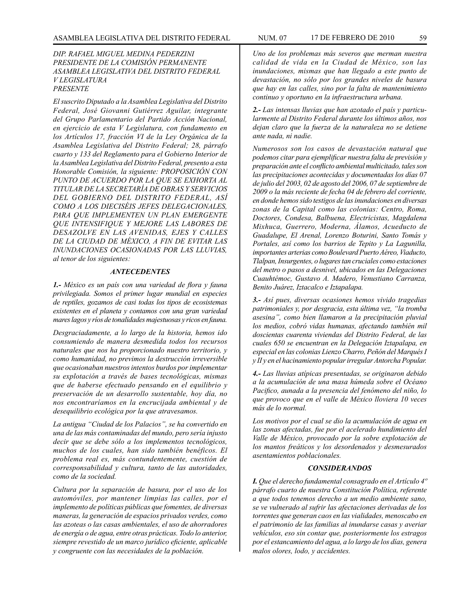#### *DIP. RAFAEL MIGUEL MEDINA PEDERZINI PRESIDENTE DE LA COMISIÓN PERMANENTE ASAMBLEA LEGISLATIVA DEL DISTRITO FEDERAL V LEGISLATURA PRESENTE*

*El suscrito Diputado a la Asamblea Legislativa del Distrito Federal, José Giovanni Gutiérrez Aguilar, integrante del Grupo Parlamentario del Partido Acción Nacional, en ejercicio de esta V Legislatura, con fundamento en los Artículos 17, fracción VI de la Ley Orgánica de la Asamblea Legislativa del Distrito Federal; 28, párrafo cuarto y 133 del Reglamento para el Gobierno Interior de la Asamblea Legislativa del Distrito Federal, presento a esta Honorable Comisión, la siguiente: PROPOSICIÓN CON PUNTO DE ACUERDO POR LA QUE SE EXHORTA AL TITULAR DE LA SECRETARÍA DE OBRAS Y SERVICIOS DEL GOBIERNO DEL DISTRITO FEDERAL, ASÍ COMO A LOS DIECISÉIS JEFES DELEGACIONALES, PARA QUE IMPLEMENTEN UN PLAN EMERGENTE QUE INTENSIFIQUE Y MEJORE LAS LABORES DE DESAZOLVE EN LAS AVENIDAS, EJES Y CALLES DE LA CIUDAD DE MÉXICO, A FIN DE EVITAR LAS INUNDACIONES OCASIONADAS POR LAS LLUVIAS, al tenor de los siguientes:* 

# *ANTECEDENTES*

*1.- México es un país con una variedad de flora y fauna privilegiada. Somos el primer lugar mundial en especies de reptiles, gozamos de casi todas los tipos de ecosistemas existentes en el planeta y contamos con una gran variedad mares lagos y ríos de tonalidades majestuosas y ricos en fauna.* 

*Desgraciadamente, a lo largo de la historia, hemos ido consumiendo de manera desmedida todos los recursos naturales que nos ha proporcionado nuestro territorio, y como humanidad, no previmos la destrucción irreversible que ocasionaban nuestros intentos burdos por implementar su explotación a través de bases tecnológicas, mismas que de haberse efectuado pensando en el equilibrio y preservación de un desarrollo sustentable, hoy día, no nos encontraríamos en la encrucijada ambiental y de desequilibrio ecológica por la que atravesamos.* 

*La antigua "Ciudad de los Palacios", se ha convertido en una de las más contaminadas del mundo, pero sería injusto decir que se debe sólo a los implementos tecnológicos, muchos de los cuales, han sido también benéficos. El problema real es, más contundentemente, cuestión de corresponsabilidad y cultura, tanto de las autoridades, como de la sociedad.* 

*Cultura por la separación de basura, por el uso de los automóviles, por mantener limpias las calles, por el implemento de políticas públicas que fomentes, de diversas maneras, la generación de espacios privados verdes, como las azoteas o las casas ambientales, el uso de ahorradores de energía o de agua, entre otras prácticas. Todo lo anterior, siempre revestido de un marco jurídico eficiente, aplicable y congruente con las necesidades de la población.* 

*Uno de los problemas más severos que merman nuestra calidad de vida en la Ciudad de México, son las inundaciones, mismas que han llegado a este punto de devastación, no sólo por los grandes niveles de basura que hay en las calles, sino por la falta de mantenimiento continuo y oportuno en la infraestructura urbana.* 

*2.- Las intensas lluvias que han azotado el país y particularmente al Distrito Federal durante los últimos años, nos dejan claro que la fuerza de la naturaleza no se detiene ante nada, ni nadie.* 

*Numerosos son los casos de devastación natural que podemos citar para ejemplificar nuestra falta de previsión y preparación ante el conflicto ambiental multicitado, tales son las precipitaciones acontecidas y documentadas los días 07 de julio del 2003, 02 de agosto del 2006, 07 de septiembre de 2009 o la más reciente de fecha 04 de febrero del corriente, en donde hemos sido testigos de las inundaciones en diversas zonas de la Capital como las colonias: Centro, Roma, Doctores, Condesa, Balbuena, Electricistas, Magdalena Mixhuca, Guerrero, Moderna, Álamos, Acueducto de Guadalupe, El Arenal, Lorenzo Boturini, Santo Tomás y Portales, así como los barrios de Tepito y La Lagunilla, importantes arterias como Boulevard Puerto Aéreo, Viaducto, Tlalpan, Insurgentes, o lugares tan cruciales como estaciones del metro o pasos a desnivel, ubicados en las Delegaciones Cuauhtémoc, Gustavo A. Madero, Venustiano Carranza, Benito Juárez, Iztacalco e Iztapalapa.* 

*3.- Así pues, diversas ocasiones hemos vivido tragedias patrimoniales y, por desgracia, esta última vez, "la tromba asesina", como bien llamaron a la precipitación pluvial los medios, cobró vidas humanas, afectando también mil doscientas cuarenta viviendas del Distrito Federal, de las cuales 650 se encuentran en la Delegación Iztapalapa, en especial en las colonias Lienzo Charro, Peñón del Marqués I y II y en el hacinamiento popular irregular Antorcha Popular.* 

*4.- Las lluvias atípicas presentadas, se originaron debido a la acumulación de una masa húmeda sobre el Océano Pacifico, aunada a la presencia del fenómeno del niño, lo que provoco que en el valle de México lloviera 10 veces más de lo normal.* 

*Los motivos por el cual se dio la acumulación de agua en las zonas afectadas, fue por el acelerado hundimiento del Valle de México, provocado por la sobre explotación de los mantos freáticos y los desordenados y desmesurados asentamientos poblacionales.* 

#### *CONSIDERANDOS*

*I. Que el derecho fundamental consagrado en el Artículo 4º párrafo cuarto de nuestra Constitución Política, referente a que todos tenemos derecho a un medio ambiente sano, se ve vulnerado al sufrir las afectaciones derivadas de los torrentes que generan caos en las vialidades, menoscabo en el patrimonio de las familias al inundarse casas y averiar vehículos, eso sin contar que, posteriormente los estragos por el estancamiento del agua, a lo largo de los días, genera malos olores, lodo, y accidentes.*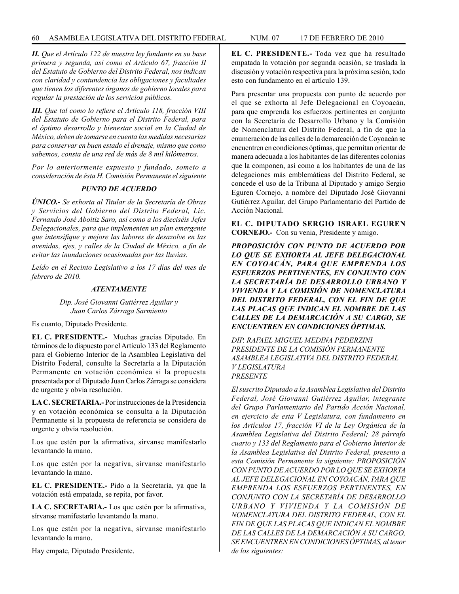*II. Que el Artículo 122 de nuestra ley fundante en su base primera y segunda, así como el Artículo 67, fracción II del Estatuto de Gobierno del Distrito Federal, nos indican con claridad y contundencia las obligaciones y facultades que tienen los diferentes órganos de gobierno locales para regular la prestación de los servicios públicos.* 

*III. Que tal como lo refiere el Artículo 118, fracción VIII del Estatuto de Gobierno para el Distrito Federal, para el óptimo desarrollo y bienestar social en la Ciudad de México, deben de tomarse en cuenta las medidas necesarias para conservar en buen estado el drenaje, mismo que como sabemos, consta de una red de más de 8 mil kilómetros.* 

*Por lo anteriormente expuesto y fundado, someto a consideración de ésta H. Comisión Permanente el siguiente* 

### *PUNTO DE ACUERDO*

*ÚNICO.- Se exhorta al Titular de la Secretaría de Obras y Servicios del Gobierno del Distrito Federal, Lic. Fernando José Aboitiz Saro, así como a los dieciséis Jefes Delegacionales, para que implementen un plan emergente que intensifique y mejore las labores de desazolve en las avenidas, ejes, y calles de la Ciudad de México, a fin de evitar las inundaciones ocasionadas por las lluvias.* 

*Leído en el Recinto Legislativo a los 17 días del mes de febrero de 2010.* 

#### *ATENTAMENTE*

*Dip. José Giovanni Gutiérrez Aguilar y Juan Carlos Zárraga Sarmiento*

Es cuanto, Diputado Presidente.

**EL C. PRESIDENTE.-** Muchas gracias Diputado. En términos de lo dispuesto por el Artículo 133 del Reglamento para el Gobierno Interior de la Asamblea Legislativa del Distrito Federal, consulte la Secretaría a la Diputación Permanente en votación económica si la propuesta presentada por el Diputado Juan Carlos Zárraga se considera de urgente y obvia resolución.

**LA C. SECRETARIA.-** Por instrucciones de la Presidencia y en votación económica se consulta a la Diputación Permanente si la propuesta de referencia se considera de urgente y obvia resolución.

Los que estén por la afirmativa, sírvanse manifestarlo levantando la mano.

Los que estén por la negativa, sírvanse manifestarlo levantando la mano.

**EL C. PRESIDENTE.-** Pido a la Secretaría, ya que la votación está empatada, se repita, por favor.

**LA C. SECRETARIA.-** Los que estén por la afirmativa, sírvanse manifestarlo levantando la mano.

Los que estén por la negativa, sírvanse manifestarlo levantando la mano.

Hay empate, Diputado Presidente.

**EL C. PRESIDENTE.-** Toda vez que ha resultado empatada la votación por segunda ocasión, se traslada la discusión y votación respectiva para la próxima sesión, todo esto con fundamento en el artículo 139.

Para presentar una propuesta con punto de acuerdo por el que se exhorta al Jefe Delegacional en Coyoacán, para que emprenda los esfuerzos pertinentes en conjunto con la Secretaría de Desarrollo Urbano y la Comisión de Nomenclatura del Distrito Federal, a fin de que la enumeración de las calles de la demarcación de Coyoacán se encuentren en condiciones óptimas, que permitan orientar de manera adecuada a los habitantes de las diferentes colonias que la componen, así como a los habitantes de una de las delegaciones más emblemáticas del Distrito Federal, se concede el uso de la Tribuna al Diputado y amigo Sergio Eguren Cornejo, a nombre del Diputado José Giovanni Gutiérrez Aguilar, del Grupo Parlamentario del Partido de Acción Nacional.

**EL C. DIPUTADO SERGIO ISRAEL EGUREN CORNEJO.-** Con su venia, Presidente y amigo.

*PROPOSICIÓN CON PUNTO DE ACUERDO POR LO QUE SE EXHORTA AL JEFE DELEGACIONAL EN COYOACÁN, PARA QUE EMPRENDA LOS ESFUERZOS PERTINENTES, EN CONJUNTO CON LA SECRETARÍA DE DESARROLLO URBANO Y VIVIENDA Y LA COMISIÓN DE NOMENCLATURA DEL DISTRITO FEDERAL, CON EL FIN DE QUE LAS PLACAS QUE INDICAN EL NOMBRE DE LAS CALLES DE LA DEMARCACIÓN A SU CARGO, SE ENCUENTREN EN CONDICIONES ÓPTIMAS.*

*DIP. RAFAEL MIGUEL MEDINA PEDERZINI PRESIDENTE DE LA COMISIÓN PERMANENTE ASAMBLEA LEGISLATIVA DEL DISTRITO FEDERAL V LEGISLATURA PRESENTE*

*El suscrito Diputado a la Asamblea Legislativa del Distrito Federal, José Giovanni Gutiérrez Aguilar, integrante del Grupo Parlamentario del Partido Acción Nacional, en ejercicio de esta V Legislatura, con fundamento en los Artículos 17, fracción VI de la Ley Orgánica de la Asamblea Legislativa del Distrito Federal; 28 párrafo cuarto y 133 del Reglamento para el Gobierno Interior de la Asamblea Legislativa del Distrito Federal, presento a esta Comisión Permanente la siguiente: PROPOSICIÓN CON PUNTO DE ACUERDO POR LO QUE SE EXHORTA AL JEFE DELEGACIONAL EN COYOACÁN, PARA QUE EMPRENDA LOS ESFUERZOS PERTINENTES, EN CONJUNTO CON LA SECRETARÍA DE DESARROLLO URBANO Y VIVIENDA Y LA COMISIÓN DE NOMENCLATURA DEL DISTRITO FEDERAL, CON EL FIN DE QUE LAS PLACAS QUE INDICAN EL NOMBRE DE LAS CALLES DE LA DEMARCACIÓN A SU CARGO, SE ENCUENTREN EN CONDICIONES ÓPTIMAS, al tenor de los siguientes:*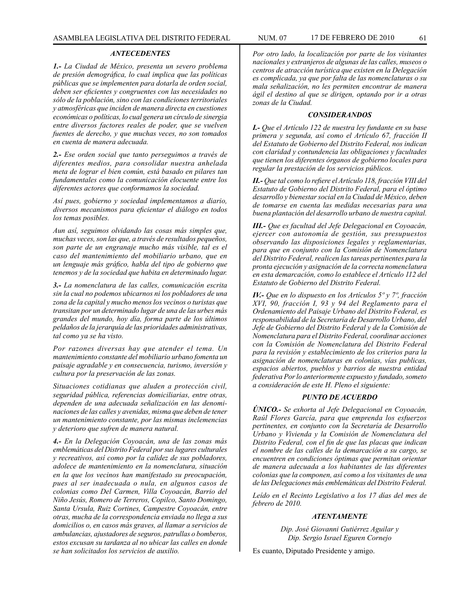#### *ANTECEDENTES*

*1.- La Ciudad de México, presenta un severo problema de presión demográfica, lo cual implica que las políticas públicas que se implementen para dotarla de orden social, deben ser eficientes y congruentes con las necesidades no sólo de la población, sino con las condiciones territoriales y atmosféricas que inciden de manera directa en cuestiones económicas o políticas, lo cual genera un círculo de sinergia entre diversos factores reales de poder, que se vuelven fuentes de derecho, y que muchas veces, no son tomados en cuenta de manera adecuada.*

*2.- Ese orden social que tanto perseguimos a través de diferentes medios, para consolidar nuestra anhelada meta de lograr el bien común, está basado en pilares tan fundamentales como la comunicación elocuente entre los diferentes actores que conformamos la sociedad.*

*Así pues, gobierno y sociedad implementamos a diario, diversos mecanismos para eficientar el diálogo en todos los temas posibles.* 

*Aun así, seguimos olvidando las cosas más simples que, muchas veces, son las que, a través de resultados pequeños, son parte de un engranaje mucho más visible, tal es el caso del mantenimiento del mobiliario urbano, que en un lenguaje más gráfico, habla del tipo de gobierno que tenemos y de la sociedad que habita en determinado lugar.*

*3.- La nomenclatura de las calles, comunicación escrita sin la cual no podemos ubicarnos ni los pobladores de una zona de la capital y mucho menos los vecinos o turistas que transitan por un determinado lugar de una de las urbes más grandes del mundo, hoy día, forma parte de los últimos peldaños de la jerarquía de las prioridades administrativas, tal como ya se ha visto.*

*Por razones diversas hay que atender el tema. Un mantenimiento constante del mobiliario urbano fomenta un paisaje agradable y en consecuencia, turismo, inversión y cultura por la preservación de las zonas.*

*Situaciones cotidianas que aluden a protección civil, seguridad pública, referencias domiciliarias, entre otras, dependen de una adecuada señalización en las denominaciones de las calles y avenidas, misma que deben de tener un mantenimiento constante, por las mismas inclemencias y deterioro que sufren de manera natural.*

*4.- En la Delegación Coyoacán, una de las zonas más emblemáticas del Distrito Federal por sus lugares culturales y recreativos, así como por la calidez de sus pobladores, adolece de mantenimiento en la nomenclatura, situación en la que los vecinos han manifestado su preocupación, pues al ser inadecuada o nula, en algunos casos de colonias como Del Carmen, Villa Coyoacán, Barrio del Niño Jesús, Romero de Terreros, Copilco, Santo Domingo, Santa Ursula, Ruiz Cortines, Campestre Coyoacán, entre otras, mucha de la correspondencia enviada no llega a sus domicilios o, en casos más graves, al llamar a servicios de ambulancias, ajustadores de seguros, patrullas o bomberos, estos excusan su tardanza al no ubicar las calles en donde se han solicitados los servicios de auxilio.*

*Por otro lado, la localización por parte de los visitantes nacionales y extranjeros de algunas de las calles, museos o centros de atracción turística que existen en la Delegación es complicada, ya que por falta de las nomenclaturas o su mala señalización, no les permiten encontrar de manera ágil el destino al que se dirigen, optando por ir a otras zonas de la Ciudad.*

#### *CONSIDERANDOS*

*I.- Que el Artículo 122 de nuestra ley fundante en su base primera y segunda, así como el Artículo 67, fracción II del Estatuto de Gobierno del Distrito Federal, nos indican con claridad y contundencia las obligaciones y facultades que tienen los diferentes órganos de gobierno locales para regular la prestación de los servicios públicos.*

*II.- Que tal como lo refiere el Artículo 118, fracción VIII del Estatuto de Gobierno del Distrito Federal, para el óptimo desarrollo y bienestar social en la Ciudad de México, deben de tomarse en cuenta las medidas necesarias para una buena plantación del desarrollo urbano de nuestra capital.*

*III.- Que es facultad del Jefe Delegacional en Coyoacán, ejercer con autonomía de gestión, sus presupuestos observando las disposiciones legales y reglamentarias, para que en conjunto con la Comisión de Nomenclatura del Distrito Federal, realicen las tareas pertinentes para la pronta ejecución y asignación de la correcta nomenclatura en esta demarcación, como lo establece el Artículo 112 del Estatuto de Gobierno del Distrito Federal.*

*IV.- Que en lo dispuesto en los Artículos 5º y 7º, fracción XVI, 90, fracción I, 93 y 94 del Reglamento para el Ordenamiento del Paisaje Urbano del Distrito Federal, es responsabilidad de la Secretaría de Desarrollo Urbano, del Jefe de Gobierno del Distrito Federal y de la Comisión de Nomenclatura para el Distrito Federal, coordinar acciones con la Comisión de Nomenclatura del Distrito Federal para la revisión y establecimiento de los criterios para la asignación de nomenclaturas en colonias, vías publicas, espacios abiertos, pueblos y barrios de nuestra entidad federativa Por lo anteriormente expuesto y fundado, someto a consideración de este H. Pleno el siguiente:*

# *PUNTO DE ACUERDO*

*ÚNICO.- Se exhorta al Jefe Delegacional en Coyoacán, Raúl Flores García, para que emprenda los esfuerzos pertinentes, en conjunto con la Secretaría de Desarrollo Urbano y Vivienda y la Comisión de Nomenclatura del Distrito Federal, con el fin de que las placas que indican el nombre de las calles de la demarcación a su cargo, se encuentren en condiciones óptimas que permitan orientar de manera adecuada a los habitantes de las diferentes colonias que la componen, así como a los visitantes de una de las Delegaciones más emblemáticas del Distrito Federal.*

*Leído en el Recinto Legislativo a los 17 días del mes de febrero de 2010.*

#### *ATENTAMENTE*

*Dip. José Giovanni Gutiérrez Aguilar y Dip. Sergio Israel Eguren Cornejo*

Es cuanto, Diputado Presidente y amigo.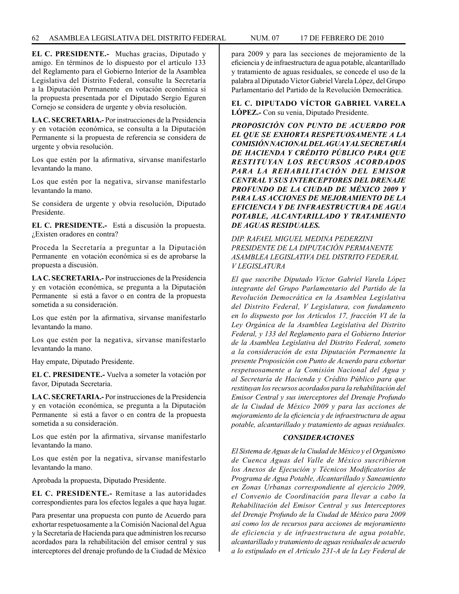**EL C. PRESIDENTE.-** Muchas gracias, Diputado y amigo. En términos de lo dispuesto por el artículo 133 del Reglamento para el Gobierno Interior de la Asamblea Legislativa del Distrito Federal, consulte la Secretaría a la Diputación Permanente en votación económica si la propuesta presentada por el Diputado Sergio Eguren Cornejo se considera de urgente y obvia resolución.

**LA C. SECRETARIA.-** Por instrucciones de la Presidencia y en votación económica, se consulta a la Diputación Permanente si la propuesta de referencia se considera de urgente y obvia resolución.

Los que estén por la afirmativa, sírvanse manifestarlo levantando la mano.

Los que estén por la negativa, sírvanse manifestarlo levantando la mano.

Se considera de urgente y obvia resolución, Diputado Presidente.

**EL C. PRESIDENTE.-** Está a discusión la propuesta. ¿Existen oradores en contra?

Proceda la Secretaría a preguntar a la Diputación Permanente en votación económica si es de aprobarse la propuesta a discusión.

**LA C. SECRETARIA.-** Por instrucciones de la Presidencia y en votación económica, se pregunta a la Diputación Permanente si está a favor o en contra de la propuesta sometida a su consideración.

Los que estén por la afirmativa, sírvanse manifestarlo levantando la mano.

Los que estén por la negativa, sírvanse manifestarlo levantando la mano.

Hay empate, Diputado Presidente.

**EL C. PRESIDENTE.-** Vuelva a someter la votación por favor, Diputada Secretaria.

**LA C. SECRETARIA.-** Por instrucciones de la Presidencia y en votación económica, se pregunta a la Diputación Permanente si está a favor o en contra de la propuesta sometida a su consideración.

Los que estén por la afirmativa, sírvanse manifestarlo levantando la mano.

Los que estén por la negativa, sírvanse manifestarlo levantando la mano.

Aprobada la propuesta, Diputado Presidente.

**EL C. PRESIDENTE.-** Remítase a las autoridades correspondientes para los efectos legales a que haya lugar.

Para presentar una propuesta con punto de Acuerdo para exhortar respetuosamente a la Comisión Nacional del Agua y la Secretaría de Hacienda para que administren los recurso acordados para la rehabilitación del emisor central y sus interceptores del drenaje profundo de la Ciudad de México para 2009 y para las secciones de mejoramiento de la eficiencia y de infraestructura de agua potable, alcantarillado y tratamiento de aguas residuales, se concede el uso de la palabra al Diputado Víctor Gabriel Varela López, del Grupo Parlamentario del Partido de la Revolución Democrática.

**EL C. DIPUTADO VÍCTOR GABRIEL VARELA LÓPEZ.-** Con su venia, Diputado Presidente.

*PROPOSICIÓN CON PUNTO DE ACUERDO POR EL QUE SE EXHORTA RESPETUOSAMENTE A LA COMISIÓN NACIONAL DEL AGUA Y AL SECRETARÍA DE HACIENDA Y CRÉDITO PÚBLICO PARA QUE RESTITUYAN LOS RECURSOS ACORDADOS PARA LA REHABILITACIÓN DEL EMISOR CENTRAL Y SUS INTERCEPTORES DEL DRENAJE PROFUNDO DE LA CIUDAD DE MÉXICO 2009 Y PARA LAS ACCIONES DE MEJORAMIENTO DE LA EFICIENCIA Y DE INFRAESTRUCTURA DE AGUA POTABLE, ALCANTARILLADO Y TRATAMIENTO DE AGUAS RESIDUALES.*

*DIP. RAFAEL MIGUEL MEDINA PEDERZINI PRESIDENTE DE LA DIPUTACIÓN PERMANENTE ASAMBLEA LEGISLATIVA DEL DISTRITO FEDERAL V LEGISLATURA*

*El que suscribe Diputado Víctor Gabriel Varela López integrante del Grupo Parlamentario del Partido de la Revolución Democrática en la Asamblea Legislativa del Distrito Federal, V Legislatura, con fundamento en lo dispuesto por los Artículos 17, fracción VI de la Ley Orgánica de la Asamblea Legislativa del Distrito Federal, y 133 del Reglamento para el Gobierno Interior de la Asamblea Legislativa del Distrito Federal, someto a la consideración de esta Diputación Permanente la presente Proposición con Punto de Acuerdo para exhortar respetuosamente a la Comisión Nacional del Agua y al Secretaría de Hacienda y Crédito Público para que restituyan los recursos acordados para la rehabilitación del Emisor Central y sus interceptores del Drenaje Profundo de la Ciudad de México 2009 y para las acciones de mejoramiento de la eficiencia y de infraestructura de agua potable, alcantarillado y tratamiento de aguas residuales.*

# *CONSIDERACIONES*

*El Sistema de Aguas de la Ciudad de México y el Organismo de Cuenca Aguas del Valle de México suscribieron los Anexos de Ejecución y Técnicos Modificatorios de Programa de Agua Potable, Alcantarillado y Saneamiento en Zonas Urbanas correspondiente al ejercicio 2009, el Convenio de Coordinación para llevar a cabo la Rehabilitación del Emisor Central y sus Interceptores del Drenaje Profundo de la Ciudad de México para 2009 así como los de recursos para acciones de mejoramiento de eficiencia y de infraestructura de agua potable, alcantarillado y tratamiento de aguas residuales de acuerdo a lo estipulado en el Artículo 231-A de la Ley Federal de*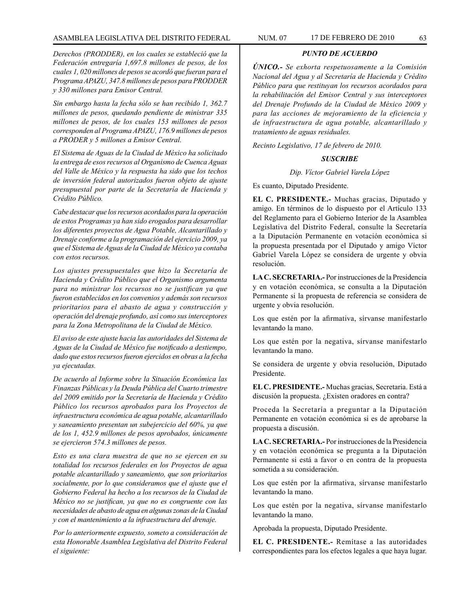#### ASAMBLEA LEGISLATIVA DEL DISTRITO FEDERAL NUM. 07 17 de FEBRERO de 2010 63

*Derechos (PRODDER), en los cuales se estableció que la Federación entregaría 1,697.8 millones de pesos, de los cuales 1, 020 millones de pesos se acordó que fueran para el Programa APAZU, 347.8 millones de pesos para PRODDER y 330 millones para Emisor Central.*

*Sin embargo hasta la fecha sólo se han recibido 1, 362.7 millones de pesos, quedando pendiente de ministrar 335 millones de pesos, de los cuales 153 millones de pesos corresponden al Programa APAZU, 176.9 millones de pesos a PRODER y 5 millones a Emisor Central.* 

*El Sistema de Aguas de la Ciudad de México ha solicitado la entrega de esos recursos al Organismo de Cuenca Aguas del Valle de México y la respuesta ha sido que los techos de inversión federal autorizados fueron objeto de ajuste presupuestal por parte de la Secretaría de Hacienda y Crédito Público.* 

*Cabe destacar que los recursos acordados para la operación de estos Programas ya han sido erogados para desarrollar los diferentes proyectos de Agua Potable, Alcantarillado y Drenaje conforme a la programación del ejercicio 2009, ya que el Sistema de Aguas de la Ciudad de México ya contaba con estos recursos.*

*Los ajustes presupuestales que hizo la Secretaría de Hacienda y Crédito Público que el Organismo argumenta para no ministrar los recursos no se justifican ya que fueron establecidos en los convenios y además son recursos prioritarios para el abasto de agua y construcción y operación del drenaje profundo, así como sus interceptores para la Zona Metropolitana de la Ciudad de México.*

*El aviso de este ajuste hacia las autoridades del Sistema de Aguas de la Ciudad de México fue notificado a destiempo, dado que estos recursos fueron ejercidos en obras a la fecha ya ejecutadas.*

*De acuerdo al Informe sobre la Situación Económica las Finanzas Públicas y la Deuda Pública del Cuarto trimestre del 2009 emitido por la Secretaría de Hacienda y Crédito Público los recursos aprobados para los Proyectos de infraestructura económica de agua potable, alcantarillado y saneamiento presentan un subejercicio del 60%, ya que de los 1, 452.9 millones de pesos aprobados, únicamente se ejercieron 574.3 millones de pesos.*

*Esto es una clara muestra de que no se ejercen en su totalidad los recursos federales en los Proyectos de agua potable alcantarillado y saneamiento, que son prioritarios socialmente, por lo que consideramos que el ajuste que el Gobierno Federal ha hecho a los recursos de la Ciudad de México no se justifican, ya que no es congruente con las necesidades de abasto de agua en algunas zonas de la Ciudad y con el mantenimiento a la infraestructura del drenaje.*

*Por lo anteriormente expuesto, someto a consideración de esta Honorable Asamblea Legislativa del Distrito Federal el siguiente:*

#### *PUNTO DE ACUERDO*

*ÚNICO.- Se exhorta respetuosamente a la Comisión Nacional del Agua y al Secretaría de Hacienda y Crédito Público para que restituyan los recursos acordados para la rehabilitación del Emisor Central y sus interceptores del Drenaje Profundo de la Ciudad de México 2009 y para las acciones de mejoramiento de la eficiencia y de infraestructura de agua potable, alcantarillado y tratamiento de aguas residuales.*

*Recinto Legislativo, 17 de febrero de 2010.*

#### *SUSCRIBE*

*Dip. Víctor Gabriel Varela López*

Es cuanto, Diputado Presidente.

**EL C. PRESIDENTE.-** Muchas gracias, Diputado y amigo. En términos de lo dispuesto por el Artículo 133 del Reglamento para el Gobierno Interior de la Asamblea Legislativa del Distrito Federal, consulte la Secretaría a la Diputación Permanente en votación económica si la propuesta presentada por el Diputado y amigo Víctor Gabriel Varela López se considera de urgente y obvia resolución.

**LA C. SECRETARIA.-** Por instrucciones de la Presidencia y en votación económica, se consulta a la Diputación Permanente si la propuesta de referencia se considera de urgente y obvia resolución.

Los que estén por la afirmativa, sírvanse manifestarlo levantando la mano.

Los que estén por la negativa, sírvanse manifestarlo levantando la mano.

Se considera de urgente y obvia resolución, Diputado Presidente.

**EL C. PRESIDENTE.-** Muchas gracias, Secretaria. Está a discusión la propuesta. ¿Existen oradores en contra?

Proceda la Secretaría a preguntar a la Diputación Permanente en votación económica si es de aprobarse la propuesta a discusión.

**LA C. SECRETARIA.-** Por instrucciones de la Presidencia y en votación económica se pregunta a la Diputación Permanente si está a favor o en contra de la propuesta sometida a su consideración.

Los que estén por la afirmativa, sírvanse manifestarlo levantando la mano.

Los que estén por la negativa, sírvanse manifestarlo levantando la mano.

Aprobada la propuesta, Diputado Presidente.

**EL C. PRESIDENTE.-** Remítase a las autoridades correspondientes para los efectos legales a que haya lugar.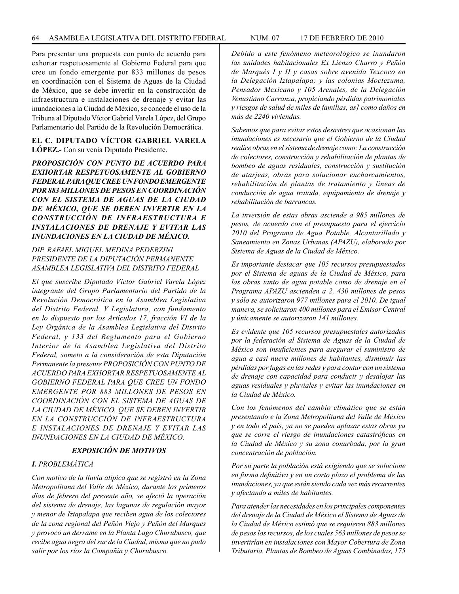Para presentar una propuesta con punto de acuerdo para exhortar respetuosamente al Gobierno Federal para que cree un fondo emergente por 833 millones de pesos en coordinación con el Sistema de Aguas de la Ciudad de México, que se debe invertir en la construcción de infraestructura e instalaciones de drenaje y evitar las inundaciones a la Ciudad de México, se concede el uso de la Tribuna al Diputado Víctor Gabriel Varela López, del Grupo Parlamentario del Partido de la Revolución Democrática.

# **EL C. DIPUTADO VÍCTOR GABRIEL VARELA LÓPEZ.-** Con su venia Diputado Presidente.

*PROPOSICIÓN CON PUNTO DE ACUERDO PARA EXHORTAR RESPETUOSAMENTE AL GOBIERNO FEDERAL PARA QUE CREE UN FONDO EMERGENTE POR 883 MILLONES DE PESOS EN COORDINACIÓN CON EL SISTEMA DE AGUAS DE LA CIUDAD DE MÉXICO, QUE SE DEBEN INVERTIR EN LA CONSTRUCCIÓN DE INFRAESTRUCTURA E INSTALACIONES DE DRENAJE Y EVITAR LAS INUNDACIONES EN LA CIUDAD DE MÉXICO.*

# *DIP. RAFAEL MIGUEL MEDINA PEDERZINI PRESIDENTE DE LA DIPUTACIÓN PERMANENTE ASAMBLEA LEGISLATIVA DEL DISTRITO FEDERAL*

*El que suscribe Diputado Víctor Gabriel Varela López integrante del Grupo Parlamentario del Partido de la Revolución Democrática en la Asamblea Legislativa del Distrito Federal, V Legislatura, con fundamento en lo dispuesto por los Artículos 17, fracción VI de la Ley Orgánica de la Asamblea Legislativa del Distrito Federal, y 133 del Reglamento para el Gobierno Interior de la Asamblea Legislativa del Distrito Federal, someto a la consideración de esta Diputación Permanente la presente PROPOSICIÓN CON PUNTO DE ACUERDO PARA EXHORTAR RESPETUOSAMENTE AL GOBIERNO FEDERAL PARA QUE CREE UN FONDO EMERGENTE POR 883 MILLONES DE PESOS EN COORDINACIÓN CON EL SISTEMA DE AGUAS DE LA CIUDAD DE MÉXICO, QUE SE DEBEN INVERTIR EN LA CONSTRUCCIÓN DE INFRAESTRUCTURA E INSTALACIONES DE DRENAJE Y EVITAR LAS INUNDACIONES EN LA CIUDAD DE MÉXICO.*

# *EXPOSICIÓN DE MOTIVOS*

# *I. PROBLEMÁTICA*

*Con motivo de la lluvia atípica que se registró en la Zona Metropolitana del Valle de México, durante los primeros días de febrero del presente año, se afectó la operación del sistema de drenaje, las lagunas de regulación mayor y menor de Iztapalapa que reciben agua de los colectores de la zona regional del Peñón Viejo y Peñón del Marques y provocó un derrame en la Planta Lago Churubusco, que recibe agua negra del sur de la Ciudad, misma que no pudo salir por los ríos la Compañía y Churubusco.*

*Debido a este fenómeno meteorológico se inundaron las unidades habitacionales Ex Lienzo Charro y Peñón de Marqués I y II y casas sobre avenida Texcoco en la Delegación Iztapalapa; y las colonias Moctezuma, Pensador Mexicano y 105 Arenales, de la Delegación Venustiano Carranza, propiciando pérdidas patrimoniales y riesgos de salud de miles de familias, as] como daños en más de 2240 viviendas.*

*Sabemos que para evitar estos desastres que ocasionan las inundaciones es necesario que el Gobierno de la Ciudad realice obras en el sistema de drenaje como: La construcción de colectores, construcción y rehabilitación de plantas de bombeo de aguas residuales, construcción y sustitución de atarjeas, obras para solucionar encharcamientos, rehabilitación de plantas de tratamiento y líneas de conducción de agua tratada, equipamiento de drenaje y rehabilitación de barrancas.*

*La inversión de estas obras asciende a 985 millones de pesos, de acuerdo con el presupuesto para el ejercicio 2010 del Programa de Agua Potable, Alcantarillado y Saneamiento en Zonas Urbanas (APAZU), elaborado por Sistema de Aguas de la Ciudad de México.*

*Es importante destacar que 105 recursos presupuestados por el Sistema de aguas de la Ciudad de México, para las obras tanto de agua potable como de drenaje en el Programa APAZU ascienden a 2, 430 millones de pesos y sólo se autorizaron 977 millones para el 2010. De igual manera, se solicitaron 400 millones para el Emisor Central y únicamente se autorizaron 141 millones.*

*Es evidente que 105 recursos presupuestales autorizados por la federación al Sistema de Aguas de la Ciudad de México son insuficientes para asegurar el suministro de agua a casi nueve millones de habitantes, disminuir las pérdidas por fugas en las redes y para contar con un sistema de drenaje con capacidad para conducir y desalojar las aguas residuales y pluviales y evitar las inundaciones en la Ciudad de México.*

*Con los fenómenos del cambio climático que se están presentando e la Zona Metropolitana del Valle de México y en todo el país, ya no se pueden aplazar estas obras ya que se corre el riesgo de inundaciones catastróficas en la Ciudad de México y su zona conurbada, por la gran concentración de población.*

*Por su parte la población está exigiendo que se solucione en forma definitiva y en un corto plazo el problema de las inundaciones, ya que están siendo cada vez más recurrentes y afectando a miles de habitantes.* 

*Para atender las necesidades en los principales componentes del drenaje de la Ciudad de México el Sistema de Aguas de la Ciudad de México estimó que se requieren 883 millones de pesos los recursos, de los cuales 563 millones de pesos se invertirían en instalaciones con Mayor Cobertura de Zona Tributaria, Plantas de Bombeo de Aguas Combinadas, 175*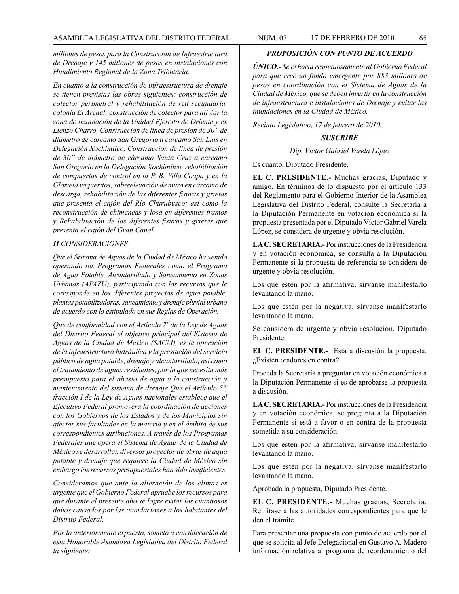*millones de pesos para la Construcción de Infraestructura de Drenaje y 145 millones de pesos en instalaciones con Hundimiento Regional de la Zona Tributaria.*

*En cuanto a la construcción de infraestructura de drenaje se tienen previstas las obras siguientes: construcción de colector perimetral y rehabilitación de red secundaria, colonia El Arenal; construcción de colector para aliviar la zona de inundación de la Unidad Ejercito de Oriente y ex Lienzo Charro, Construcción de línea de presión de 30" de diámetro de cárcamo San Gregorio a cárcamo San Luís en Delegación Xochimilco, Construcción de línea de presión de 30" de diámetro de cárcamo Santa Cruz a cárcamo San Gregorio en la Delegación Xochimilco, rehabilitación de compuertas de control en la P. B. Villa Coapa y en la Glorieta vaqueritos, sobreelevación de muro en cárcamo de descarga, rehabilitación de las diferentes fisuras y grietas que presenta el cajón del Río Churubusco; así como la reconstrucción de chimeneas y losa en diferentes tramos y Rehabilitación de las diferentes fisuras y grietas que presenta el cajón del Gran Canal.*

### *II CONSIDERACIONES*

*Que el Sistema de Aguas de la Ciudad de México ha venido operando los Programas Federales como el Programa de Agua Potable, Alcantarillado y Saneamiento en Zonas Urbanas (APAZU), participando con los recursos que le corresponde en los diferentes proyectos de agua potable, plantas potabilizadoras, saneamiento y drenaje pluvial urbano de acuerdo con lo estipulado en sus Reglas de Operación.*

*Que de conformidad con el Artículo 7º de la Ley de Aguas del Distrito Federal el objetivo principal del Sistema de Aguas de la Ciudad de México (SACM), es la operación de la infraestructura hidráulica y la prestación del servicio público de agua potable, drenaje y alcantarillado, así como el tratamiento de aguas residuales, por lo que necesita más presupuesto para el abasto de agua y la construcción y mantenimiento del sistema de drenaje Que el Artículo 5º, fracción I de la Ley de Aguas nacionales establece que el Ejecutivo Federal promoverá la coordinación de acciones con los Gobiernos de los Estados y de los Municipios sin afectar sus facultades en la materia y en el ámbito de sus correspondientes atribuciones. A través de los Programas Federales que opera el Sistema de Aguas de la Ciudad de México se desarrollan diversos proyectos de obras de agua potable y drenaje que requiere la Ciudad de México sin embargo los recursos presupuestales han sido insuficientes.*

*Consideramos que ante la alteración de los climas es urgente que el Gobierno Federal apruebe los recursos para que durante el presente año se logre evitar los cuantiosos daños causados por las inundaciones a los habitantes del Distrito Federal.*

*Por lo anteriormente expuesto, someto a consideración de esta Honorable Asamblea Legislativa del Distrito Federal la siguiente:*

# *PROPOSICIÓN CON PUNTO DE ACUERDO*

*ÚNICO.- Se exhorta respetuosamente al Gobierno Federal para que cree un fondo emergente por 883 millones de pesos en coordinación con el Sistema de Aguas de la Ciudad de México, que se deben invertir en la construcción de infraestructura e instalaciones de Drenaje y evitar las inundaciones en la Ciudad de México.*

*Recinto Legislativo, 17 de febrero de 2010.*

#### *SUSCRIBE*

*Dip. Víctor Gabriel Varela López*

Es cuanto, Diputado Presidente.

**EL C. PRESIDENTE.-** Muchas gracias, Diputado y amigo. En términos de lo dispuesto por el artículo 133 del Reglamento para el Gobierno Interior de la Asamblea Legislativa del Distrito Federal, consulte la Secretaría a la Diputación Permanente en votación económica si la propuesta presentada por el Diputado Víctor Gabriel Varela López, se considera de urgente y obvia resolución.

**LA C. SECRETARIA.-** Por instrucciones de la Presidencia y en votación económica, se consulta a la Diputación Permanente si la propuesta de referencia se considera de urgente y obvia resolución.

Los que estén por la afirmativa, sírvanse manifestarlo levantando la mano.

Los que estén por la negativa, sírvanse manifestarlo levantando la mano.

Se considera de urgente y obvia resolución, Diputado Presidente.

**EL C. PRESIDENTE.-** Está a discusión la propuesta. ¿Existen oradores en contra?

Proceda la Secretaría a preguntar en votación económica a la Diputación Permanente si es de aprobarse la propuesta a discusión.

**LA C. SECRETARIA.-** Por instrucciones de la Presidencia y en votación económica, se pregunta a la Diputación Permanente si está a favor o en contra de la propuesta sometida a su consideración.

Los que estén por la afirmativa, sírvanse manifestarlo levantando la mano.

Los que estén por la negativa, sírvanse manifestarlo levantando la mano.

Aprobada la propuesta, Diputado Presidente.

**EL C. PRESIDENTE.-** Muchas gracias, Secretaria. Remítase a las autoridades correspondientes para que le den el trámite.

Para presentar una propuesta con punto de acuerdo por el que se solicita al Jefe Delegacional en Gustavo A. Madero información relativa al programa de reordenamiento del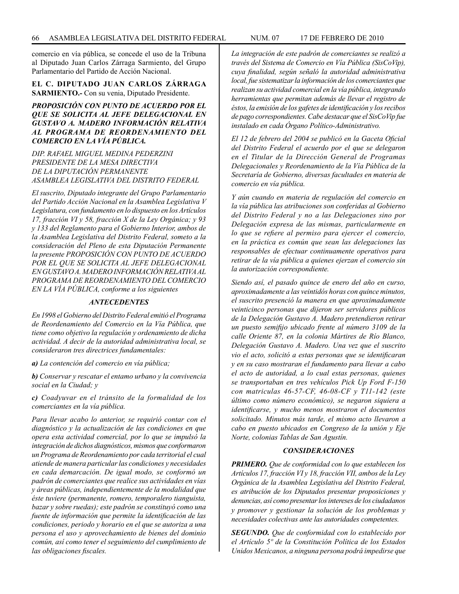comercio en vía pública, se concede el uso de la Tribuna al Diputado Juan Carlos Zárraga Sarmiento, del Grupo Parlamentario del Partido de Acción Nacional.

# **EL C. DIPUTADO JUAN CARLOS ZÁRRAGA SARMIENTO.-** Con su venia, Diputado Presidente.

# *PROPOSICIÓN CON PUNTO DE ACUERDO POR EL QUE SE SOLICITA AL JEFE DELEGACIONAL EN GUSTAVO A. MADERO INFORMACIÓN RELATIVA AL PROGRAMA DE REORDENAMIENTO DEL COMERCIO EN LA VÍA PÚBLICA.*

*DIP. RAFAEL MIGUEL MEDINA PEDERZINI PRESIDENTE DE LA MESA DIRECTIVA DE LA DIPUTACIÓN PERMANENTE ASAMBLEA LEGISLATIVA DEL DISTRITO FEDERAL*

*El suscrito, Diputado integrante del Grupo Parlamentario del Partido Acción Nacional en la Asamblea Legislativa V Legislatura, con fundamento en lo dispuesto en los Artículos 17, fracción VI y 58, fracción X de la Ley Orgánica; y 93 y 133 del Reglamento para el Gobierno Interior, ambos de la Asamblea Legislativa del Distrito Federal, someto a la consideración del Pleno de esta Diputación Permanente la presente PROPOSICIÓN CON PUNTO DE ACUERDO POR EL QUE SE SOLICITA AL JEFE DELEGACIONAL EN GUSTAVO A. MADERO INFORMACIÓN RELATIVA AL PROGRAMA DE REORDENAMIENTO DEL COMERCIO EN LA VÍA PÚBLICA, conforme a los siguientes* 

#### *ANTECEDENTES*

*En 1998 el Gobierno del Distrito Federal emitió el Programa de Reordenamiento del Comercio en la Vía Pública, que tiene como objetivo la regulación y ordenamiento de dicha actividad. A decir de la autoridad administrativa local, se consideraron tres directrices fundamentales:* 

*a) La contención del comercio en vía pública;*

*b) Conservar y rescatar el entamo urbano y la convivencia social en la Ciudad; y*

*c) Coadyuvar en el tránsito de la formalidad de los comerciantes en la vía pública.*

*Para llevar acabo lo anterior, se requirió contar con el diagnóstico y la actualización de las condiciones en que opera esta actividad comercial, por lo que se impulsó la integración de dichos diagnósticos, mismos que conformaron un Programa de Reordenamiento por cada territorial el cual atiende de manera particular las condiciones y necesidades en cada demarcación. De igual modo, se conformó un padrón de comerciantes que realice sus actividades en vías y áreas públicas, independientemente de la modalidad que éste tuviere (permanente, romero, temporalero tianguista, bazar y sobre ruedas); este padrón se constituyó como una fuente de información que permite la identificación de las condiciones, periodo y horario en el que se autoriza a una persona el uso y aprovechamiento de bienes del dominio común, así como tener el seguimiento del cumplimiento de las obligaciones fiscales.*

*La integración de este padrón de comerciantes se realizó a través del Sistema de Comercio en Vía Pública (SisCoVip), cuya finalidad, según señaló la autoridad administrativa local, fue sistematizar la información de los comerciantes que realizan su actividad comercial en la vía pública, integrando herramientas que permitan además de llevar el registro de éstos, la emisión de los gafetes de identificación y los recibos de pago correspondientes. Cabe destacar que el SisCoVip fue instalado en cada Órgano Político-Administrativo.*

*El 12 de febrero del 2004 se publicó en la Gaceta Oficial del Distrito Federal el acuerdo por el que se delegaron en el Titular de la Dirección General de Programas Delegacionales y Reordenamiento de la Vía Pública de la Secretaría de Gobierno, diversas facultades en materia de comercio en vía pública.*

*Y aún cuando en materia de regulación del comercio en la vía pública las atribuciones son conferidas al Gobierno del Distrito Federal y no a las Delegaciones sino por Delegación expresa de las mismas, particularmente en lo que se refiere al permiso para ejercer el comercio, en la práctica es común que sean las delegaciones las responsables de efectuar continuamente operativos para retirar de la vía pública a quienes ejerzan el comercio sin la autorización correspondiente.*

*Siendo así, el pasado quince de enero del año en curso, aproximadamente a las veintidós horas con quince minutos, el suscrito presenció la manera en que aproximadamente veinticinco personas que dijeron ser servidores públicos de la Delegación Gustavo A. Madero pretendieron retirar un puesto semifijo ubicado frente al número 3109 de la calle Oriente 87, en la colonia Mártires de Río Blanco, Delegación Gustavo A. Madero. Una vez que el suscrito vio el acto, solicitó a estas personas que se identificaran y en su caso mostraran el fundamento para llevar a cabo el acto de autoridad, a lo cual estas personas, quienes se transportaban en tres vehículos Pick Up Ford F-150 con matriculas 46-57-CF, 46-08-CF y T11-142 (este último como número económico), se negaron siquiera a identificarse, y mucho menos mostraron el documentos solicitado. Minutos más tarde, el mismo acto llevaron a cabo en puesto ubicados en Congreso de la unión y Eje Norte, colonias Tablas de San Agustín.*

#### *CONSIDERACIONES*

*PRIMERO. Que de conformidad con lo que establecen los Artículos 17, fracción VI y 18, fracción VII, ambos de la Ley Orgánica de la Asamblea Legislativa del Distrito Federal, es atribución de los Diputados presentar proposiciones y denuncias, así como presentar los intereses de los ciudadanos y promover y gestionar la solución de los problemas y necesidades colectivas ante las autoridades competentes.* 

*SEGUNDO. Que de conformidad con lo establecido por el Artículo 5º de la Constitución Política de los Estados Unidos Mexicanos, a ninguna persona podrá impedirse que*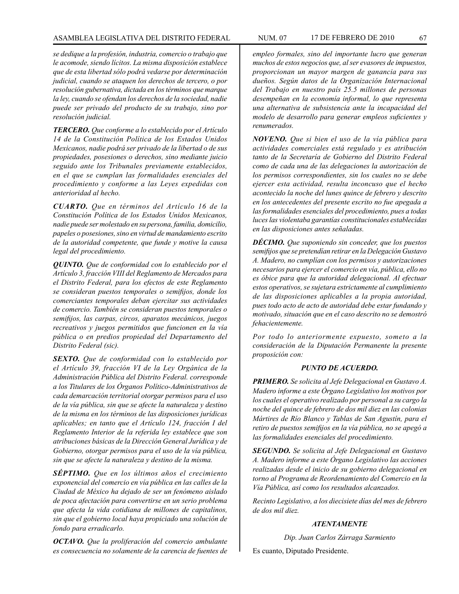#### ASAMBLEA LEGISLATIVA DEL DISTRITO FEDERAL NUM. 07 17 DE FEBRERO DE 2010 67

*se dedique a la profesión, industria, comercio o trabajo que le acomode, siendo lícitos. La misma disposición establece que de esta libertad sólo podrá vedarse por determinación judicial, cuando se ataquen los derechos de tercero, o por resolución gubernativa, dictada en los términos que marque la ley, cuando se ofendan los derechos de la sociedad, nadie puede ser privado del producto de su trabajo, sino por resolución judicial.*

*TERCERO. Que conforme a lo establecido por el Artículo 14 de la Constitución Política de los Estados Unidos Mexicanos, nadie podrá ser privado de la libertad o de sus propiedades, posesiones o derechos, sino mediante juicio seguido ante los Tribunales previamente establecidos, en el que se cumplan las formalidades esenciales del procedimiento y conforme a las Leyes expedidas con anterioridad al hecho.*

*CUARTO. Que en términos del Artículo 16 de la Constitución Política de los Estados Unidos Mexicanos, nadie puede ser molestado en su persona, familia, domicilio, papeles o posesiones, sino en virtud de mandamiento escrito de la autoridad competente, que funde y motive la causa legal del procedimiento.*

*QUINTO. Que de conformidad con lo establecido por el Artículo 3, fracción VIII del Reglamento de Mercados para el Distrito Federal, para los efectos de este Reglamento se consideran puestos temporales o semifijos, donde los comerciantes temporales deban ejercitar sus actividades de comercio. También se consideran puestos temporales o semifijos, las carpas, circos, aparatos mecánicos, juegos recreativos y juegos permitidos que funcionen en la vía pública o en predios propiedad del Departamento del Distrito Federal (sic).*

*SEXTO. Que de conformidad con lo establecido por el Artículo 39, fracción VI de la Ley Orgánica de la Administración Pública del Distrito Federal. corresponde a los Titulares de los Órganos Político-Administrativos de cada demarcación territorial otorgar permisos para el uso de la vía pública, sin que se afecte la naturaleza y destino de la misma en los términos de las disposiciones jurídicas aplicables; en tanto que el Artículo 124, fracción I del Reglamento Interior de la referida ley establece que son atribuciones básicas de la Dirección General Jurídica y de Gobierno, otorgar permisos para el uso de la vía pública, sin que se afecte la naturaleza y destino de la misma.*

*SÉPTIMO. Que en los últimos años el crecimiento exponencial del comercio en vía pública en las calles de la Ciudad de México ha dejado de ser un fenómeno aislado de poca afectación para convertirse en un serio problema que afecta la vida cotidiana de millones de capitalinos, sin que el gobierno local haya propiciado una solución de fondo para erradicarlo.*

*OCTAVO. Que la proliferación del comercio ambulante es consecuencia no solamente de la carencia de fuentes de*  *empleo formales, sino del importante lucro que generan muchos de estos negocios que, al ser evasores de impuestos, proporcionan un mayor margen de ganancia para sus dueños. Según datos de la Organización Internacional del Trabajo en nuestro país 25.5 millones de personas desempeñan en la economía informal, lo que representa una alternativa de subsistencia ante la incapacidad del modelo de desarrollo para generar empleos suficientes y renumerados.* 

*NOVENO. Que si bien el uso de la vía pública para actividades comerciales está regulado y es atribución tanto de la Secretaría de Gobierno del Distrito Federal como de cada una de las delegaciones la autorización de los permisos correspondientes, sin los cuales no se debe ejercer esta actividad, resulta inconcuso que el hecho acontecido la noche del lunes quince de febrero y descrito en los antecedentes del presente escrito no fue apegada a las formalidades esenciales del procedimiento, pues a todas luces las violentaba garantías constitucionales establecidas en las disposiciones antes señaladas.*

*DÉCIMO. Que suponiendo sin conceder, que los puestos semifijos que se pretendían retirar en la Delegación Gustavo A. Madero, no cumplían con los permisos y autorizaciones necesarios para ejercer el comercio en vía, pública, ello no es óbice para que la autoridad delegacional. Al efectuar estos operativos, se sujetara estrictamente al cumplimiento de las disposiciones aplicables a la propia autoridad, pues todo acto de acto de autoridad debe estar fundando y motivado, situación que en el caso descrito no se demostró fehacientemente.*

*Por todo lo anteriormente expuesto, someto a la consideración de la Diputación Permanente la presente proposición con:*

# *PUNTO DE ACUERDO.*

*PRIMERO. Se solicita al Jefe Delegacional en Gustavo A. Madero informe a este Órgano Legislativo los motivos por los cuales el operativo realizado por personal a su cargo la noche del quince de febrero de dos mil diez en las colonias Mártires de Río Blanco y Tablas de San Agustín, para el retiro de puestos semifijos en la vía pública, no se apegó a las formalidades esenciales del procedimiento.*

*SEGUNDO. Se solicita al Jefe Delegacional en Gustavo A. Madero informe a este Órgano Legislativo las acciones realizadas desde el inicio de su gobierno delegacional en torno al Programa de Reordenamiento del Comercio en la Vía Pública, así como los resultados alcanzados.*

*Recinto Legislativo, a los diecisiete días del mes de febrero de dos mil diez.*

# *ATENTAMENTE*

*Dip. Juan Carlos Zárraga Sarmiento*

Es cuanto, Diputado Presidente.